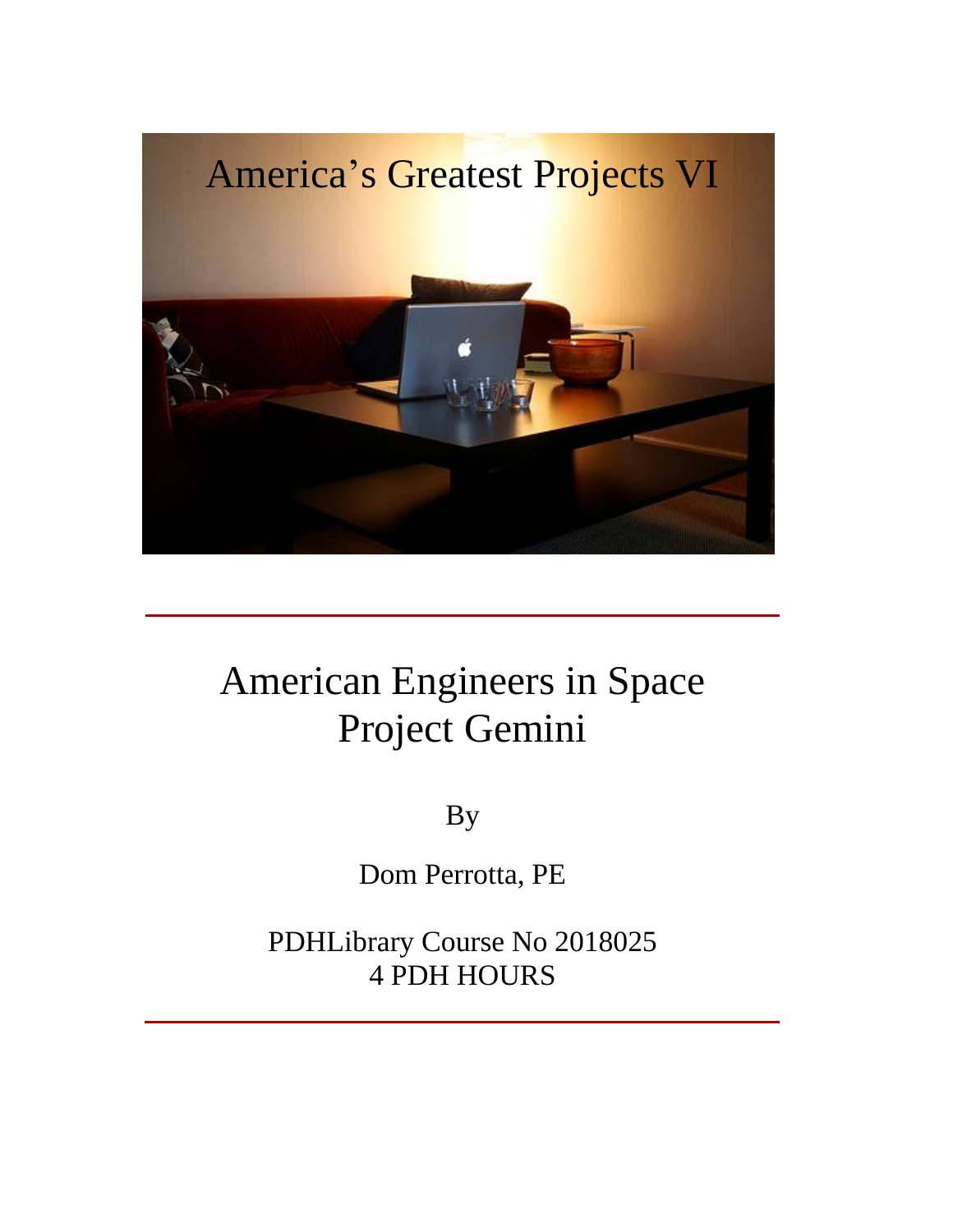

### American Engineers in Space Project Gemini

By

Dom Perrotta, PE

PDHLibrary Course No 2018025 4 PDH HOURS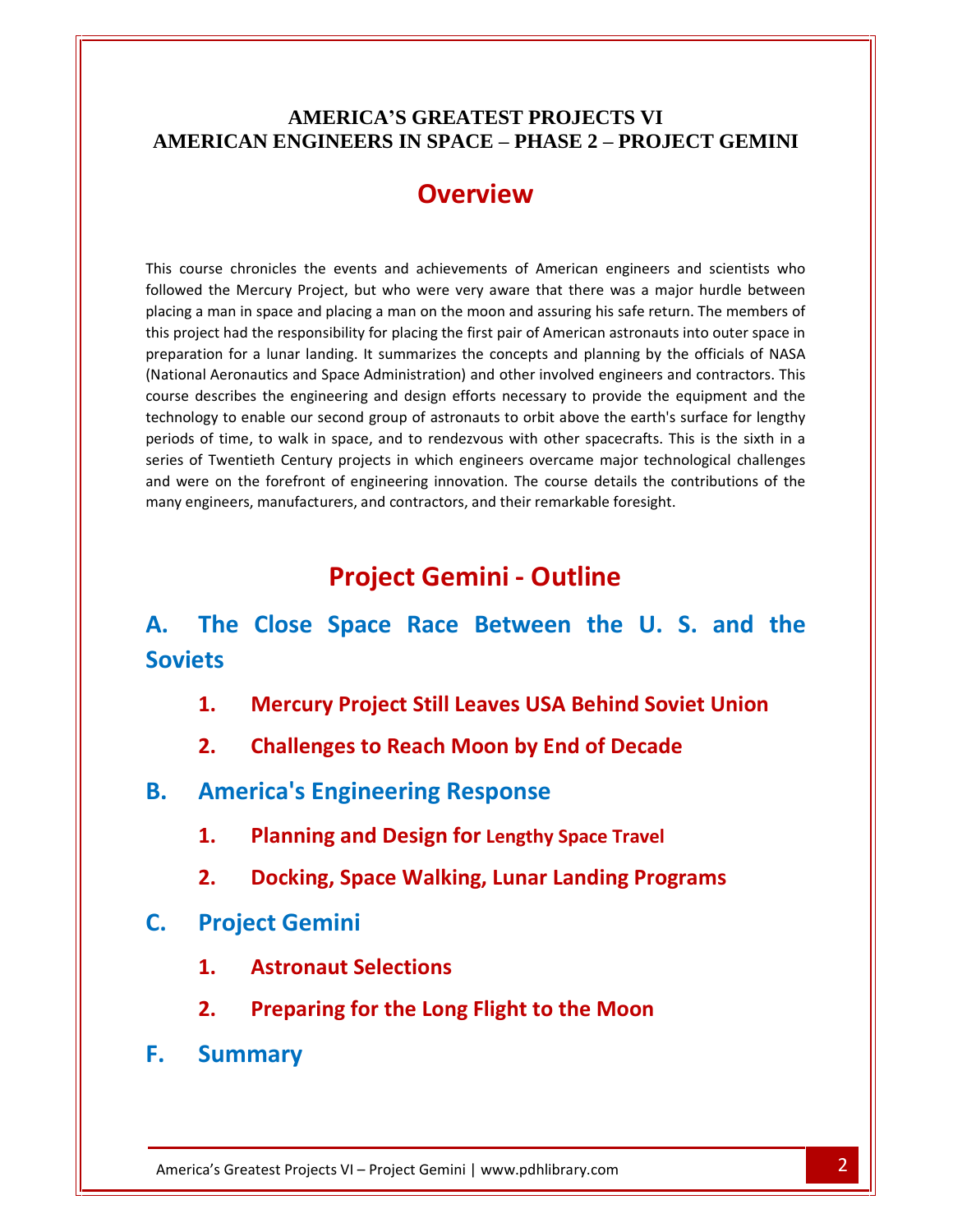## **AMERICAí<sup>S</sup> GREATEST PROJECTS VI AMERICA'S GREATEST PROJECTS VI<br>
AMERICAN ENGINEERS IN SPACE – PHASE 2 – PROJECT GEMINI** TERICAN ENGINEERS IN SPACE – PHASE 2 – PROJECT GEMINI<br>
OVETVIEW<br>
Course chronicles the events and achievements of American engineers and scientists who

**COVETVIEW**<br>Se chronicles the events and achievements of American engineers and scientists who<br>the Mercury Project, but who were very aware that there was a major hurdle between **COVETVIEW**<br>a man in space and placing a man on the moon and assuring his safe return. The members of<br>a man in space and placing a man on the moon and assuring his safe return. The members of course chronicles the events and achievements of American engineers and scientists who<br>wed the Mercury Project, but who were very aware that there was a major hurdle between<br>ing a man in space and placing a man on the moon chronicles the events and achievements of American engineers and scientists who<br>
In Mercury Project, but who were very aware that there was a major hurdle between<br>
In in space and placing a man on the moon and assuring his See chronicles the events and achievements of American engineers and scientists who<br>the Mercury Project, but who were very aware that there was a major hurdle between<br>man in space and placing a man on the moon and assuring This course chronicles the events and achievements of American engineers and scientists who urse chronicles the events and achievements of American engineers and scientists who<br>d the Mercury Project, but who were very aware that there was a major hurdle between<br>a man in space and placing a man on the moon and ass followed th e Mercury Project, but who were very aware that there was a major hurdle between<br>an in space and placing a man on the moon and assuring his safe return. The members of<br>had the responsibility for placing the first pair of A placing a man in space and placing a man on the moon and assuring his safe return. The members of I man in space and placing a man on the moon and assuring his safe return. The members of<br>ect had the responsibility for placing the first pair of American astronauts into outer space in<br>tion for a lunar landing. It summar this project had the responsibility for placing the first pair of American astronauts into outer space in bject had the responsibility for placing the first pair of American astronauts into outer space in<br>ation for a lunar landing. It summarizes the concepts and planning by the officials of NASA<br>nal Aeronautics and Space Admin preparation for a lunar landing. It summarizes the concepts and planning by the officials of NASA aration for a lunar landing. It summarizes the concepts and planning by the officials of NASA<br>ional Aeronautics and Space Administration) and other involved engineers and contractors. This<br>se describes the engineering and (Natio engiated and representionly for pidents (i.e. in steps of variation for a lunar landing. It summarizes the concepts and planning by the of and Aeronautics and Space Administration) and other involved engineers and contract **Example 18 and Strutherm and Strutus and Strutherm**<br>
Fraction) and other involved engineers and contr<br>
sign efforts necessary to provide the equipme<br>
f astronauts to orbit above the earth's surface<br>
rendezvous with other technology to enable our second group of astronauts to orbit above the earth's surface for lengthy<br>periods of time, to walk in space, and to rendezvous with other spacecrafts. This is the sixth in a **The** Close Space Race Between the U. S. and the<br> **The Close Space Race Race Between Race FOREC SPACE THE CHINGE CONDUCT**<br> **The Close Space Race Between the U.S. and the Close Space Race Between the U.S. and the<br>
<b>The** series of Twentieth Century projects in which engineers overcame major technological challenges

## **Project Gemini - Outline**<br> **Close Space Race Between the U. S. and the**<br> **Mercury Project Still Leaves USA Behind Soviet Union Project Gemini - Outline<br>
Close Space Race Between the U.S. and<br>
Mercury Project Still Leaves USA Behind Soviet Union<br>
Challenges to Reach Moon by End of Decade Project Gemini - Outline<br>The Close Space Race Between the Lats<br>1. Mercury Project Still Leaves USA Behind !<br>2. Challenges to Reach Moon by End of Dec<br>America's Engineering Response** А. **Project Still Leaves USA Behind Soviet<br>
<b>Challenges to Reach Moon by End of Decade**<br> **Planning and Design for Lengthy Space Travel Soviets**

- **2.Mercury Project Still Leaves USA Behind Soviet Union<br>Challenges to Reach Moon by End of Decade<br>rica's Engineering Response<br>Planning and Design for Lengthy Space Travel<br>Docking. Space Walking. Lunar Landing Programs**
- **2.** Challenges to Re<br> **America's Engineer<br>
<b>1.** Planning and De<br> **2.** Docking, Space \<br>
Proiect Gemini
- **1.** Planning and Design for Lengtheranauthors Design for Lengtheranaution<br> **1.** Docking, Space Walking, Lure<br> **Project Gemini**<br> **1.** Astronaut Selections В.
	- **2.**
	- **Planning and Design for Lengthy Space Travel<br>Docking, Space Walking, Lunar Landing Programs<br>ect Gemini<br>Astronaut Selections<br>Preparing for the Long Flight to the Moon**

# 1. Fram<br>**2.** Docki<br>Project Go<br>1. Astro<br>2. Prepa<br>Summary  $\mathsf{C}$ .

- 
- Preparing for the Long Flight to the Moon<br>
mmary<br>
Greatest Projects VI Project Gemini | www.pdhlibrary.com 2
- **F.** Summary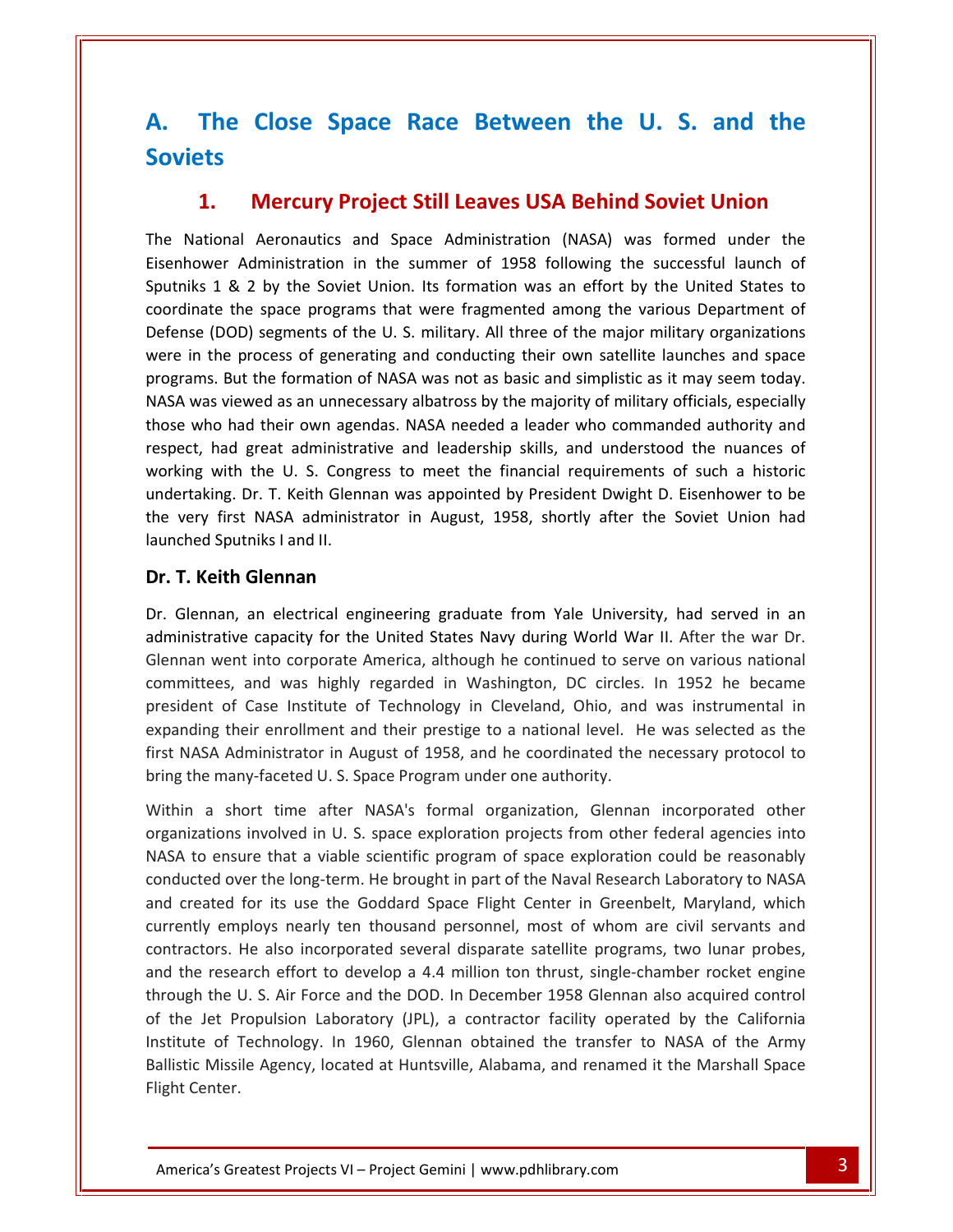### **The Close Space Race Between the U. S. and the Mercury Project Still Leaves USA Behind Soviet Union The Close Space Race Between the U.S. and the iets<br>1. Mercury Project Still Leaves USA Behind Soviet Union<br>National Aeronautics and Space Administration (NASA) was formed under the** A. In LIOSE Space Race Between the U.S. and the<br>Mercury Project Still Leaves USA Behind Soviet Union<br>I Aeronautics and Space Administration (NASA) was formed under the<br>Administration in the summer of 1958 following the successfu **Soviets** coordinate

#### $\mathbf{1}$ .

**1 By The Soviet Union.**<br>
1 **Mercury Project Still Leaves USA Behind Soviet Union**<br>
1 & 2 by the Soviet Union. Its formation was an effort by the United States to **Mercury Project Still Leaves USA Behind Soviet Union**<br>al Aeronautics and Space Administration (NASA) was formed under the<br>Administration in the summer of 1958 following the successful launch of<br>& 2 by the Soviet Union. It **(DOD)** segments of the U. S. military. All three of the major military organizations (DOD) segments of the U. S. military. All three of the major military organizations (DOD) segments of the U. S. military. All three of t Vational Aeronautics and Space Administration (NASA) was formed under the<br>nower Administration in the summer of 1958 following the successful launch of<br>iks 1 & 2 by the Soviet Union. Its formation was an effort by the Unit The Natio The National Aeronautics and Space Administration (NASA) was formed under the<br>Eisenhower Administration in the summer of 1958 following the successful launch of<br>Sputniks 1 & 2 by the Soviet Union. Its formation was an effo nower Administration in the summer of 1958 following the successful launch of<br>iks 1 & 2 by the Soviet Union. Its formation was an effort by the United States to<br>inate the space programs that were fragmented among the vario Sputniks 1 & 2 by the Soviet Union. Its formation was an effort by the United States to ks 1 & 2 by the Soviet Union. Its formation was an effort by the United States to<br>nate the space programs that were fragmented among the various Department of<br>se (DOD) segments of the U. S. military. All three of the major coordinate the space programs that were fragmented among the various Department of te the space programs that were fragmented among the various Department of (DOD) segments of the U. S. military. All three of the major military organizations the process of generating and conducting their own satellite la Defense (DOD) segments of the U. S. military. All three of the major military organizations (DOD) segments of the U. S. military. All three of the major military organizations<br>the process of generating and conducting their own satellite launches and space<br>i. But the formation of NASA was not as basic and simplist were in the process of generating and conducting their own satellite launches and space process of generating and conducting their own satellite launches and space<br>t the formation of NASA was not as basic and simplistic as it may seem today.<br>wed as an unnecessary albatross by the majority of military official programs. But the formation of NASA was not as basic and simplistic as it may seem today. rams. But the formation of NASA was not as basic and simplistic as it may seem today.<br>
A was viewed as an unnecessary albatross by the majority of military officials, especially<br>
e who had their own agendas. NASA needed a NASA wa those who had their own agendas. NASA needed a leader who commanded authority and respect, had great administrative and leadership skills, and understood the nuances of working with the U. S. Congress to meet the financial e who had their own agendas.<br>
ect, had great administrative<br>
king with the U. S. Congress<br>
ertaking. Dr. T. Keith Glennan<br>
very first NASA administrator<br>
ched Sputniks I and II.<br> **T. Keith Glennan** working with the U.S. Congress to meet the financial requirements of such a historic king with the U. S. Congress to meet the infiancial requirements of such a historic<br>ertaking. Dr. T. Keith Glennan was appointed by President Dwight D. Eisenhower to be<br>very first NASA administrator in August, 1958, shortl undertaking. Dr. T. Keith Glennan was appointed by President Dwight D. Eisenhower to be undertaking. Dr. 1. Keith Glennan was appointed by President Dwight D. Eisenhower to be<br>the very first NASA administrator in August, 1958, shortly after the Soviet Union had<br>launched Sputniks I and II.<br>**Dr. T. Keith Glenna** launched Sputniks I and II.

#### Dr. T. Keith Glennan

First NASA administrator in August, 1958, shortly after the Soviet Union had<br>Sputniks I and II.<br>**eith Glennan**<br>nan, an electrical engineering graduate from Yale University, had served in an<br>ative capacity for the United St Glennan<br>
an electrical engineering graduate from Yale University, had served in an<br>
and engineering graduate from Yale University, had served in an<br>
and was highly regarded in Washington, DC circles. In 1952 he became<br>
and **th Glennan**<br>
an, an electrical engineering graduate from Yale University, had served in an<br>
tive capacity for the United States Navy during World War II. After the war Dr.<br>
ent into corporate America, although he continue In, an electrical engineering graduate from Yale University, had served in an<br>tive capacity for the United States Navy during World War II. After the war Dr.<br>ent into corporate America, although he continued to serve on va Dr. Slennan, an electrical engineering graduate from Yale University, had served in an<br>inistrative capacity for the United States Navy during World War II. After the war Dr.<br>nan went into corporate America, although he continu administrative capacity for the United States Navy during World War II. After the war Dr. administrative capacity for the United States Navy during World Wa<br>Glennan went into corporate America, although he continued to ser<br>committees, and was highly regarded in Washington, DC circles.<br>president of Case Institut rees, and was highly regarded in Washington, DC circles. In 1952 he became<br>at of Case Institute of Technology in Cleveland, Ohio, and was instrumental in<br>higher their enrollment and their prestige to a national level. He w president of Case Institute of Technology in Cleveland, Ohio, and was instrumental in Case Institute of Technology in Cleveland, Ohio, and was instrumental in<br>ir enrollment and their prestige to a national level. He was selected as the<br>ministrator in August of 1958, and he coordinated the necessary protocol expanding their enrollment and their prestige to a national level. He was selected as the ding their enrollment and their prestige to a national level. He was selected as the<br>ASA Administrator in August of 1958, and he coordinated the necessary protocol to<br>he many-faceted U.S. Space Program under one authority. i<br>firct NACA bring the many-faceted U.S. Space Program under one authority. currently believed.

Institute of Technology. In 1960, Glennan obtained the transfer to NASA of the Army e o. S. An Tote and the DOD. In December 1938 Glemian also acquired control<br>
Propulsion Laboratory (JPL), a contractor facility operated by the California<br>
f Technology. In 1960, Gleman obtained the transfer to NASA of the Administrator in August of 1958, and he coordinated the necessary protocol to<br>lany-faceted U. S. Space Program under one authority.<br>short time after NASA's formal organization, Glennan incorporated other<br>ns involved in U. extrared for its use the Goddard Space Fight Center in Greenbelt. Maryland, which<br>the Goddard Space exploration projects from other federal agencies into<br>a to ensure that a viable scientific program of space exploration co employers and the server of the server of the short time after NASA's formal organization, Glennan incorporated other<br>employed in U. S. space exploration projects from other federal agencies into<br>employer the long-term. He Within a short time after NASA's formal organization, Glennan incorporated other Within a short time after NASA's formal organization, Glennan incorporated other<br>organizations involved in U. S. space exploration projects from other federal agencies into<br>NASA to ensure that a viable scientific program o nizations involved in U. S. space exploration projects from other federal agencies into<br>A to ensure that a viable scientific program of space exploration could be reasonably<br>lucted over the long-term. He brought in part of NASA to ensure that a viable scientific program of space exploration could be reasonably ensure that a viable scientific program of space exploration could be reasonably<br>ed over the long-term. He brought in part of the Naval Research Laboratory to NASA<br>ted for its use the Goddard Space Flight Center in Greenbe **cc** ducted over the long-term. He brought in part of the Naval Research Laboratory to NASA<br>I created for its use the Goddard Space Flight Center in Greenbelt, Maryland, which<br>rently employs nearly ten thousand personnel, most and created for its use the Goddard Space Flight Center in Greenbelt, Maryland, which ed for its use the Goddard Space Flight Center in Greenbelt, Maryland, which<br>employs nearly ten thousand personnel, most of whom are civil servants and<br>rs. He also incorporated several disparate satellite programs, two lun currently employs nearly ten thousand personnel, most of whom are civil servants and y employs nearly ten thousand personnel, most of whom are civil servants and<br>ors. He also incorporated several disparate satellite programs, two lunar probes,<br>research effort to develop a 4.4 million ton thrust, single-cha contra and the research effort to develop a 4.4 million ton thrust, single-chamber rocket engine<br>through the U.S. Air Force and the DOD. In December 1958 Glennan also acquired control<br>of the Jet Propulsion Laboratory (JPL), a con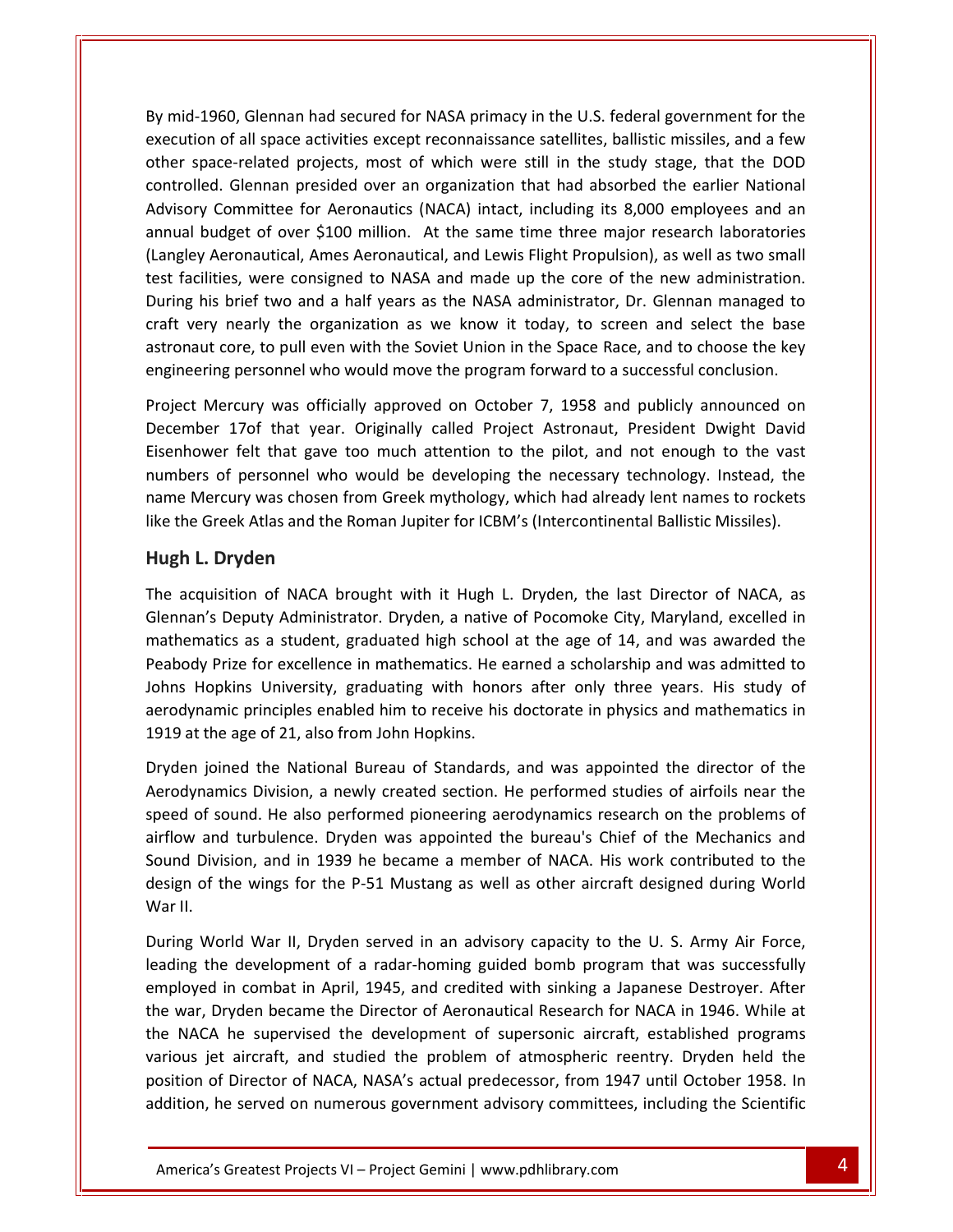mid-1960. Glennan had secured for NASA primacy in the U.S. federal government for the of all space activities except reconnaissance satellites, ballistic missiles, and a few and secured for NASA primacy in the U.S. federal government for the of all space activities except reconnaissance satellites, ballisti space-related projects, most of which were still in the study stage, that the DOD<br>space-related projects, most of which were still in the study stage, that the DOD Solennan had secured for NASA primacy in the U.S. federal government for the<br>Solennan had secured for NASA primacy in the U.S. federal government for the<br>Solennan presided over an organization that had absorbed the earlier MED (MACA) into the U.S. federal government for the U.S. Selemmingth of all space activities except reconnaissance satellites, ballistic missiles, and a few ince-related projects, most of which were still in the study stag 1960, Glennan had secured for NASA primacy in the U.S. federal government for the<br>pon of all space activities except reconnaissance satellites, ballistic missiles, and a few<br>pace-related projects, most of which were still By mid-1 960, Glennan had secured for NASA primacy in the U.S. federal government for the<br>
1 of all space activities except reconnaissance satellites, ballistic missiles, and a few<br>
ace-related projects, most of which were still in execution of all space activities except reconnaissance satellites, ballistic missiles, and a few execution of all space activities except reconnaissance satellites, ballistic missiles, and a few<br>other space-related projects, most of which were still in the study stage, that the DOD<br>controlled. Glennan presided over an pace-related projects, most of which were still in the study stage, that the DOD<br>led. Glennan presided over an organization that had absorbed the earlier National<br>y Committee for Aeronautics (NACA) intact, including its 8, conti blled. Glennan presided over an organization that had absorbed the earlier National<br>pry Committee for Aeronautics (NACA) intact, including its 8,000 employees and an<br>ll budget of over \$100 million. At the same time three m Advisory Committee for Aeronautics (NACA) intact, including its 8,000 employees and an Committee for Aeronautics (NACA) intact, including its 8,000 employees and an<br>dget of over \$100 million. At the same time three major research laboratories<br>eronautical, Ames Aeronautical, and Lewis Flight Propulsion), as w annual budget of over \$100 million. At the same time three major research laboratories (Langley Aeronautical, Ames Aeronautical, and Lewis Flight Propulsion), as well as two small test facilities, were consigned to NASA and made up the core of the new administration. Itities, were consigned to NASA and made up the core of the new administration.<br>
his brief two and a half years as the NASA administrator, Dr. Glennan managed to<br>
ry nearly the organization as we know it today, to screen a During his brief two and a half years as the NASA administrator, Dr. Glennan managed to orief two and a half years as the NASA administrator, Dr. Glennan managed to<br>nearly the organization as we know it today, to screen and select the base<br>ore, to pull even with the Soviet Union in the Space Race, and to choo craft very nearly the organization as we know it today, to screen and select the base<br>astronaut core, to pull even with the Soviet Union in the Space Race, and to choose the key<br>engineering personnel who would move the pro astronaut core, to pull even with the Soviet Union in the Space Race, and to choose the key engineering personnel who would move the program forward to a successful conclusion. like

core, to pull even with the Soviet Union in the Space Race, and to choose the key<br>ng personnel who would move the program forward to a successful conclusion.<br>lercury was officially approved on October 7, 1958 and publicly eering personnel who would move the program forward to a successful conclusion.<br>
t Mercury was officially approved on October 7, 1958 and publicly announced on<br>
hber 17of that year. Originally called Project Astronaut, Pre Project Mercury was officially approved on October 7, 1958 and publicly announced on<br>December 17of that year. Originally called Project Astronaut, President Dwight David<br>Eisenhower felt that gave too much attention to the E. Mercury was official<br>
ber 17of that year.<br>
bwer felt that gave to<br>
rs of personnel who<br>
Mercury was chosen freek Atlas and the R<br> **L. Drvden** Eisenhower felt that gave too much attention to the pilot, and not enough to the vast acquisition of NACA brought with it Hugh L. Dryden, the last Director of NACA, as<br>acquisition of NACA brought with it Hugh L. Dryden, the last Director of NACA, as<br>acquisition of NACA brought with it Hugh L. Dryden, the la numbers of personnel who would be developing the necessary technology. Instead, the Depresonnel who would be developing the necessary technology. Instead, the<br>cury was chosen from Greek mythology, which had already lent names to rockets<br>eek Atlas and the Roman Jupiter for ICBM's (Intercontinental Ballisti name Mercury was chosen from Greek mythology, which had already lent names to rockets like the Greek Atlas and the Roman Jupiter for ICBM's (Intercontinental Ballistic Missiles).

#### Hugh L. Dryden aerodynamic

other

metal as and the Roman Jupiter for ICBM's (Intercontinental Ballistic Missiles).<br> **den**<br>
an of NACA brought with it Hugh L. Dryden, the last Director of NACA, as<br>
puty Administrator. Dryden, a native of Pocomoke City, Mary Prize for excellence in mathematics. He earned a scholarship and was admitted to<br>Prize for excellence in mathematics. He earned a scholarship and was admitted to<br>Prize for excellence in mathematics. He earned a scholarship **L. Dryden**<br>quisition of NACA brought with it Hugh L. Dryden, the last Director of NACA, as<br>n's Deputy Administrator. Dryden, a native of Pocomoke City, Maryland, excelled in<br>matics as a student, graduated high school at t principles enabled him to receive his doctorate in physics and mathematics in physical difference in mathematics. He earned a scholarship and was admitted to receive his doctorate in physics and mathematics in physics and The acquisition of NACA brought with it Hugh L. Dryden, the last Director of NACA, as The acquisition of NACA brought with it Hugh L<br>Glennan's Deputy Administrator. Dryden, a native<br>mathematics as a student, graduated high school<br>Peabody Prize for excellence in mathematics. He e<br>Johns Hopkins University, gr atics as a student, graduated high school at the age of 14, and was awarded the<br>
prize for excellence in mathematics. He earned a scholarship and was admitted to<br>
opkins University, graduating with honors after only three Peabody Prize for excellence in mathematics. He earned a scholarship and was admitted to for excellence in mathematics. He earned a scholarship and was admitted to<br>University, graduating with honors after only three years. His study of<br>rinciples enabled him to receive his doctorate in physics and mathematics i Johns Hopkins University, graduating with honors after only three years. His study of Hopkins University, graduating with honors after only three years. His study of<br>mamic principles enabled him to receive his doctorate in physics and mathematics in<br>t the age of 21, also from John Hopkins.<br>a joined the Nati antari 1919 at the age of 21, also from John Hopkins.

and principles enabled him to receive his doctorate in physics and mathematics in<br>the age of 21, also from John Hopkins.<br>joined the National Bureau of Standards, and was appointed the director of the<br>hamics Division, a new is the age of 21, also from John Hopkins.<br>
joined the National Bureau of Standards, and was appointed the director of the<br>
namics Division, a newly created section. He performed studies of airfoils near the<br>
of sound. He a joined the National Bureau of Standards, and was appointed the director of the<br>namics Division, a newly created section. He performed studies of airfoils near the<br>of sound. He also performed pioneering aerodynamics researc Dryden joined the National Bureau of Standards, and was appointed the director of the Aerodynamics Division, a newly created section. He performed studies of airfoils near the speed of sound. He also performed pioneering aerodynamics research on the problems of of sound. He also performed pioneering aerodynamics research on the problems of and turbulence. Dryden was appointed the bureau's Chief of the Mechanics and Division, and in 1939 he became a member of NACA. His work contri airflow and turbulence. Dryden was appointed the bureau's Chief of the Mechanics and and turbulence. Dryden was appointed the bureau's Chief of the Mechanics and<br>Division, and in 1939 he became a member of NACA. His work contributed to the<br>of the wings for the P-51 Mustang as well as other aircraft designe Sound Division, and in 1939 he became a member of NACA. His work contributed to the sion, and in 1939 he became a member of NACA. His work contributed to the<br>the wings for the P-51 Mustang as well as other aircraft designed during World<br>rld War II, Dryden served in an advisory capacity to the U. S. Army A design of the wings for the P-51 Mustang as well as other aircraft designed during World War II.

various jet aircraft, and studied the problem of atmospheric reentry. Dryden held the ryden became the Director of Aeronautical Research for NACA in 1946. While at<br>he supervised the development of supersonic aircraft, established programs<br>aircraft, and studied the problem of atmospheric reentry. Dryden held gn of the wings for the P-51 Mustang as well as other aircraft designed during World<br>
II.<br>
Ing World War II, Dryden served in an advisory capacity to the U.S. Army Air Force,<br>
ing the development of a radar-homing guided b II.<br>Ing World War II, Dryden served in an advisory capacity to the U.S. Army Air Force,<br>ing the development of a radar-homing guided bomb program that was successfully<br>loyed in combat in April, 1945, and credited with sink World War II, Dryden served in an advisory capacity to the U. S. Army Air Force,<br>the development of a radar-homing guided bomb program that was successfully<br>d in combat in April, 1945, and credited with sinking a Japanese During \ Vorld War II, Dryden served in an advisory capacity to the U. S. Army Air Force,<br>
the development of a radar-homing guided bomb program that was successfully<br>
d in combat in April, 1945, and credited with sinking a Japanes leading the development of a radar-homing guided bomb program that was successfully employed in combat in April, 1945, and credited with sinking a Japanese Destroyer. After the war, Dryden became the Director of Aeronautical Research for NACA in 1946. While at the NACA he supervised the development of sup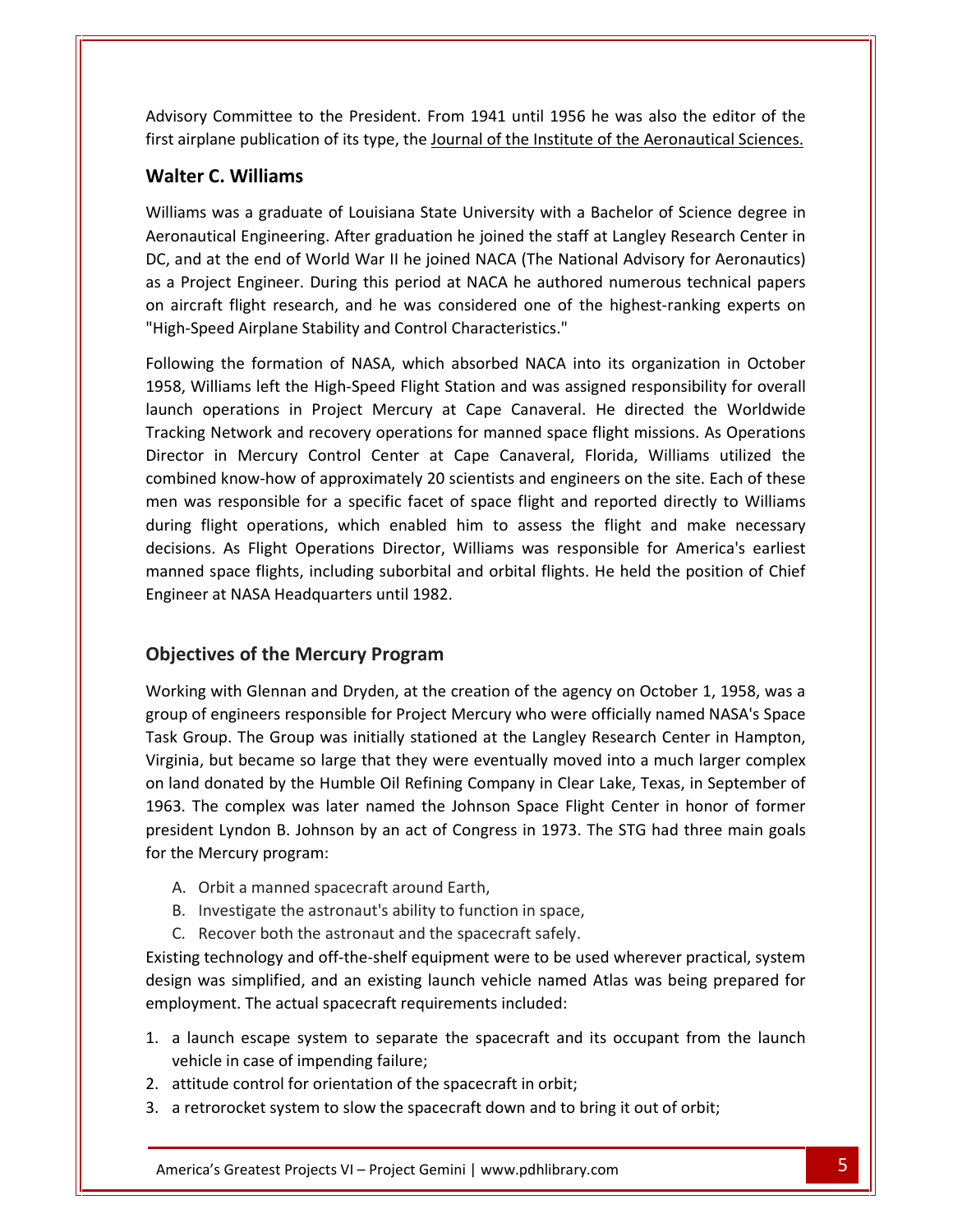Committee to the President. From <sup>1941</sup> until <sup>1956</sup> he was also the editor of the and a series and a series of the publication of its type, the Journal of the Institute of the Aeronautical Sciences.<br> **Advisory Committee to the President.** From 1941 until 1956 he was also the editor of the first airplane **Committee to the Prane publication of its**<br> **C. Williams** Committee to the President. From 1941 until 1956 he was also the editor of the<br>ane publication of its type, the <u>Journal of the Institute of the Aeronautical Sciences.</u><br>C. Williams<br>was a graduate of Louisiana State Univers mittee to the President. From 1941 until 1956 he was also the editor of the<br>publication of its type, the <u>Journal of the Institute of the Aeronautical Sciences.</u><br>**Villiams**<br>a graduate of Louisiana State University with a B AU<mark>)</mark> first airplane publication of its type, the Journal of the Institute of the Aeronautical Sciences.

#### **Walter C. Williams**

Sory Committee to the President. From 1941 until 1956 he was also the editor of the<br>airplane publication of its type, the <u>Journal of the Institute of the Aeronautical Sciences.</u><br>**Iter C. Williams**<br>iams was a graduate of L alter C. Williams<br>alter C. Williams<br>Iliams was a graduate of Louisiana State University with a Bachelor of Science degree in<br>ronautical Engineering. After graduation he joined the staff at Langley Research Center in<br>, and **ather C. Williams**<br>
liams was a graduate of Louisiana State University with a Bachelor of Science degree in<br>
onautical Engineering. After graduation he joined the staff at Langley Research Center in<br>
and at the end of Wor Williams was a graduate of Louisiana State University with a Back<br>Aeronautical Engineering. After graduation he joined the staff at L<br>DC, and at the end of World War II he joined NACA (The National<br>as a Project Engineer. D In the end of World War II he joined the staff at Langley Research Center in<br>the end of World War II he joined NACA (The National Advisory for Aeronautics)<br>ct Engineer. During this period at NACA he authored numerous techn DC, and at the end of World War II he joined NACA (The National Advisory for Aeronautics) In the end of World War II he joined NACA (The National Advisory for Aeronautics)<br>roject Engineer. During this period at NACA he authored numerous technical papers<br>craft flight research, and he was considered one of the hi  $\frac{1}{2}$ biject Engineer. During this period at NACA he authored numerous technical papers<br>aft flight research, and he was considered one of the highest-ranking experts on<br>beed Airplane Stability and Control Characteristics."<br>In th on aircraft flight research, and he was considered one of the highest-ranking experts on "High-Speed Airplane Stability and Control Characteristics."  $\overline{c}$ 

It flight research, and he was considered one of the highest-ranking experts on<br>eed Airplane Stability and Control Characteristics."<br>It is organization in October<br>Iliams left the High-Speed Flight Station and was assigned in Mercury and Control Characteristics."<br>
the formation of NASA, which absorbed NACA into its organization in October<br>
liams left the High-Speed Flight Station and was assigned responsibility for overall<br>
perations in Proj the formation of NASA, which absorbed NACA into its organization in October<br>ams left the High-Speed Flight Station and was assigned responsibility for overall<br>erations in Project Mercury at Cape Canaveral. He directed the Following the formation of NASA, which absorbed NACA into its organization in October wing the formation of NASA, which absorbed NACA into its organization in October<br>Williams left the High-Speed Flight Station and was assigned responsibility for overall<br>h operations in Project Mercury at Cape Canaveral. He 1958, Williams left the High-Speed Flight Station and was assigned responsibility for overall Villiams left the High-Speed Flight Station and was assigned responsibility for overall<br>operations in Project Mercury at Cape Canaveral. He directed the Worldwide<br>g Network and recovery operations for manned space flight m launch o<sub>l</sub> erations in Project Mercury at Cape Canaveral. He directed the Worldwide<br>etwork and recovery operations for manned space flight missions. As Operations<br>1 Mercury Control Center at Cape Canaveral, Florida, Williams utilized Tracking Network and recovery operations for manned space flight missions. As Operations Network and recovery operations for manned space flight missions. As Operations<br>in Mercury Control Center at Cape Canaveral, Florida, Williams utilized the<br>d know-how of approximately 20 scientists and engineers on the sit Director in Mercury Control Center at Cape Canaveral, Florida, Williams utilized the Director in Mercury Control Center at Cape<br>combined know-how of approximately 20 scien<br>men was responsible for a specific facet of sp<br>during flight operations, which enabled him<br>decisions. As Flight Operations Director, Wi ponsible for a specific facet of space flight a<br>operations, which enabled him to assess<br>Flight Operations Director, Williams was reversights, including suborbital and orbital flight<br>JASA Headquarters until 1982.<br>**Of the Me** decisions. As Flight Operations Director, Williams was responsible for America's earliest with Glennan and Dryden, at the creation of the agency on October 1, 1958, was a<br>with Glennan and Dryden, at the creation of the agency on October 1, 1958, was a<br>with Glennan and Dryden, at the creation of the agency on Oc manned space flights, including suborbital and orbital flights. He held the position of Chief Engineer at NASA Headquarters until 1982.

#### **Objectives of the Mercury Program** 1963.

of space riights, including suborbital and orbital riights. He held the position of Chief<br>ier at NASA Headquarters until 1982.<br>**Crives of the Mercury Program**<br>of engineers responsible for Project Mercury who were officiall Engineer at NASA Headquarters until 1982.<br> **Objectives of the Mercury Program**<br>
Working with Glennan and Dryden, at the creation of the agency on October 1, 1958, was a<br>
group of engineers responsible for Project Mercury w **ves of the Mercury Program**<br>with Glennan and Dryden, at the creation of the agency on October 1, 1958, was a<br>engineers responsible for Project Mercury who were officially named NASA's Space<br>up. The Group was initially sta **is process of the Mercury Program**<br>
In The Human and Dryden, at the creation of the agency on October 1, 1958, was a<br>
up of engineers responsible for Project Mercury who were officially named NASA's Space<br>
In Group. The G The complex was later named the Johnson Space Flight Center in honor of the space<br>iroup. The Group was initially stationed at the Langley Research Center in Hampton,<br>a, but became so large that they were eventually moved i <mark>Working</mark> ۱ ith Glennan and Dryden, at the creation of the agency on October 1, 1958, was a<br>ngineers responsible for Project Mercury who were officially named NASA's Space<br>p. The Group was initially stationed at the Langley Research C group of engineers responsible for Project Mercury who were officially named NASA's Space up of engineers responsible<br>k Group. The Group was ir<br>ginia, but became so large<br>land donated by the Humb<br>3. The complex was later<br>sident Lyndon B. Johnson I<br>the Mercurv program: Finia, but became so large that they were eventu<br>and donated by the Humble Oil Refining Compar<br>3. The complex was later named the Johnson S<br>sident Lyndon B. Johnson by an act of Congress<br>the Mercury program:<br>A. Orbit a man Independent of the Humble Oil Refining Company in Clear Land 3. The complex was later named the Johnson Space Flight Constrained Lyndon B. Johnson by an act of Congress in 1973. The the Mercury program:<br>A. Orbit a manned s 1963. The complex was later named the Johnson Space Flight (<br>president Lyndon B. Johnson by an act of Congress in 1973. The<br>for the Mercury program:<br>A. Orbit a manned spacecraft around Earth,<br>B. Investigate the astronaut' the Lyndon B. Johnson by an act of Congress in 1973. The STG had three main goals<br>
Mercury program:<br>
Orbit a manned spacecraft around Earth,<br>
Investigate the astronaut's ability to function in space,<br>
Recover both the astr for the Mercury program: employment.

- 
- B. Investigate the astronaut's ability to function in space,<br>C. Recover both the astronaut and the spacecraft safely.
- 

Wercury program:<br>
Orbit a manned spacecraft around Earth,<br>
Investigate the astronaut's ability to function in space,<br>
Recover both the astronaut and the spacecraft safely.<br>
It rechnology and off-the-shelf equipment were to The actual spacecraft around Earth,<br>gate the astronaut's ability to function in space,<br>er both the astronaut and the spacecraft safely.<br>ology and off-the-shelf equipment were to be use-<br>mplified, and an existing launch veh B. Investigate the astronaut's ability to function in space,<br>
C. Recover both the astronaut and the spacecraft safely.<br>
ting technology and off-the-shelf equipment were to be used wherever practical, system<br>
ign was simpli over both the astronaut and the s<br>hnology and off-the-shelf equipm<br>simplified, and an existing launa<br>nt. The actual spacecraft requirem<br>h escape system to separate the<br>in case of impending failure: Existing technology and off-the-shelf equipment were to be used<br>design was simplified, and an existing launch vehicle named Atl<br>employment. The actual spacecraft requirements included:<br>1. a launch escape system to separate 3. A retrorocket system to slow the spacecraft down and to bring it out of orbit;<br>
3. a retrorocket system to separate the spacecraft and its occupant from<br>
3. a retrorocket system to slow the spacecraft in orbit;<br>
3. a re

- 1. a launch escape system to separate the spacecraft and its occupant from the launch vehicle in case of impending failure; nt. The actual spacecraft requirements included:<br>
the escape system to separate the spacecraft and its occupant from the launch<br>
in case of impending failure;<br>
e control for orientation of the spacecraft in orbit;<br>
ocket s
- 
-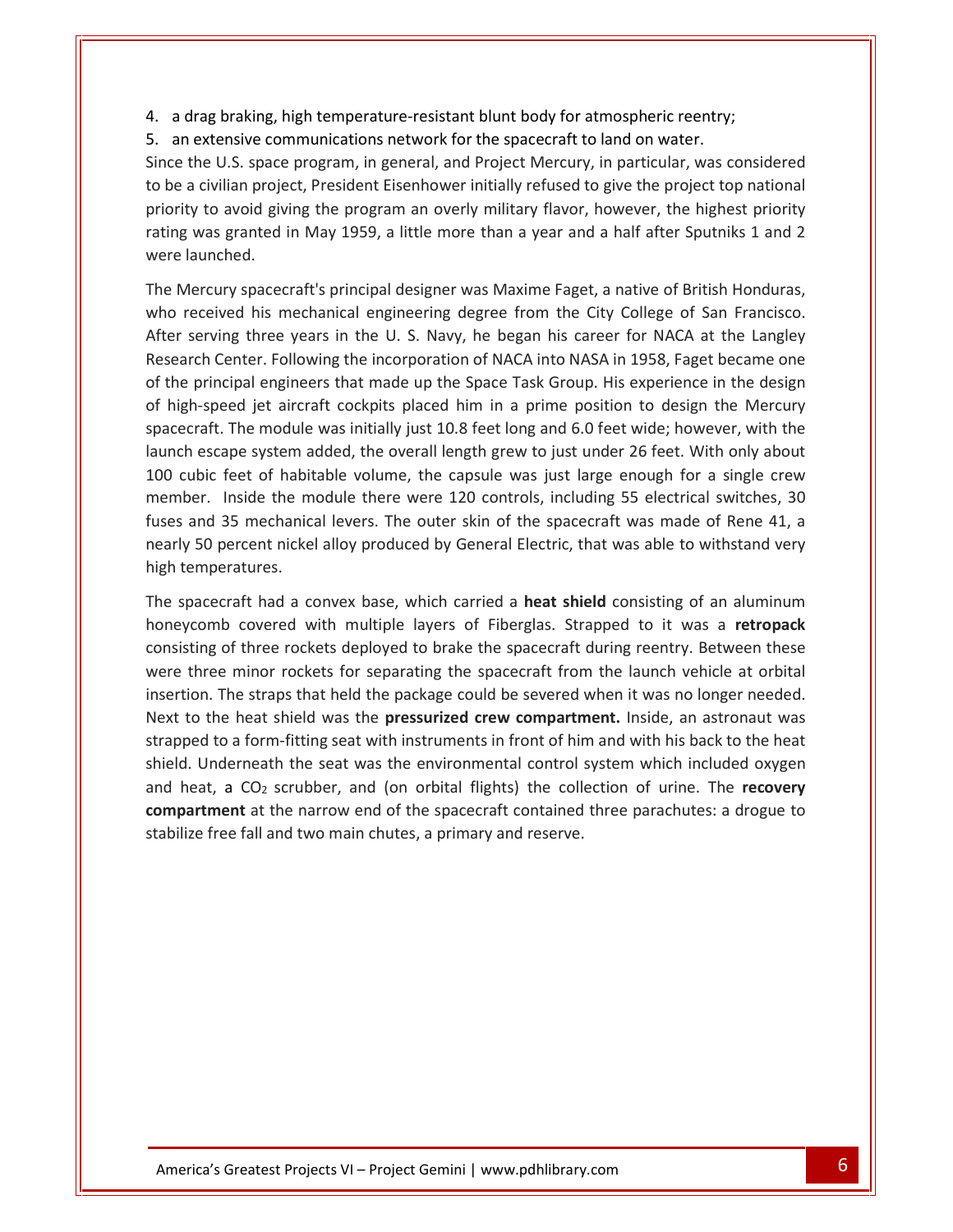a drag braking, high temperature-resistant blunt body for atmospheric reentry;<br>a drag braking, high temperature-resistant blunt body for atmospheric reentry; an extensive communications network for the spacecraft to land on water.<br>
4. In extensive communications network for the spacecraft to land on water.  $\begin{tabular}{|l|l|} \hline \texttt{drag braking, high temperature-resistant blunt body for atmospheric reentry;} \hline \texttt{R} \end{tabular} \end{tabular} \vspace{-0.5em} \begin{tabular}{|l|l|} \hline \texttt{w} \end{tabular} \hline \texttt{w} \end{tabular} \vspace{-0.5em} \begin{tabular}{|l|l|l|} \hline \texttt{w} \end{tabular} \hline \texttt{w} \end{tabular} \vspace{-0.5em} \begin{tabular}{|l|l|l|} \hline \texttt{w} \end{tabular} \hline \texttt{w} \end{tabular} \hline \begin{tabular}{|$ 4. a

a drag braking, high temperature-resistant blunt body for atmospheric reentry;<br>an extensive communications network for the spacecraft to land on water.<br>Ince the U.S. space program, in general, and Project Mercury, in parti ag braking, high temperature-resistant blunt body for atmospheric reentry;<br>xtensive communications network for the spacecraft to land on water.<br>e U.S. space program, in general, and Project Mercury, in particular, was cons rag braking, high temperature-resistant blunt body for atmospheric reentry;<br>extensive communications network for the spacecraft to land on water.<br>he U.S. space program, in general, and Project Mercury, in particular, was c 4. a drag braking, h<br>5. an extensive cor<br>Since the U.S. space<br>to be a civilian proje<br>priority to avoid giv<br>rating was granted<br>were launched. Since the U.S. space program, in general, and Project Mercury, in particular, was considered<br>to be a civilian project, President Eisenhower initially refused to give the project top national<br>priority to avoid giving the pr to be a civilian project, President Eisenhower initially refused to give the project top national<br>priority to avoid giving the program an overly military flavor, however, the highest priority<br>rating was granted in May 1959 serving the program an overly military flavor, however, the highest priority<br>was granted in May 1959, a little more than a year and a half after Sputniks 1 and 2<br>launched.<br>lercury spacecraft's principal designer was Maxime priority to avoid giving the program an overly military flavor, however, the highest priority<br>rating was granted in May 1959, a little more than a year and a half after Sputniks 1 and 2 were launched.

Experience in May 1959, a little more than a year and a half after Sputniks 1 and 2<br>ched.<br>ury spacecraft's principal designer was Maxime Faget, a native of British Honduras,<br>ived his mechanical engineering degree from the The principal designer was Maxime Faget, a native of British Honduras,<br>The principal engineering degree from the City College of San Francisco.<br>The secarch Center. Following the incorporation of NACA into NASA in 1958, Fag e Mercury spacecraft's principal designer was Maxime Faget, a native of British Honduras,<br>o received his mechanical engineering degree from the City College of San Francisco.<br>er serving three years in the U. S. Navy, he be The Mercury spacecraft's principal designer was Maxime Faget, a native of British Honduras, y spacecraft's principal designer was Maxime Faget, a native of British Honduras,<br>ed his mechanical engineering degree from the City College of San Francisco.<br>Ig three years in the U. S. Navy, he began his career for NACA who  $r$ ceived his mechanical engineering degree from the City College of San Francisco.<br>erving three years in the U. S. Navy, he began his career for NACA at the Langley<br>ch Center. Following the incorporation of NACA into NASA in After serving three years in the U.S. Navy, he began his career for NACA at the Langley Exerving three years in the U.S. Navy, he began his career for NACA at the Langley<br>
arch Center. Following the incorporation of NACA into NASA in 1958, Faget became one<br>
e principal engineers that made up the Space Task G Research Inside the module there were 120 controls, including 55 electrical switches, 30<br>Inside the module there were the module was initially just 10.8 feet long and 6.0 feet wide; however, with the<br>ape system added, the overall l of the principal engineers that made up the Space Task Group. His experience in the design principal engineers that made up the Space Task Group. His experience in the design<br>h-speed jet aircraft cockpits placed him in a prime position to design the Mercury<br>craft. The module was initially just 10.8 feet long and of high-speed jet aircraft cockpits placed him in a prime position to design the Mercury 1-speed jet aircraft cockpits placed him in a prime position to design the Mercury<br>raft. The module was initially just 10.8 feet long and 6.0 feet wide; however, with the<br>escape system added, the overall length grew to jus spac launch escape system added, the overall length grew to just under 26 feet. With only about 100 cubic feet of habitable volume, the capsule was just large enough for a single crew cubic feet of habitable volume, the capsule was just large enough for a single crew<br>hber. Inside the module there were 120 controls, including 55 electrical switches, 30<br>s and 35 mechanical levers. The outer skin of the sp member. Inside the module there were 120 controls, including 55 electrical switches, 30 side the module there were 120 controls, including 55 electrical switches, 30 mechanical levers. The outer skin of the spacecraft was made of Rene 41, a cent nickel alloy produced by General Electric, that was able to with fuses and 35 mechanical levers. The outer skin of the spacecraft was made of Rene 41, a 35 mechanical levers. The outer skin of the spacecraft was made of Rene 41, a<br>percent nickel alloy produced by General Electric, that was able to withstand very<br>eratures.<br>craft had a convex base, which carried a **heat shie** nearly 50 percent nickel alloy produced by General Electric, that was able to withstand very high temperatures.

the space of the minor rockets for separating the spacecraft from the launch very<br>three minor rockets for separating of an aluminum<br>romb covered with multiple layers of Fiberglas. Strapped to it was a **retropack**<br>ting of t The spacecraft had a convex base, which carried a **heat shield** consisting of an aluminum<br>honeycomb covered with multiple layers of Fiberglas. Strapped to it was a **retropack**<br>consisting of three rockets deployed to brake is pacecraft had a convex base, which carried a **heat shield** consisting of an aluminum ycomb covered with multiple layers of Fiberglas. Strapped to it was a **retropack** string of three rockets deployed to brake the spacec The spacecraft had a convex base, which carried a heat shield consisting of an aluminum ecraft had a convex base, which carried a **heat shield** consisting of an aluminum<br>nb covered with multiple layers of Fiberglas. Strapped to it was a **retropack**<br>g of three rockets deployed to brake the spacecraft during re honeycomb covered with multiple layers of Fiberglas. Strapped to it was a retropack omb covered with multiple layers of Fiberglas. Strapped to it was a **retropack**<br>ing of three rockets deployed to brake the spacecraft during reentry. Between these<br>aree minor rockets for separating the spacecraft from the consisting of three rockets deployed to brake the spacecraft during reentry. Between these isting of three rot<br>tion. The straps<br>to the heat shi<br>pped to a form-fi<br>d. Underneath t<br>heat. a  $CO<sub>2</sub>$  scr is rockets deployed to brake the spacecraft during reentry. Between these<br>
incokets for separating the spacecraft from the launch vehicle at orbital<br>
ups that held the package could be severed when it was no longer needed. were three m nor rockets for separating the spacecraft from the launch vehicle at orbital<br>straps that held the package could be severed when it was no longer needed.<br>at shield was the **pressurized crew compartment**. Inside, an astrona insertion. The straps that held the package could be severed when it was no longer needed. Free straps that held the package could be severed v<br>the heat shield was the **pressurized crew compartm**<br>to a form-fitting seat with instruments in front of him<br>inderneath the seat was the environmental control s<br>t, a CO<sub></sub>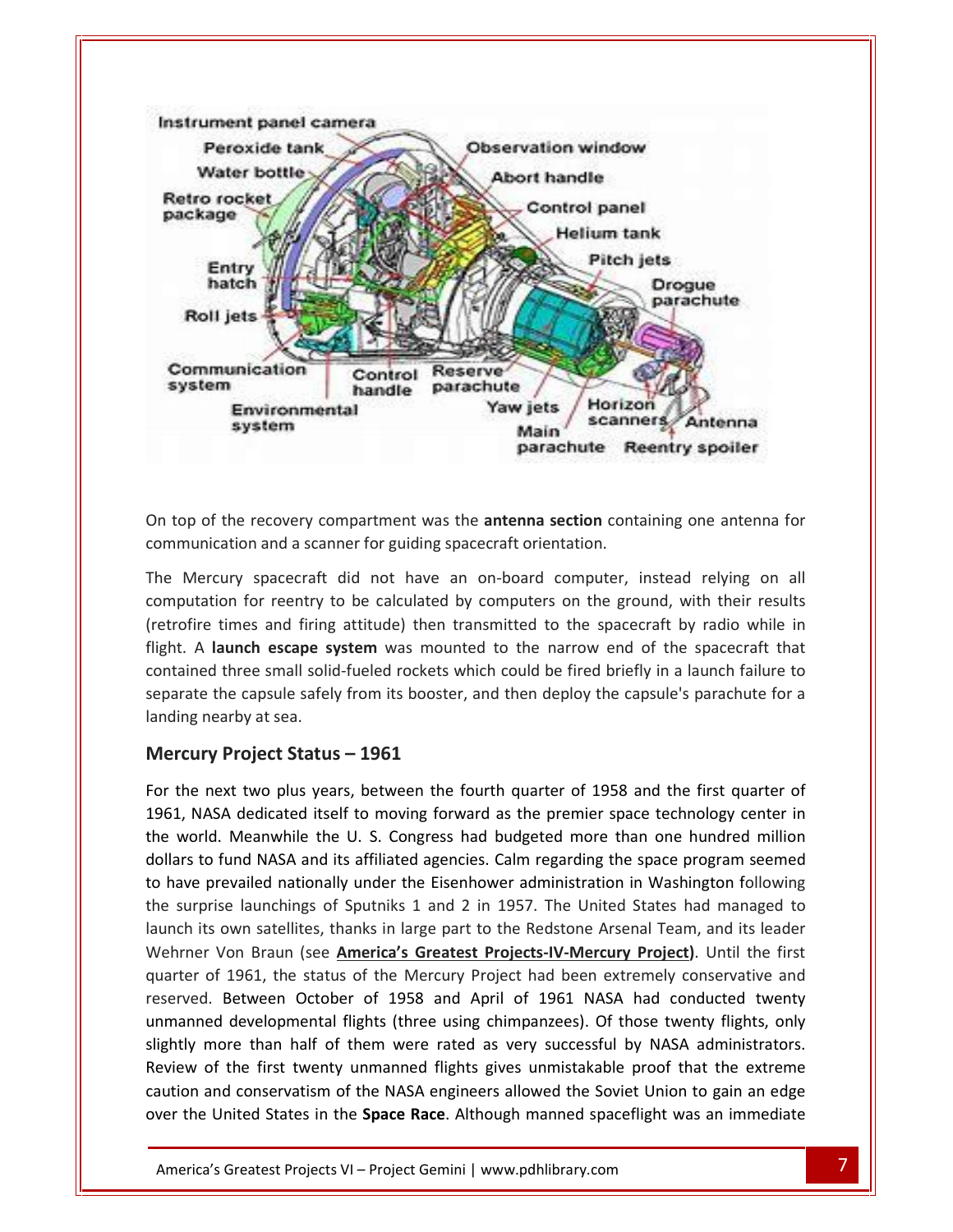

for recovery compartment was the **antenna section** containing one antenna for<br>the anti-parameter on and a scanner for guiding spacecraft orientation.<br>spacecraft did not have an on-board computer, instead relying on all<br>for  $\overline{a}$ communic separate

the recovery compartment was the **antenna section** containing one antenna for<br>ation and a scanner for guiding spacecraft orientation.<br>ury spacecraft did not have an on-board computer, instead relying on all<br>on for reentry of the recovery compartment was the **antenna section** containing one antenna for unication and a scanner for guiding spacecraft orientation.<br>Lercury spacecraft did not have an on-board computer, instead relying on all tati ation and a scanner for guiding spacecraft orientation.<br>
ury spacecraft did not have an on-board computer, instead relying on all<br>
on for reentry to be calculated by computers on the ground, with their results<br>
simes and f the capsule safely from its booster, and then deploy the capsule's parachute for a lion for reentry to be calculated by computers on the ground, with their results times and firing attitude) then transmitted to the spacecr The Mercury spacecraft did not have an on-board computer, instead relying on all The Mercury spacecraft<br>computation for reentry t<br>(retrofire times and firing<br>flight. A **launch escape s**<br>contained three small solit<br>separate the capsule safel<br>landing nearby at sea. **Property to be calculated by**<br> **Prove and firing attitude) then trand<br>
<b>Prove Status numery expanse three small solid-fueled rockets while<br>
<b>Constant Constant Constant Constant Constant**<br> **Project Status – 1961** flight. A launch escape system was mounted to the narrow end of the spacecraft that t. A launch escape system was mounted to the harrow end of the spacecraft that<br>cained three small solid-fueled rockets which could be fired briefly in a launch failure to<br>arate the capsule safely from its booster, and then contained three small solid-fueled rockets which could be fired briefly in a launch failure to Ned three small solid-lueled rockets which could be lifed briefly in a launch failure to<br>the the capsule safely from its booster, and then deploy the capsule's parachute for a<br>g nearby at sea.<br>**Lury Project Status – 1961**<br> separate the capsule safely from its booster, and then deploy the capsule's parachute for a landing nearby at sea.

#### Mercury Project Status – 1961

ightly me Between October of 1958 and April of 1961 NASA had conducted twenty<br>developmental flights (three using chimpanzees). Of those twenty flights, only<br>pre than half of them were rated as very successful by NASA administrators. rate the capsule salely from its booster, and then deploy the capsule s parachute for a<br>ing nearby at sea.<br>**rcury Project Status – 1961**<br>the next two plus years, between the fourth quarter of 1958 and the first quarter of<br> The Frontiece Status - 1961<br>
The fund Nasa dedicated itself to moving forward as the premier space technology center in<br>
The Meanwhile the U.S. Congress had budgeted more than one hundred million<br>
The fund NASA and its aff ercury Project Status – 1961<br>
The next two plus years, between the fourth quarter of 1958 and the first quarter of<br>
61, NASA dedicated itself to moving forward as the premier space technology center in<br>
Phave world. Meanwh surprise launchings of Sputniks 1 and 2 in 1957. The United States had managed to the Surprise launchings of Sputniks 1 and 2 in 1957. The United States had managed to For the next two plus years, between the fourth quarter of 1958 and the first quarter of its own satellites, thanks in large part to the Redstone Arsenal Team, and the Seater of<br>its dedicated itself to moving forward as the premier space technology center in<br>rld. Meanwhile the U. S. Congress had budgeted more 1961, NA SA dedicated itself to moving forward as the premier space technology center in<br>I. Meanwhile the U. S. Congress had budgeted more than one hundred million<br>fund NASA and its affiliated agencies. Calm regarding the space pro the world. Meanwhile the U. S. Congress had budgeted more than one hundred million Id. Meanwhile the U. S. Congress had budgeted more than one hundred million<br>
o fund NASA and its affiliated agencies. Calm regarding the space program seemed<br>
prevailed nationally under the Eisenhower administration in Was dollars to fund NASA and its affiliated agencies. Calm regarding the space program seemed iund NASA and its affiliated agencies. Calm regarding the space program seemed<br>evailed nationally under the Eisenhower administration in Washington following<br>the launchings of Sputniks 1 and 2 in 1957. The United States ha to have prevailed nationally under the Eisenhower administration in Washington following vailed nationally under the Eisenhower administration in Washington following<br>
Pelaunchings of Sputniks 1 and 2 in 1957. The United States had managed to<br>
wn satellites, thanks in large part to the Redstone Arsenal Team, a the sur the surprise launchings of Sputniks 1 and 2 in 1957. The United States had managed to<br>launch its own satellites, thanks in large part to the Redstone Arsenal Team, and its leader<br>Wehrner Von Braun (see <u>America's Greatest </u> ts own satellites, thanks in large part to the Redstone Arsenal Team, and its leader<br>r Von Braun (see <u>America's Greatest Projects-IV-Mercury Project</u>). Until the first<br>of 1961, the status of the Mercury Project had been e Wehrner Von Braun (see America's Greatest Projects-IV-Mercury Project). Until the first r Von Braun (see *America's Greatest Projects-IV-Mercury Project*). Until the first<br>of 1961, the status of the Mercury Project had been extremely conservative and<br>d. Between October of 1958 and April of 1961 NASA had condu quar ter of 1961, the status of the Mercury Project had been extremely conservative and<br>ved. Between October of 1958 and April of 1961 NASA had conducted twenty<br>inned developmental flights (three using chimpanzees). Of those tw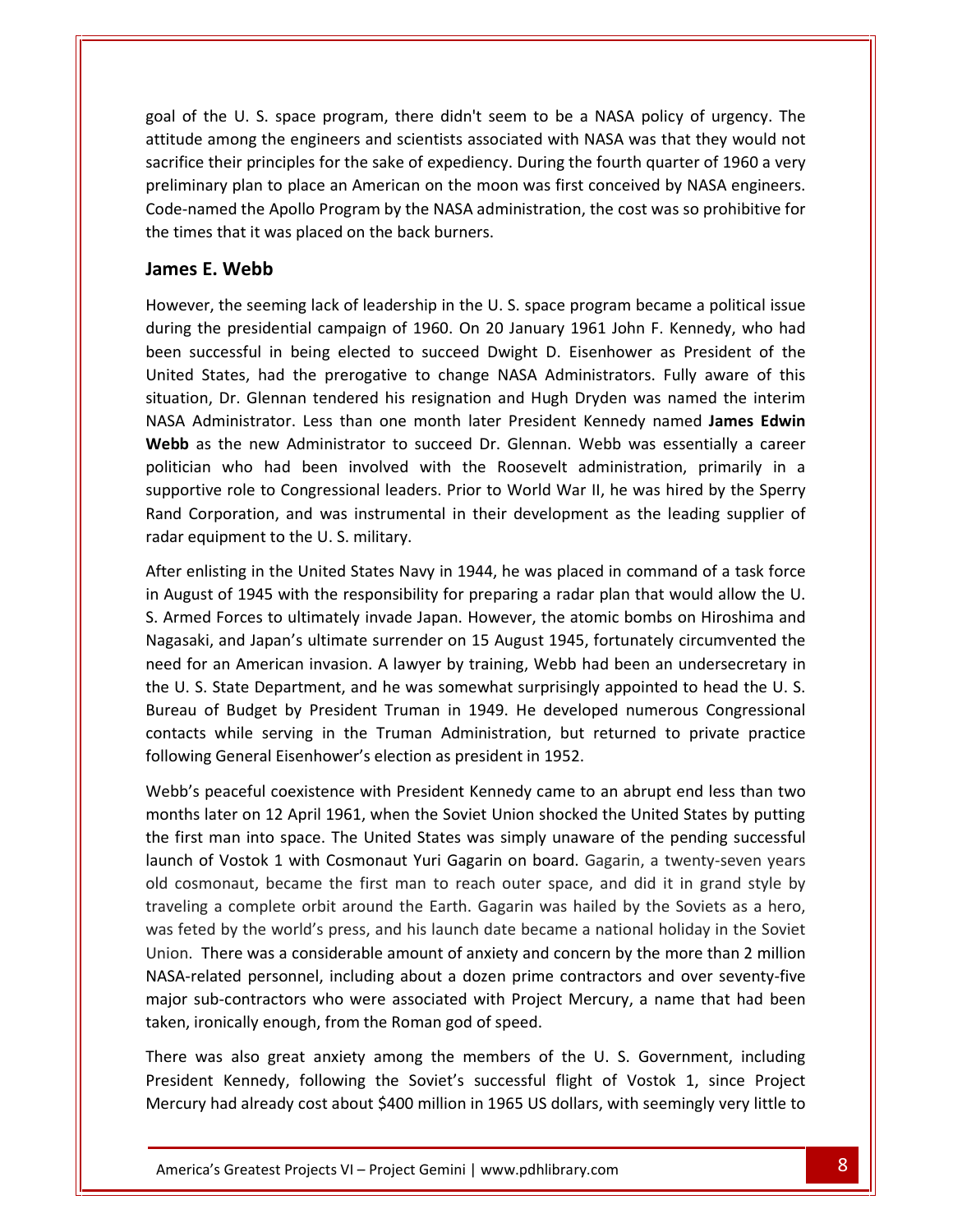of the U. S. space program, there didn't seem to be a NASA policy of urgency. The and the U.S. space program, there didn't seem to be a NASA policy of urgency. The samong the engineers and scientists associated with NASA was that they would not the U. S. space program, there didn't seem to be a NASA policy of urgency. The<br>among the engineers and scientists associated with NASA was that they would not<br>their principles for the sake of expediency. During the fourth goal of the U. S. space program, there didn't seem to be a NASA policy of urgency. The<br>attitude among the engineers and scientists associated with NASA was that they would not<br>sacrifice their principles for the sake of exp I. S. space program, there didn't seem to be a NASA policy of urgency. The mg the engineers and scientists associated with NASA was that they would not principles for the sake of expediency. During the fourth quarter of 19 goal of the U. S. space program, there didn't seem<br>attitude among the engineers and scientists associate<br>sacrifice their principles for the sake of expediency. D<br>preliminary plan to place an American on the moon \<br>Code-nam the U. S. space prog<br>among the engineer<br>their principles for the<br>hary plan to place an .<br>amed the Apollo Prog<br>es that it was placed c<br>**E. Webb** sacrifice their principles for the sake of expediency. During the fourth quarter of 1960 a very teir principles for the sake of expediency. During the fourth quarter of 1960 a very<br>y plan to place an American on the moon was first conceived by NASA engineers.<br>ed the Apollo Program by the NASA administration, the cost preliminary plan to place an American on the moon was first conceived by NASA engineers. The presidential campaign of 1960. On 20 January 1961 John F. Kennedy, who had<br>the presidential campaign of 1960. On 20 January 1961 John F. Kennedy, who had Code-named the Apollo Program by the NASA administration, the cost was so prohibitive for the times that it was placed on the back burners.

#### James E. Webb

sacrifice<br>Sacrifice Sacrifice

named the Apollo Program by the NASA administration, the cost was so prohibitive for<br>nes that it was placed on the back burners.<br>S **E. Webb**<br>ver, the seeming lack of leadership in the U. S. space program became a political E. Webb<br>
E. Webb<br>
I. the seeming lack of leadership in the U.S. space program became a political issue<br>
I. the presidential campaign of 1960. On 20 January 1961 John F. Kennedy, who had<br>
In the presidential campaign of 196 Webb<br>the seeming lack of leadership in the U.S. space program became a political issue<br>experiential campaign of 1960. On 20 January 1961 John F. Kennedy, who had<br>essful in being elected to succeed Dwight D. Eisenhower as P Mer, the seeming lack of leadership in the U.S. space program became a political issue<br>the presidential campaign of 1960. On 20 January 1961 John F. Kennedy, who had<br>successful in being elected to succeed Dwight D. Eisenho However, the seeming lack of leadership in the U.S. space program became a political issue er, the seeming lack of leadership in the U. S. space program became a political issue<br>the presidential campaign of 1960. On 20 January 1961 John F. Kennedy, who had<br>uccessful in being elected to succeed Dwight D. Eisenhow during th presidential campaign of 1960. On 20 January 1961 John F. Kennedy, who had<br>essful in being elected to succeed Dwight D. Eisenhower as President of the<br>tes, had the prerogative to change NASA Administrators. Fully aware of been successful in being elected to succeed Dwight D. Eisenhower as President of the rssful in being elected to succeed Dwight D. Eisenhower as President of the<br>tes, had the prerogative to change NASA Administrators. Fully aware of this<br>pr. Glennan tendered his resignation and Hugh Dryden was named the int United States, had the prerogative to change NASA Administrators. Fully aware of this I States, had the prerogative to change NASA Administrators. Fully aware of this<br>ion, Dr. Glennan tendered his resignation and Hugh Dryden was named the interim<br>Administrator. Less than one month later President Kennedy na situation, Dr. Glennan tendered his resignation and Hugh Dryden was named the interim situation, Dr. Glennan tendered his resig<br>NASA Administrator. Less than one mon<br>**Webb** as the new Administrator to succ<br>politician who had been involved wit<br>supportive role to Congressional leaders.<br>Rand Corporation, and w ian who had been involved with the Roosevelt administration, primarily a career<br>vian who had been involved with the Roosevelt administration, primarily in a<br>pritive role to Congressional leaders. Prior to World War II, he politician who had been involved with the Roosevelt administration, primarily in a politician who had been involved with the Roosevelt administration, primarily in a<br>supportive role to Congressional leaders. Prior to World War II, he was hired by the Sperry<br>Rand Corporation, and was instrumental in their pportive role to Congressional leaders. Prior to World War II, he was hired by the Sperry<br>
nd Corporation, and was instrumental in their development as the leading supplier of<br>
dar equipment to the U.S. military.<br>
ter enli nd<br>Dand Cor radar equipment to the U.S. military. the

boration, and was instrumental in their development as the leading supplier of<br>pment to the U.S. military.<br>ting in the United States Navy in 1944, he was placed in command of a task force<br>of 1945 with the responsibility fo Formal American invasion. A lawyer by training, Webb had been an undersecretary in<br>the an American invasion. A lawyer by training, Web had been an undersecretary in<br>the for an American invasion. A lawyer by training, Webb After enlisting in the United States Navy in 1944, he was placed in command of a task force<br>in August of 1945 with the responsibility for preparing a radar plan that would allow the U.<br>S. Armed Forces to ultimately invade listing in the United States Navy in 1944, he was placed in command of a task force<br>tt of 1945 with the responsibility for preparing a radar plan that would allow the U.<br>d Forces to ultimately invade Japan. However, the at in August of 1945 with the responsibility for preparing a radar plan that would allow the U. of 1945 with the responsibility for preparing a radar plan that would allow the U.<br>Forces to ultimately invade Japan. However, the atomic bombs on Hiroshima and<br>and Japan's ultimate surrender on 15 August 1945, fortunately S. Armed Forces to ultimately invade Japan. However, the atomic bombs on Hiroshima and S. Armed Forces to ultimately invade Japan. However, the atomic<br>Nagasaki, and Japan's ultimate surrender on 15 August 1945, fort<br>need for an American invasion. A lawyer by training, Webb had l<br>the U. S. State Department, a Fran American invasion. A lawyer by training, Webb had been an undersecretary in<br>
State Department, and he was somewhat surprisingly appointed to head the U.S.<br>
of Budget by President Truman in 1949. He developed numerous the U.S. State Department, and he was somewhat surprisingly appointed to head the U.S. State Department, and he was somewhat surprisingly appointed to head the U.S.<br>
of Budget by President Truman in 1949. He developed numerous Congressional<br>
is while serving in the Truman Administration, but returned to priv Bureau of Budget by President Truman in 1949. He developed numerous Congressional<br>contacts while serving in the Truman Administration, but returned to private practice<br>following General Eisenhower's election as president i contacts while serving in the Truman Administration, but returned to private practice following General Eisenhower's election as president in 1952. traveling

s while serving in the Truman Administration, but returned to private practice<br>ng General Eisenhower's election as president in 1952.<br>Peaceful coexistence with President Kennedy came to an abrupt end less than two<br>later on wing General Eisenhower's election as president in 1952.<br>
bb's peaceful coexistence with President Kennedy came to an abrupt end less than two<br>
this later on 12 April 1961, when the Soviet Union shocked the United States b Webb's peaceful coexistence with President Kennedy came to an abrupt end less than two<br>months later on 12 April 1961, when the Soviet Union shocked the United States by putting<br>the first man into space. The United States w b's peaceful coexistence with President Kennedy came to an abrupt end less than two<br>ths later on 12 April 1961, when the Soviet Union shocked the United States by putting<br>first man into space. The United States was simply months later on 12 April 1961, when the Soviet Union shocked the United States by putting Iater on 12 April 1961, when the Soviet Union shocked the United States by putting<br>
I man into space. The United States was simply unaware of the pending successful<br>
of Vostok 1 with Cosmonaut Yuri Gagarin on board. Gagari the first man into space. The United States was simply unaware of the pending successful<br>tok 1 with Cosmonaut Yuri Gagarin on board. Gagarin, a twenty-seven years<br>t, became the first man to reach outer space, and did it in grand style b launch of Vostok 1 with Cosmonaut Yuri Gagarin on board. Gagarin, a twenty-seven years of Vostok 1 with Cosmonaut Yuri Gagarin on board. Gagarin, a twenty-seven years<br>smonaut, became the first man to reach outer space, and did it in grand style by<br>ng a complete orbit around the Earth. Gagarin was hailed by t old cosmonaut, became the first man to reach outer space, and did it in grand style by old cosmonaut, became the first man to reach outer space<br>traveling a complete orbit around the Earth. Gagarin was l<br>was feted by the world's press, and his launch date became<br>Union. There was a considerable amount of anxie is the world's press, and his launch date became a national holiday in the Soviet<br>There was a considerable amount of anxiety and concern by the more than 2 million<br>related personnel, including about a dozen prime contracto Union. There was a considerable amount of anxiety and concern by the more than 2 million Fre was a considerable amount of anxiety and concern by the more than 2 million<br>ed personnel, including about a dozen prime contractors and over seventy-five<br>contractors who were associated with Project Mercury, a name tha NASA-related personnel, including about a dozen prime contractors and over seventy-five ated personnel, including about a dozen prime contractors and over seventy-five<br>b-contractors who were associated with Project Mercury, a name that had been<br>pnically enough, from the Roman god of speed.<br>as also great anxie

There was also great anxiety among the members of the U.S. Government, including contractors who were associated with Project Mercury, a name that had been<br>ically enough, from the Roman god of speed.<br>also great anxiety among the members of the U. S. Government, including<br>Kennedy, following the Soviet's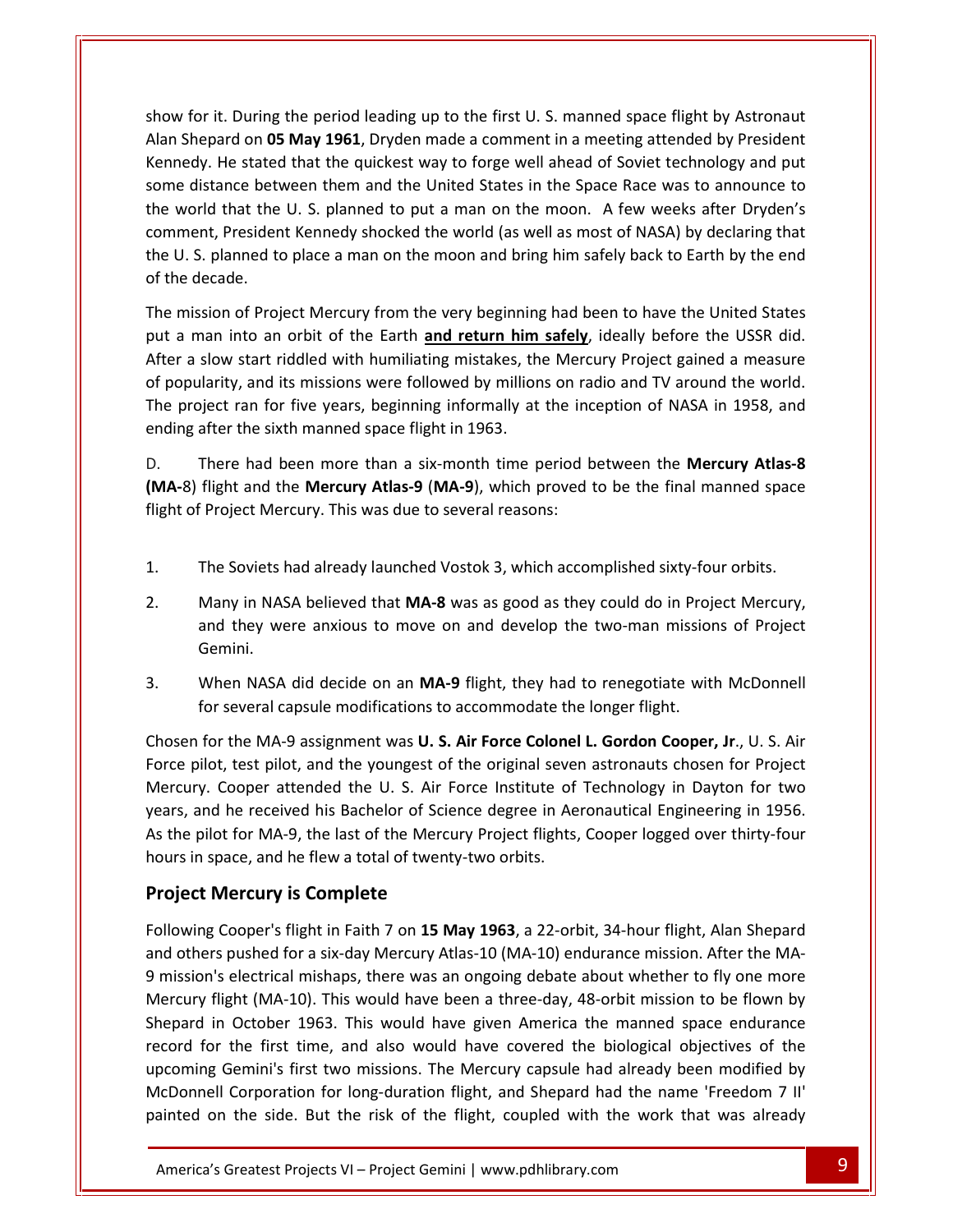for it. During the period leading up to the first U. S. manned space flight by Astronaut Shepard on **05** May 1961. Dryden made a comment in a meeting attended by President means of the period leading up to the first U.S. manned space flight by Astronaut Shepard on **05 May 1961**. Dryden made a comment in a meet A. During the period leading up to the first U. S. manned space flight by Astronaut<br>And on **05 May 1961**, Dryden made a comment in a meeting attended by President<br>He stated that the quickest way to forge well ahead of Sovi for it. During the period leading up to the first U. S. manned space flight by Astronaut<br>hepard on **05 May 1961**, Dryden made a comment in a meeting attended by President<br>dy. He stated that the quickest way to forge well a w for it. During the period leading up to the first U. S. manned space flight by Astronaut<br>
Shepard on **05 May 1961**, Dryden made a comment in a meeting attended by President<br>
nedy. He stated that the quickest way to forge During the period leading up to the first U.S. manned space flight by Astronaut<br>Interval on **05 May 1961**, Dryden made a comment in a meeting attended by President<br>He stated that the quickest way to forge well ahead of Sov sho w for it. During the period leading up to the first U. S. manned space flight by Astronaut<br>
In Shepard on **05 May 1961**, Dryden made a comment in a meeting attended by President<br>
redy. He stated that the quickest way to fo Alan Shepard on 05 May 1961, Dryden made a comment in a meeting attended by President Alan Shepard on **0!**<br>Kennedy. He stated<br>some distance bet<br>the world that the<br>comment, Presider<br>the U. S. planned to<br>of the decade. e distance between them and the United States in the Space Race was to announce to<br>world that the U. S. planned to put a man on the moon. A few weeks after Dryden's<br>ment, President Kennedy shocked the world (as well as mos the world that the U. S. planned to put a man on the moon. A few weeks after Dryden's comment, President Kennedy shocked the world (as well as most of NASA) by declaring that the U. S. planned to place a man on the moon an hent, President Kennedy shocked the world (as well as most of NASA) by declaring that<br>
S. planned to place a man on the moon and bring him safely back to Earth by the end<br>
decade.<br>
ission of Project Mercury from the very b

the U. S. planned to place a man on the moon and bring him safely back to Earth by the end<br>of the decade.<br>The mission of Project Mercury from the very beginning had been to have the United States<br>put a man into an orbit of provided.<br>
provided a man into an orbit of the Earth **and return him safely**, ideally before the UsSR did.<br>
For a slow start riddled with humiliating mistakes, the Mercury Project gained a measure<br>
ppularity, and its missi The mission of Project Mercury from the very beginning had been to have the United States put a man into an orbit of the Earth **and return him safely**, ideally before the USSR did. After a slow start riddled with humiliati man into an orbit of the Earth **and return him safely**, ideally before the USSR did.<br>
I slow start riddled with humiliating mistakes, the Mercury Project gained a measure<br>
ularity, and its missions were followed by million After a slow start riddled with humiliating mistakes, the Mercury Project gained a measure flight and the Mercury and the Mercury and its missions were followed by millions on radio and TV around the world.<br>
Fluid is missions were followed by millions on radio and TV around the world.<br>

Fluid is a fact ran for f of popularity, and its missions were followed by millions on radio and TV around the world. boularity, and its missions were followed by millions on ra<br>roject ran for five years, beginning informally at the ind<br>g after the sixth manned space flight in 1963.<br>There had been more than a six-month time period k<br>3) fl ending after the sixth manned space flight in 1963.

ending after the sixth manned space flight in 1963.<br>
D. There had been more than a six-month time period between the **Mercury Atlas-8**<br>
(MA-8) flight and the Mercury Atlas-9 (MA-9), which proved to be the final manned spac There had been more than a six-month time period between the **Mercury Atlas-8**<br>I flight and the **Mercury Atlas-9 (MA-9)**, which proved to be the final manned space<br>of Project Mercury. This was due to several reasons:<br>The S t and the **Mercury Atlas-9 (MA-9)**, which proved to be the final manned space<br>ject Mercury. This was due to several reasons:<br>Soviets had already launched Vostok 3, which accomplished sixty-four orbits.<br>y in NASA believed t flight of Project Mercury. This was due to several reasons:

- The Soviets had already launched Vostok 3, which accomplished sixty-four orbits.
- 1. The Soviets I<br>2. Many in NA:<br>and they we<br>Gemini. The Soviets had already launched Vostok 3, which accomplished sixty-four orbits.<br>Many in NASA believed that **MA-8** was as good as they could do in Project Mercury,<br>and they were anxious to move on and develop the two-man m Several capsule modifications to accommodate the longer flight.<br>
Sharp in NASA believed that **MA-8** was as good as they could do in Proj<br>
and they were anxious to move on and develop the two-man missio<br>
Gemini.<br>
3. When NA Many in NASA believed that **MA-8** was as good as they could do in Project Mercury, and they were anxious to move on and develop the two-man missions of Project Gemini.<br>When NASA did decide on an **MA-9** flight, they had to Gemini.
- and they were anxious to move on and develop the two-man missions of Project<br>Gemini.<br>When NASA did decide on an **MA-9** flight, they had to renegotiate with McDonnell<br>for several capsule modifications to accommodate the lon  $3<sub>z</sub>$

mini.<br>
Then NASA did decide on an MA-9 flight, they had to renegotiate with McDonnell<br>
The MA-9 assignment was **U. S. Air Force Colonel L. Gordon Cooper, Jr**., U. S. Air<br>
The MA-9 assignment was **U. S. Air Force Colonel L.** 3. When NASA did decide on an **MA-9** flight, they had to renegotiate with McDonnell<br>for several capsule modifications to accommodate the longer flight.<br>Chosen for the MA-9 assignment was **U. S. Air Force Colonel L. Gordon** for several capsule modifications to accommodate the longer flight.<br>
Desen for the MA-9 assignment was **U. S. Air Force Colonel L. Gordon Cooper, Jr**., U. S. Air<br>
The pilot, test pilot, and the youngest of the original sev Chosen for the MA-9 assignment was **U. S. Air Force Colone**<br>Force pilot, test pilot, and the youngest of the original seve<br>Mercury. Cooper attended the U. S. Air Force Institute of<br>years, and he received his Bachelor of Sc Mercury. Cooper attended the U. S. Air Force Institute of Technology in Dayton for two Cooper attended the U.S. Air Force institute of Technology in Dayton for two<br>
I he received his Bachelor of Science degree in Aeronautical Engineering in 1956.<br>
of for MA-9, the last of the Mercury Project flights, Cooper years, and he received his Bachelor of Science degree in Aeronautical Engineering in 1956. As the pilot for MA-9, the last of the Mercury Project flights, Cooper logged over thirty-four hours in space, and he flew a total of twenty-two orbits.

#### **Project Mercury is Complete** record

Kennedy.

record for the first time, and also would have covered the biological objectives of the gnt (MA-10). This would have been a three-day, 48-orbit mission to be flown by<br>
October 1963. This would have given America the manned space endurance<br>
the first time, and also would have covered the biological objectives mission's electrical mishaps, there was an ongoing debate about whether to fly one more<br>moject Mercury is Complete<br>pllowing Cooper's flight in Faith 7 on 15 May 1963, a 22-orbit, 34-hour flight, Alan Shepard<br>nd others push flace, and he flew a total of twenty-two orbits.<br> **Mercury is Complete**<br>
I Cooper's flight in Faith 7 on 15 May 1963, a 22-orbit, 34-hour flight, Alan Shepard<br>
Is pushed for a six-day Mercury Atlas-10 (MA-10) endurance mis **Mercury is Complete**<br>
Supper's flight in Faith 7 on 15 May 1963, a 22-orbit, 34-hour flight, Alan Shepard<br>
In October 1963. This would have given America the manned space endurance<br>
Supper 1963. This would have given Amer ing Cooper's flight in Faith 7 on **15 May 1963**, a 22-orbit, 34-hour flight, Alan Shepard<br>ers pushed for a six-day Mercury Atlas-10 (MA-10) endurance mission. After the MA-<br>on's electrical mishaps, there was an ongoing deb Following Cooper's flight in Faith 7 on 15 May 1963, a 22-orbit, 34-hour flight, Alan Shepard Cooper's flight in Faith 7 on **15 May 1963**, a 22-orbit, 34-hour flight, Alan Shepard<br>pushed for a six-day Mercury Atlas-10 (MA-10) endurance mission. After the MA-<br>i electrical mishaps, there was an ongoing debate about and others pushed for a six-day Mercury Atlas-10 (MA-10) endurance mission. After the MAand others pushed for a six-day Mercury Atlas-10 (MA-10) endurance mission. After the MA-<br>9 mission's electrical mishaps, there was an ongoing debate about whether to fly one more<br>Mercury flight (MA-10). This would have be 9 mission's electrical mishaps, there was an ongoing debate about whether to fly one more Mercury flight (MA-10). This would have been a three-day, 48-orbit mission to be flown by Shepard in October 1963. This would have g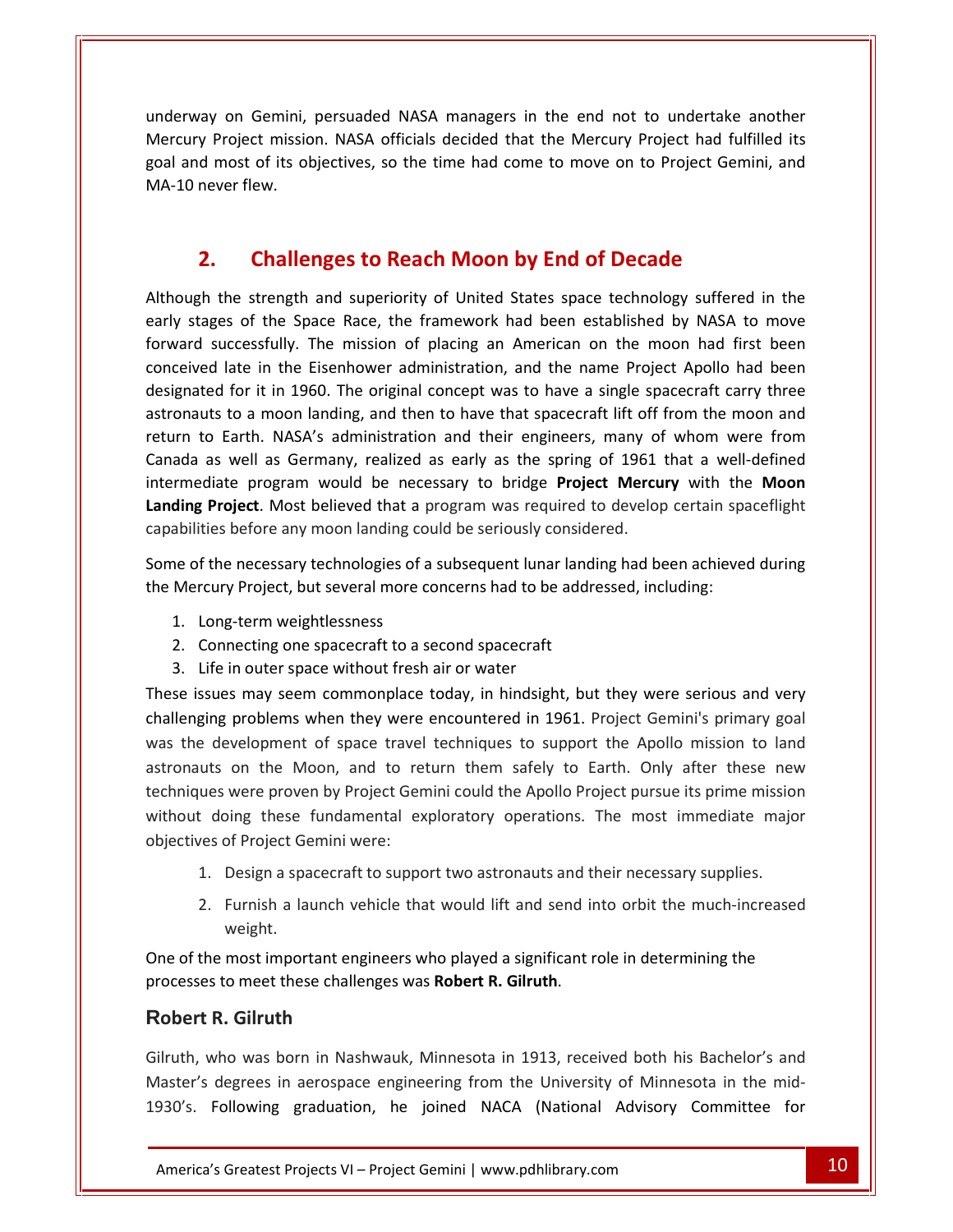on Gemini, persuaded NASA managers in the end not to undertake another Project mission. NASA officials decided that the Mercury Project had fulfilled its<br>Project mission. NASA officials decided that the Mercury Project had fulfilled its and most of its objectives, so the time had come to move on to Project Gemini, and most of its objectives, so the time had come to move on to Project Gemini, and Explay on Gemini,<br>derpoject missid<br>demost of its of<br>never flew. Gemini, persuaded NASA managers in the end not to undertake and<br>ct mission. NASA officials decided that the Mercury Project had fulfille<br>of its objectives, so the time had come to move on to Project Gemini<br>ew.<br>**Challenges** goal and most of its objectives, so the time had come to move on to Project Gemini, and<br>ver flew.<br>**Challenges to Reach Moon by End of Decade**<br>the strength and superiority of United States space technology suffered in the MA-10 never flew.

#### $2<sub>1</sub>$

Solid Theorem flew.<br> **Stages of the Space Race, the framework had been established by NASA to move**<br>
Despite Space Race, the framework had been established by NASA to move **Challenges to Reach Moon by End of Decade**<br>the strength and superiority of United States space technology suffered in the<br>ges of the Space Race, the framework had been established by NASA to move<br>successfully. The mission **Challenges to Reach Moon by End of Decade**<br>he strength and superiority of United States space technology suffered in the<br>s of the Space Race, the framework had been established by NASA to move<br>iccessfully. The mission of **Challenges to Reach Moon by End of Decade**<br>he strength and superiority of United States space technology suffered in the<br>s of the Space Race, the framework had been established by NASA to move<br>ccessfully. The mission of p The strength and superiority of United States space technology suffered in the<br>
s of the Space Race, the framework had been established by NASA to move<br>
ccessfully. The mission of placing an American on the moon had first Although the strength and superiority of United States space technology suffered in the the strength and superiority of United States space technology suffered in the<br>tages of the Space Race, the framework had been established by NASA to move<br>of successfully. The mission of placing an American on the moon had early stages of the Space Race, the framework had been established by NASA to move ages of the Space Race, the framework had been established by NASA to move<br>successfully. The mission of placing an American on the moon had first been<br>ed late in the Eisenhower administration, and the name Project Apollo h forward successfully. The mission of placing an American on the moon had first been program would be necessary to bridge **Project Mercury** with the **Moon**<br>project Apollo had been<br>it in 1960. The original concept was to have a single spacecraft carry three<br>a moon landing, and then to have that spacecraft l **Landing**d late in the Eisenhower administration, and the name Project Apollo had been<br>ed for it in 1960. The original concept was to have a single spacecraft carry three<br>ts to a moon landing, and then to have that spacecraft lift designated for it in 1960. The original concept was to have a single spacecraft carry three designated for it in 1960. The original concept was to have a single spastronauts to a moon landing, and then to have that spacecraft lift off return to Earth. NASA's administration and their engineers, many of Canada as w to Earth. NASA's administration and their engineers, many of whom were from<br>a as well as Germany, realized as early as the spring of 1961 that a well-defined<br>nediate program would be necessary to bridge **Project Mercury** w Canada as well as Germany, realized as early as the spring of 1961 that a well-<br>intermediate program would be necessary to bridge **Project Mercury** with the<br>**Landing Project**. Most believed that a program was required to d intermediate program would be necessary to bridge Project Mercury with the Moon ediate program would be nece.<br> **g Project**. Most believed that a p<br>
ities before any moon landing counting<br>
of the necessary technologies of a<br>
rcury Project, but several more co<br>
Long-term weightlessness di at

**g Project**. Most believed that a program was required tities before any moon landing could be seriously consider<br>of the necessary technologies of a subsequent lunar land<br>rcury Project, but several more concerns had to be ities before any moon landing could be seriously co<br>f the necessary technologies of a subsequent lunar<br>rcury Project, but several more concerns had to be<br>Long-term weightlessness<br>Connecting one spacecraft to a second space Some of the necessary technologies of a subsequent lunar landing had been achieved during<br>the Mercury Project, but several more concerns had to be addressed, including:<br>1. Long-term weightlessness<br>2. Connecting one spacecr the Mercury Project, but several more concerns had to be addressed, including:

goal

- 1. Long-term weightlessness<br>2. Connecting one spacecraft to a second spacecraft
- 3. Life in outer space without fresh air or water

project, but several more concerns had to be addressed, including:<br>
project, but several more concerns had to be addressed, including:<br>
proting one spacecraft to a second spacecraft<br>
proting one space without fresh air or the development of space travel techniques to support the Apollo mission to land<br>the development of space travel techniques to support the Apollo mission to land<br>the development of space travel techniques to support the Ap Figures one spacecraft to a second spacecraft<br>
n outer space without fresh air or water<br>
s may seem commonplace today, in hindsight, but they were serious and very<br>
problems when they were encountered in 1961. Project Gemi in outer space without fresh air or water<br>s may seem commonplace today, in hindsight, but they were serious and very<br>problems when they were encountered in 1961. Project Gemini's primary goal<br>velopment of space travel tech S. Ene modeer space without riestivant of water<br>These issues may seem commonplace today, in hindsight, but they were serious and very<br>challenging problems when they were encountered in 1961. Project Gemini's primary goal<br>w objectives challenging problems when they were encountered in 1961. Project Gemini's primary goal<br>was the development of space travel techniques to support the Apollo mission to land<br>astronauts on the Moon, and to return them safely Example a development of space travel techniques to support the Apollo mission to lant uts on the Moon, and to return them safely to Earth. Only after these neves were proven by Project Gemini could the Apollo Project purs on the Moon, and to return them safely to Earth. Only after these new<br>were proven by Project Gemini could the Apollo Project pursue its prime mission<br>bing these fundamental exploratory operations. The most immediate major<br> techniques were proven by Project Gemini could the Apollo Project pursue its prime mission without doing these<br>
objectives of Project Ge<br>
1. Design a spa<br>
2. Furnish a la<br>
weight. objectives

- 
- 2. Furnish a launch vehicle that would lift and send into orbit the much-increased weight. 1. Design a spacecraft to support two astronauts and their necessary supplies.<br>2. Furnish a launch vehicle that would lift and send into orbit the much-incre-<br>weight.<br>One of the most important engineers who played a signif

1. Design a spacecraft t<br>
2. Furnish a launch veh<br>
weight.<br>
One of the most important engi<br>
processes to meet these challen<br> **Robert R. Gilruth** weight.<br>
he most important engineers who played a significant role in determining the<br>
s to meet these challenges was Robert R. Gilruth.<br>
R. Gilruth<br>
who was born in Nashwauk, Minnesota in 1913, received both his Bachelor' One of the most important engineers who played a significant role in determining the

Gilruth, who was born in Nashwauk, Minnesota in 1913, received both his Bachelor's and **Gilruth**<br>
In was born in Nashwauk, Minnesota in 1913, received both his Bachelor's and<br>
egrees in aerospace engineering from the University of Minnesota in the mid-<br>
In Breatest Projects VI – Project Gemini I www.pdhlibra One of the most important engineers who played a significant role in determining the<br>processes to meet these challenges was Robert R. Gilruth.<br>Robert R. Gilruth<br>Gilruth, who was born in Nashwauk, Minnesota in 1913, receive **Robert R. Gilruth**<br>Gilruth, who was born in Nashwauk, Minnesota in 1913, received both his Bachelor's and<br>Master's degrees in aerospace engineering from the University of Minnesota in the mid-<br>1930's. Following graduation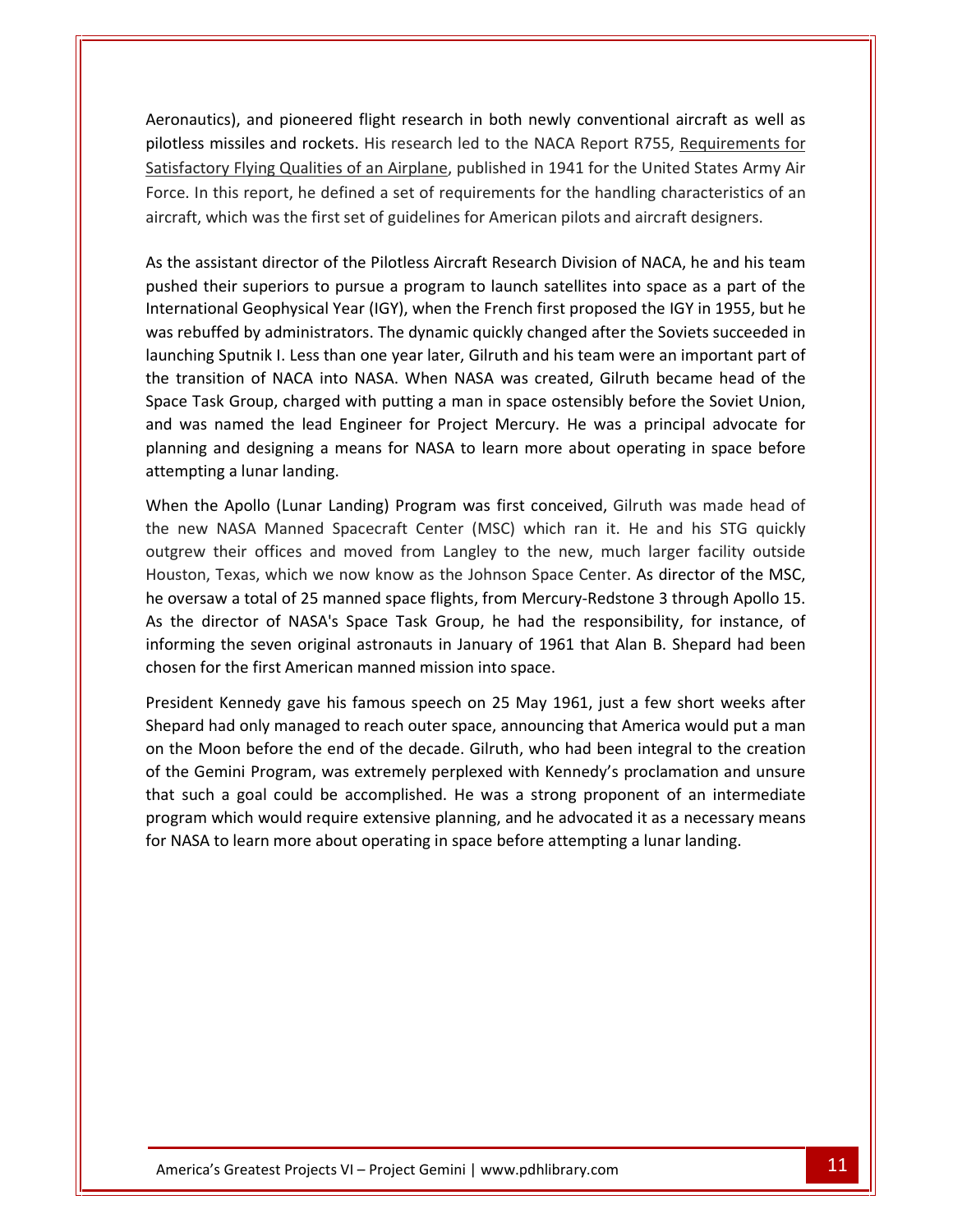and pioneered flight research in both newly conventional aircraft as well as missiles and pioneered flight research in both newly conventional aircraft as well as<br>missiles and rockets. His research led to the NACA Report R755. Requirements for Flying Qualities of an Airplane, published in 1941 for the United States Army Air Riving Qualities of an Airplane, published in 1941 for the United States Army Air In this report of this research in the handly conventional aircraft as well as<br>In this report and rockets. His research led to the NACA Report R755, <u>Requirements for</u><br>In this report, he defined a set of requirements for t Aeronautics), and pioneered flight research in both newly conventional aircraft as well a<br>pilotless missiles and rockets. His research led to the NACA Report R755, <u>Requirements for<br>Satisfactory Flying Qualities of an Airp</u> oriautics), and pioneered riight research in both newly conventional ancraft as wen as<br>oriess missiles and rockets. His research led to the NACA Report R755, <u>Requirements for</u><br>isfactory Flying Qualities of an Airplane, pu plioties The interact of the NACA Report K755, <u>Requirements for</u><br>tory Flying Qualities of an Airplane, published in 1941 for the United States Army Air<br>in this report, he defined a set of requirements for the handling characterist Satisfactory Flying Qualities of an Airplane, published in 1941 for the United States Army Air Iying Qualities of an Airplane, published in 1941 for the United States Army Air<br>report, he defined a set of requirements for the handling characteristics of an<br>n was the first set of guidelines for American pilots and air Force. In this report, he defined a set of requirements for the handling characteristics of an aircraft, which was the first set of guidelines for American pilots and aircraft designers.

Satisfactory

e. In this report, he defined a set of requirements for the handling characteristics of an<br>aft, which was the first set of guidelines for American pilots and aircraft designers.<br>he assistant director of the Pilotless Aircr hich was the first set of guidelines for American pilots and aircraft designers.<br>Istant director of the Pilotless Aircraft Research Division of NACA, he and his team<br>eir superiors to pursue a program to launch satellites i The assistant director of the Pilotless Aircraft Research Division of NACA, he and his team<br>ned their superiors to pursue a program to launch satellites into space as a part of the<br>rnational Geophysical Year (IGY), when th As the assistant director of the Pilotless Aircraft Research Division of NACA, he and his team As the assistant director of the Pilotless Aircraft Research Division of NACA, he and his team<br>pushed their superiors to pursue a program to launch satellites into space as a part of the<br>International Geophysical Year (IGY ed their superiors to pursue a program to launch satellites into space as a part of the<br>national Geophysical Year (IGY), when the French first proposed the IGY in 1955, but he<br>rebuffed by administrators. The dynamic quickl International Geophysical Year (IGY), when the French first proposed the IGY in 1955, but he Imal Geophysical Year (IGY), when the French first proposed the IGY in 1955, but he<br>
Iffed by administrators. The dynamic quickly changed after the Soviets succeeded in<br>
Sputnik I. Less than one year later, Gilruth and his was rebuffed by administrators. The dynamic quickly changed after the Soviets succeeded in was rebuffed by administrators.<br>launching Sputnik I. Less than of<br>the transition of NACA into N*A*<br>Space Task Group, charged with<br>and was named the lead Engin<br>planning and designing a mear<br>attemoting a lunar landing. Instition of NACA into NASA. When NASA was created, Gilruth became head of the Task Group, charged with putting a man in space ostensibly before the Soviet Union, as named the lead Engineer for Project Mercury. He was a pr the<br>Sho is a Task Group, charged with putting a man in space ostensibly before the Soviet Union, was named the lead Engineer for Project Mercury. He was a principal advocate for ning and designing a means for NASA to learn more ab and was named the lead Engineer for Project Mercury. He was a principal advocate for The lead Engineer for Project Mercury. He was a principal advocate for<br>and designing a means for NASA to learn more about operating in space before<br>ig a lunar landing.<br>Particular Landing Program was first conceived, Gilrut planning and designing a means for NASA to learn more about operating in space before

planning and designing a means for NASA to learn more about operating in space before<br>attempting a lunar landing.<br>When the Apollo (Lunar Landing) Program was first conceived, Gilruth was made head of<br>the new NASA Manned Sp out tempting a lunar landing.<br>
When the Apollo (Lunar Landing) Program was first conceived, Gilruth was made head of<br>
the new NASA Manned Spacecraft Center (MSC) which ran it. He and his STG quickly<br>
outgrew their offices en the Apollo (Lunar Landing) Program was first conceived, Gilruth was made head of<br>new NASA Manned Spacecraft Center (MSC) which ran it. He and his STG quickly<br>grew their offices and moved from Langley to the new, much la When the Apollo (Lunar Landing) Program was first conceived, Gilruth was made head of<br>
NASA Manned Spacecraft Center (MSC) which ran it. He and his STG quickly<br>
heir offices and moved from Langley to the new, much larger facility o the new NASA Manned Spacecraft Center (MSC) which ran it. He and his STG quickly the new NASA Manned Spacecraft Center (MSC) which ra<br>outgrew their offices and moved from Langley to the new<br>Houston, Texas, which we now know as the Johnson Space C<br>he oversaw a total of 25 manned space flights, from Merc Fexas, which we now know as the Johnson Space Center. As director of the MSC,<br>w a total of 25 manned space flights, from Mercury-Redstone 3 through Apollo 15.<br>rector of NASA's Space Task Group, he had the responsibility, f Houston, Texas, which we now know as the Johnson Space Center. As director of the MSC, he oversaw a total of 25 manned space flights, from Mercury-Redstone 3 through Apollo 15. had only manned space flights, from Mercury-Redstone 3 through Apollo 15.<br>
ilrector of NASA's Space Task Group, he had the responsibility, for instance, of<br>
g the seven original astronauts in January of 1961 that Alan B. S As the director of NASA's Space Task Group, he had the responsibility, for instance, of the director of NASA's Space Task Group, he had the responsibility, for instance, of<br>
priming the seven original astronauts in January of 1961 that Alan B. Shepard had been<br>
sen for the first American manned mission into s informing the seven original astronauts in January of 1961 that Alan B. Shepard had been  $\epsilon$ hor program

orming the seven original astronauts in January of 1961 that Alan B. Shepard had been<br>osen for the first American manned mission into space.<br>ssident Kennedy gave his famous speech on 25 May 1961, just a few short weeks aft en for the first American manned mission into space.<br>
dent Kennedy gave his famous speech on 25 May 1961, just a few short weeks after<br>
ard had only managed to reach outer space, announcing that America would put a man<br>
ne Externady gave his famous speech on 25 May 1961, just a few short weeks after thad only managed to reach outer space, announcing that America would put a man loon before the end of the decade. Gilruth, who had been integra President Kennedy gave his famous speech on 25 May 1961, just a few short weeks after sident Kennedy gave his famous speech on 25 May 1961, just a few short we<br>pard had only managed to reach outer space, announcing that America would p<br>the Moon before the end of the decade. Gilruth, who had been integral to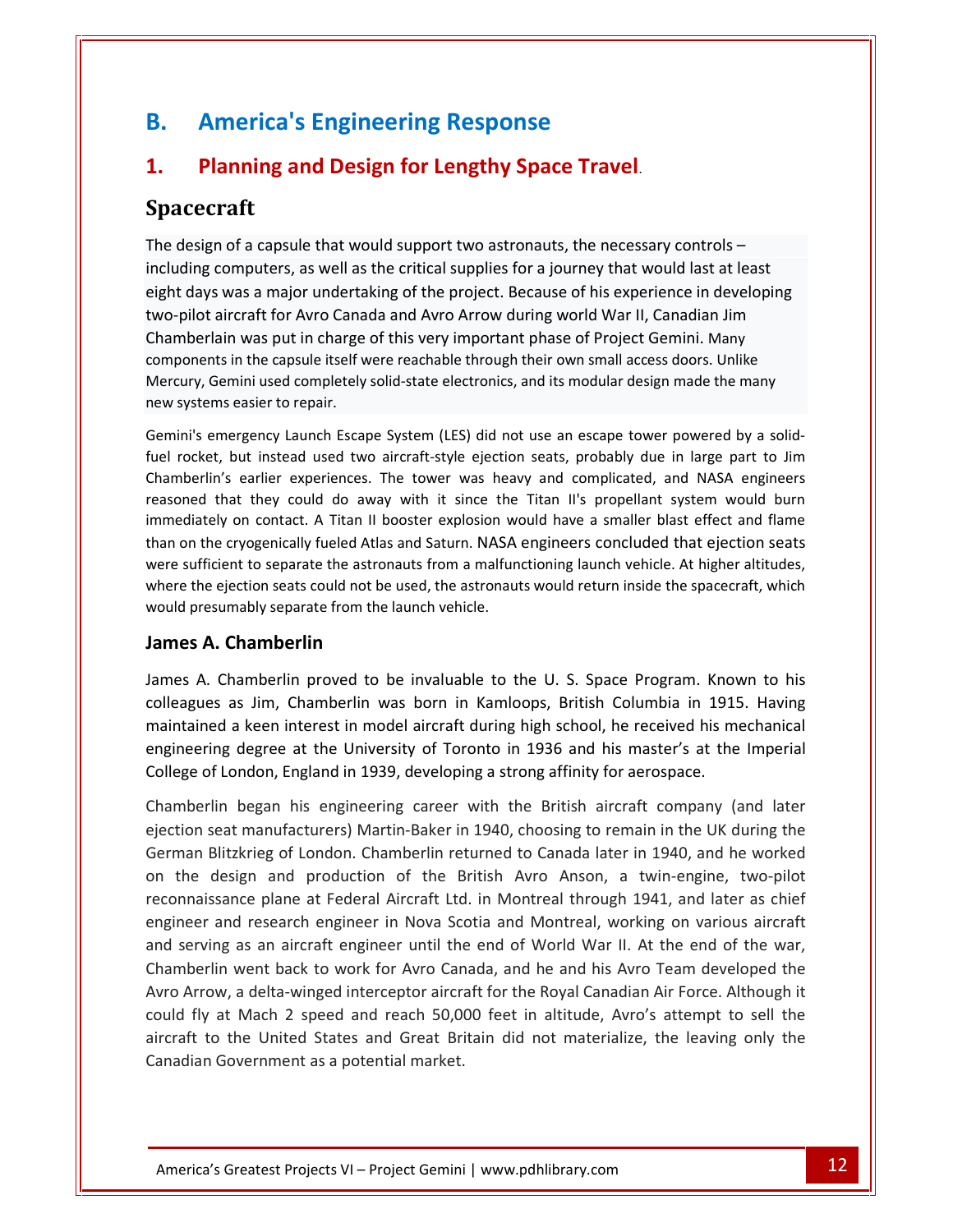## **America's Engineering Response** B. **America's Engineering Response**

## **Planning and Design for Lengthy Space Travel.**<br> **Planning and Design for Lengthy Space Travel. America's Engineering Response<br>
Planning and Design for Lengthy Space Travel.<br>
acecraft**<br>
design of a capsule that would support two astronauts, the necessary controls –  $1<sub>1</sub>$ two-pilot

### **Spacecraft**

computers and the critical supplies in the critical supplies for a journey of a capsule that would support two astronauts, the necessary controls –<br>n of a capsule that would support two astronauts, the necessary controls – **Planning and Design for Lengthy Space Travel**.<br> **Cecraft**<br>
esign of a capsule that would support two astronauts, the necessary controls –<br>
ling computers, as well as the critical supplies for a journey that would last at and the Sength for Lengthy Space Traver.<br> **Avron's Canada and Avro Arrow astronauts**, the necessary controls –<br>
computers, as well as the critical supplies for a journey that would last at least<br>
s was a major undertaking **ft**<br>
i a capsule that would support two astronauts, the necessary controls –<br>
inputers, as well as the critical supplies for a journey that would last at least<br>
is a major undertaking of the project. Because of his experi The design of a capsule that would support two astronauts, the necessary controls  $$ of a capsule that would support two astronauts, the necessary controls –<br>mputers, as well as the critical supplies for a journey that would last at least<br>vas a major undertaking of the project. Because of his experience in  $\frac{1}{2}$ Gemputers, as well as the critical supplies for a journey that would last at least<br>is was a major undertaking of the project. Because of his experience in developing<br>a state aircraft for Avro Canada and Avro Arrow during w new mendung computers, as wen as<br>eight days was a major underta<br>two-pilot aircraft for Avro Cana<br>Chamberlain was put in charge<br>components in the capsule itself v<br>Mercury, Gemini used completely<br>new systems easier to repair. t aircraft for Avro Canada and Avro Arrow during world War II, Canadian Jim<br>rlain was put in charge of this very important phase of Project Gemini. Many<br>nts in the capsule itself were reachable through their own small acce Chamberlain was put in charge of this very important phase of Project Gemini. Many mberlain was put in charge of this very important phase of Project Gemini. Many<br>ponents in the capsule itself were reachable through their own small access doors. Unlike<br>cury, Gemini used completely solid-state electronics components in the capsule itself were reachable through their own small access doors. Unlike is the capsule itself were reachable through their own small access doors. Unlike<br>ini used completely solid-state electronics, and its modular design made the many<br>asier to repair.<br>rgency Launch Escape System (LES) did not reason<br>Morcury new systems easier to repair.

Semini used completely solid-state electronics, and its modular design made the many<br>ms easier to repair.<br>mergency Launch Escape System (LES) did not use an escape tower powered by a solid-<br>t, but instead used two aircraft systems easier to repair.<br>
ni's emergency Launch Escape System (LES) did not use an escape tower powered by a solid-<br>
rocket, but instead used two aircraft-style ejection seats, probably due in large part to Jim<br>
bherlin's wereGemini's emergency Launch Escape System (LES) did not use an escape tower powered by a solid-<br>fuel rocket, but instead used two aircraft-style ejection seats, probably due in large part to Jim<br>Chamberlin's earlier experien cket, but instead used two aircraft-style ejection seats, probably due in large part to Jim<br>erlin's earlier experiences. The tower was heavy and complicated, and NASA engineers<br>ed that they could do away with it since the Chami reasoned that they could do away with it since the Titan II's propellant system would burn immediately on contact. A Titan II booster explosion would have a smaller blast effect and flame rlin's earlier experiences. The<br>d that they could do away v<br>tely on contact. A Titan II boc<br>the cryogenically fueled Atlas a<br>ficient to separate the astrona<br>e ejection seats could not be u<br>resumably separate from the la<br>**A** than on the cryogenically fueled Atlas and Saturn. NASA engineers concluded that ejection seats the cryogenically fueled Atlas and Saturn. NASA engineers concluded that ejection seats<br>fficient to separate the astronauts from a malfunctioning launch vehicle. At higher altitudes,<br>he ejection seats could not be used, th were sufficient to separate the astronauts from a malfunctioning launch vehicle. At higher altitudes, int to separate the astronauts from a malfunctioning launch vehicle. At higher altitudes,<br>ection seats could not be used, the astronauts would return inside the spacecraft, which<br>mably separate from the launch vehicle.<br>**Ch** where the ejection seats could not be used, the astronauts would return inside the spacecraft, which would presumably separate from the launch vehicle.

#### James A. Chamberlin

ection seats could not be used, the astronauts would return inside the spacecraft, which<br>mably separate from the launch vehicle.<br>**Chamberlin**<br>amberlin proved to be invaluable to the U. S. Space Program. Known to his<br>as Jim ably separate from the launch venicle.<br> **hamberlin**<br>
amberlin proved to be invaluable to the U. S. Space Program. Known to his<br>
s Jim, Chamberlin was born in Kamloops, British Columbia in 1915. Having<br>
i keen interest in m **James A. Chamberlin**<br>James A. Chamberlin proved to be invaluable to the U. S. Space Program. Know<br>colleagues as Jim, Chamberlin was born in Kamloops, British Columbia in 191!<br>maintained a keen interest in model aircraft d amberlin proved to be invaluable to the U.S. Space Program. Known to his<br>s Jim, Chamberlin was born in Kamloops, British Columbia in 1915. Having<br>i keen interest in model aircraft during high school, he received his mechan James A. Chamberlin proved to be invaluable to the U.S. Space Program. Known to his colleagues as Jim, Chamberlin was born in Kamloops, British Columbia in 1915. Having es as Jim, Chamberlin was born in Kamloops, British Columbia in 1915. Having<br>ed a keen interest in model aircraft during high school, he received his mechanical<br>ing degree at the University of Toronto in 1936 and his maste aanaan<br>maintair ed a keen interest in model aircraft during high school, he received his mechanical<br>ing degree at the University of Toronto in 1936 and his master's at the Imperial<br>of London, England in 1939, developing a strong affinity engineering degree at the University of Toronto in 1936 and his master's at the Imperial College of London, England in 1939, developing a strong affinity for aerospace. engineer

aircraft to the United States and Great Britain did not materialize, the leaving only the Canadian Government as a potential market. Greatest Projects VI – Project Gemini | www.pdhlibrary.com neering degree at the University of Toronto in 1936 and his master's at the Imperial<br>ege of London, England in 1939, developing a strong affinity for aerospace.<br>mberlin began his engineering career with the British aircraf plane at Federal Aircraft Ltd. in Montreal through 1941, and later as chief<br>plane at Federal Aircraft Company (and later<br>anufacturers) Martin-Baker in 1940, choosing to remain in the UK during the<br>eg of London. Chamberlin in began his engineering career with the British aircraft company (and later<br>eat manufacturers) Martin-Baker in 1940, choosing to remain in the UK during the<br>slitzkrieg of London. Chamberlin returned to Canada later in 194 Chamberlin began his engineering career with the British aircraft company (and later Chamberlin began his engineering career with the British aircraft company (and later<br>ejection seat manufacturers) Martin-Baker in 1940, choosing to remain in the UK during the<br>German Blitzkrieg of London. Chamberlin return t manufacturers) Martin-Baker in 1940, choosing to remain in the UK during the<br>zkrieg of London. Chamberlin returned to Canada later in 1940, and he worked<br>ign and production of the British Avro Anson, a twin-engine, two-p German Blitzkrieg of London. Chamberlin returned to Canada later in 1940, and he worked an Blitzkrieg of London. Chamberlin returned to Canada later in 1940, and he worked<br>he design and production of the British Avro Anson, a twin-engine, two-pilot<br>maissance plane at Federal Aircraft Ltd. in Montreal through on the design and production of the British Avro Anson, a twin-engine, two-pilot e design and production of the British Avro Anson, a twin-engine, two-pilot<br>naissance plane at Federal Aircraft Ltd. in Montreal through 1941, and later as chief<br>er and research engineer in Nova Scotia and Montreal, workin reconnaissance plane at Federal Aircraft Ltd. in Montreal through 1941, and later as chief issance plane at Federal Aircraft Ltd. in Montreal through 1941, and later as chief<br>
r and research engineer in Nova Scotia and Montreal, working on various aircraft<br>
ring as an aircraft engineer until the end of World War engineer and serving as an aircraft engineer until the end of World War II. At the end of the war, Chamberlin went back to work for Avro Canada, and he and his Avro Team developed the Avro Arrow, a delta-winged interceptor aircraft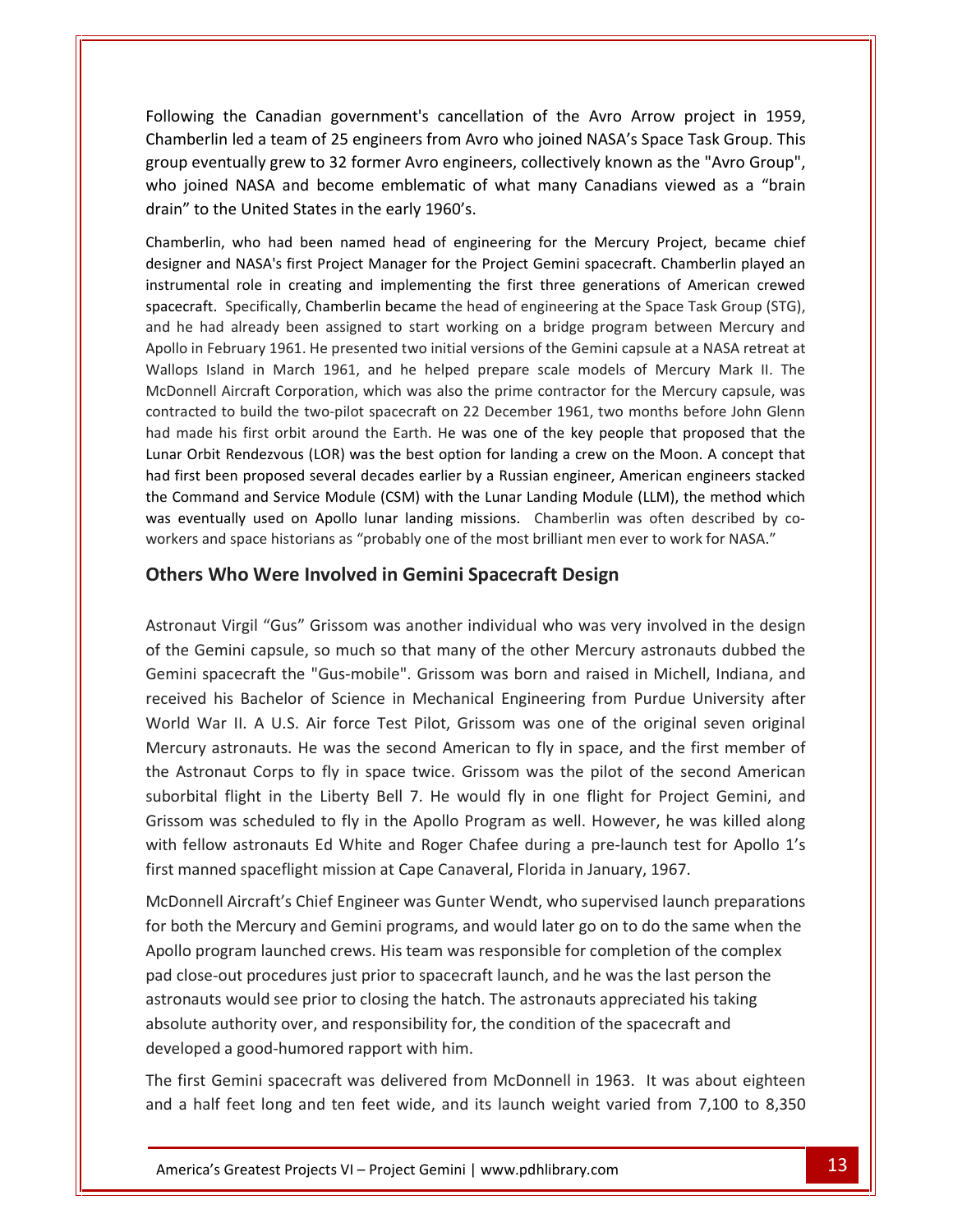the Canadian government's cancellation of the Avro Arrow project in 1959.<br>Following the Canadian government's cancellation of the Avro Arrow project in 1959. Led a team of 25 engineers from Avro who joined NASA's Space Task Group. This<br>led a team of 25 engineers from Avro who joined NASA's Space Task Group. This Following the Canadian government's cancellation of the Avro Arrow project in 1959,<br>Chamberlin led a team of 25 engineers from Avro who joined NASA's Space Task Group. This<br>group eventually grew to 32 former Avro engineers wing the Canadian government's cancellation of the Avro Arrow project in 1959,<br>hberlin led a team of 25 engineers from Avro who joined NASA's Space Task Group. This<br>initially grew to 32 former Avro engineers, collectively Following the Canadian government's cancellation<br>Chamberlin led a team of 25 engineers from Avro v<br>group eventually grew to 32 former Avro engineers<br>who joined NASA and become emblematic of wh<br>drain" to the United States i ne Canadian government's cancellation of the Avro Arrow project in 1959,<br>led a team of 25 engineers from Avro who joined NASA's Space Task Group. This<br>ually grew to 32 former Avro engineers, collectively known as the "Avro Chamberlin led a team of 25 engineers from Avro who joined NASA's Space Task Group. This rlin led a team of 25 engineers from Avro who joined NASA's Space Task Group. This<br>ventually grew to 32 former Avro engineers, collectively known as the "Avro Group",<br>ned NASA and become emblematic of what many Canadians v group event ually grew to 32 former Avro engineers, collectively known as the "Avro Group",<br>NASA and become emblematic of what many Canadians viewed as a "brain<br>United States in the early 1960's.<br>who had been named head of engineering

who joined NASA and become emblematic of what many Canadians viewed as a "brain<br>drain" to the United States in the early 1960's.<br>Chamberlin, who had been named head of engineering for the Mercury Project, became chief<br>desi n" to the United States in the early 1960's.<br>
Inderlin, who had been named head of engineering for the Mercury Project, became chief<br>
Inter and NASA's first Project Manager for the Project Gemini spacecraft. Chamberlin pla erlin, who had been named head of engineering for the Mercury Project, became chief<br>er and NASA's first Project Manager for the Project Gemini spacecraft. Chamberlin played an<br>nental role in creating and implementing the f Chamberlin, who had been named head of engineering for the Mercury Project, became chief lin, who had been named head of engineering for the Mercury Project, became chief<br>and NASA's first Project Manager for the Project Gemini spacecraft. Chamberlin played an<br>tral role in creating and implementing the first th designer al d NASA's first Project Manager for the Project Gemini spacecraft. Chamberlin played an<br>al role in creating and implementing the first three generations of American crewed<br>Specifically, Chamberlin became the head of enginee instrumental role in creating and implementing the first three generations of American crewed al role in creating and implementing the first three generations of American crewed<br>Specifically, Chamberlin became the head of engineering at the Space Task Group (STG),<br>I already been assigned to start working on a bridg spa ecraft. Specifically, Chamberlin became the head of engineering at the Space Task Group (STG),<br>he had already been assigned to start working on a bridge program between Mercury and<br>lo in February 1961. He presented two ini and he had already been assigned to start working on a bridge program between Mercury and e had already been assigned to start working on a bridge program between Mercury and<br>in February 1961. He presented two initial versions of the Gemini capsule at a NASA retreat at<br>os Island in March 1961, and he helped pre Apollo in February 1961. He presented two initial versions of the Gemini capsule at a NASA retreat at Io in February 1961. He presented two initial versions of the Gemini capsule at a NASA retreat at<br>ops Island in March 1961, and he helped prepare scale models of Mercury Mark II. The<br>onnell Aircraft Corporation, which was Wallops Island in March 1961, and he helped prepare scale models of Mercury Mark II. The lops Island in March 1961, and he helped prepare scale models of Mercury Mark II. The<br>Donnell Aircraft Corporation, which was also the prime contractor for the Mercury capsule, was<br>racted to build the two-pilot spacecraft McI contracted to build the two-pilot spacecraft on 22 December 1961, two months before John Glenn<br>had made his first orbit around the Earth. He was one of the key people that proposed that the<br>Lunar Orbit Rendezvous (LOR) was Lunar Orbit Rendezvous (LOR) was the best option for landing a crew on the Moon. A concept that d to build the two-pilot spacecraft on 22 December 1961, two months be<br>e his first orbit around the Earth. He was one of the key people that pro<br>it Rendezvous (LOR) was the best option for landing a crew on the Moon<br>been p the Command and Service Module (CSM) with the Lunar Landing Module (LLM), the method which In and Service Module (CSM) with the Lunar Landing Module (LLM), the method which<br>ally used on Apollo lunar landing missions. Chamberlin was often described by co-<br>d space historians as "probably one of the most brilliant was eventually used on Apollo lunar landing missions. Chamberlin was often described by cois eventually used on Apollo lunar landing missions. Chamberlin was often described by co-<br>rkers and space historians as "probably one of the most brilliant men ever to work for NASA."<br>**hers Who Were Involved in Gemini Spa** workers and space historians as "probably one of the most brilliant men ever to work for NASA."

#### receivedWorld

group<br>Group

and space historians as "probably one of the most brilliant men ever to work for NASA."<br> **Who Were Involved in Gemini Spacecraft Design**<br>
ut Virgil "Gus" Grissom was another individual who was very involved in the design<br> Who Were Involved in Gemini Spacecraft Design<br>
L'Virgil "Gus" Grissom was another individual who was very involved in the design<br>
mini capsule, so much so that many of the other Mercury astronauts dubbed the<br>
pacecraft the aut Virgil "Gus" Grissom was another individual who was very involved in the design<br>Gemini capsule, so much so that many of the other Mercury astronauts dubbed the<br>spacecraft the "Gus-mobile". Grissom was born and raised i Mercuryt Virgil "Gus" Grissom was another individual who was very involved in the design<br>emini capsule, so much so that many of the other Mercury astronauts dubbed the<br>pacecraft the "Gus-mobile". Grissom was born and raised in Mi  $\overline{\phantom{a}}$ The Gemini capsule, so much so that many of the other Mercury astronauts dubbed the<br>hini spacecraft the "Gus-mobile". Grissom was born and raised in Michell, Indiana, and<br>ived his Bachelor of Science in Mechanical Engineer  $\frac{1}{2}$  is the october of  $\frac{1}{2}$ flight in the Liberty Bell 7. He would fly in one flight for Project Gemini, and<br>flight in the Liberty Bell 7. He would fly in one flight for Project Gemini, and<br>flight in the Liberty Bell 7. He would fly in one flight for Gemini spacecraft the "Gus-mobile". Grissom was born and raised in Michell, Indiana, and pacecraft the Gds-mobile : Grissom was born and raised in Wichell, malaria, and<br>his Bachelor of Science in Mechanical Engineering from Purdue University after<br>far II. A U.S. Air force Test Pilot, Grissom was one of the ori received his Bachelor of Science in Mechanical Engineering from Purdue University after d War II. A U.S. Air force Test Pilot, Grissom was one of the original seven original<br>ury astronauts. He was the second American to fly in space, and the first member of<br>stronaut Corps to fly in space twice. Grissom was th World War II. A U.S. Air force Test Pilot, Grissom was one of the original seven original<br>Mercury astronauts. He was the second American to fly in space, and the first member of Mercury astronauts. He was the second American to fly in space, and the first<br>the Astronaut Corps to fly in space twice. Grissom was the pilot of the secon<br>suborbital flight in the Liberty Bell 7. He would fly in one fligh aut Corps to fly in space twice. Grissom was the pilot of the second American<br>flight in the Liberty Bell 7. He would fly in one flight for Project Gemini, and<br>as scheduled to fly in the Apollo Program as well. However, he suborbital flight in the Liberty Bell 7. He would fly in one flight for Project Gemini, and orbital flight in the Liberty Bell 7. He would fly in one flight for Project Gemini, and<br>ssom was scheduled to fly in the Apollo Program as well. However, he was killed along<br>h fellow astronauts Ed White and Roger Chafee d Grissom was scheduled to fly in the Apollo Program as well. However, he was killed along<br>with fellow astronauts Ed White and Roger Chafee during a pre-launch test for Apollo 1's<br>first manned spaceflight mission at Cape Can first manned spaceflight mission at Cape Canaveral, Florida in January, 1967.

developed a good-humored rapport with him. would see prior to closing the hatch. The astronauts appreciated his taking<br>
uthority over, and responsibility for, the condition of the spacecraft and<br>
a good-humored rapport with him.<br>
emini spacecraft was delivered from with fellow astronauts Ed White and Roger Chafee during a pre-launch test for Apollo 1's<br>first manned spaceflight mission at Cape Canaveral, Florida in January, 1967.<br>McDonnell Aircraft's Chief Engineer was Gunter Wendt, w reflight mission at Cape Canaveral, Florida in January, 1967.<br>Aircraft's Chief Engineer was Gunter Wendt, who supervised launch preparations<br>a Mercury and Gemini programs, and would later go on to do the same when the<br>gram absoluteell Aircraft's Chief Engineer was Gunter Wendt, who supervised launch preparation<br>the Mercury and Gemini programs, and would later go on to do the same when the<br>ogram launched crews. His team was responsible for completion  $\ddot{\phantom{a}}$ Franchish Content Prince Was Guiter We<br>for both the Mercury and Gemini programs, and w<br>Apollo program launched crews. His team was resp<br>pad close-out procedures just prior to spacecraft la<br>astronauts would see prior to clo Io program launched crews. His team was responsible for completion of the complex<br>close-out procedures just prior to spacecraft launch, and he was the last person the<br>pnauts would see prior to closing the hatch. The astron pad close-out procedures just prior to spacecraft launch, and he was the last person the<br>astronauts would see prior to closing the hatch. The astronauts appreciated his taking<br>absolute authority over, and responsibility fo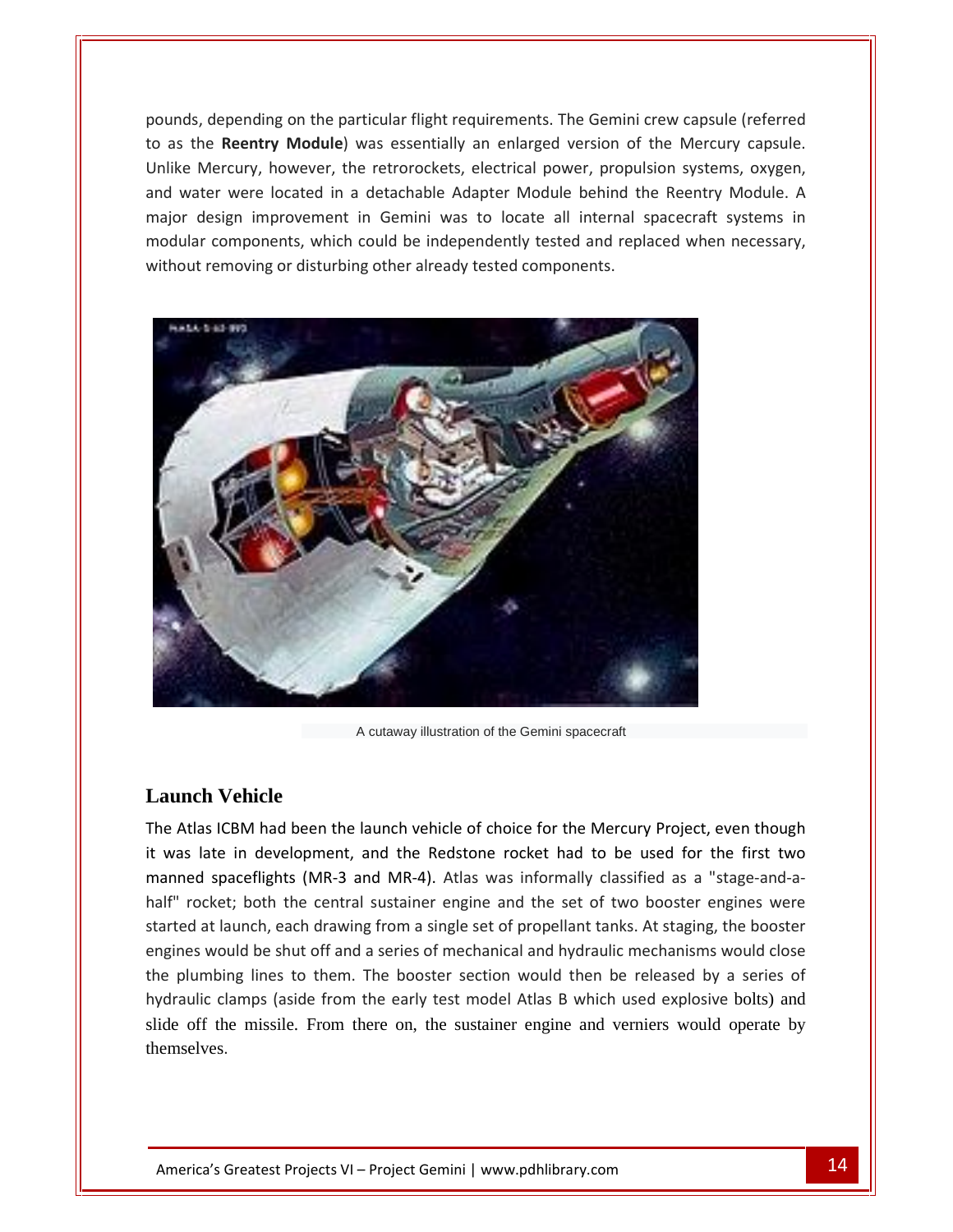depending on the particular flight requirements. The Gemini crew capsule (referred as the **Reentian State Conduct of the particular flight requirements. The Gemini crew capsule (referred to as the <b>Reentry Module**) was essentially an enlarged version of the Mercury capsule. mercury, however, the particular flight requirements. The Gemini crew capsule (referred<br>to as the **Reentry Module**) was essentially an enlarged version of the Mercury capsule.<br>Unlike Mercury, however, the retrorockets, ele Must depending on the particular flight requirements. The Gemini crew capsule (referred<br>
s the **Reentry Module**) was essentially an enlarged version of the Mercury capsule.<br>
Experiency, however, the retrorockets, electrica depending on the particular flight requirements. The Gemini crew capsule (referred<br>he **Reentry Module**) was essentially an enlarged version of the Mercury capsule.<br>Mercury, however, the retrorockets, electrical power, prop pounds, depending on the particular flight requirements. The Gemini crew capsule (referred<br>to as the **Reentry Module**) was essentially an enlarged version of the Mercury capsule.<br>Unlike Mercury, however, the retrorockets, to as the **Reentry Module**) was essentially an enlarged version of the Mercury capsule.<br>Unlike Mercury, however, the retrorockets, electrical power, propulsion systems, oxygen, and water were located in a detachable Adapte



A cutaway illustration of the Gemini spacecraft

### **Launch Vehicle**

themselves. Greatest Projects VI – Project Gemini | www.pdhlibrary.com 144 A cutaway illustration of the Gemini spacecraft<br> **aunch Vehicle**<br>
e Atlas ICBM had been the launch vehicle of choice for the Mercury Project, even though<br>
was late in development, and the Redstone rocket had to be used for Launch Vehicle<br>The Atlas ICBM had been the launch vehicle of choice for the Mercury Project, even though<br>it was late in development, and the Redstone rocket had to be used for the first two<br>manned spaceflights (MR-3 and MR **12.13. The central sustainers in the central sustainers and the central sustains in development, and the Redstone rocket had to be used for the first two ed spaceflights (MR-3 and MR-4). Atlas was informally classified as h Vehicle**<br>as ICBM had been the launch vehicle of choice for the Mercury Project, even though<br>late in development, and the Redstone rocket had to be used for the first two<br>d spaceflights (MR-3 and MR-4). Atlas was informa enginess ICBM had been the launch vehicle of choice for the Mercury Project, even though<br>ate in development, and the Redstone rocket had to be used for the first two<br>spaceflights (MR-3 and MR-4). Atlas was informally classified a theAtias tebut had been the lattilet ventile of enoted for the Mercury Project, even thought<br>as late in development, and the Redstone rocket had to be used for the first two<br>ned spaceflights (MR-3 and MR-4). Atlas was informa it was late in development, and the Redstone rocket had to be used for the first two<br>manned spaceflights (MR-3 and MR-4). Atlas was informally classified as a "stage-and-apaceflights (MR-3 and MR-4). Atlas was informally classified as a "stage-and-a-<br>et; both the central sustainer engine and the set of two booster engines were<br>launch, each drawing from a single set of propellant tanks. At s slide off the missile. From there on, the sustainer engine and verniers would operate by half" rocket; both the central sustainer engine and the set of two booster engines were started at launch, each drawing from a single set of propellant tanks. At staging, the booster engines would be shut off and a series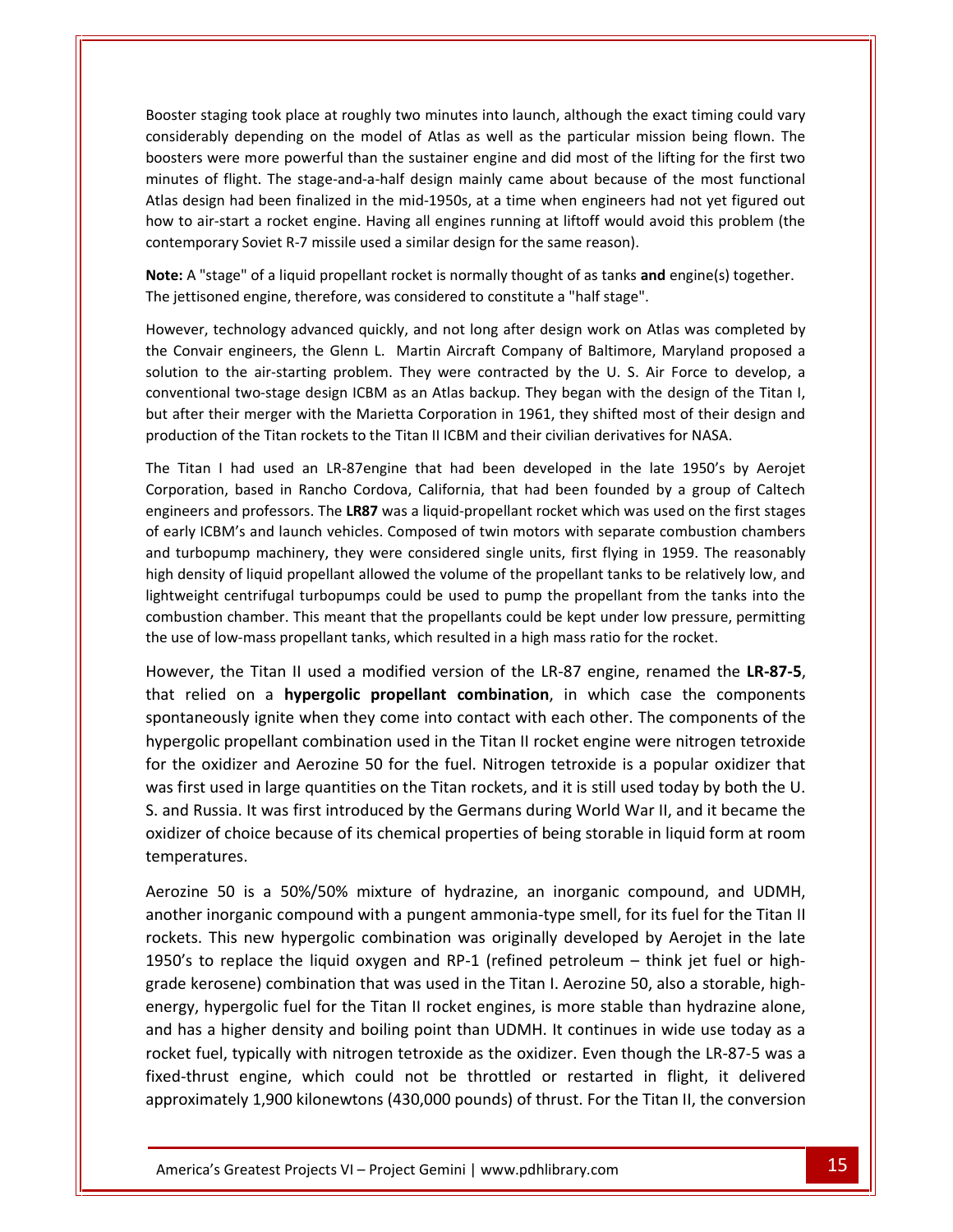staging took place at roughly two minutes into launch, although the exact timing could vary and the model of Atlas as well as the particular mission being flown. The depending on the model of Atlas as well as the particular mission being flown. The taging took place at roughly two minutes into launch, although the exact timing could vary<br>bly depending on the model of Atlas as well as the particular mission being flown. The<br>were more powerful than the sustainer engine taging took place at roughly two minutes into launch, although the exact timing could vary<br>ably depending on the model of Atlas as well as the particular mission being flown. The<br>were more powerful than the sustainer engin er staging took place at roughly two minutes into launch, although the exact timing could vary<br>derably depending on the model of Atlas as well as the particular mission being flown. The<br>ers were more powerful than the sust ter staging took place at roughly two minutes into launch, although the exact timing could vary<br>derably depending on the model of Atlas as well as the particular mission being flown. The<br>ters were more powerful than the su Booster staging took place at roughly two minutes into launch, although the exact timing could vary Booster staging took place at roughly two minutes into launch, although the exconsiderably depending on the model of Atlas as well as the particular missi<br>boosters were more powerful than the sustainer engine and did most boosters were more powerful than the sustainer engine and did most of the lifting for the first two<br>minutes of flight. The stage-and-a-half design mainly came about because of the most functional<br>Atlas design had been fina minutes of flight. The stage-and-a-half design mainly came about because of t<br>Atlas design had been finalized in the mid-1950s, at a time when engineers had<br>how to air-start a rocket engine. Having all engines running at l gn had been finalized in the mid-1950s, at a time when engineers had not yet figured out<br>-start a rocket engine. Having all engines running at liftoff would avoid this problem (the<br>rary Soviet R-7 missile used a similar de nov contemporary Soviet R-7 missile used a similar design for the same reason).

boosters in de la provincia en la provincia en la provincia en la provincia en la provincia en la provincia en<br>Desenvolvers en la provincia en la provincia en la provincia en la provincia en la provincia en la provincia e

The jettisoned engine, therefore, was considered to constitute a "half stage".<br>However, technology advanced quickly, and not long after design work on Atlas was completed by Note: A "stage" of a liquid propellant rocket is normally thought of as tanks and engine(s) together. production

orary Soviet R-7 missile used a similar design for the same reason).<br>
stage" of a liquid propellant rocket is normally thought of as tanks and engine(s) together.<br>
oned engine, therefore, was considered to constitute a "ha Note: A "stage" of a liquid propellant rocket is normally thought of as tanks and engine(s) together.<br>The jettisoned engine, therefore, was considered to constitute a "half stage".<br>However, technology advanced quickly, and jettisoned engine, therefore, was considered to constitute a "half stage".<br>
vever, technology advanced quickly, and not long after design work on Atlas was completed by<br>
Convair engineers, the Glenn L. Martin Aircraft Comp However, technology advanced quickly, and not long after design work on Atlas was comple<br>the Convair engineers, the Glenn L. Martin Aircraft Company of Baltimore, Maryland prop-<br>solution to the air-starting problem. They w Convair engineers, the Glenn L. Martin Aircraft Company of Baltimore, Maryland proposed a<br>
ion to the air-starting problem. They were contracted by the U.S. Air Force to develop, a<br>
entional two-stage design ICBM as an Atl solution to the air-starting problem. They were contracted by the U. S. Air Force to develop, a has air-starting problem. They were contracted by the U.S. Air Force to develop, a two-stage design ICBM as an Atlas backup. They began with the design of the Titan I, r merger with the Marietta Corporation in 1961, they s conventional two-stage design ICBM as an Atlas backup. They began with the design of the Titan I,<br>but after their merger with the Marietta Corporation in 1961, they shifted most of their design and<br>production of the Titan but after their merger with the Marietta Corporation in 1961, they shifted most of their design and production of the Titan rockets to the Titan II ICBM and their civilian derivatives for NASA. high

t after their merger with the Marietta Corporation in 1961, they shifted most of their design and<br>pduction of the Titan rockets to the Titan II ICBM and their civilian derivatives for NASA.<br>e Titan I had used an LR-87engin uction of the Titan rockets to the Titan II ICBM and their civilian derivatives for NASA.<br>Titan I had used an LR-87engine that had been developed in the late 1950's by Aerojet<br>oration, based in Rancho Cordova, California, Titan I had used an LR-87engine that had been developed in the late 1950's by Aerojet<br>oration, based in Rancho Cordova, California, that had been founded by a group of Caltech<br>neers and professors. The **LR87** was a liquid-The Titan I had used an LR-87 engine that had been developed in the late 1950's by Aerojet had used an LR-87engine that had been developed in the late 1950's by Aerojet<br>
, based in Rancho Cordova, California, that had been founded by a group of Caltech<br>
nd professors. The **LR87** was a liquid-propellant rocket wh Corporation, based in Rancho Cordova, California, that had been founded by a group of Caltech based in Rancho Cordova, California, that had been founded by a group of Caltech<br>nd professors. The **LR87** was a liquid-propellant rocket which was used on the first stages<br>A's and launch vehicles. Composed of twin motors eng of early ICBM's and launch vehicles. Composed of twin motors with separate combustion chambers<br>and turbopump machinery, they were considered single units, first flying in 1959. The reasonably<br>high density of liquid propell of early ICBM's and launch vehicles. Composed of twin motors with separate combustion chambers<br>and turbopump machinery, they were considered single units, first flying in 1959. The reasonably<br>high density of liquid propell rroopump macninery, they were considered single units, first flying in 1959. The reasonably<br>ensity of liquid propellant allowed the volume of the propellant tanks to be relatively low, and<br>eight centrifugal turbopumps coul high density of liquid propellant allowed the volume of the propellant tanks to be relatively low, and rifugal turbopumps could be used to pump the propellant from the tanks into the<br>mber. This meant that the propellants could be kept under low pressure, permitting<br>ass propellant tanks, which resulted in a high mass ratio f combustion chamber. This meant that the propellants could be kept under low pressure, permitting co.<br>+ho was

propellant combination used in the Titan II rocket engine were nitrogen terms into the chamber. This meant that the propellants could be kept under low pressure, permitting w-mass propellant tanks, which resulted in a high the oxidizer and head at the formulation of the LR-87 engine, renamed the LR-87-5,<br>the over, the Titan II used a modified version of the LR-87 engine, renamed the LR-87-5,<br>trelied on a **hypergolic propellant combination**, However, the Titan II used a modified version of the LR-87 engine, renamed the LR-87-5,<br>that relied on a **hypergolic propellant combination**, in which case the components<br>spontaneously ignite when they come into contact wi wever, the Titan II used a modified version of the LR-87 engine, renamed the **LR-87-5**,<br>at relied on a **hypergolic propellant combination**, in which case the components<br>ontaneously ignite when they come into contact with e that relied on a **hypergolic propellant combination**, in which case the components ied on a **hypergolic propellant combination**, in which case the components<br>eously ignite when they come into contact with each other. The components of the<br>lic propellant combination used in the Titan II rocket engine were spontaneously hypergolic propellant combination used in the Titan II rocket engine were nitrogen tetroxide<br>for the oxidizer and Aerozine 50 for the fuel. Nitrogen tetroxide is a popular oxidizer that<br>was first used in large quantities o for the oxidizer and Aerozine 50 for the fuel. Nitrogen tetroxide is a popular oxidizer that<br>was first used in large quantities on the Titan rockets, and it is still used today by both the U.<br>S. and Russia. It was first in used in large quantities on the Titan rockets, and it is still used today by both the U.<br>
ussia. It was first introduced by the Germans during World War II, and it became the<br>
of choice because of its chemical properties o S. and Russia. It was first introduced by the Germans during World War II, and it became the It was first introduced by the Germans during World War II, and it became the<br>of choice because of its chemical properties of being storable in liquid form at room<br>tures.<br>50 is a 50%/50% mixture of hydrazine, an inorganic oxidizer of choice because of its chemical properties of being storable in liquid form at room

rocket fuel, typically with nitrogen tetroxide as the oxidizer. Even though the LR-87-5 was a pergolic fuel for the Titan II rocket engines, is more stable than hydrazine alone,<br>
nigher density and boiling point than UDMH. It continues in wide use today as a<br>
t engine, which could not be throttled or restarted in f oxidizer of choice because of its chemical properties of being storable in liquid form at room<br>temperatures.<br>Aerozine 50 is a 50%/50% mixture of hydrazine, an inorganic compound, and UDMH,<br>another inorganic compound with temperatures.<br>Aerozine 50 is a 50%/50% mixture of hydrazine, an inorganic compound, and UDMH,<br>another inorganic compound with a pungent ammonia-type smell, for its fuel for the Titan II<br>rockets. This new hypergolic combina Aerozine 50 is a 50%/50% mixture of hydrazine, an inorganic compound, and UDMH,<br>another inorganic compound with a pungent ammonia-type smell, for its fuel for the Titan II<br>rockets. This new hypergolic combination was origi izine 50 is a 50%/50% mixture of hydrazine, an inorganic compound, and UDMH,<br>her inorganic compound with a pungent ammonia-type smell, for its fuel for the Titan II<br>ets. This new hypergolic combination was originally devel anoth $\epsilon$ r inorganic compound with a pungent ammonia-type smell, for its fuel for the Titan II<br>i. This new hypergolic combination was originally developed by Aerojet in the late<br>to replace the liquid oxygen and RP-1 (refined petrol rockets. This new hypergolic combination was originally developed by Aerojet in the late new hypergolic combination was originally developed by Aerojet in the late<br>blace the liquid oxygen and RP-1 (refined petroleum – think jet fuel or high-<br>ne) combination that was used in the Titan I. Aerozine 50, also a sto 1950's to replace the liquid oxygen and RP-1 (refined petroleum  $-$  think jet fuel or highgrade kerosene) combination that was used in the Titan I. Aerozine 50, also a storable, high-<br>energy, hypergolic fuel for the Titan II rocket engines, is more stable than hydrazine alone,<br>and has a higher density and boili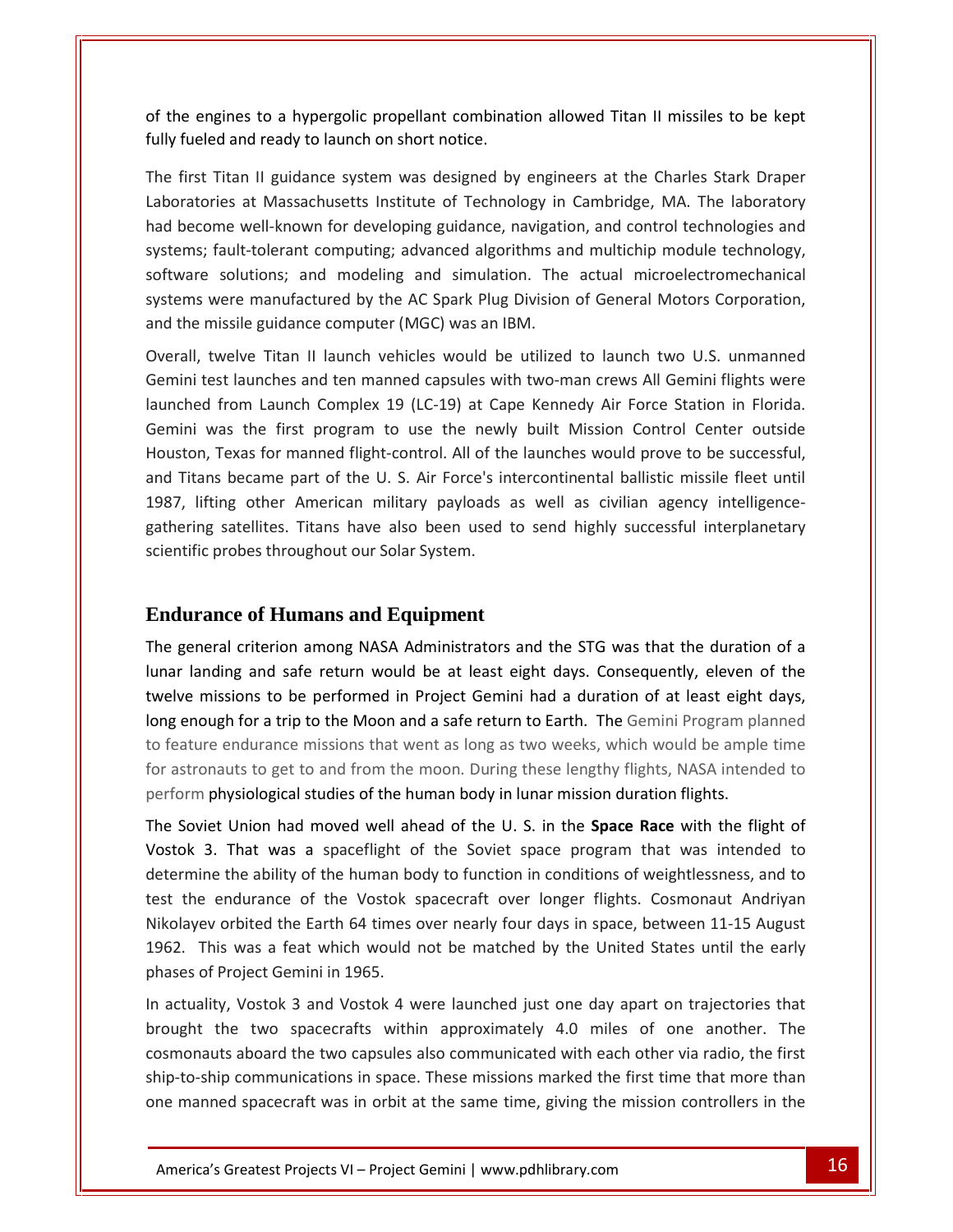the engines to <sup>a</sup> hypergolic propellant combination allowed Titan II missiles to be kept For the engines to a hypergolic propellant combinat<br>fully fueled and ready to launch on short notice. First Titan II guidance system was designed by engineers at the Charles Stark Draper<br>First Titan II guidance system was designed by engineers at the Charles Stark Draper is to a hypergolic propellant combination allowed Titan II missiles to be kept<br>nd ready to launch on short notice.<br>In II guidance system was designed by engineers at the Charles Stark Draper<br>at Massachusetts Institute of T of the er

he engines to a hypergolic propellant combination allowed Titan II missiles to be kept<br>fueled and ready to launch on short notice.<br>first Titan II guidance system was designed by engineers at the Charles Stark Draper<br>prator of the engines to a hypergolic propellant combination allowed Titan II missiles to be kept<br>fully fueled and ready to launch on short notice.<br>The first Titan II guidance system was designed by engineers at the Charles Stark I and ready to launch on short notice.<br>
The II guidance system was designed by engineers at the Charles Stark Draper<br>
es at Massachusetts Institute of Technology in Cambridge, MA. The laboratory<br>
The well-known for develop The first Titan II guidance system was designed by engineers at the Charles Stark Draper The first Titan II guidance system was designed by engineers at the Charles Stark Draper<br>Laboratories at Massachusetts Institute of Technology in Cambridge, MA. The laboratory<br>had become well-known for developing guidance, The mst Titali in guidance system was designed by engine<br>Laboratories at Massachusetts Institute of Technology in<br>had become well-known for developing guidance, navigati<br>systems; fault-tolerant computing; advanced algorith Imme well-known for developing guidance, navigation, and control technologies and<br>
fault-tolerant computing; advanced algorithms and multichip module technology,<br>
solutions; and modeling and simulation. The actual microele systems; fault-tolerant computing; advanced algorithms and multichip module technology, the solutions; and modeling and simulation. The actual microelectromechanical<br>tivere manufactured by the AC Spark Plug Division of General Motors Corporation,<br>missile guidance computer (MGC) was an IBM.<br>twelve Titan II lau software solutions; and modeling and simulation. The actual microelectromechanical<br>systems were manufactured by the AC Spark Plug Division of General Motors Corporation,<br>and the missile guidance computer (MGC) was an IBM.<br> and the missile guidance computer (MGC) was an IBM.

were manufactured by the AC Spark Plug Division of General Motors Corporation,<br>missile guidance computer (MGC) was an IBM.<br>twelve Titan II launch vehicles would be utilized to launch two U.S. unmanned<br>est launches and ten and the missile guidance computer (MGC) was an IBM.<br>
Overall, twelve Titan II launch vehicles would be utilized to launch two U.S. unmanned<br>
Gemini test launches and ten manned capsules with two-man crews All Gemini flight rall, twelve Titan II launch vehicles would be utilized to launch two U.S. unmanned<br>ini test launches and ten manned capsules with two-man crews All Gemini flights were<br>ched from Launch Complex 19 (LC-19) at Cape Kennedy A Overall, twelve Titan II launch vehicles would be utilized to launch two U.S. unmanned<br>Gemini test launches and ten manned capsules with two-man crews All Gemini flights were Gemini test launches and ten manned capsules with two-man crews All Gemini flights were<br>launched from Launch Complex 19 (LC-19) at Cape Kennedy Air Force Station in Florida.<br>Gemini was the first program to use the newly bu From Launch Complex 19 (LC-19) at Cape Kennedy Air Force Station in Florida.<br>
as the first program to use the newly built Mission Control Center outside<br>
Texas for manned flight-control. All of the launches would prove to launched from Launch Complex 19 (LC-19) at Cape Kennedy Air Force Station in Florida. From Edution Complex 15 (EC 15) at Ca<br>
vas the first program to use the newl<br>
Texas for manned flight-control. All of th<br>
is became part of the U. S. Air Force's ir<br>
ing other American military payloads<br>
satellites. Titans 1987, lifting other American military payloads as well as civilian agency intelligencegeneral criterion among NASA Administrators and the STG was that the duration of a<br>general criterion among NASA Administrators and the STG was that the duration of a gathering satellites. Titans have also been used to send highly successful interplanetary scientific probes throughout our Solar System.

### **Endurance of Humans and Equipment** to

landing satemes. Thans have also been used to send highly succession interplanetally<br>landing probes throughout our Solar System.<br>**Trance of Humans and Equipment**<br>eneral criterion among NASA Administrators and the STG was t lunar landing and safe return would be at least eight days. Consequently, eleven of the twelve missions to be performed in Project Gemini had a duration of at least eight days, urance of Humans and Equipment<br>
general criterion among NASA Administrators and the STG was that the duration of a<br>
Landing and safe return would be at least eight days. Consequently, eleven of the<br>
ve missions to be perfo **ndurance of Humans and Equipment**<br>e general criterion among NASA Administrators and the STG was that the duration of a<br>lar landing and safe return would be at least eight days. Consequently, eleven of the<br>elve missions to  $\mathbf{r}$ general criterion among NASA Administrators and the STG was that the duration of a<br>ar landing and safe return would be at least eight days. Consequently, eleven of the<br>lve missions to be performed in Project Gemini had a d  $\rho$ .  $\rho$ Fine general enterion among NASA Administrators and the 510 was that the duration<br>lunar landing and safe return would be at least eight days. Consequently, eleven<br>twelve missions to be performed in Project Gemini had a dur we missions to be performed in Project Gemini had a duration of at least eight days, enough for a trip to the Moon and a safe return to Earth. The Gemini Program planned ature endurance missions that went as long as two we long enough for a trip to the Moon and a safe return to Earth. The Gemini Program planned bugh for a trip to the Moon and a safe return to Earth. The Gemini Program planned<br>
in endurance missions that went as long as two weeks, which would be ample time<br>
bnauts to get to and from the moon. During these lengthy to feature endurance missions that went as long as two weeks, which would be ample time endurance missions that went as long as two weeks, which would be ample time<br>uts to get to and from the moon. During these lengthy flights, NASA intended to<br>ysiological studies of the human body in lunar mission duration f perform physiological studies of the human body in lunar mission duration flights.

for astronauts to get to and from the moon. During these lengthy flights, NASA intended to<br>perform physiological studies of the human body in lunar mission duration flights.<br>The Soviet Union had moved well ahead of the U.S hysiological studies of the human body in lunar mission duration flights.<br>
I Union had moved well ahead of the U.S. in the **Space Race** with the flight of<br>
That was a spaceflight of the Soviet space program that was intend  $\overline{a}$ inception and moved well ahead of the U.S. in the **Space Race** with the flight of 3. That was a spaceflight of the Soviet space program that was intended to ine the ability of the human body to function in conditions of we  $\frac{1}{2}$ 3. That was a spaceflight c<br>ine the ability of the human bo<br>e endurance of the Vostok<br>ev orbited the Earth 64 times<br>This was a feat which would<br>of Proiect Gemini in 1965. determine the ability of the human body to function in conditions of weightlessness, and to termine the ability of the human body to function in conditions of weightlessness, and to<br>it the endurance of the Vostok spacecraft over longer flights. Cosmonaut Andriyan<br>colayev orbited the Earth 64 times over nearly fou test the endurance of the Vostok spacecraft over longer flights. Cosmonaut Andriyan<br>
orbited the Earth 64 times over nearly four days in space, between 11-15 August<br>
is was a feat which would not be matched by the United States unt Nikolayev orbited the Earth 64 times over nearly four days in space, between 11-15 August<br>1962. This was a feat which would not be matched by the United States until the early<br>phases of Project Gemini in 1965.<br>In actuality 1962. This was a feat which would not be matched by the United States until the early phases of Project Gemini in 1965.

cosmonauts aboard the two capsules also communicated with each other via radio, the first v, Vostok 3 and Vostok 4 were launched just one day apart on trajectories that<br>he two spacecrafts within approximately 4.0 miles of one another. The<br>s aboard the two capsules also communicated with each other via radio, t was a feat which would not be matched by the United States until the early<br>
oject Gemini in 1965.<br>
Vostok 3 and Vostok 4 were launched just one day apart on trajectories that<br>
e two spacecrafts within approximately 4.0 mil In actuality, Vostok 3 and Vostok 4 were launched just one day apart on trajectories that<br>brought the two spacecrafts within approximately 4.0 miles of one another. The<br>cosmonauts aboard the two capsules also communicated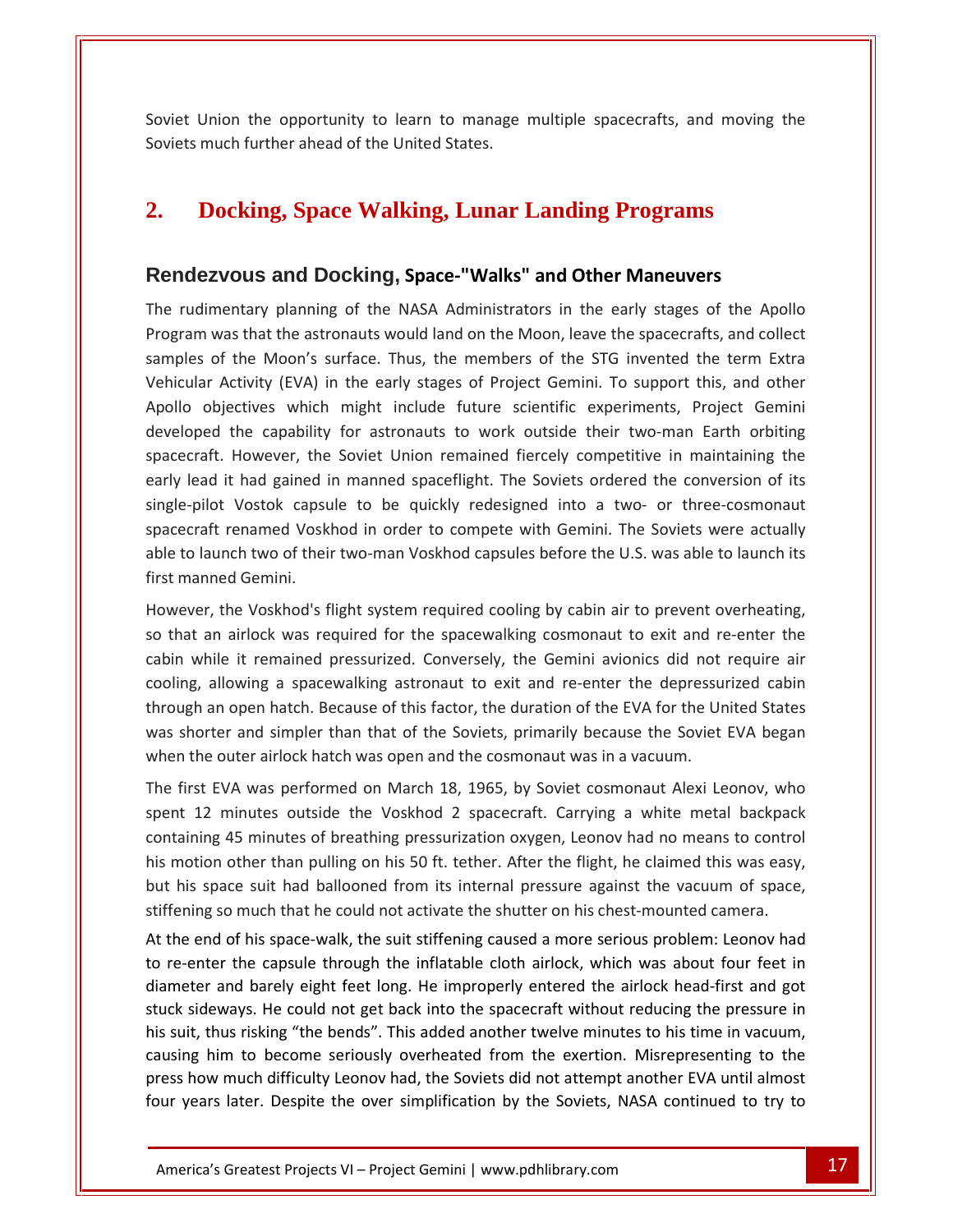Union the opportunity to learn to manage multiple spacecrafts, and moving the Soviet Union the opportunity to learn to manage multiple spacecrafts, and moving the Soviets much further ahead of the United States. **Relative Soviet Union the opportunity to learn to manage multiple spacecrafts, and moving<br>
<b>Rendezvous and Docking, Space-"Walks" and Other Maneuvers**<br> **Rendezvous and Docking, Space-"Walks" and Other Maneuvers** 

### **2. Docking, Space Walking, Lunar Landing Programs Docking, Space Walking, Lunar Landing Programs<br>
Indezvous and Docking, Space-"Walks" and Other Maneuvers<br>
Indimentary planning of the NASA Administrators in the early stages of the Apollo**  $2<sub>r</sub>$  $\blacksquare$ samples in  $\blacksquare$

#### Rendezvous and Docking, Space-"Walks" and Other Maneuvers

**Oocking, Space Walking, Lunar Landing Programs<br>Evous and Docking, Space-"Walks" and Other Maneuvers<br>mentary planning of the NASA Administrators in the early stages of the Apollo<br>was that the astronauts would land on the M Existing, Space Wanking, Editate Earting 1 tograms**<br>**Exocus and Docking, Space-"Walks" and Other Maneuvers**<br>mentary planning of the NASA Administrators in the early stages of the Apollo<br>was that the astronauts would land **vous and Docking, Space-"Walks" and Other Maneuvers**<br>entary planning of the NASA Administrators in the early stages of the Apollo<br>vas that the astronauts would land on the Moon, leave the spacecrafts, and collect<br>f the Mo **Example 22 Syous and Docking, Space-"Walks" and Other Maneuvers**<br>imentary planning of the NASA Administrators in the early stages of the Apollo<br>i was that the astronauts would land on the Moon, leave the spacecrafts, and  $\mathbb{R}^d$ Intary planning of the NASA Administrators in the early stages of the Apollo<br>In that the astronauts would land on the Moon, leave the spacecrafts, and collect<br>the Moon's surface. Thus, the members of the STG invented the t space comments However, the Soviet Union remained fiercely competitive in maintaining the Soviet Union remained fiercely stages of the STG invented the term Extra ctivity (EVA) in the early stages of Project Gemini. To support this, and early<br>E lead it had gained in manned spaceflight. The Soviets ordered the conversion of its Moon's surface. Thus, the members of the STG invented the term Extra ular Activity (EVA) in the early stages of Project Gemini. To support sampics or EVA) in the early stages of Project Gemini. To support this, and other<br>ctives which might include future scientific experiments, Project Gemini<br>the capability for astronauts to work outside their two-man Earth orbiting<br>How  $\sum_{i=1}^{n}$ rectives which might include future scientific experiments, Project Gemini<br>the capability for astronauts to work outside their two-man Earth orbiting<br>However, the Soviet Union remained fiercely competitive in maintaining t Apollo objectives which might include future scientific experiments, Project Gemini to objectives which hight metade facate selentine experiments, Froject defiling<br>loped the capability for astronauts to work outside their two-man Earth orbiting<br>ecraft. However, the Soviet Union remained fiercely competiti developed the capability for astronauts to work outside their two-man Earth orbiting<br>spacecraft. However, the Soviet Union remained fiercely competitive in maintaining the spacecraft. However, the<br>early lead it had gained<br>single-pilot Vostok capsu<br>spacecraft renamed Vosk<br>able to launch two of thei<br>first manned Gemini. early lead it had gained in manned spaceflight. The Soviets ordered the conversion of its<br>single-pilot Vostok capsule to be quickly redesigned into a two- or three-cosmonaut<br>spacecraft renamed Voskhod in order to compete w gle-pilot Vostok capsule to be quickly redesigned into a two- or three-cosmonaut<br>cecraft renamed Voskhod in order to compete with Gemini. The Soviets were actually<br>e to launch two of their two-man Voskhod capsules before t spacecraft renamed Voskhod in order to compete with Gemini. The Soviets were actually<br>able to launch two of their two-man Voskhod capsules before the U.S. was able to launch its<br>first manned Gemini.<br>However, the Voskhod's able to launch two of their two-man Voskhod capsules before the U.S. was able to launch its first manned Gemini.

allowing a spacewalking astronaut to exit and re-enter the depressurized cabin<br>allowing a spacewalking cosmonaut to exit and re-enter the<br>allowing a spacewalking astronaut to exit and re-enter the<br>allowing a spacewalking a r, the Voskhod's flight system required cooling by cabin air to prevent overheating,<br>an airlock was required for the spacewalking cosmonaut to exit and re-enter the<br>nile it remained pressurized. Conversely, the Gemini avio wasever, the Voskhod's flight system required cooling by cabin air to prevent overheating,<br>
at an airlock was required for the spacewalking cosmonaut to exit and re-enter the<br>
1 while it remained pressurized. Conversely, the inowe the outer airlock was required for the spacewalking cosmonaut to exit and reabin while it remained pressurized. Conversely, the Gemini avionics did not cooling, allowing a spacewalking astronaut to exit and re-enter the de In while it remained pressurized. Conversely, the Gemini avionics did not require air<br>
ing, allowing a spacewalking astronaut to exit and re-enter the depressurized cabin<br>
ugh an open hatch. Because of this factor, the dur cooling, allowing a spacewalking astronaut to exit and re-enter the depressurized cabin<br>through an open hatch. Because of this factor, the duration of the EVA for the United States<br>was shorter and simpler than that of the through an open hatch. Because of this factor, the duration of the EVA for the United States open hatch. Because of this factor, the duration of the EVA for the United States<br>
r and simpler than that of the Soviets, primarily because the Soviet EVA began<br>
uter airlock hatch was open and the cosmonaut was in a vacu was shorter and simpler than that of the Soviets, primarily because the Soviet EVA began

was shorter and simpler than that of the Soviets, primarily because the Soviet EVA began<br>when the outer airlock hatch was open and the cosmonaut was in a vacuum.<br>The first EVA was performed on March 18, 1965, by Soviet cos when the outer airlock hatch was open and the cosmonaut was in a vacuum.<br>The first EVA was performed on March 18, 1965, by Soviet cosmonaut Alexi Leonov, who<br>spent 12 minutes outside the Voskhod 2 spacecraft. Carrying a wh The first EVA was performed on March 18, 1965, by Soviet cosmonaut Alexi Leonov, who<br>spent 12 minutes outside the Voskhod 2 spacecraft. Carrying a white metal backpack<br>containing 45 minutes of breathing pressurization oxyg end 12 minutes outside the Voskhod 2 spacecraft. Carrying a white metal backpack<br>
taining 45 minutes of breathing pressurization oxygen, Leonov had no means to control<br>
motion other than pulling on his 50 ft. tether. After containing 45 minutes of breathing pressurization oxygen, Leonov had no means to control re-enter the capsule through the inflatable cloth airlock, which was about four feet in<br>the capsule that pulling on his 50 ft. tether. After the flight, he claimed this was easy,<br>this space suit had ballooned from its inte diameter and barely eight feet long. He improperly entered the airlock head-first and got<br>diameter and ballooned from its internal pressure against the vacuum of space,<br>stiffening so much that he could not activate the shu ns m<br>. but his space suit had ballooned from its internal pressure against the vacuum of space, stiffening so much that he could not activate the shutter on his chest-mounted camera.

his suit, thus risking "the bends". This added another twelve minutes to his time in vacuum, causing him to become seriously overheated from the exertion. Misrepresenting to the ways. He could not get back into the spacecraft without reducing the pressure in<br>
us risking "the bends". This added another twelve minutes to his time in vacuum,<br>
m to become seriously overheated from the exertion. Misrep sideways. He could not get back into the spacecraft without reducing the pressure in<br>sing so much that he could not activate the shutter on his chest-mounted camera.<br>Figures in the space-walk, the suit stiffening caused a suit ins space suit had bandoned from its internal pressure against the vacuum of space,<br>stiffening so much that he could not activate the shutter on his chest-mounted camera.<br>At the end of his space-walk, the suit stiffen nd of his space-walk, the suit stiffening caused a more serious problem: Leonov had<br>ter the capsule through the inflatable cloth airlock, which was about four feet in<br>r and barely eight feet long. He improperly entered the At the end of his space-walk, the suit stiffening caused a more serious problem: Leonov had e end of his space-walk, the suit stiffening caused a more serious problem: Leonov had<br>enter the capsule through the inflatable cloth airlock, which was about four feet in<br>ter and barely eight feet long. He improperly ente to re-enter the capsule through the inflatable cloth airlock, which was about four feet in enter the capsule through the inflatable cloth airlock, which was about four feet in<br>eter and barely eight feet long. He improperly entered the airlock head-first and got<br>sideways. He could not get back into the spacecraft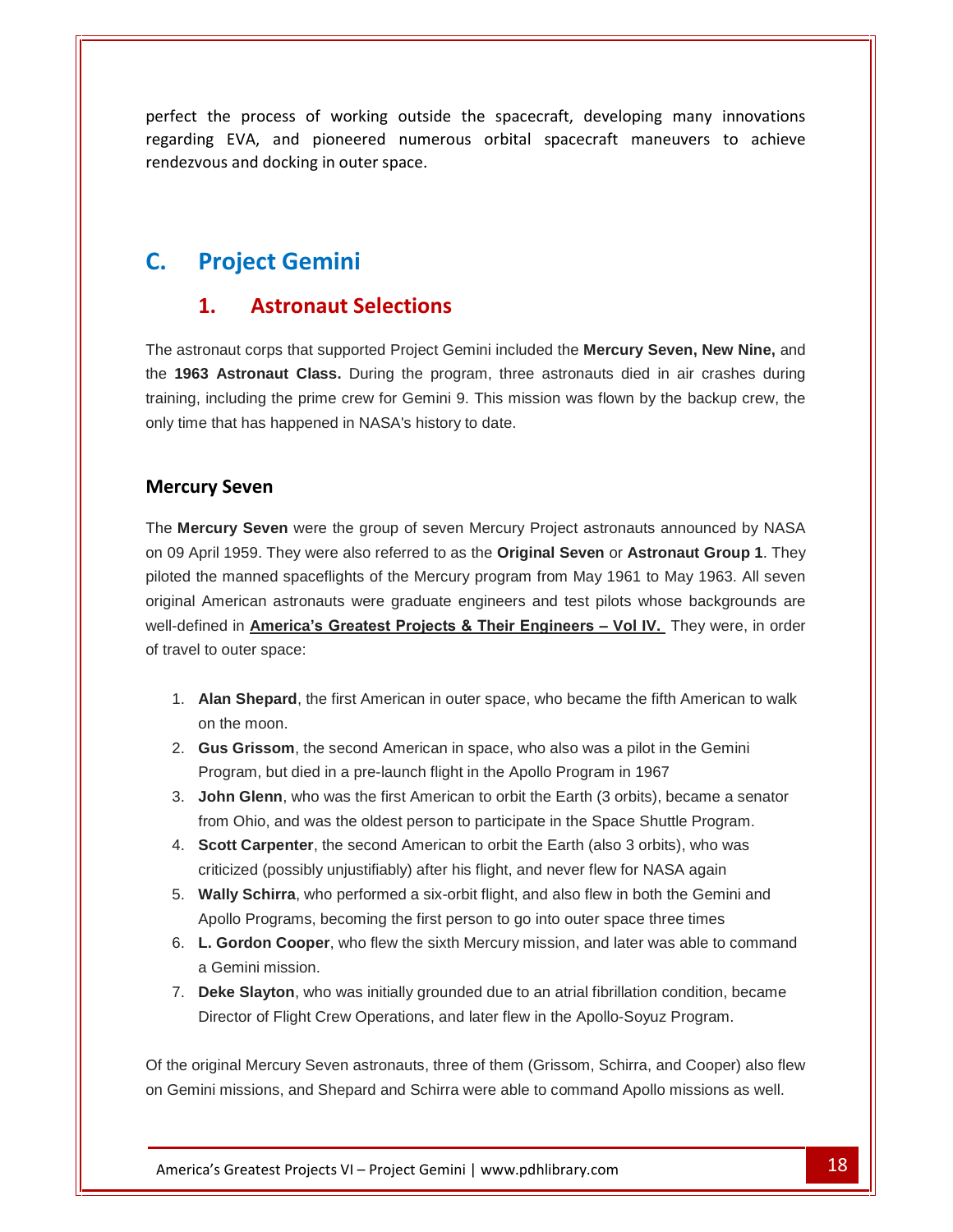the process of working outside the spacecraft, developing many innovations EVA, and pioneered numerous orbital spacecraft, developing many innovations<br>EVA, and pioneered numerous orbital spacecraft maneuvers to achieve and docking in outer space. the process of working o<br>
ng EVA, and pioneered n<br>
vous and docking in outer spa<br> **Project Gemini 1.**rocess or working outside the spa $A$ , and pioneered numerous orbited docking in outer space.<br>**CCT Gemini**<br>**Astronaut Selections** 

### C.

rendezvous

#### 1.

The astronaut corps that supported Project Gemini included the **Mercury Seven, New Nine,** and the **1963 Astronaut Class.** During the program, three astronauts died in aircrashes during training, including the prime crew for Gemini 9. This mission was flown by the backup crew, the The astronaut corps that supported Project Gemini included<br>the **1963 Astronaut Class.** During the program, three a<br>training, including the prime crew for Gemini 9. This mission<br>only time that has happened in NASA's history aut corps that suppo<br>**Astronaut Class.**<br>Iluding the prime creat has happened in<br>**Seven** 

The **Mercury Seven** were the group of seven Mercury Project astronauts announced by NASA on 09 April 1959. They were also referred to as the **Original Seven** or **Astronaut Group 1**. They piloted the manned spaceflights of the Mercury program from May 1961 to May 1963. All seven original American astronauts were graduate engineers and test pilots whose backgrounds are well-defined in **Americaís Greatest Projects & Their Engineers <sup>ñ</sup> Vol IV.** They were, in order of travel to outer space:

- 1. **Alan Shepard**, the first American in outer space, who became the fifth American to walk on the moon.
- 2. **Gus Grissom**, the second American in space, who also was a pilot in the Gemini Program, but died in a pre-launch flight in the Apollo Program in 1967
- 3. **John Glenn**, who was the first American to orbit the Earth (3 orbits), became a senator from Ohio, and was the oldest person to participate in the Space Shuttle Program.
- 4. **Scott Carpenter**, the second American to orbit the Earth (also 3 orbits), who was criticized (possibly unjustifiably) after his flight, and never flew for NASA again
- 5. **Wally Schirra**, who performed a six-orbit flight, and also flew in both the Gemini and Apollo Programs, becoming the first person to go into outer space three times
- 6. **L. Gordon Cooper**, who flew the sixth Mercury mission, and later was able to command a Gemini mission.
- 7. **Deke Slayton**, who was initially grounded due to an atrialfibrillation condition, became Director of Flight Crew Operations, and later flew in the Apollo-Soyuz Program.

Greatest Projects VI – Project Gemini | www.pdhlibrary.com **18**<br>Greatest Projects VI – Project Gemini | www.pdhlibrary.com 18<br>18 Of the original Mercury Seven astronauts, three of them (Grissom, Schirra, and Cooper) also flew on Gemini missions, and Shepard and Schirra were able to command Apollo missions as well.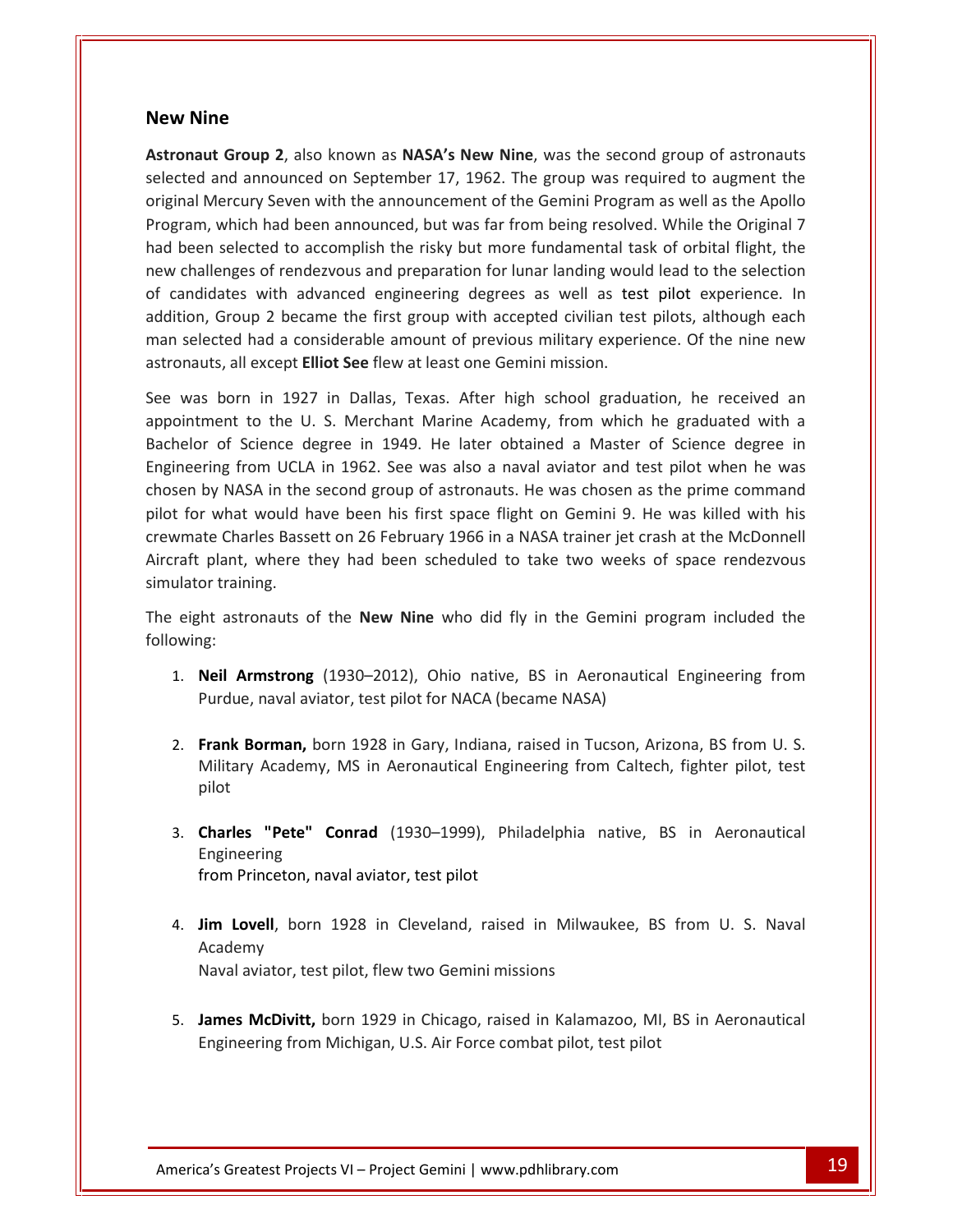# **Nine New Nine**

selected and the control of

 **Group <sup>2</sup>**, also known as **NASAís New Nine**, was the second group of astronauts and announced on September 17, 1962. The group was required to augment the same announced on September 17, 1962. The group was required to augment the ine<br>
ut Group 2, also known as NASA's New Nine, was the second group of astronauts<br>
and announced on September 17, 1962. The group was required to augment the<br>
Mercury Seven with the announcement of the Gemini Program as w **Example:**<br> **Example 2.** The second group of astronauts<br> **Example announced on September 17, 1962. The group was required to augment the**<br> **Example 18. The Original 7 Second 19. The Original 7 Second 7 Second 2. While the v Nine**<br> **onaut Group 2**, also known as **NASA's New Nine**, was the second group of astronauts<br>
tted and announced on September 17, 1962. The group was required to augment the<br>
nal Mercury Seven with the announcement of th **Shallenges of rendezvous and preparation for lunar landing would lead to the selection**<br>thal Mercury Seven with the announcement of the Gemini Program as well as the Apollo<br>ram, which had been announced, but was far from Astronaut Group 2, also known as NASA's New Nine, was the second group of astronauts ronaut Group 2, also known as NASA's New Nine, was the second group of astronauts<br>ected and announced on September 17, 1962. The group was required to augment the<br>ginal Mercury Seven with the announcement of the Gemini Pro selected and announced on September 17, 1962. The group was required to augment the and announced on September 17, 1962. The group was required to augment the<br>lercury Seven with the announcement of the Gemini Program as well as the Apollo<br>which had been announced, but was far from being resolved. While th original Mercury Seven with the announcement of the Gemini Program as well as the Apollo nal Mercury Seven with the announcement of the Gemini Program as well as the Apollo<br>
ram, which had been announced, but was far from being resolved. While the Original 7<br>
been selected to accomplish the risky but more fund Program, which had been announced, but was far from being resolved. While the Original 7 had been selected to accomplish the risky but more fundamental task of orbital flight, the new challenges of rendezvous and preparation for lunar landing would lead to the selection challenges of rendezvous and preparation for lunar landing would lead to the selection<br>andidates with advanced engineering degrees as well as test pilot experience. In<br>ion, Group 2 became the first group with accepted civi of candidates with advanced engineering degrees as well as test pilot experience. In with advanced engineering degrees as well as test pilot experience. In<br>up 2 became the first group with accepted civilian test pilots, although each<br>had a considerable amount of previous military experience. Of the nine ne addition, Group 2 became the first group with accepted civilian test pilots, although each Group 2 became the first group with accepted civilian test pilots, although each<br>ted had a considerable amount of previous military experience. Of the nine new<br>s, all except **Elliot See** flew at least one Gemini mission.<br>b man selected had a considerable amount of previous military experience. Of the nine new astronauts, all except Elliot See flew at least one Gemini mission.

from details a considerable amount of previous military experience. Of the nine new<br>Ill except **Elliot See** flew at least one Gemini mission.<br>The in 1927 in Dallas, Texas. After high school graduation, he received and to t by NASA in the second group of astronauts. He was chosen as the prime comment to the U.S. Merchant Marine Academy, from which he graduated with a r of Science degree in 1949. He later obtained a Master of Science degree in was born in 1927 in Dallas, Texas. After high school graduation, he received an<br>intment to the U. S. Merchant Marine Academy, from which he graduated with a<br>elor of Science degree in 1949. He later obtained a Master of Sci See was born in 1927 in Dallas, Texas. After high school graduation, he received an born in 1927 in Dallas, Texas. After high school graduation, he received an<br>
int to the U.S. Merchant Marine Academy, from which he graduated with a<br>
of Science degree in 1949. He later obtained a Master of Science degree appointment to the U.S. Merchant Marine Academy, from which he graduated with a ment to the U. S. Merchant Marine Academy, from which he graduated with a<br>
of Science degree in 1949. He later obtained a Master of Science degree in<br>
ring from UCLA in 1962. See was also a naval aviator and test pilot whe Bachelor Bachelor of Science d<br>Engineering from UCL/<br>chosen by NASA in the<br>pilot for what would l<br>crewmate Charles Bass<br>Aircraft plant, where<br>simulator training. en by NASA in the second group of astronauts. He was chosen as the prime command<br>for what would have been his first space flight on Gemini 9. He was killed with his<br>mate Charles Bassett on 26 February 1966 in a NASA traine ,<br>nilot for , raft plant, **Neil Armstrong** (1930–2012), Ohio native, BS in Aeronautical Engineering from

where they had been scheduled to take two weeks<br>ng.<br>nauts of the **New Nine** who did fly in the Gemini<br>**nstrong** (1930–2012), Ohio native, BS in Aeronaut<br>naval aviator. test pilot for NACA (became NASA) The eight astronauts of the New Nine who did fly in the Gemini program included the following:

- Find astronauts of the **New Nine** who did fly in the Gemini program included the<br> **Neil Armstrong** (1930–2012), Ohio native, BS in Aeronautical Engineering from<br>
Purdue, naval aviator, test pilot for NACA (became NASA)<br> **F** Matic of the field time this time in the centric program includes the<br> **nstrong** (1930–2012), Ohio native, BS in Aeronautical Engineering from<br> **naval aviator**, test pilot for NACA (became NASA)<br> **rman,** born 1928 in Gary,
- Purdue, naval aviator, test pilot for NACA (became NASA)<br> **Frank Borman,** born 1928 in Gary, Indiana, raised in Tucson, Arizona, BS from U. S.<br>
Military Academy, MS in Aeronautical Engineering from Caltech, fighter pilot, Frank Borman, born 1928 in Gary, Indiana, r<br>Military Academy, MS in Aeronautical Engin<br>pilot<br>Charles "Pete" Conrad (1930–1999), Phi<br>Engineering<br>from Princeton, naval aviator, test pilot
- pilot<br>**Charles "Pete" Conrad** (1930–1999), Philadelphia native, BS in Aeronautical<br>Engineering<br>**Jim Lovell**, born 1928 in Cleveland, raised in Milwaukee, BS from U. S. Naval 3. Charles "Pete" Conrad (1930-1999), Philadelphia native, BS in Aeronautical
- is "Pete" Conrad (1930–1999), Philadelphia n<br>Pering<br>Princeton, naval aviator, test pilot<br>Directon, flex in Cleveland, raised in Milwau<br>my<br>aviator, test pilot, flew two Gemini missions **Jim Lovell**, born 1928 in Cleveland, raised in Milwaukee, BS from U. S. Naval<br>Academy<br>Naval aviator, test pilot, flew two Gemini missions<br>**James McDivitt**. born 1929 in Chicago, raised in Kalamazoo, MI, BS in Aeronautical born 1928 in Cleveland, raised in Milwaukee, BS<br>r, test pilot, flew two Gemini missions<br>**vitt**, born 1929 in Chicago, raised in Kalamazoo, MI,<br>from Michigan. U.S. Air Force combat pilot. test pilot
- Engineering from Michigan, U.S. Air Force combat pilot, test pilot **INCOLUTE ANTIFY:** The McDivitt, born 1929 in Chicago, raised in Kalamazoo, MI, BS in Aeronautical<br>
Ineering from Michigan, U.S. Air Force combat pilot, test pilot<br>
Greatest Projects VI – Project Gemini | www.pdhlibrary.co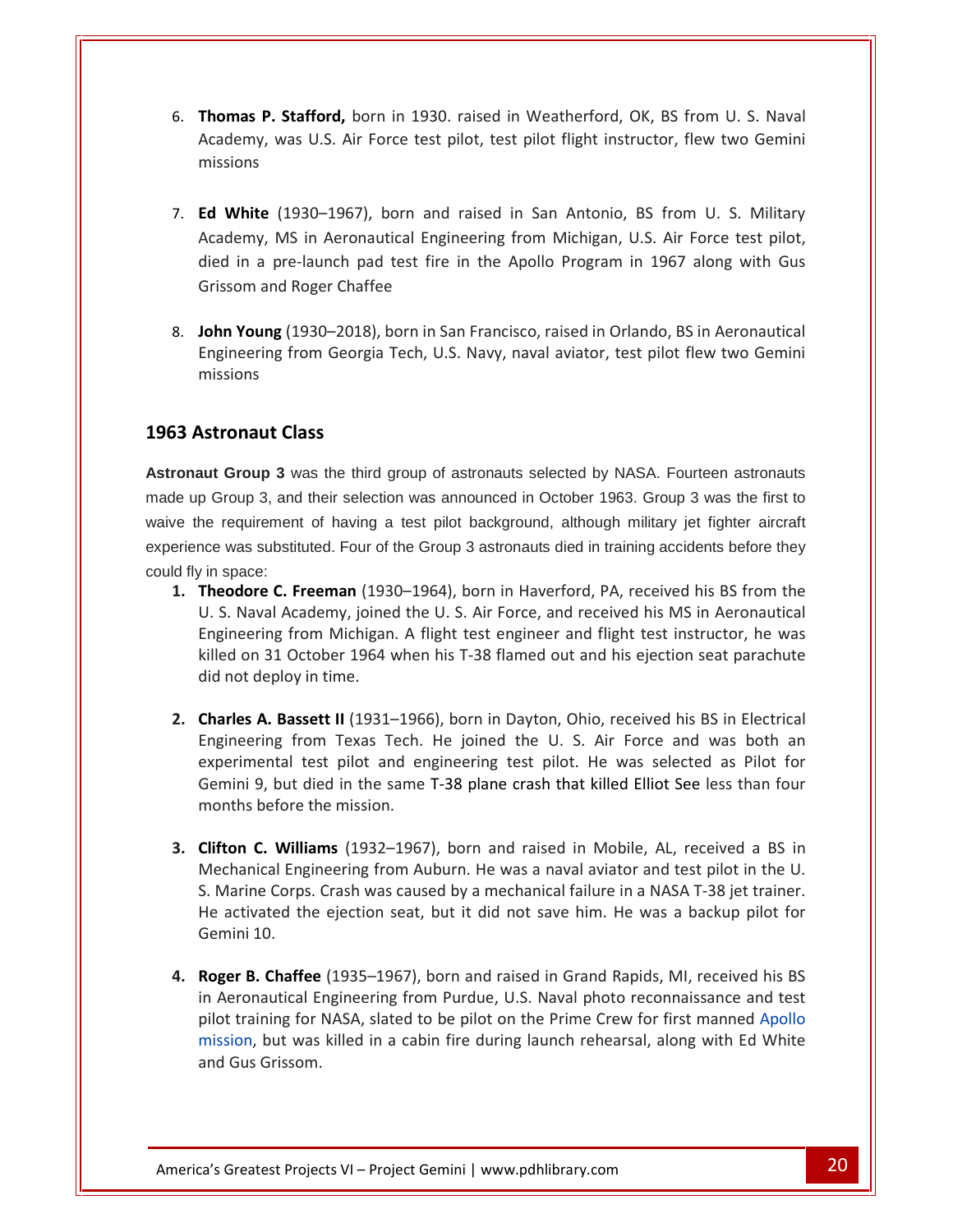- **Thomas P. Stafford,** born in 1930. raised in Weatherford, OK, BS from U. S. Naval **Example 2018 Stafford, born in 1930.** raised in Weatherford, OK, BS from U. S. Naval<br>Was U.S. Air Force test pilot, test pilot flight instructor, flew two Gemini **Thomas P. Stafford,** born in 1930. raised in Weatherford, OK, BS from U. S. Naval<br>Academy, was U.S. Air Force test pilot, test pilot flight instructor, flew two Gemini<br>missions<br>**Ed White** (1930–1967), born and raised in S 6. Thomas P. Stafford, born in 1930. raised in Weatherford, OK, BS from U. S. Naval **Thomas P. Stafford,** born in 1930. raised in Weatherford, OK, BS from U. S. Naval<br>Academy, was U.S. Air Force test pilot, test pilot flight instructor, flew two Gemini<br>missions<br>**Ed White** (1930–1967), born and raised in S Academy, was U.S. Air Force test pilot, test pilot flight instructor, flew two Gemini missions
- in a pre-launch pad test fire in the Apollo Program in 1967 along with Gus<br>in a pre-launch pad test fire in the Apollo Program in 1967 along with Gus<br>in a pre-launch pad test fire in the Apollo Program in 1967 along with G e (1930–1967), born and<br>
e (1930–1967), born and<br>
t, MS in Aeronautical Engir<br>
a pre-launch pad test fire<br>
and Roger Chaffee 7 **Ed White** (1930–1967), born and raised in San Antonio, BS from U. S. Military<br>Academy, MS in Aeronautical Engineering from Michigan, U.S. Air Force test pilot,<br>died in a pre-launch pad test fire in the Apollo Program in 1 Ed White ( 1930–1967), born and raised in San Antonio, BS from U. S. Military<br>
IS in Aeronautical Engineering from Michigan, U.S. Air Force test pilot,<br>
e-launch pad test fire in the Apollo Program in 1967 along with Gus<br>
Roger Chaff Academy
- Grissom and Roger Chaffe<br> **John Young** (1930–2018),<br>
Engineering from Georgia<br>
missions<br> **Astronaut Class**

missions

**Astronaut Group 3** was the third group of astronauts selected by NASA. Fourteen astronauts U.made up Group 3, and their selection was announced in October 1963. Group 3 was the first to waive the requirement of having a test pilot background, although military jet fighter aircraft experience was substituted. Four of the Group 3 astronauts died in training accidents before they could fly in space: **Theodore C. Freeman** (1930–1964), born in Haverford, PA, received his BS from the state of the direction was announced in October 1963. Group 3 was the first to the requirement of having a test pilot background, although **Group 3** was the third group of astronauts selected by NASA. Fourteen astronauts Sroup 3, and their selection was announced in October 1963. Group 3 was the first to requirement of having a test pilot background, although nd their selection was announced in October 1963. Group 3 was the first to<br>ent of having a test pilot background, although military jet fighter aircraft<br>tituted. Four of the Group 3 astronauts died in training accidents be he re

- quirement of having a test pilot background, although military jet fighter aircraft<br>as substituted. Four of the Group 3 astronauts died in training accidents before they<br>ace:<br>**lore C. Freeman** (1930–1964), born in Haverfor 1. Theodore C. Freeman (1930-1964), born in Haverford, PA, received his BS from the Theodore C. Freeman (1930–1964), born in Haverford, PA, received his BS from the U. S. Naval Academy, joined the U. S. Air Force, and received his MS in Aeronautical Engineering from Michigan. A flight test engineer and fl U. S. Naval Academy, joined the U. S. Air Force, and received his MS in Aeronautical Framm (2000 Level,), and received his MS in Aeronautical<br>cademy, joined the U. S. Air Force, and received his MS in Aeronautical<br>from Michigan. A flight test engineer and flight test instructor, he was<br>Dctober 1964 when hi Engineering from Michigan. A flight test engineer and flight test instructor, he was<br>killed on 31 October 1964 when his T-38 flamed out and his ejection seat parachute<br>did not deploy in time.<br>**Charles A. Bassett II** (1931– killed on 31 October 1964 when his T-38 flamed out and his ejection seat parachute did not deploy in time.
- 9, but died in the same T-38 flamed out and his ejection seat parachute<br>deploy in time.<br> **A. Bassett II** (1931–1966), born in Dayton, Ohio, received his BS in Electrical<br>
ring from Texas Tech. He joined the U. S. Air Force did not deploy in time.<br> **2. Charles A. Bassett II** (1931–196<br>
Engineering from Texas Tech.<br>
experimental test pilot and er<br>
Gemini 9, but died in the same<br>
months before the mission. **Charles A. Bassett II** (1931–1966), born in Dayton, Ohio, received his BS in Electrical<br>Engineering from Texas Tech. He joined the U. S. Air Force and was both an<br>experimental test pilot and engineering test pilot. He was Engineering from Texas Tech. He joined the U. S. Air Force and was both an Engineering from Texas Tech. He joined the U. S. Air Force and was both an experimental test pilot and engineering test pilot. He was selected as Pilot for Gemini 9, but died in the same T-38 plane crash that killed Elliot Experimental test pilot and engineering test pilot. He was selected as Pilot for<br>Gemini 9, but died in the same T-38 plane crash that killed Elliot See less than four<br>months before the mission.<br>**Clifton C. Williams** (1932– Gemini 9, but died in the same T-38 plane crash that killed Elliot See less than four months before the mission.
- mini 9, but died in the same T-38 plane crash that killed Elliot See less than four<br>nths before the mission.<br>**ton C. Williams** (1932–1967), born and raised in Mobile, AL, received a BS in<br>chanical Engineering from Auburn. **3. Clifton C. Williams** (1932–1967), born and raised in Mobile, AL, received a BS in **Clifton C. Williams** (1932–1967), born and raised in Mobile, AL, received a BS in Mechanical Engineering from Auburn. He was a naval aviator and test pilot in the U.<br>S. Marine Corps. Crash was caused by a mechanical failu Mechanical Engineering from Auburn. He was a naval aviator and test pilot in the U. Exploration Engineering from Auburn. He was a naval aviator and test pilot in the U.<br>
Marine Corps. Crash was caused by a mechanical failure in a NASA T-38 jet trainer.<br>
activated the ejection seat, but it did not save him S. Marine Corps. Crash was caused by a mechanical failure in a NASA T-38 jet trainer. The Corps. Crash was caused by a mechanical failure in a NASA T-38 jet trainer.<br>
tivated the ejection seat, but it did not save him. He was a backup pilot for<br>
ni 10.<br> **r B. Chaffee** (1935–1967), born and raised in Grand R He activated the ejection seat, but it did not save him. He was a backup pilot for Gemini 10.
- mission, but was killed in a cabin fire during launch rehearsal, along with Ed White Greatest Projects VI – Project Gemini | www.pdhlibrary.com 20 but was killed in a cabin fire during launch rehearsal, along with Ed White<br> **Chaffee** (1935–1967), born and raised in Grand Rapids, MI, received his BS<br>
autical Engineering from Purdue, U.S. Naval photo reconnaissance and **4. Roger B. Chaffee** (1935–1967), born and raised in Grand Rapids, MI, received his BS in Aeronautical Engineering from Purdue, U.S. Naval photo reconnaissance and test pilot training for NASA, slated to be pilot on the P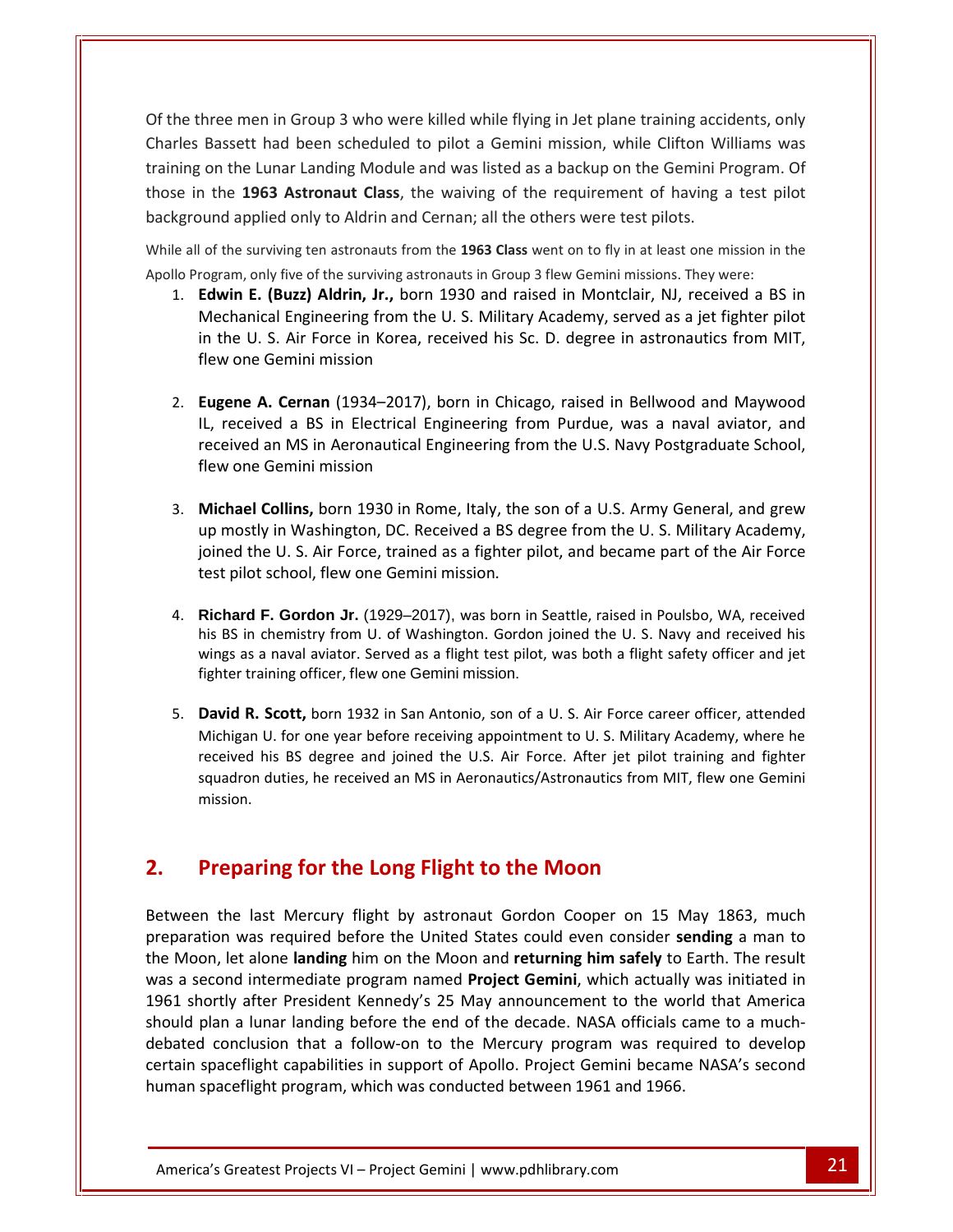the three men in Group 3 who were killed while flying in Jet plane training accidents, only Bassett had been scheduled to pilot a Gemini mission, while Clifton Williams was<br>Bassett had been scheduled to pilot a Gemini mission, while Clifton Williams was on the Lunar Landing Module and was listed as a backup on the Gemini Program. Of<br>the Lunar Landing Module and was listed as a backup on the Gemini Program. Of<br>the Lunar Landing Module and was listed as a backup on the Gemi three men in Group 3 who were killed while flying in Jet plane training accidents, only<br>s Bassett had been scheduled to pilot a Gemini mission, while Clifton Williams was<br>g on the Lunar Landing Module and was listed as a b Of the three men in Group 3 who were killed while flying in Jet plane training acci<br>Charles Bassett had been scheduled to pilot a Gemini mission, while Clifton W<br>training on the Lunar Landing Module and was listed as a bac Charles Bassett had been scheduled to pilot a Gemini mission, while Clifton Williams was<br>training on the Lunar Landing Module and was listed as a backup on the Gemini Program. Of<br>those in the **1963 Astronaut Class**, the wa Training on the Lunar Landing Module and was listed as a backup on the Gemini Program.<br>
those in the 1963 Astronaut Class, the waiving of the requirement of having a test pi<br>
background applied only to Aldrin and Cernan; a **Example 1963 External Class**, the waiving of the requirement of having a test pilot<br>
bund applied only to Aldrin and Cernan; all the others were test pilots.<br> **allet also also also and the surviving ten astronauts from**  $\frac{1}{100}$ Entranting medate and mas insected as a standarp on the demining regioning of<br>Astronaut Class, the waiving of the requirement of having a test pilot<br>I only to Aldrin and Cernan; all the others were test pilots.<br>Ing ten ast in

training

Apollo Program, only five of the surviving astronauts in Group 3 flew Gemini missions. They were:

- The L303 Astronauticiass, the warving of the Fequinement of having a test phot<br>
U. S. Additional Cernan; all the others were test pilots.<br>
I of the surviving ten astronauts from the 1963 Class went on to fly in at least on applied only to Aldrin and Ce<br>e surviving ten astronauts from t<br>m, only five of the surviving astron<br>**n E. (Buzz) Aldrin, Jr.,** born<br>nanical Engineering from the<br>e U. S. Air Force in Korea, re<br>one Gemini mission rogram, only five of the surviving astronauts in Group 3 flew Gemini missions. They were:<br> **Edwin E. (Buzz) Aldrin, Jr.,** born 1930 and raised in Montclair, NJ, received a BS in<br>
Mechanical Engineering from the U. S. Milit 1. Edwin E. (Buzz) Aldrin, Jr., born 1930 and raised in Montclair, NJ, received a BS in win E. (Buzz) Aldrin, Jr., born 1930 and raised in Montclair, NJ, received a BS in<br>chanical Engineering from the U. S. Military Academy, served as a jet fighter pilot<br>the U. S. Air Force in Korea, received his Sc. D. degre Mechanical Engineering from the U.S. Military Academy, served as a jet fighter pilot<br>in the U.S. Air Force in Korea, received his Sc. D. degree in astronautics from MIT,<br>flew one Gemini mission<br>**Eugene A. Cernan** (1934–201
- e U. S. Air Force in Korea, re<br>one Gemini mission<br>**ne A. Cernan** (1934–2017), k<br>eceived a BS in Electrical En<br>ved an MS in Aeronautical En<br>one Gemini mission **Eugene<br>IL, recei<br>receivec<br>flew one<br>Michael A. Cernan** (1934–2017), born in Chicago, raised in Bellwood and Maywood<br>
ved a BS in Electrical Engineering from Purdue, was a naval aviator, and<br>
an MS in Aeronautical Engineering from the U.S. Navy Postgraduate School,<br> e., gene A. Cernan (1934–2017), born in Chicago, raised in Bellwood and Maywood<br>received a BS in Electrical Engineering from Purdue, was a naval aviator, and<br>eived an MS in Aeronautical Engineering from the U.S. Navy Postgradu IL, received a BS in Electrical Engineering from Purdue, was a naval aviator, and Eived a BS in Electrical Engineering from Purdue, was a naval aviator, and<br>ed an MS in Aeronautical Engineering from the U.S. Navy Postgraduate School,<br>ne Gemini mission<br>el Collins, born 1930 in Rome, Italy, the son of a U  $\frac{1}{\sqrt{2}}$
- Franceived an MS in Aeronautical Engineering franceived an MS in Aeronautical Engineering franceived and S.<br>1. **Michael Collins, born 1930** in Rome, Italy, the up mostly in Washington, DC. Received a BS de joined the U. S. **Michael Collins,** born 1930 in Rome, Italy, the son of a U.S. Army General, and grew<br>up mostly in Washington, DC. Received a BS degree from the U.S. Military Academy,<br>joined the U.S. Air Force, trained as a fighter pilot, 3. Michael Collins, born 1930 in Rome, Italy, the son of a U.S. Army General, and grew **chael Collins,** born 1930 in Rome, Italy, the son of a U.S. Army General, and grew mostly in Washington, DC. Received a BS degree from the U. S. Military Academy, ned the U. S. Air Force, trained as a fighter pilot, and b up mostly in Washington, DC. Received a BS degree from the U.S. Military Academy,<br>joined the U.S. Air Force, trained as a fighter pilot, and became part of the Air Force<br>test pilot school, flew one Gemini mission.<br>**Richard** joined the U.S. Air Force, trained as a fighter pilot, and became part of the Air Force
- ioined the U.S. Air Force, trained as a fighter pilc<br>test pilot school, flew one Gemini mission.<br>4. **Richard F. Gordon Jr.** (1929–2017), was born in S<br>his BS in chemistry from U. of Washington. Gordon j<br>wings as a naval av **Richard F. Gordon Jr.** (1929–2017), was born in Seattle, raised in Poulsbo, WA, received<br>his BS in chemistry from U. of Washington. Gordon joined the U. S. Navy and received his<br>wings as a naval aviator. Served as a fligh Richard **F. Gordon Jr.** (1929–2017), was born in Seattle, raised in Poulsbo, WA, received chemistry from U. of Washington. Gordon joined the U. S. Navy and received his a naval aviator. Served as a flight test pilot, was both a f his BS in chemistry from U. of Washington. Gordon joined the U. S. Navy and received his chemistry from U. of Washington. Gordon joined the U.S. Navy and received his<br>a naval aviator. Served as a flight test pilot, was both a flight safety officer and jet<br>sining officer, flew one Gemini mission.<br>**Scott,** born wings as fighter training officer, flew one Gemini mission.
- I naval aviator. Served as a flight test pilot, was both a flight safety officer and jet<br>ining officer, flew one Gemini mission.<br>**Scott,** born 1932 in San Antonio, son of a U. S. Air Force career officer, attended<br>U. for o **2.Paying 1 Constraining Concerty, the World Schmin Hission.**<br> **David R. Scott, born 1932** in San Antonio, son of a U. S. Air Force career<br>
Michigan U. for one year before receiving appointment to U. S. Military Aca<br>
receive squadron duties, he received an MS in Aeronautics/Astronautics from MIT, flew one Gemini uadron duties, he received an MS in Aeronautics/Astronautics from MIT, flew one Gemini<br>sion.<br>**Example: The Long Flight to the Moon<br>the last Mercury flight by astronaut Gordon Cooper on 15 May 1863, much and the last Mercur** mission.

#### $2.$

ebated c Iy after President Kennedy's 25 May announcement to the world that America<br>
1 a lunar landing before the end of the decade. NASA officials came to a much-<br>
pnclusion that a follow-on to the Mercury program was required to on.<br> **paring for the Long Flight to the Moon**<br> **e** last Mercury flight by astronaut Gordon Cooper on 15 May 1863, much<br>
was required before the United States could even consider sending a man to **Preparing for the Long Flight to the Moon**<br>Ween the last Mercury flight by astronaut Gordon Cooper on 15 May 1863, much<br>paration was required before the United States could even consider sending a man to<br>Moon, let alone l **Preparing for the Long Flight to the Moon**<br>veen the last Mercury flight by astronaut Gordon Cooper on 15 May 1863, much<br>aration was required before the United States could even consider **sending** a man to<br>Moon, let alone **Preparing for the Long Flight to the Moon**<br>shortly after the last Mercury flight by astronaut Gordon Cooper on 15 May 1863, much<br>ration was required before the United States could even consider **sending** a man to<br>oon, let Between the last Mercury flight by astronaut Gordon Cooper on 15 May 1863, much<br>preparation was required before the United States could even consider **sending** a man to<br>the Moon, let alone **landing** him on the Moon and **re** the last Mercury flight by astronaut Gordon Cooper on 15 May 1863, much<br>on was required before the United States could even consider **sending** a man to<br>i, let alone **landing** him on the Moon and **returning him safely** to E Between the last Mercury flight by astronaut Gordon Cooper on 15 May 1863, much<br>preparation was required before the United States could even consider **sending** a man to tion was required before the United States could even consider **sending** a man to<br>on, let alone **landing** him on the Moon and **returning him safely** to Earth. The result<br>econd intermediate program named **Project Gemini**, w r<br>the Mc on, let alone **landing** him on the Moon and **returning him safely** to Ear<br>econd intermediate program named **Project Gemini**, which actually wat<br>nortly after President Kennedy's 25 May announcement to the world<br>plan a lunar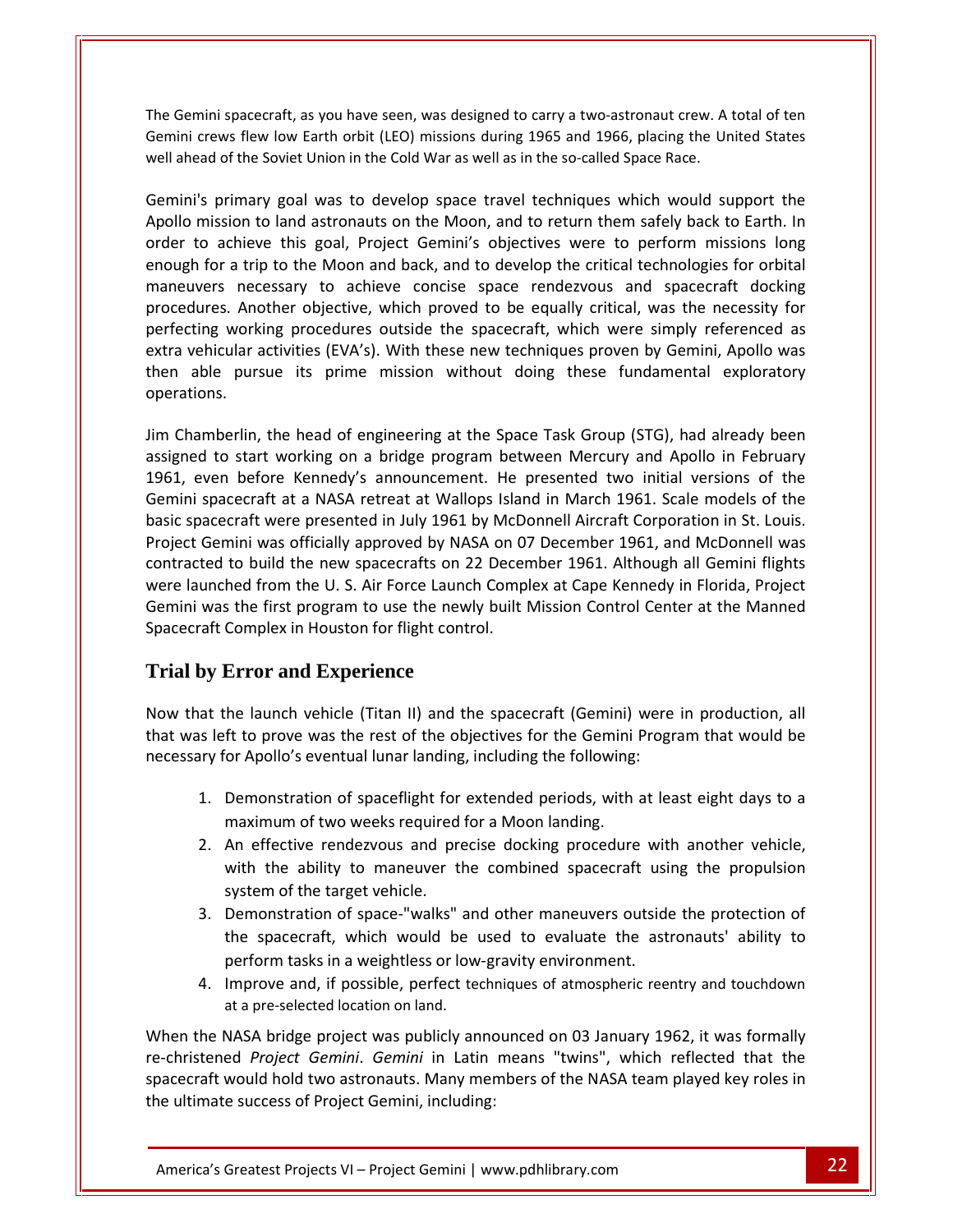Gemini spacecraft, as you have seen, was designed to carry a two-astronaut crew. A total of ten crews flew low Earth orbit (LEO) missions during 1965 and 1966, placing the United States<br>Crews flew low Earth orbit (LEO) missions during 1965 and 1966, placing the United States The Gemini spacecraft, as you have seen, was designed to carry a two-astronaut crew. A<br>Gemini crews flew low Earth orbit (LEO) missions during 1965 and 1966, placing the Univell ahead of the Soviet Union in the Cold War as ii spacecraft, as you have seen, was designed to carry a two-astronaut crew. A total of ten<br>ews flew low Earth orbit (LEO) missions during 1965 and 1966, placing the United States<br>of the Soviet Union in the Cold War as wel mini spacecraft, as you have seen, was designed to carry a two-astronaut crew. A total of ten<br>crews flew low Earth orbit (LEO) missions during 1965 and 1966, placing the United States<br>ead of the Soviet Union in the Cold Wa The Gemini spacecraft, as you have seen, was designed to carry a two-astronaut crew. A total of ten mini spacecraft, as you have seen, was designed to carry a two-astronaut crew. A total of ten<br>crews flew low Earth orbit (LEO) missions during 1965 and 1966, placing the United States<br>ead of the Soviet Union in the Cold Wa well ahead of the Soviet Union in the Cold War as well as in the so-called Space Race. procedures.

enough for a trip to the Moon and back, and to develop the critical technologies for orbital<br>enough for a trip to the Moon, and to return them safely back to Earth. In<br>Semini's primary goal was to develop space travel tech the Soviet Union in the Cold War as well as in the so-called Space Race.<br>
mary goal was to develop space travel techniques which would support the<br>
on to land astronauts on the Moon, and to return them safely back to Earth mary goal was to develop space travel techniques which would support the<br>on to land astronauts on the Moon, and to return them safely back to Earth. In<br>nieve this goal, Project Gemini's objectives were to perform missions Gemini's primary goal was to develop space travel techniques which would support the rimary goal was to develop space travel techniques which would support the<br>ion to land astronauts on the Moon, and to return them safely back to Earth. In<br>chieve this goal, Project Gemini's objectives were to perform missi Apollo mission to land astronauts on the Moon, and to return them safely back to Earth. In order to achieve this goal, Project Gemini's objectives were to perform missions long enough for a trip to the Moon and back, and t order to achieve this goal, Project Gemini's objectives were to perform missions long to achieve this goal, Project Gemini's objectives were to perform missions long<br>h for a trip to the Moon and back, and to develop the critical technologies for orbital<br>avers necessary to achieve concise space rendezvous an enough for a trip to the Moon and back, and to develop the critical technologies for orbital maneuvers necessary to achieve concise space rendezvous and spacecraft docking<br>procedures. Another objective, which proved to be equally critical, was the necessity for Example and the head of engineering at the Space Task Group (STG), had already been<br>Chamberlin, the head of engineering at the Space Task Group (STG), had already been<br>Chamberlin, the head of engineering at the Space Task perfecting working procedures outside the spacecraft, which were simply referenced as to start working procedures outside the spacecraft, which were simply referenced as<br>icular activities (EVA's). With these new techniques proven by Gemini, Apollo was<br>e pursue its prime mission without doing these fundament ruuru<br>Avtra ehicular activities (EVA's). With these new techniques proven by Gemini, Apollo was<br>able pursue its prime mission without doing these fundamental exploratory<br>ions.<br>amberlin, the head of engineering at the Space Task Group then able pursue its prime mission without doing these fundamental exploratory operations.

spacecraft at a NASA retreat at Wallops Island in March 1961. Scale models of the<br>spacecraft at a NASA retreat at Wallops Island in March 1961. Scale models of the<br>spacecraft at a NASA retreat at Wallops Island in March 19 spections.<br>
Jim Chamberlin, the head of engineering at the Space Task Group (STG), had already been<br>
assigned to start working on a bridge program between Mercury and Apollo in February<br>
1961, even before Kennedy's announc mberlin, the head of engineering at the Space Task Group (STG), had already been<br>d to start working on a bridge program between Mercury and Apollo in February<br>ven before Kennedy's announcement. He presented two initial ver Jim Chamberlin, the head of engineering at the Space Task Group (STG), had already been erlin, the head of engineering at the Space Task Group (STG), had already been<br>start working on a bridge program between Mercury and Apollo in February<br>before Kennedy's announcement. He presented two initial versions of th assigned to start working on a bridge program between Mercury and Apollo in February launched from the U. S. Air Force Launch Complex at Cape Kennedy in Florida, Project Jaunched from the U. S. Air Force Launch Complex at Cape Kennedy in Florida, Project Jaunched from the U. S. Air Force Launch Complex at  $\overline{1}$ wen before Kennedy's announcement. He presented two initial versions of the<br>spacecraft at a NASA retreat at Wallops Island in March 1961. Scale models of the<br>acecraft were presented in July 1961 by McDonnell Aircraft Corpo Gemini spacecraft at a NASA retreat at Wallops Island in March 1961. Scale models of the basic spacecraft were presented in July 1961 by McDonnell Aircraft Corporation in St. Louis.<br>Project Gemini was officially approved by NASA on 07 December 1961, and McDonnell was<br>contracted to build the new spacecrafts on were launched from the U.S. Air Force Launch Complex at Cape Kennedy in Florida, Project Iaunched from the U. S. Air Force Launch Complex at Cape Kennedy in Florida, Project<br>ni was the first program to use the newly built Mission Control Center at the Manned<br>ccraft Complex in Houston for flight control.<br>**I by** Gemini was the first program to use the newly built Mission Control Center at the Manned ini was the first program to use the newly built Mission Control Center at the Manned<br>ecraft Complex in Houston for flight control.<br> **Il by Error and Experience**<br>
that the launch vehicle (Titan II) and the spacecraft (Gemi Spacecraft Complex in Houston for flight control.

#### **Trial by Error and Experience** 1.maximum <del>mu</del>

well

For Apollois eventual lunar landing, including the following:<br> **Formal diversion Experience**<br>
the launch vehicle (Titan II) and the spacecraft (Gemini) were<br>
eft to prove was the rest of the objectives for the Gemini Progr **Error and Experience**<br>
the launch vehicle (Titan II) and the spacecraft (Gemini) were in production, all<br>
ft to prove was the rest of the objectives for the Gemini Program that would be<br>
for Apollo's eventual lunar landin at the launch vehicle (Titan II) and the spacecraft (Gemini)<br>is left to prove was the rest of the objectives for the Gemini<br>irry for Apollo's eventual lunar landing, including the following<br>1. Demonstration of spaceflight The launch vehicle (Titan II) and the spacecraft (Gemini) were in production, all<br>ft to prove was the rest of the objectives for the Gemini Program that would be<br>for Apollo's eventual lunar landing, including the following necessary for Apollo's eventual lunar landing, including the following:

- orove was the rest of the objectives for the Gemini Program that would be<br>ollo's eventual lunar landing, including the following:<br>nnstration of spaceflight for extended periods, with at least eight days to a<br>num of two wee 1. Demonstration of spaceflight for extended periods, with at least eight days to a maximum of two weeks required for a Moon landing.
- Figure 1 and in the target vehicle.<br>
1. Demonstration of spaceflight for<br>
1. Demonstration of spaceflight for<br>
1. An effective rendezvous and pr<br>
1. With the ability to maneuver t<br>
1. System of the target vehicle. Demonstration of spaceflight for extended periods, with at least eight days to a<br>maximum of two weeks required for a Moon landing.<br>An effective rendezvous and precise docking procedure with another vehicle,<br>with the abilit onstration of spaceflight for extended periods, with at least eight days to a<br>imum of two weeks required for a Moon landing.<br>ffective rendezvous and precise docking procedure with another vehicle,<br>the ability to maneuver t maximum of two weeks required for a Moon landing.<br>
2. An effective rendezvous and precise docking procedure wit<br>
with the ability to maneuver the combined spacecraft usi<br>
system of the target vehicle.<br>
3. Demonstration of with the ability to maneuver the combined spacecraft using the propulsion system of the target vehicle.
- An effective rendezvous and precise docking procedure with another vehicle,<br>with the ability to maneuver the combined spacecraft using the propulsion<br>system of the target vehicle.<br>Demonstration of space-"walks" and other m system of the target vehicle.<br>3. Demonstration of space-"walks" are<br>the spacecraft, which would be<br>perform tasks in a weightless or low<br>4. Improve and, if possible, perfect te<br>at a pre-selected location on land. System of the target venicle.<br>
3. Demonstration of space-"walks" and other maneuvers outside the protection of<br>
the spacecraft, which would be used to evaluate the astronauts' ability to<br>
perform tasks in a weightless or l 3. Demonstration of space-"walks" and other maneuvers outside the protection of the spacecraft, which would be used to evaluate the astronauts' ability to *Projectation of space-* warks and other maneuvers outside the protection of spacecraft, which would be used to evaluate the astronauts' ability to form tasks in a weightless or low-gravity environment.<br> *Prove and,* if po
	-

When the NASA bridge project was publicly announced on 03 January 1962, it was formally re-christened *Project Gemini. Gemini* in Latin means "twins", which reflected that the at a pre-selected location on land.<br>
NASA bridge project was publicly announced on 03 January 1962, it was formally<br>
ed *Project Gemini. Gemini* in Latin means "twins", which reflected that the<br>
would hold two astronauts. The spacecraft, which would be used to evaluate the astronauts ability to<br>perform tasks in a weightless or low-gravity environment.<br>Improve and, if possible, perfect techniques of atmospheric reentry and touchdown<br>at a pre perform tasks in a weightless or low-gime.<br>4. Improve and, if possible, perfect technet at a pre-selected location on land.<br>2. The NASA bridge project was publicly annot<br>hristened *Project Gemini*. *Gemini* in Latine<br>2. Th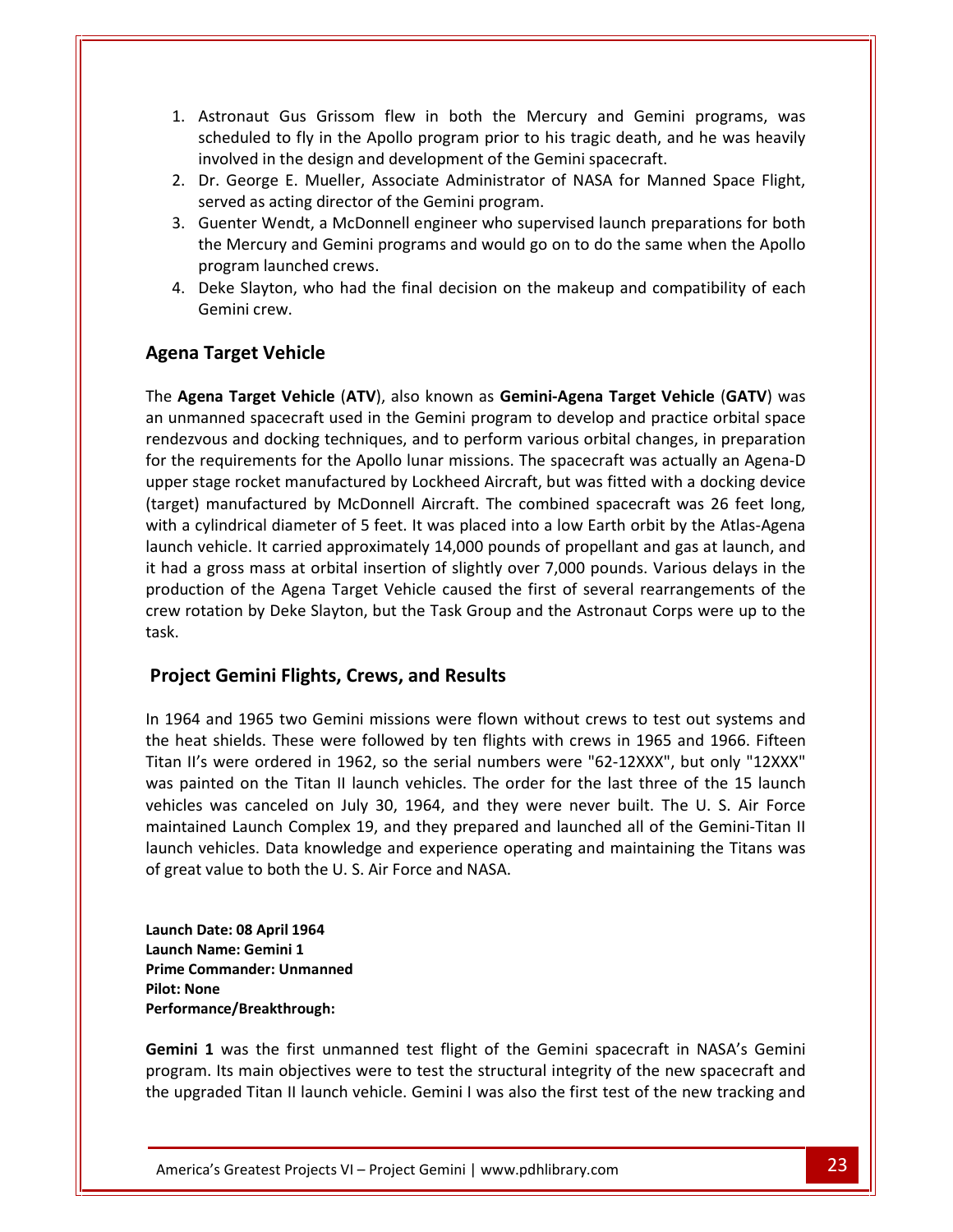- Astronaut Gus Grissom flew in both the Mercury and Gemini programs, was to fly in the Apollo program prior to his tragic death, and he was heavily **in the design and School School School School School School School School School School School School School School School School School School School School School School School School School School School School School** Astronaut Gus Grissom flew in both the Mercury and Gemini programs, was<br>scheduled to fly in the Apollo program prior to his tragic death, and he was heavily<br>involved in the design and development of the Gemini spacecraft.<br> 1. Astronaut Gus Grissom flew in both the Mercur<br>scheduled to fly in the Apollo program prior to his t<br>involved in the design and development of the Gemin<br>2. Dr. George E. Mueller, Associate Administrator of I<br>served as ac Astronaut Gus Grissom flew in both the Mercury and Gemini programs, was<br>scheduled to fly in the Apollo program prior to his tragic death, and he was heavily<br>involved in the design and development of the Gemini spacecraft.<br>  $\overline{A}$ ct France Consult Gus Grissom flew in both the Mercury and Gemini programs, was<br>eduled to fly in the Apollo program prior to his tragic death, and he was heavily<br>olved in the design and development of the Gemini spacecraft.<br>G scheduled to fly in the Apollo program prior to his tragic death, and he was heavily
- 2. Dr. George E. Mueller, Associate Administrator of NASA for Manned Space Flight,
- involved in the design and development of the Gemini spacecraft.<br>
2. Dr. George E. Mueller, Associate Administrator of NASA for Manned Space Flight,<br>
served as acting director of the Gemini program.<br>
3. Guenter Wendt, a Mc involved in the design and development of the Gemini spacecraft.<br>
Dr. George E. Mueller, Associate Administrator of NASA for Manned Space Flight,<br>
served as acting director of the Gemini program.<br>
Guenter Wendt, a McDonnel 2. Dr. George E. Mu<br>served as acting d<br>3. Guenter Wendt, a<br>the Mercury and (<br>program launched<br>4. Deke Slayton, wh<br>Gemini crew. **The School of the Mercury Assement School and Schemer Wendt, a McDonne<br>
he Mercury and Gemini pro<br>
Joeke Slayton, who had the<br>
Semini crew.<br>
<b>Target Vehicle**
- **Agena Target Vehicle** (**ATV**), also known as **Gemini-Agena Target Vehicle** (**GATV**) was 4. Deke Slayton, who had the final decision on the makeup and compatibility of each<br>Gemini crew.<br>**ena Target Vehicle**<br>2. **Agena Target Vehicle (ATV**), also known as **Gemini-Agena Target Vehicle (GATV**) was<br>unmanned spacecr Gemini crew.

#### Agena Target Vehicle  $\overline{\mathbf{u}}$

ini crew.<br> **Subset Vehicle**<br> **Subset Vehicle (ATV)**, also known as **Gemini-Agena Target Vehicle (GATV)** was<br>
red spacecraft used in the Gemini program to develop and practice orbital space<br>
and docking techniques, and to p **Example 18 Agena Target Vehicle**<br> **Agena Target Vehicle (ATV)**, also known as **Gemini-Agena Target Vehicle (GATV)** was<br>
unmanned spacecraft used in the Gemini program to develop and practice orbital space<br>
dezvous and doc **a Target Vehicle**<br>sena Target Vehicle (ATV), also known as Gemini-Agena Target Vehicle (GATV) was<br>manned spacecraft used in the Gemini program to develop and practice orbital space<br>vous and docking techniques, and to perf The **Agena Target Vehicle (ATV)**, also known as **Gemini-Agena Target Vehicle (GATV)** was<br>an unmanned spacecraft used in the Gemini program to develop and practice orbital space<br>rendezvous and docking techniques, and to per Agena Target Vehicle (ATV), also known as Gemini-Agena Target Vehicle (GATV) was<br>nmanned spacecraft used in the Gemini program to develop and practice orbital space<br>ezvous and docking techniques, and to perform various orb an unmanned spacecraft used in the Gemini program to develop and practice orbital space in anned spacecraft used in the Gemini program to develop and practice orbital space<br>vous and docking techniques, and to perform various orbital changes, in preparation<br>requirements for the Apollo lunar missions. The space rendezvous and docking techniques, and to perform various orbital changes, in preparation ndezvous and docking techniques, and to perform various orbital changes, in preparation<br>
r the requirements for the Apollo lunar missions. The spacecraft was actually an Agena-D<br>
oper stage rocket manufactured by Lockheed  $\frac{1}{2}$  for the real irements for the Apollo lunar missions. The spacecraft was actually an Agena-D<br>rocket manufactured by Lockheed Aircraft, but was fitted with a docking device<br>nufactured by McDonnell Aircraft. The combined spacecraft was 26 upper stage rocket manufactured by Lockheed Aircraft, but was fitted with a docking device r stage rocket manufactured by Lockheed Aircraft, but was fitted with a docking device<br>et) manufactured by McDonnell Aircraft. The combined spacecraft was 26 feet long,<br>a cylindrical diameter of 5 feet. It was placed into (target) manufactured by McDonnell Aircraft. The combined spacecraft was 26 feet long, with a cylindrical diameter of 5 feet. It was placed into a low Earth orbit by the Atlas-Agena<br>launch vehicle. It carried approximately 14,000 pounds of propellant and gas at launch, and<br>it had a gross mass at orbital inse Indrical diameter of 5 feet. It was placed into a loticle. It carried approximately 14,000 pounds of ross mass at orbital insertion of slightly over 7,0 n of the Agena Target Vehicle caused the first complement of the Slay production of the Agena Target Vehicle caused the first of several rearrangements of the bduction of the Agena Target Vehicle caused the first of several rearrangements of the<br>two rotation by Deke Slayton, but the Task Group and the Astronaut Corps were up to the<br>k.<br>**The Start Coemini Flights, Crews, and Resul** crew rotation by Deke Slayton, but the Task Group and the Astronaut Corps were up to the w rotation by Deke Slayton, but the Task Group and the Astronaut Corps were up to the<br>
.<br> **Diect Gemini Flights, Crews, and Results**<br>
1964 and 1965 two Gemini missions were flown without crews to test out systems and<br>
heat task.

#### **Project Gemini Flights, Crews, and Results** maintained

INFRED TRIM THIST WARE THEN THE SERVICE THE PROJECT Gemini Flights, Crews, and Results<br>
In 1964 and 1965 two Gemini missions were flown without crews to test out systems and<br>
In 1964 and 1965 two Gemini missions were flown Supect Gemini Flights, Crews, and Results<br>
164 and 1965 two Gemini missions were flown without crews to test out systems and<br>
164 and 1965 two Gemini missions were flown without crews to test out systems and<br>
11's were ord Gemini Flights, Crews, and Results<br>and 1965 two Gemini missions were flown without crews to test out systems and<br>shields. These were followed by ten flights with crews in 1965 and 1966. Fifteen<br>were ordered in 1962, so the 1965 two Gemini missions were flown without crews to test out systems and<br>elds. These were followed by ten flights with crews in 1965 and 1966. Fifteen<br>rre ordered in 1962, so the serial numbers were "62-12XXX", but only " In 1964 and 1965 two Gemini missions were flown without crews to test out systems and<br>the heat shields. These were followed by ten flights with crews in 1965 and 1966. Fifteen<br>Titan II's were ordered in 1962, so the serial the heat shields. These were followed by ten flights with crews in 1965 and 1966. Fifteen Titan II's were ordered in 1962, so the serial numbers were "62-12XXX", but only "12XXX" was painted on the Titan II launch vehicles. The order for the last three of the 15 launch vehicles was canceled on July 30, 1964, and they were never built. The U. S. Air Force s was canceled on July 3<br>
ined Launch Complex 19,<br>
vehicles. Data knowledge<br>
t value to both the U. S. Ai<br>
Date: 08 April 1964 maintained Launch Complex 1<br>launch vehicles. Data knowled<br>of great value to both the U. S.<br>Launch Date: 08 April 1964<br>Launch Name: Gemini 1 **Properent School Standard School School School School School School School School School School School School School School School School School School School School School School School School School School School School Performance/Breakthrough:**

of great value to bo<br>**Launch Date: 08 Apr<br>Launch Name: Gemi<br>Prime Commander:<br>Pilot: None 1**<br>**1** ame: Gemini 1<br>**1** mmander: Unmanned<br>**1** was the first unmanned test flight of the Gemini spacecraft in NASA's Gemini Launch Date: 08 April 1964 Launch Name: Gemini 1<br>Prime Commander: Unmanned

Gemini 1 was the first unmanned test flight of the Gemini spacecraft in NASA's Gemini e/Breakthrough:<br>
was the first unmanned test flight of the Gemini spacecraft in NASA's Gemini<br>
is main objectives were to test the structural integrity of the new spacecraft and<br>
ed Titan II launch vehicle. Gemini I was al Its 1964<br>
Its main objectives were to test flight of the Gemini spacecraft in NASA's Gemini<br>
Its main objectives were to test the structural integrity of the new spacecraft and Ich Name: Gemini 1<br>
I: None<br>
I: None<br>
Inini 1 was the first unmanned test flight of the Gemini spacecraft in NASA's Gemini<br>
Inini 1 was the first unmanned test flight of the Gemini spacecraft in NASA's Gemini<br>
Inini 1 was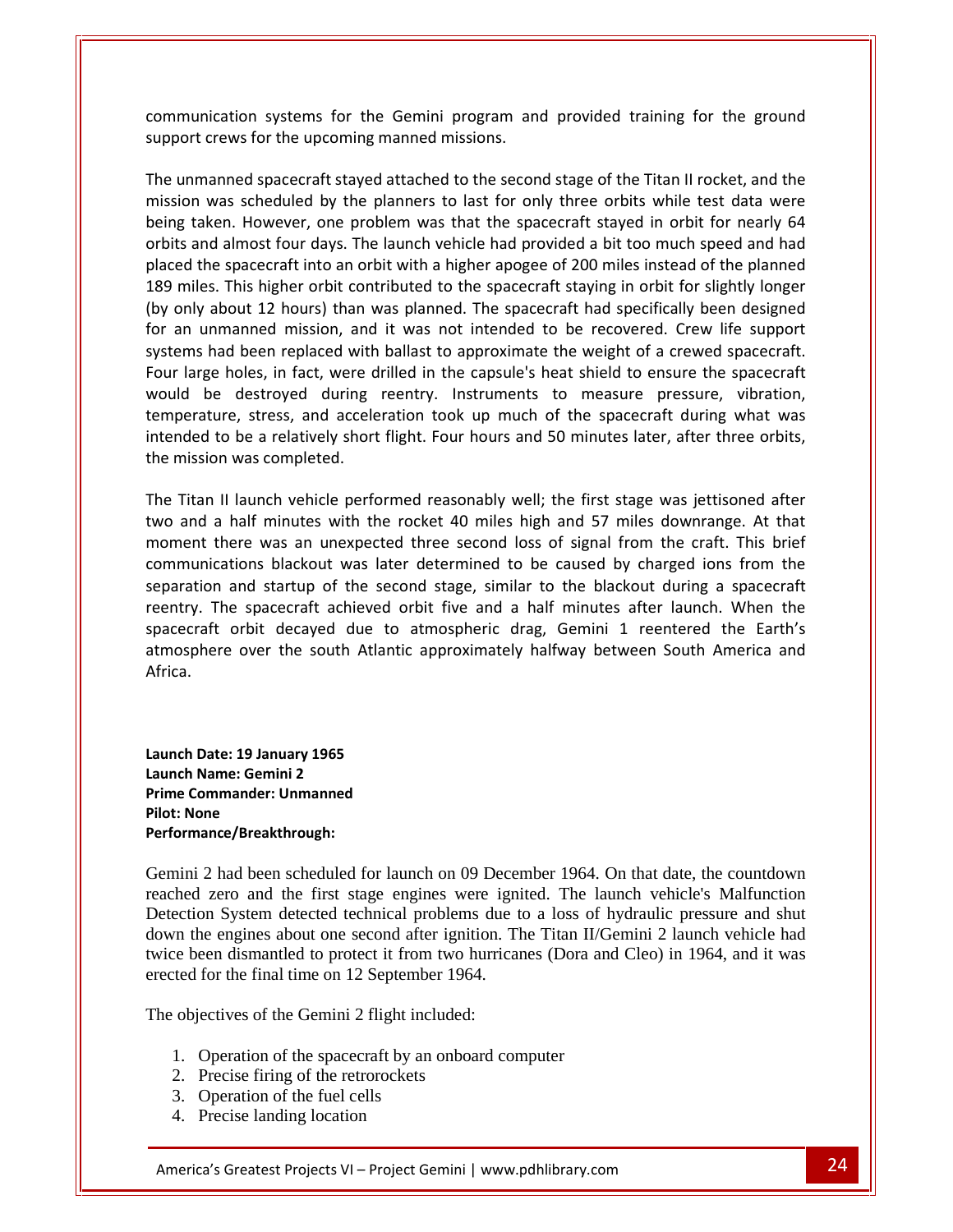systems for the Gemini program and provided training for the ground communication systems for the Gemini program an<br>support crews for the upcoming manned missions. munication systems for the Gemini program and provided training for the ground<br>oort crews for the upcoming manned missions.<br>unmanned spacecraft staved attached to the second stage of the Titan II rocket, and the ication systems for the Gemini program and provided training for the ground<br>crews for the upcoming manned missions.<br>anned spacecraft stayed attached to the second stage of the Titan II rocket, and the<br>was scheduled by the  $comr$  $\frac{1}{2}$  $\frac{1}{2}$ 

unication systems for the Gemini program and provided training for the ground<br>the crews for the upcoming manned missions.<br>In anned spacecraft stayed attached to the second stage of the Titan II rocket, and the<br>n was schedu unication systems for the Gemini program and provided training for the ground<br>the crews for the upcoming manned missions.<br>
Imanned spacecraft stayed attached to the second stage of the Titan II rocket, and the<br>
In was sche the spacecraft stayed attached to the second stage of the Titan II rocket, and the<br>into an orbit spacecraft stayed attached to the second stage of the Titan II rocket, and the<br>into an orbit with a higher apogee of 200 mile miles. This higher orbit stayed attached to the second stage of the Titan II rocket, and the<br>ion was scheduled by the planners to last for only three orbits while test data were<br>g taken. However, one problem was that the s The unmanned spacecraft stayed attached to the second stage of the Titan II rocket, and the unmanned spacecraft stayed attached to the second stage of the Titan II rocket, and the<br>sion was scheduled by the planners to last for only three orbits while test data were<br>ig taken. However, one problem was that the spac mission was scheduled by the planners to last for only three orbits while test data were sion was scheduled by the planners to last for only three orbits while test data were<br>g taken. However, one problem was that the spacecraft stayed in orbit for nearly 64<br>ts and almost four days. The launch vehicle had prov being taken. However, one problem was that the spacecraft stayed in orbit for nearly 64<br>orbits and almost four days. The launch vehicle had provided a bit too much speed and had<br>placed the spacecraft into an orbit with a h is and almost four days. The launch vehicle had provided a bit too much speed and had<br>d the spacecraft into an orbit with a higher apogee of 200 miles instead of the planned<br>niles. This higher orbit contributed to the spac placed the spacecraft into an orbit with a higher apogee of 200 miles instead of the planned<br>189 miles. This higher orbit contributed to the spacecraft staying in orbit for slightly longer<br>(by only about 12 hours) than was is higher orbit contributed to the spacecraft staying in orbit for slightly longer<br>
t 12 hours) than was planned. The spacecraft had specifically been designed<br>
red mission, and it was not intended to be recovered. Crew li (by only about 12 hours) than was planned. The spacecraft had specifically been designed for an unmanned mission, and it was not intended to be recovered. Crew life support systems had been replaced with ballast to approxi for an unmanned mission, and it was not intended to be recovered. Crew life support systems had been replaced with ballast to approximate the weight of a crewed spacecraft.<br>Four large holes, in fact, were drilled in the ca The large holes, in fact, were drilled in the capsule's heat shield to ensure the spacecraft<br>Id be destroyed during reentry. Instruments to measure pressure, vibration,<br>perature, stress, and acceleration took up much of th The Titan II launch vehicle performed reasonably well; the first stage was jettisoned after three orbits, the mission was completed.<br>The Titan II launch vehicle performed reasonably well; the first stage was jettisoned aft temperature, stress, and acceleration took up much of the spacecraft during what was there was an acceleration took up much of the spacecraft during what was<br>to be a relatively short flight. Four hours and 50 minutes later, after three orbits,<br>on was completed.<br>Il launch vehicle performed reasonably well; intended to be a relatively short flight. Four hours and 50 minutes later, after three orbits, the mission was completed. reentry.

blackout was later determined to be caused by charged ions from the blackout was later determined to be caused by charged ions from the blackout was later determined to be caused by charged ions from the and startup of the second stage, similar to the blackout during a spacecraft<br>and startup of the second stage, similar to the blackout during a spacecraft<br>dions blackout was later determined to be caused by charged ions fro I II launch vehicle performed reasonably well; the first stage was jettisoned after<br>a half minutes with the rocket 40 miles high and 57 miles downrange. At that<br>there was an unexpected three second loss of signal from the The Titan II launch vehicle performed reasonably well; the first stage was jettisoned after launch vehicle performed reasonably well; the first stage was jettisoned after<br>half minutes with the rocket 40 miles high and 57 miles downrange. At that<br>ere was an unexpected three second loss of signal from the craft. Th and a l alf minutes with the rocket 40 miles high and 57 miles downrange. At that<br>re was an unexpected three second loss of signal from the craft. This brief<br>ons blackout was later determined to be caused by charged ions from the<br> moment there was an unexpected three second loss of signal from the craft. This brief spacecraft orbit decayed due to atmospheric drag, Gemini 1 reentered the Earth's raft orbit decayed due to<br>bhere over the south Atlanti<br>Date: 19 Januarv 1965 atmosphere over the south A<br>Africa.<br>Launch Date: 19 January 1965<br>Launch Name: Gemini 2 Africa.

**.<br>1 Date: 19 January 1965<br>1 Name: Gemini 2<br>Commander: Unmanned Launch Date: 19 January 1965<br>Launch Name: Gemini 2<br>Prime Commander: Unmanned<br>Pilot: None** Performance/Breakthrough:

Gemini 2 had been scheduled for launch on 09 December 1964. On that date, the countdown reached zero and the first stage engines were ignited. The launch vehicle's Malfunction Detection System detected technical problems due to a loss of hydraulic pressure and shut down the engines about one second after ignition. The Titan II/Gemini 2 launch vehicle had twice been dismantled to protect it from two hurricanes (Dora and Cleo) in 1964, and it was erected for the final time on 12 September 1964.

The objectives of the Gemini 2 flight included:

- 1. Operation of the spacecraft by an onboard computer ves of the Gemini 2 flight included:<br>
eration of the spacecraft by an onboard computer<br>
cise firing of the retrorockets<br>
eration of the fuel cells<br>
cise landing location<br>
Greatest Projects VI – Project Gemini | www.pdhlibr
	- 2. Precise firing of the retrorockets
	- 3. Operation of the fuel cells
	- 4. Precise landing location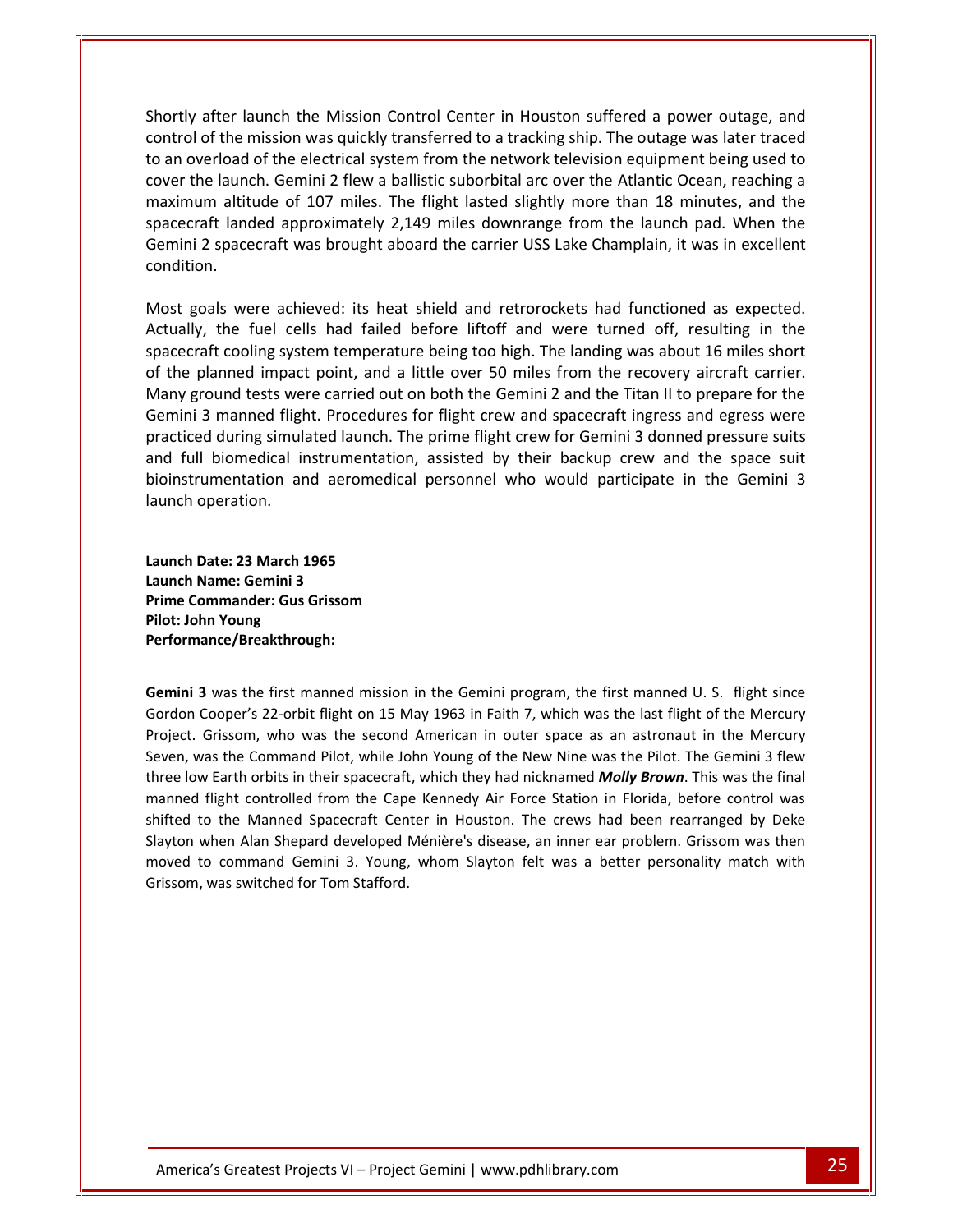after launch the Mission Control Center in Houston suffered a power outage, and of the mission the Mission Control Center in Houston suffered a power outage, and<br>of the mission was quickly transferred to a tracking ship. The outage was later traced an overly after launch the Mission Control Center in Houston suffered a power outage, and<br>an overload of the electrical system from the network television equipment being used to the launch the Mission Control Center in Houston suffered a power outage, and<br>in of the mission was quickly transferred to a tracking ship. The outage was later traced<br>overload of the electrical system from the network tel er launch the Mission Control Center in Houston suffered a power outage, and<br>the mission was quickly transferred to a tracking ship. The outage was later traced<br>oad of the electrical system from the network television equi er launch the Mission Control Center in Houston suffered a power outage, and<br>he mission was quickly transferred to a tracking ship. The outage was later traced<br>pad of the electrical system from the network television equip Shortly after launch the Mission Control Center in Houston suffered a power outage, and after launch the Mission Control Center in Houston suffered a power outage, and<br>of the mission was quickly transferred to a tracking ship. The outage was later traced<br>verload of the electrical system from the network telev control of the mission was quickly transferred to a tracking ship. The outage was later traced Example achieved: its heat shield and retrorockets had functioned as expected.<br>
Most goals were achieved: its heat shield and retrorockets had functioned as expected.<br>
Most goals were achieved: its heat shield and retroroc takitude of 107 miles. The flight lasted slightly more than 18 minutes, and the<br>t landed approximately 2,149 miles downrange from the launch pad. When the<br>spacecraft was brought aboard the carrier USS Lake Champlain, it wa spacecraft landed approximately 2,149 miles downrange from the launch pad. When the<br>Gemini 2 spacecraft was brought aboard the carrier USS Lake Champlain, it was in excellent<br>condition.<br>Most goals were achieved: its heat s Gemini 2 spacecraft was brought aboard the carrier USS Lake Champlain, it was in excellent Gemini

Gemini 2 spacecraft was brought aboard the carrier USS Lake Champlain, it was in excellent<br>condition.<br>Most goals were achieved: its heat shield and retrorockets had functioned as expected.<br>Actually, the fuel cells had fail ground tests were achieved: its heat shield and retrorockets had functioned as expected.<br>Iy, the fuel cells had failed before liftoff and were turned off, resulting in the<br>craft cooling system temperature being too high. T 3 manned flight. Procedures for flight crew and spacecraft ingress and egress were the 3 manned flight. Procedures for flight crew and spacecraft ingress and egress were and space of flight. Procedures for flight crew and Most goals were achieved: its heat shield and retrorockets had functioned as expected. Is were achieved: its heat shield and retrorockets had functioned as expected.<br>
the fuel cells had failed before liftoff and were turned off, resulting in the<br>
t cooling system temperature being too high. The landing was a Actually, the fuel cells had failed before liftoff and were turned off, resulting in the spacecraft cooling system temperature being too high. The landing was about 16 miles short of the planned impact point, and a little spacecraft cooling system temperature being too high. The landing was about 16 miles short stem temperature being too high. The landing was about 16 miles short<br>act point, and a little over 50 miles from the recovery aircraft carrier.<br>vere carried out on both the Gemini 2 and the Titan II to prepare for the<br>ght. of the planned impact point, and a little over 50 miles from the recovery aircraft carrier. Many ground tests were carried out on both the Gemini 2 and the Titan II to prepare for the Gemini 3 manned flight. Procedures for flight crew and spacecraft ingress and egress were practiced during simulated launch. The prime flight crew for Gemini 3 donned pressure suits ed during simulated launch.<br>Il biomedical instrumentati<br>rumentation and aeromedi<br>operation.<br>**Date: 23 March 1965** and fu Il biomedical instrume<br>
rumentation and aeroi<br>
operation.<br> **Date: 23 March 1965<br>
Name: Gemini 3 Propertival Example 15 Serverth Scheme Scheme Scheme Scheme Caunch Date: 23 March 1965<br>
<b>Prime Commander: Gus Grissom**<br> **Prime Commander: Gus Grissom** launch operation. **Performance/Breakthrough:**

h operation.<br>**h Date: 23 March 19<br><b>h Name: Gemini 3**<br>Commander: Gus G<br>John Young Launch Date: 23 March 1965 **Launch Name: Gemini 3** the first manned mission in the Gemini program, the first manned U. S. flight since<br>the first manned mission in the Gemini program, the first manned U. S. flight since Prime Commander: Gus Grissom Pilot: John Young Performance/Breakthrough: three

covered to the cover of the cover of the cover of the cover of the cover of the cover of the cover of the cover<br>Cover of the cover of the cover of the cover of the cover of the cover of the cover of the cover of the cover<br>

Sommander: Gus Grissom<br>
hn Young<br>
ance/Breakthrough:<br>
3 was the first manned mission in the Gemini program, the first manned U. S. flight since<br>
Cooper's 22-orbit flight on 15 May 1963 in Faith 7, which was the last flight Final American: Use Shassom<br>
Sance/Breakthrough:<br>
Sance/Grissom, who was the second American in outer space as an astronaut in the Mercury<br>
Grissom, who was the second American in outer space as an astronaut in the Mercury Solution Command Pilot, while John Young of the New Nine was the Pilot. The Gemini 3 flew<br>
1 Cooper's 22-orbit flight on 15 May 1963 in Faith 7, which was the last flight of the Mercury<br>
1. Grissom, who was the second Amer **allow Earth orbits in the Semini** program, the first manned U. S. flight since<br>in Cooper's 22-orbit flight on 15 May 1963 in Faith 7, which was the last flight of the Mercury<br>it. Grissom, who was the second American in ou If was the first manned mission in the Gemini program, the first manned U. S. flight since<br>Cooper's 22-orbit flight on 15 May 1963 in Faith 7, which was the last flight of the Mercury<br>Grissom, who was the second American i <u>Gemin</u>i **3** was the first manned mission in the Gemini program, the first manned U. S. flight since<br>Cooper's 22-orbit flight on 15 May 1963 in Faith 7, which was the last flight of the Mercury<br>Grissom, who was the second American Gordon Cooper's 22-orbit flight on 15 May 1963 in Faith 7, which was the last flight of the Mercury Cooper's 22-orbit flight on 15 May 1963 in Faith 7, which was the last flight of the Mercury<br>Grissom, who was the second American in outer space as an astronaut in the Mercury<br>vas the Command Pilot, while John Young of the Project Grissom, who was the second American in outer space as an astronaut in the Mercury<br>vas the Command Pilot, while John Young of the New Nine was the Pilot. The Gemini 3 flew<br>w Earth orbits in their spacecraft, which they had Seven, was the Command Pilot, while John Young of the New Nine was the Pilot. The Gemini 3 flew as the Command Pilot, while John You<br> *Earth orbits in their spacecraft, whiter*<br> *Earth controlled from the Cape Ker*<br> *Stafford.*<br> *Mere Manned Spacecraft Center in*<br> *Phen Alan Shepard developed <u>Ménic</u><br>
2 command Gemin*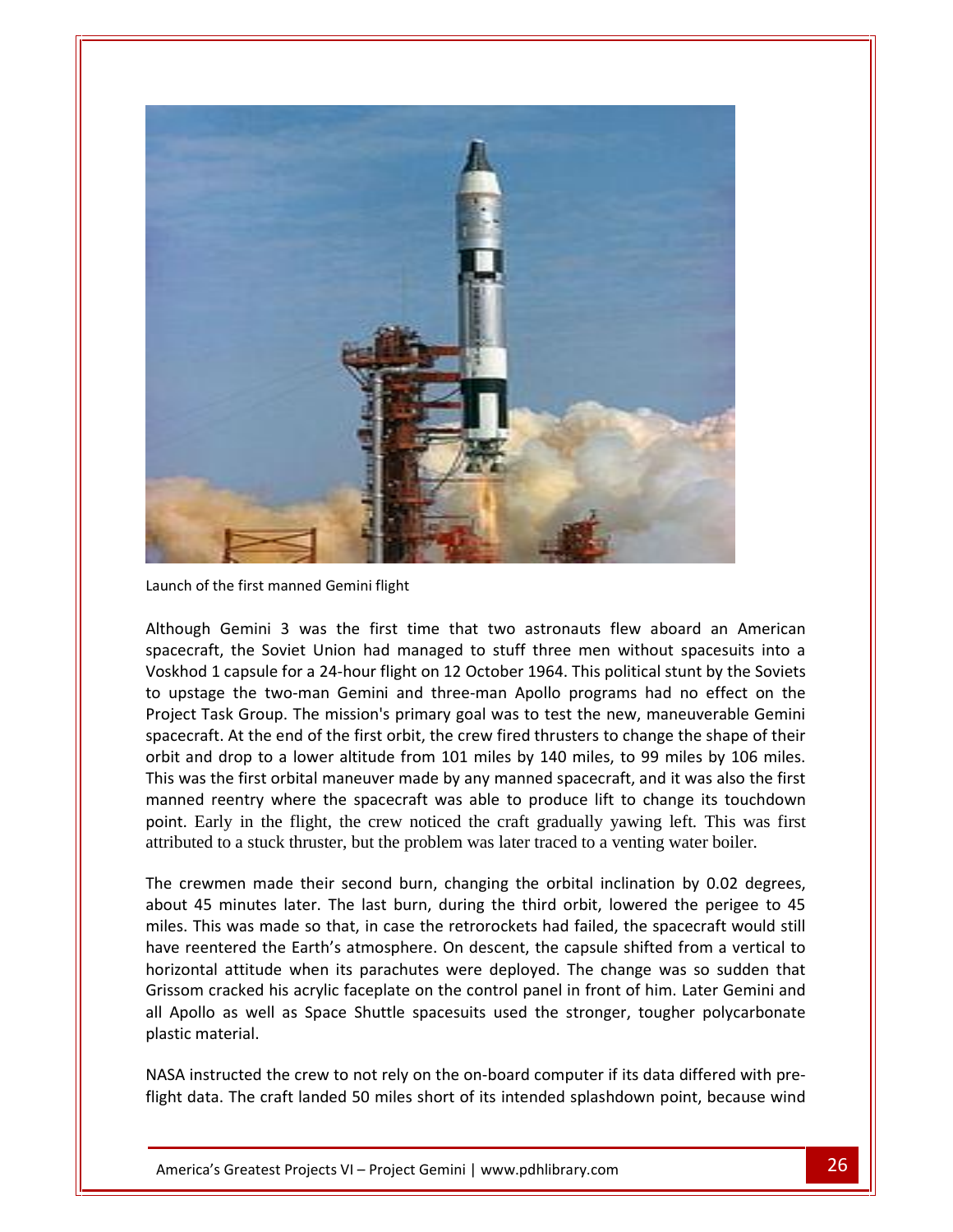

Launch of the first manned Gemini flight spacecraft.

The first manned Gemini flight<br>
1 capsule for a 24-hour flight on 12 October 1964. This political stunt by the Soviets<br>
1 capsule for a 24-hour flight on 12 October 1964. This political stunt by the Soviets nch of the first manned Gemini flight<br>hough Gemini 3 was the first time that two astronauts flew aboard an American<br>cecraft, the Soviet Union had managed to stuff three men without spacesuits into a<br>skhod 1 capsule for a 2 of the first manned Gemini flight<br>
h Gemini 3 was the first time that two astronauts flew aboard an American<br>
aft, the Soviet Union had managed to stuff three men without spacesuits into a<br>
d 1 capsule for a 24-hour flight Example 1 at the first time that two astronauts flew aboard an American<br>the Soviet Union had managed to stuff three men without spacesuits into a<br>capsule for a 24-hour flight on 12 October 1964. This political stunt by th  $Althc$ Although Gemini 3 was the first time that two astronauts flew aboard an American<br>spacecraft, the Soviet Union had managed to stuff three men without spacesuits into a<br>Voskhod 1 capsule for a 24-hour flight on 12 October 19 ecraft, the Soviet Union had managed to stuff three men without spacesuits into a<br>hod 1 capsule for a 24-hour flight on 12 October 1964. This political stunt by the Soviets<br>pstage the two-man Gemini and three-man Apollo pr spacecraft, the Soviet Union had managed to stuff three men without spacesuits into a Voskhod 1 capsule for a 24-hour flight on 12 October 1964. This political stunt by the Soviets 1 capsule for a 24-hour flight on 12 October 1964. This political stunt by the Soviets<br>ge the two-man Gemini and three-man Apollo programs had no effect on the<br>ask Group. The mission's primary goal was to test the new, man to upstage the two-man Gemini and three-man Apollo programs had no effect on the Early in the flight, the crew noticed the craft gradually yawing left. This was first orbit and drop to a lower altitude from 101 miles by 140 miles, to 99 miles by 106 miles. This was the first orbital maneuver made by any manned spacecraft, and it was also the first As the first orbital maneuver made by any manned spacecraft, and it was also the first<br>of reentry where the spacecraft was able to produce lift to change its touchdown<br>Early in the flight, the crew noticed the craft gradu manned reentry where the spacecraft was able to produce lift to change its touchdown This was made so that, in case the retrorockets had failed, the spacecraft would still<br>This was first ted to a stuck thruster, but the problem was later traced to a venting water boiler.<br>This was first ted to a stuck thrus num<br>noini ponit: <del>Lai</del><br>attributad addre

plastic material. as well as Space Shuttle spacesuits used the stronger, tougher polycarbonate<br>erial.<br>ucted the crew to not rely on the on-board computer if its data differed with pre-<br>The craft landed 50 miles short of its intended splashd reently where the spacecraft was aste to procade int to enting its tocalitiour.<br>
Early in the flight, the crew noticed the craft gradually yawing left. This was first<br>
treed to a stuck thruster, but the problem was later t be a stuck thruster, but the problem was later traced to a venting water boiler.<br>
Nen made their second burn, changing the orbital inclination by 0.02 degrees,<br>
ninutes later. The last burn, during the third orbit, lowered of a state and their second burn, changing the orbital inclination by 0.02 degrees,<br>is minutes later. The last burn, during the third orbit, lowered the perigee to 45<br>is was made so that, in case the retrorockets had faile The crewmen made their second burn, changing the orbital inclination by 0.02 degrees, external made their second burn, changing the orbital inclination by 0.02 degrees,<br>but 45 minutes later. The last burn, during the third orbit, lowered the perigee to 45<br>es. This was made so that, in case the retrorockets about 45 minutes later. The last burn, during the third orbit, lowered the perigee to 45 about 45 minutes la<br>miles. This was mad<br>have reentered the<br>horizontal attitude<br>Grissom cracked his<br>all Apollo as well as<br>plastic material. instructed the Earth's atmosphere. On descent, the capsule shifted from a vertical to<br>the attitude when its parachutes were deployed. The change was so sudden that<br>m cracked his acrylic faceplate on the control panel in fr horizontal attitude when its parachutes were deployed. The change was so sudden that Grissom cracked his acrylic faceplate on the control panel in front of him. Later Gemini and all Apollo as well as Space Shuttle spacesuits used the stronger, tougher polycarbonate plastic material.<br>NASA instructed the cre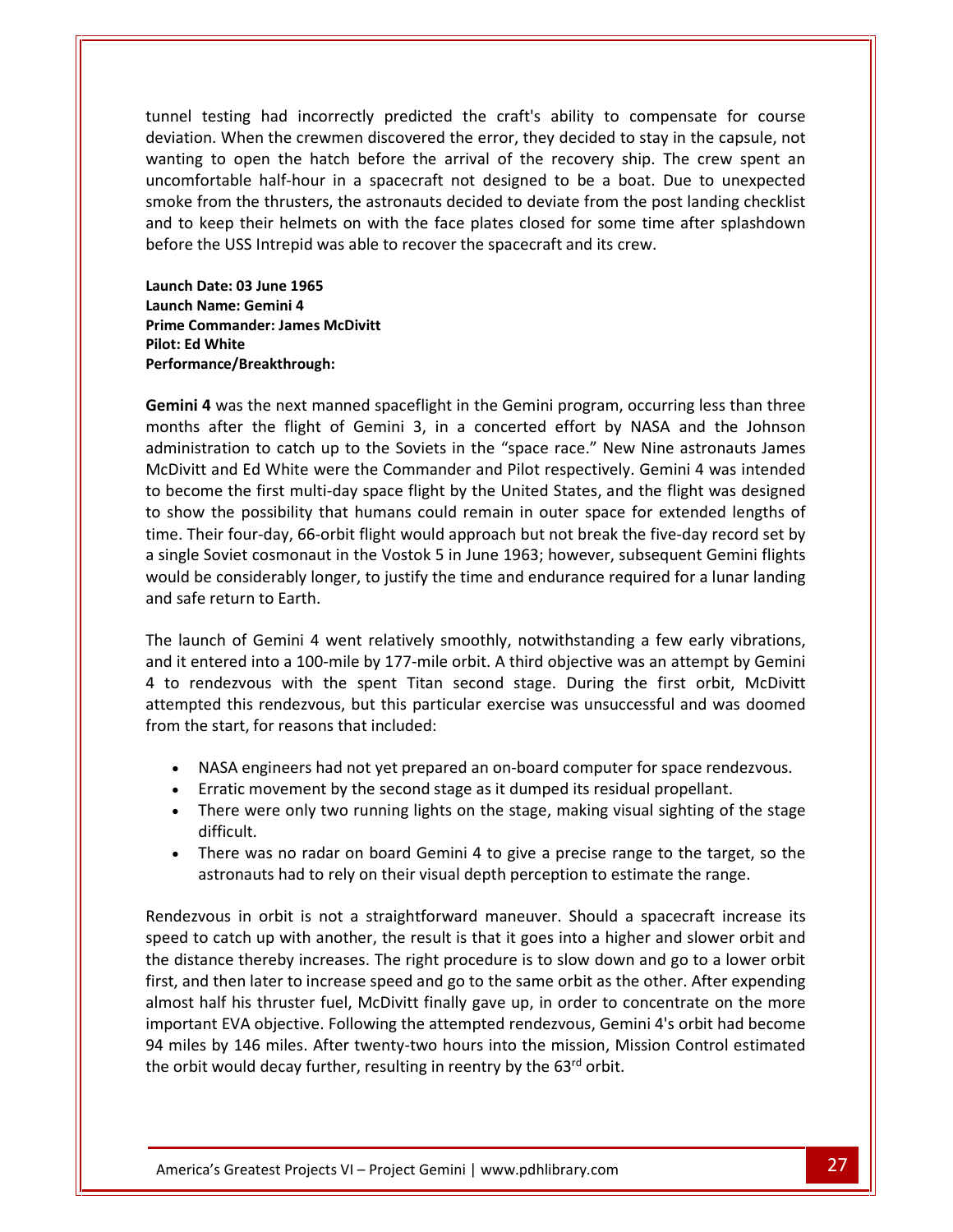The component of the craft of the craft's ability to compensate for course<br>The component of the craft's ability to compensate for course Manuscript Common Common Common Common Common Common Common Common Common Common Common Common Common Common Common Common Common Common Common Common Common Common Common Common Common Common Common Common Common Common C Exting had incorrectly predicted the craft's ability to compensate for course<br>
Let us the discovery when the crew spent and the recovery ship. The crew spent and the hatch before the arrival of the recovery ship. The crew had incorrectly predicted the craft's ability to compensate for course<br>in the crewmen discovered the error, they decided to stay in the capsule, not<br>in the hatch before the arrival of the recovery ship. The crew spent an<br>h testing had incorrectly predicted the craft's ability to compensate for course<br>on. When the crewmen discovered the error, they decided to stay in the capsule, not<br>g to open the hatch before the arrival of the recovery ship el testing had incorrectly predicted the craft's ability to compensate for course<br>ation. When the crewmen discovered the error, they decided to stay in the capsule, not<br>ting to open the hatch before the arrival of the reco tunnel testing had incorrectly predicted the craft's ability to compensel deviation. When the crewmen discovered the error, they decided to stay in wanting to open the hatch before the arrival of the recovery ship. The unc g to open the hatch befortable half-hour in a sp<br>from the thrusters, the as<br>keep their helmets on wi<br>the USS Intrepid was able<br>Date: 03 June 1965 uncomfortable half-hour in a spacecraft not designed to be a boat. Due to unexpected **fortable half-hour in a**<br>**from the thrusters, the**<br>**keep their helmets on<br><b>the USS Intrepid was ab**<br>**Date: 03 June 1965**<br>**Name: Gemini 4** smoke from the thrusters, the astronauts decided to deviate from the post landing checklist **Example 18 The Solution School Seep their helmets on with the Press Intrepid was able to recompare: 03 June 1965<br><b>Commander: 03 June 1965**<br>**Commander: James McDivitt before the USS Intrepid was able to recover the spacecraft and its crew.** 

and to keep their heli<br>before the USS Intrepi<br>Launch Date: 03 June 19<br>Launch Name: Gemini 4<br>Prime Commander: Jam<br>Pilot: Ed White **2** Date: 03 June 1965<br>**4** ammander: James McDivitt<br>**White<br>ance/Breakthrough:<br>4 was the next manned spaceflight in the Gemini program, occurring less than three** Launch Date: 03 June 1965 Launch Name: Gemini 4<br>Prime Commander: James McDivitt Pilot: Ed White i"<br>De to the contract of the contract of the contract of the contract of the contract of the contract of the contract of the contract of the contract of the contract of the contract of the contract of the contract of the contrac

uncommunication and the contract of the contract of the contract of the contract of the contract of the contract of the contract of the contract of the contract of the contract of the contract of the contract of the contra

ate: 03 June 1965<br>ame: Gemini 4<br>mmander: James McDivitt<br>White<br>I was the next manned spaceflight in the Gemini program, occurring less than three<br>after the flight of Gemini 3, in a concerted effort by NASA and the Johnson ent up the Soviet<br>to catch up to the Soviett<br>the next manned spaceflight in the Gemini program, occurring less than three<br>the flight of Gemini 3, in a concerted effort by NASA and the Johnson<br>to catch up to the Soviets in minander. James WichWitt<br>
White<br>
mce/Breakthrough:<br>
was the next manned spaceflight in the Gemini program, occurring less than three<br>
after the flight of Gemini 3, in a concerted effort by NASA and the Johnson<br>
ration to c become the first multi-day spaceflight in the Gemini program, occurring less than three<br>
inths after the flight of Gemini 3, in a concerted effort by NASA and the Johnson<br>
ministration to catch up to the Soviets in the "sp show the next manned spaceflight in the Gemini program, occurring less than three<br>inths after the flight of Gemini 3, in a concerted effort by NASA and the Johnson<br>ministration to catch up to the Soviets in the "space race Gemini 4 was the next manned spaceflight in the Gemini program, occurring less than three **ni 4** was the next manned spaceflight in the Gemini program, occurring less than three ths after the flight of Gemini 3, in a concerted effort by NASA and the Johnson istration to catch up to the Soviets in the "space rac months after the flight of Gemini 3, in a concerted effort by NASA and the Johnson<br>administration to catch up to the Soviets in the "space race." New Nine astronauts James<br>McDivitt and Ed White were the Commander and Pilot administration to catch up to the Soviets in the "space race." New Nine astronauts James stration to catch up to the Soviets in the "space race." New Nine astronauts James<br>tt and Ed White were the Commander and Pilot respectively. Gemini 4 was intended<br>ome the first multi-day space flight by the United States, McDivitt and Ed White were<br>to become the first multi-day<br>to show the possibility that<br>time. Their four-day, 66-orbit<br>a single Soviet cosmonaut in<br>would be considerably longer<br>and safe return to Earth. to become the first multi-day space flight by the United States, and the flight was designed<br>to show the possibility that humans could remain in outer space for extended lengths of<br>time. Their four-day, 66-orbit flight wou it. Their four-day, 66-orbit flight would approach but not break the five-day record set by gle Soviet cosmonaut in the Vostok 5 in June 1963; however, subsequent Gemini flights Id be considerably longer, to justify the ti 4 to rendezvous with the spent Titan second stage. During the first orbit, McDivitt<br>The launch of Gemini 4 went relatively smoothly, notwithstanding a few early vibrations,<br>and it entered into a 100-mile by 177-mile orbit. would be considerably longer, to justify the time and endurance required for a lunar landing and safe return to Earth.

The version of the time and endurance required for a lunar landing<br>turn to Earth.<br>of Gemini 4 went relatively smoothly, notwithstanding a few early vibrations,<br>red into a 100-mile by 177-mile orbit. A third objective was a afe return to Earth.<br>aunch of Gemini 4 went relatively smo<br>entered into a 100-mile by 177-mile or<br>rendezvous with the spent Titan see<br>upted this rendezvous, but this particular<br>the start, for reasons that included: if the start, for Iaunch of Gemini 4 went relatively smoothly, notwithstanding a few early vibrations,<br>it entered into a 100-mile by 177-mile orbit. A third objective was an attempt by Gemini<br>o rendezvous with the spent Titan second stage. Erration of Seminary movement, movement, movementing a remeanity movement<br>it entered into a 100-mile by 177-mile orbit. A third objective was an attempt by G<br>o rendezvous with the spent Titan second stage. During the first There were a like the spent Titan second stage. During the first orbit, McDivitt<br>ted this rendezvous, but this particular exercise was unsuccessful and was doomed<br>e start, for reasons that included:<br>NASA engineers had not and this.<br>tod this

- 
- 
- oral rifere were difficult. There was no radar on board Gemini 4 to give a precise range to the target, so the<br>There was no radar on board Cemini 4 to give a precise range of the stage<br>difficult.<br>There was no radar on board Gemini 4 to give a precise • NASA engineers had not yet prepared an on-board computer for space rendezvous.<br>• Erratic movement by the second stage as it dumped its residual propellant.<br>• There were only two running lights on the stage, making visual In orbit is not a straightforward maneuver. Should a spacecraft increase its<br>in orbit is not a straightforward maneuver. Should a spacecraft increase its<br>in orbit is not a straightforward maneuver. Should a spacecraft incr  $\mathbf{z}$ There were only two running lights on the stage, making visual sighting of the stage<br>difficult.<br>There was no radar on board Gemini 4 to give a precise range to the target, so the<br>astronauts had to rely on their visual dept
- There was no radar on board Gemini 4 to give a precise range to the target, so the important de la provincia de la provincia de la provincia de la provincia de la provincia de la provincia de l<br>En 1910, en 1910, en 1910, en 1910, en 1910, en 1910, en 1910, en 1910, en 1910, en 1910, en 1910, en 1910, en

94 miles by 146 miles. After twenty-two hours into the mission, Mission Control estimated Fhis thruster fuel, McDivitt finally gave up, in order to concentrate on the more<br>EVA objective. Following the attempted rendezvous, Gemini 4's orbit had become<br>y 146 miles. After twenty-two hours into the mission, Missio difficult.<br>
• There was no radar on board Gemini 4 to give a precise range to the target, so the<br>
astronauts had to rely on their visual depth perception to estimate the range.<br>
dezvous in orbit is not a straightforward ma There was no radar on board Gemini 4 to give a precise range to the target, so the<br>astronauts had to rely on their visual depth perception to estimate the range.<br>ezvous in orbit is not a straightforward maneuver. Should a half his thruster fuel. McDivitt finally gave up, in order to concentrate on the more half his thruster fuel, McDivitt finally gave up, in order to concentrate on the more half his thruster fuel. McDivitt finally gave up, EVA objective. Following the attempted rendezvous. Geminite the render its atch up with another, the result is that it goes into a higher and slower orbit and the thereby increases. The right procedure is to slow down and Rendezvous in orbit is not a straightforward maneuver. Should a spacecraft increase its ndezvous in orbit is not a straightforward maneuver. Should a spacecraft increase its<br>
ed to catch up with another, the result is that it goes into a higher and slower orbit and<br>
distance thereby increases. The right proce speed to catch up with another, the result is that it goes into a high<br>the distance thereby increases. The right procedure is to slow down<br>first, and then later to increase speed and go to the same orbit as the<br>almost half the distance thereby increases. The right procedure is to slow down and go to a lower orbit first, and then later to increase speed and go to the same orbit as the other. After expending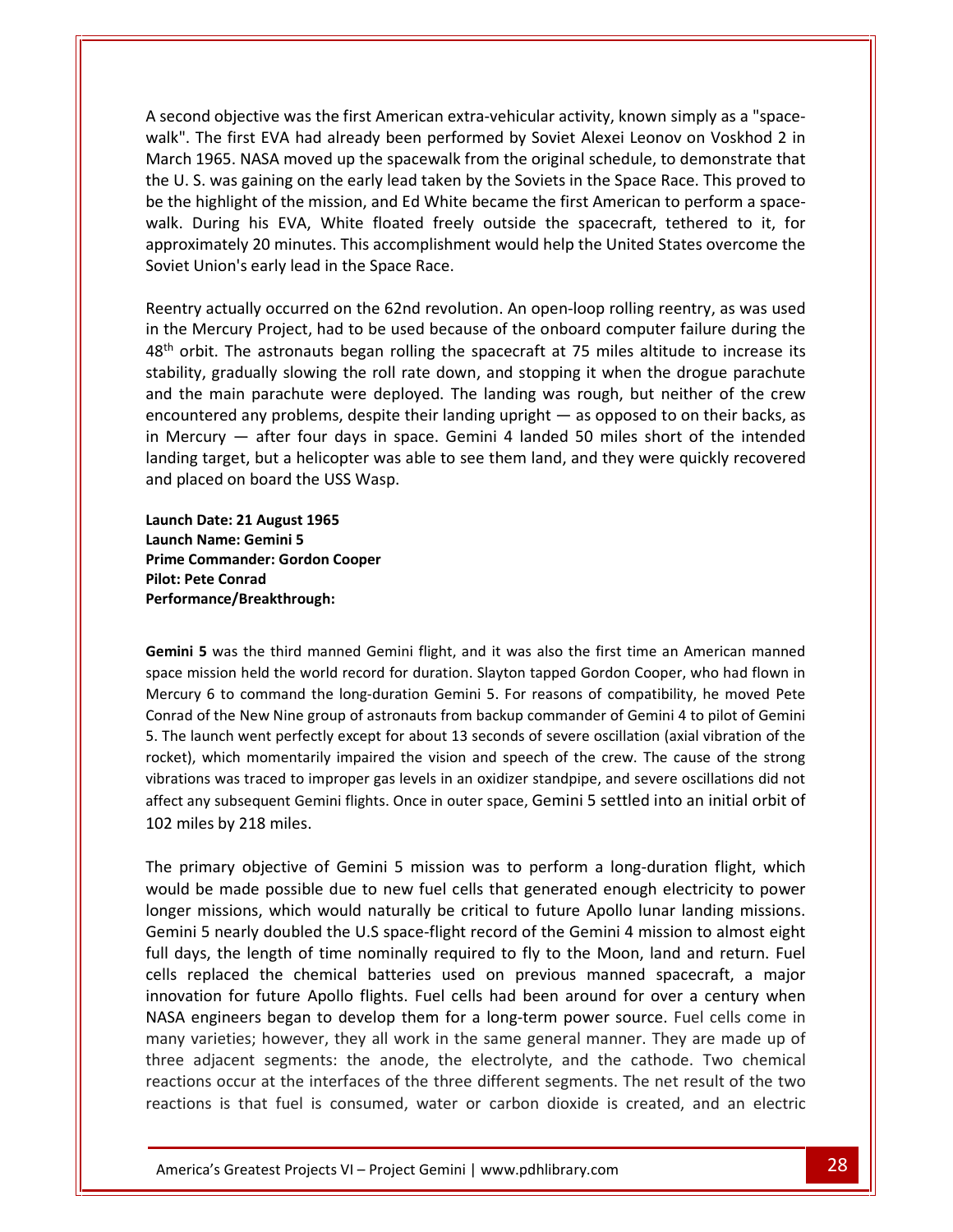second objective was the first American extra-vehicular activity, known simply as a "space-<br>A second objective was the first American extra-vehicular activity, known simply as a "space-The first EVA had already been performed by Soviet Alexei Leonov on Voskhod 2 in 1965. NASA moved up the space-<br>1965. NASA moved up the space-<br>1965. NASA moved up the space-walk from the original schedule, to demonstrate that Example of objective was the first American extra-vehicular activity, known simply as a "space-<br>
The first EVA had already been performed by Soviet Alexei Leonov on Voskhod 2 in<br>
The Soviets in the Soviets in the Space Rac A second objective was the first American extra-vehicular activity, known simply as a "space-<br>walk". The first EVA had already been performed by Soviet Alexei Leonov on Voskhod 2 in<br>March 1965. NASA moved up the spacewalk nd objective was the first American extra-vehicular activity, known simply as a "space-<br>The first EVA had already been performed by Soviet Alexei Leonov on Voskhod 2 in<br>1965. NASA moved up the spacewalk from the original s A second objective was the first American extra-vehicular activity, known simply as a "spacetive was the first American extra-vehicular activity, known simply as a "space-<br>
LEVA had already been performed by Soviet Alexei Leonov on Voskhod 2 in<br>
ASA moved up the spacewalk from the original schedule, to demonstrat walk". The first EVA had already been performed by Soviet Alexei Leonov on Voskhod 2 in walk". The first EVA had already been perform<br>March 1965. NASA moved up the spacewalk fro<br>the U. S. was gaining on the early lead taken by<br>be the highlight of the mission, and Ed White be<br>walk. During his EVA, White floate actually occurred on the 62nd revolution. An open-loop rolling reentry, as was used<br>actually occurred on the 62nd revolution. An open-loop rolling reentry, as was used<br>actually occurred on the 62nd revolution. An open-loop the U.S. was gaining on the early lead taken by the Soviets in the Space Race. This proved to be the highlight of the mission, and Ed White became the first American to perform a space-The highlight of the mission, and Ed White became the first American to perform a space-<br>the highlight of the mission, and Ed White became the first American to perform a space-<br>tik. During his EVA, White floated freely ou  $\frac{1}{100}$ ner<br>Sovi or inginight of the Mikoland freely outside the spacecraft, tethered to it, for oximately 20 minutes. This accomplishment would help the United States overcome the et Union's early lead in the Space Race.<br>The set Union's e approximately 20 minutes. This accomplishment would help the United States overcome the eence encou

 $48<sup>th</sup>$  orbit. The astronauts began rolling<br>stability, gradually slowing the roll rate<br>and the main parachute were deploye<br>encountered any problems, despite thei<br>in Mercury — after four days in space<br>landing target, b Figure 200 minutes. This accomplishment would help the United States overcome the<br>ion's early lead in the Space Race.<br>Inctually occurred on the 62nd revolution. An open-loop rolling reentry, as was used<br>ercury Project, had The main parachute were deployed. The landing was rough, but neither of the crew<br>try actually occurred on the 62nd revolution. An open-loop rolling reentry, as was used<br>e Mercury Project, had to be used because of the onbo ally occurred on the 62nd revolution. An open-loop rolling reentry, as was used<br>ry Project, had to be used because of the onboard computer failure during the<br>e astronauts began rolling the spacecraft at 75 miles altitude t Reentry actually occurred on the 62nd revolution. An open-loop rolling reentry, as was used entry actually occurred on the 62nd revolution. An open-loop rolling reentry, as was used<br>the Mercury Project, had to be used because of the onboard computer failure during the<br>the orbit. The astronauts began rolling the s in the Mercury Project, had to be used because of the onboard computer failure during the<br>48<sup>th</sup> orbit. The astronauts began rolling the spacecraft at 75 miles altitude to increase its<br>5.148th orbit. The astronauts began e main parachute were deptered any problems, despite<br>cury — after four days in s<br>; target, but a helicopter was<br>ced on board the USS Wasp.<br>**Date: 21 August 1965** encountered any problems, despite their landing upright — as opposed to on their backs, as **Name: 19 A Solution Start Secury — after four days<br>
<b>Solution Start Start Start Start Start Start Start Start Start Start Start Start Start Start Start Start Start Start Start Start Start Start Start Start Start Start Sta Properent Show Theory Alanding target, but a helicopter was ab<br>
<b>Properent Alanding target, but a helicopter was ab**<br> **Cooper**<br> **Cooper**<br> **Cooper**<br> **Cooper**<br> **Cooper**<br> **Prime Commander: Gordon Cooper** and placed on board the USS Wasp.

**Photography** and placed on board the Union placed on board the Union Date: 21 August 196<br>**Pilot: Peter Conradicer Prime Commander: Gordon**<br>**Pilot: Pete Conrad** Launch Date: 21 August 1965 Date: 21 A<br>Name: Ger<br>ommande<br>tte Conrad<br>aance/Brea<br>5 was the IT August 1965<br>Gemini 5<br>nder: Gordon Cooper<br>rad<br>the third manned Gemini flight, and it was also the first time an American manned Launch Name: Gemini 5<br>Prime Commander: Gordon Cooper **Pilot: Pete Conrad** . .....<br>Dorforr

the

Thaine. Germin 5<br>
Commander: Gordon Cooper<br>
Pete Conrad<br>
in 5 was the third manned Gemini flight, and it was also the first time an American manned<br>
mission held the world record for duration. Slavton tapped Gordon Cooper, minantice: Cortoon Cooper<br>
e Conrad<br>
ince/Breakthrough:<br>
was the third manned Gemini flight, and it was also the first time an American manned<br>
sion held the world record for duration. Slayton tapped Gordon Cooper, who had **5** was the third manned Gemini flight, and it was also the first time an American manned<br>ission held the world record for duration. Slayton tapped Gordon Cooper, who had flown in<br> $y$  6 to command the long-duration Gemini Conrad of the New Nine group of astronauts from backup commander of Gemini 4 to pilot of Gemini S was the third manned Gemini flight, and it was also the first time an American manned<br>ission held the world record for duration. Slayton tapped Gordon Cooper, who had flown in<br>6 to command the long-duration Gemini 5. For Gemini 5 was the third manned Gemini flight, and it was also the first time an American manned i 5 was the third manned Gemini flight, and it was also the first time an American manned<br>mission held the world record for duration. Slayton tapped Gordon Cooper, who had flown in<br>ry 6 to command the long-duration Gemini space mission held the world record for duration. Slayton tapped Gordon Cooper, who had flown in .<br>Mer Mercury 6 to command the I<sub>I</sub><br>Conrad of the New Nine group<br>5. The launch went perfectly e<br>rocket), which momentarily ir<br>vibrations was traced to impro<br>affect any subsequent Gemini<br>102 miles by 218 miles. e launch went perfectly except for about 13 seconds of severe oscillation (axial vibration of the<br>
the the the momentarily impaired the vision and speech of the crew. The cause of the strong<br>
tions was traced to improper g rocket), which momentarily impaired the vision and speech of the crew. The cause of the strong which momentarily impaired the vision and speech of the crew. The cause of the strong<br>ns was traced to improper gas levels in an oxidizer standpipe, and severe oscillations did not<br>ny subsequent Gemini flights. Once in out vibrations was traced to improper gas levels in an oxidizer standpipe, and severe oscillations did not vibrations was traced to improper gas levels in an oxidizer standpipe, and severe oscillations did not<br>affect any subsequent Gemini flights. Once in outer space, Gemini 5 settled into an initial orbit of<br>102 miles by 218 m 102 miles by 218 miles.

many varieties; however, they all work in the same general manner. They are made up of three adjacent segments: the anode, the electrolyte, and the cathode. Two chemical From the exploration of the state of the form a long-term power source. Fuel cells come in thes; however, they all work in the same general manner. They are made up of cent segments: the anode, the electrolyte, and the cat In the U.S space, Gemini 5 settled into an initial orbit of<br>the S by 218 miles.<br>The U.S space: Comminical or the U.S mission was to perform a long-duration flight, which<br>the Made possible due to new fuel cells that generat miles by 218 miles.<br>
primary objective of Gemini 5 mission was to perform a long-duration flight, which<br>
ild be made possible due to new fuel cells that generated enough electricity to power<br>
ger missions, which would natu rimary objective of Gemini 5 mission was to perform a long-duration flight, which<br>I be made possible due to new fuel cells that generated enough electricity to power<br>r missions, which would naturally be critical to future The nrima y objective of Gemini 5 mission was to perform a long-duration flight, which<br>hade possible due to new fuel cells that generated enough electricity to power<br>ions, which would naturally be critical to future Apollo lunar lan would be made possible due to new fuel cells that generated enough electricity to power engineers began to develop them for a long-term power source. Fuel cells come in<br>engineers, which would naturally be critical to future Apollo lunar landing missions.<br>i 5 nearly doubled the U.S space-flight record of the G longer missions, which would naturally be critical to future Apollo lunar landing missions. missions, which would naturally be critical to future Apollo lunar landing missions.<br>i 5 nearly doubled the U.S space-flight record of the Gemini 4 mission to almost eight<br>ys, the length of time nominally required to fly t Gemini 5 nearly doubled the U.S space-flight record of the Gemini 4 mission to almost eight full days, the length of time nominally required to fly to the Moon, land and return. Fuel cells replaced the chemical batteries u full days, the length of time nominally required to fly to the Moon, land and return. Fuel the length of time nominally required to fly to the Moon, land and return. Fuel<br>aced the chemical batteries used on previous manned spacecraft, a major<br>in for future Apollo flights. Fuel cells had been around for over a ce cells replaced the chemical batteries used on previous manned spacecraft, a major<br>innovation for future Apollo flights. Fuel cells had been around for over a century when<br>NASA engineers began to develop them for a long-ter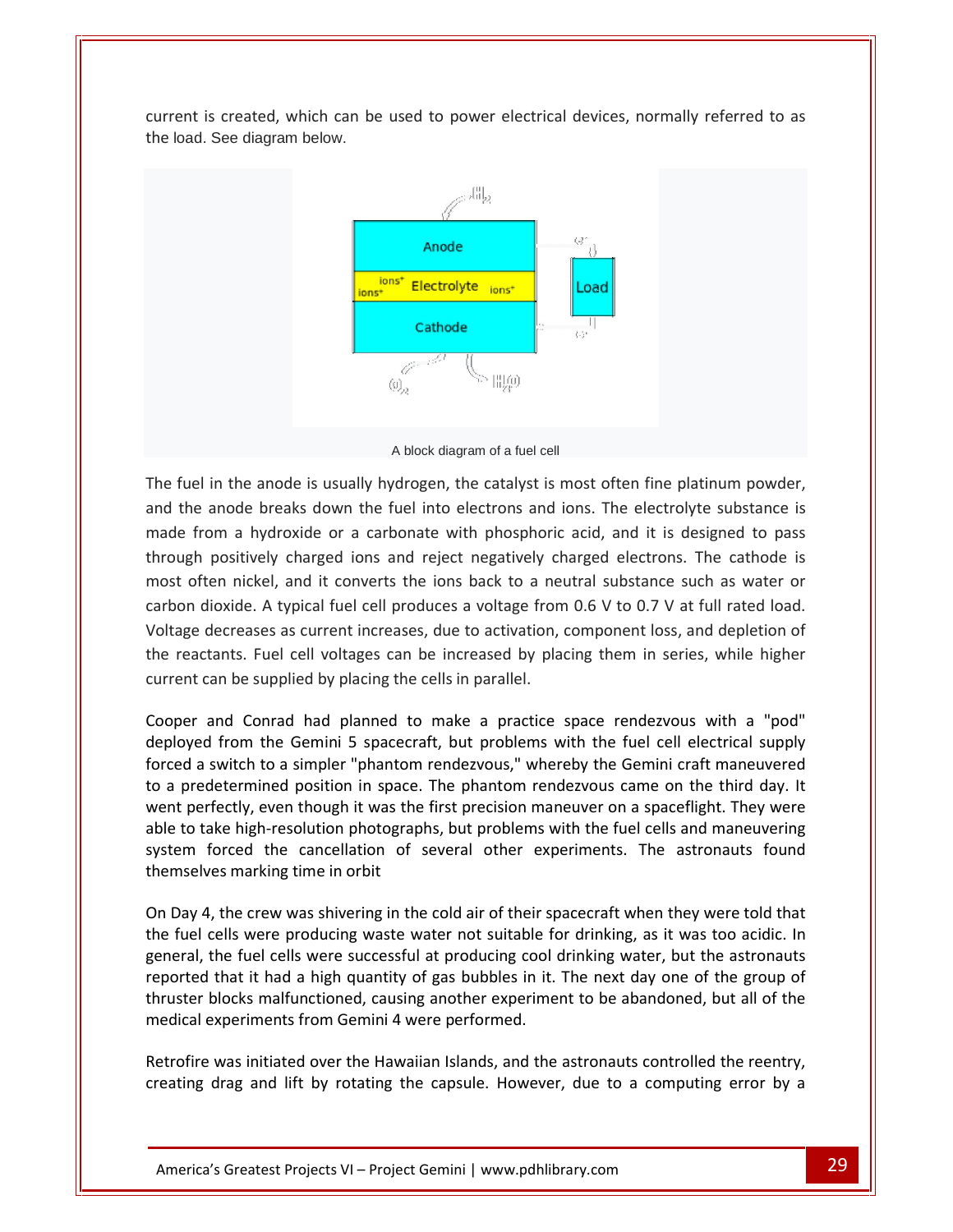is created, which can be used to power electrical devices, normally referred to as the load. See diagram below.



A block diagram of afuel cell

From a hydroxide or a carbonate with phosphoric acid, and it is designed to pass<br>from a hydroxide or a carbonate with phosphoric acid, and it is designed to pass A block diagram of a fuel cell<br>in the anode is usually hydrogen, the catalyst is most often fine platinum powder,<br>anode breaks down the fuel into electrons and ions. The electrolyte substance is<br>om a hydroxide or a carbona A block diagram of a fuel cell<br>nel in the anode is usually hydrogen, the catalyst is most often fine platinum powder,<br>ne anode breaks down the fuel into electrons and ions. The electrolyte substance is<br>from a hydroxide or The fuel in the anode is usually hydrogen, the catalyst is most often fine platinum powder, The fuel in the anode is usually hydrogen, the catalyst is most often fine platinum powder,<br>and the anode breaks down the fuel into electrons and ions. The electrolyte substance is<br>made from a hydroxide or a carbonate with and the ancide is assumy hydrogen, the eatulyst is most often line platinum powder,<br>anode breaks down the fuel into electrons and ions. The electrolyte substance is<br>om a hydroxide or a carbonate with phosphoric acid, and i and the anode breaks down the fuel into electrons and ions. The electrolyte substance is made from a hydroxide or a carbonate with phosphoric acid, and it is designed to pass reaction a hydroxide or a carbonate with phosphoric acid, and it is designed to pass<br>ugh positively charged ions and reject negatively charged electrons. The cathode is<br>t often nickel, and it converts the ions back to a ne through positively charged ions and reject negatively chost often nickel, and it converts the ions back to a ne carbon dioxide. A typical fuel cell produces a voltage from Voltage decreases as current increases, due to act most often nickel, and it converts the ions back to a neutral substance such as water or carbon dioxide. A typical fuel cell produces a voltage from 0.6 V to 0.7 V at full rated load. by the Gemini 5 spacecraft, but problems with the fuel cell electrical supply<br>from the Gemini 5 spacecraft, but problems with the fuelcell values<br>of the Gemini 5 spacecraft, but problems with the fuel cell electrical suppl Voltage decreases as current increases, due to activation, component loss, and depletion of Exerciases as current increases, due to activation, component loss, and depletion of<br>actants. Fuel cell voltages can be increased by placing them in series, while higher<br>can be supplied by placing the cells in parallel.<br>an eurro able

the reactants. Fuel cell voltages can be increased by placing them in series, while higher<br>current can be supplied by placing the cells in parallel.<br>Cooper and Conrad had planned to make a practice space rendezvous with a perfectly, even though it was the first precision maneuver on a spaceflight. They were<br>though it a switch to a simpler "phantom rendezvous," whereby the Gemini craft maneuvered<br>predetermined position in space. The phantom The call set perfect of photographs, the sensor perturbation paractic space rendezvous with a "pod"<br>byed from the Gemini 5 spacecraft, but problems with the fuel cell electrical supply<br>d a switch to a simpler "phantom rend Cooper and Conrad had planned to make a practice space rendezvous with a "pod" and Conrad had planned to make a practice space rendezvous with a "pod"<br>
I from the Gemini 5 spacecraft, but problems with the fuel cell electrical supply<br>
switch to a simpler "phantom rendezvous," whereby the Gemini craft deployed from the Gemini 5 spacecra<br>forced a switch to a simpler "phantom<br>to a predetermined position in space.<br>went perfectly, even though it was the<br>able to take high-resolution photograp<br>system forced the cancellation o The a predetermined position in space. The phantom rendezvous came on the third day. It<br>went perfectly, even though it was the first precision maneuver on a spaceflight. They were<br>able to take high-resolution photographs, went perfectly, even though it was the first precision maneuver on a spaceflight. They were Freectly, even though it was the first precision maneuver on a spaceflight. They were<br>to take high-resolution photographs, but problems with the fuel cells and maneuvering<br>em forced the cancellation of several other experi able to take high-resolution photographs, but problems with the fuel cells and maneuvering The fuel cells were successful at producing cool drinking water. But the astronauts found<br>forced the cancellation of several other experiments. The astronauts found<br>res marking time in orbit<br>is, the crew was shivering in t system forced the cancellation of several other experiments. The astronauts found oyoto…<br>thamcal  $\cdots$ 

that it had a high quantity of gas bubbles in it. The next day one of the group of<br>the crew was shivering in the cold air of their spacecraft when they were told that<br>ells were producing waste water not suitable for drinki blocks malfunctioned, causing another experiment to be abandoned, but all of the<br>blocks malfunctioned, causing and the cold air of their spacecraft when they were told that<br>cells were producing waste water not suitable for experience maning antentions.<br>
On Day 4, the crew was shivering in the cold air of their sp<br>
the fuel cells were producing waste water not suitable for<br>
general, the fuel cells were successful at producing cool<br>
reported t Firew, it, the fuel cells were producing in the Greaten of suitable for drinking, as it was too acidic. In general, the fuel cells were successful at producing cool drinking water, but the astronauts reported that it had a define the cells were successful at producing cool drinking, water, but the astronauts<br>that it had a high quantity of gas bubbles in it. The next day one of the group of<br>blocks malfunctioned, causing another experiment to

ocks mairunctioned, causing another experiment to be abandoned, but all of the<br>periments from Gemini 4 were performed.<br>The similated over the Hawaiian Islands, and the astronauts controlled the reentry,<br>The similar stage a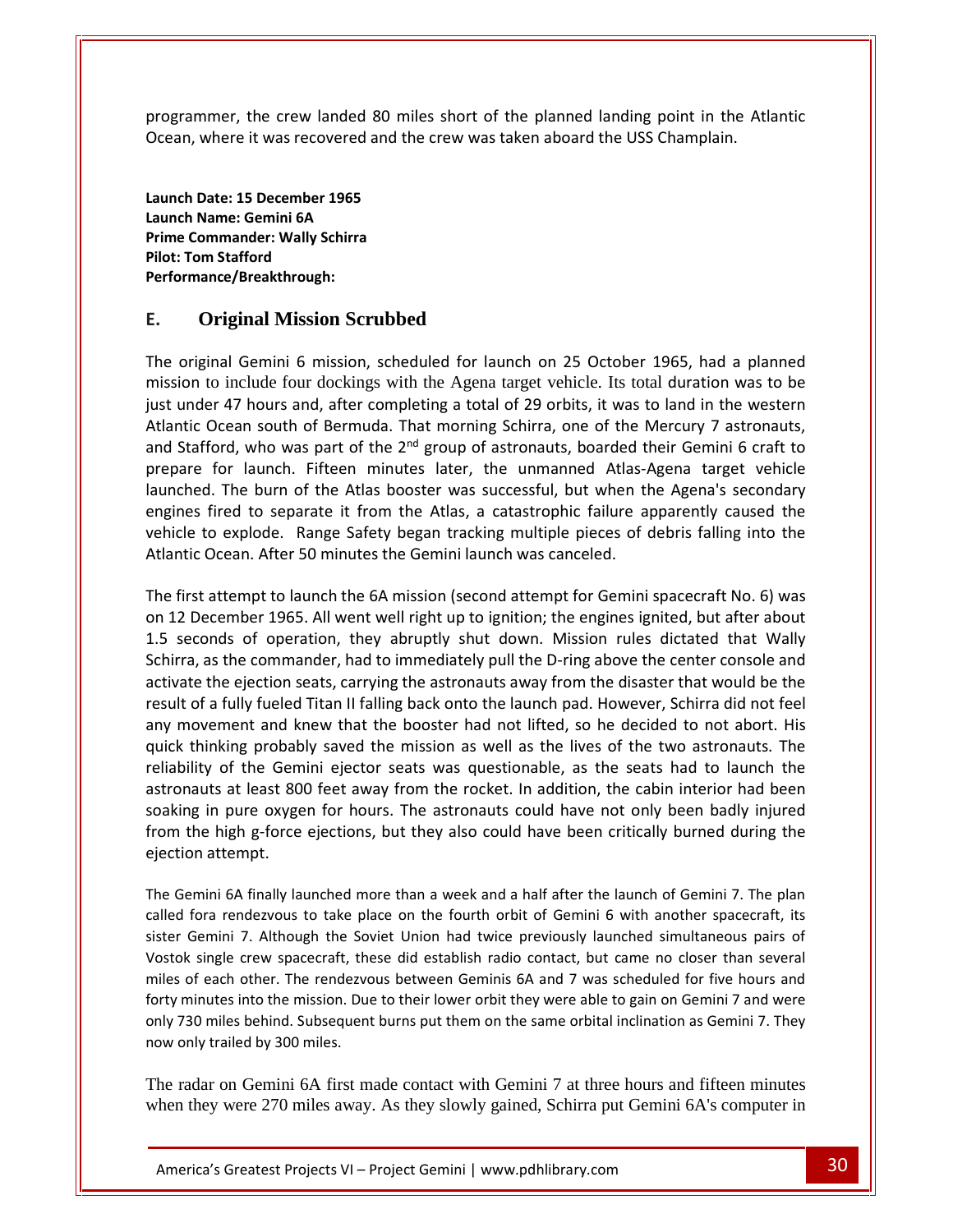the crew landed <sup>80</sup> miles short of the planned landing point in the Atlantic where it was recovered and the crew was taken aboard the USS Champlain. mmer, the crew landed 80 milement where it was recovered and the<br>Date: 15 December 1965 mmer, the crew landed 80<br>
where it was recovered ar<br>
Date: 15 December 1965<br>
Name: Gemini 6A **Performance/Breakthrough:**

programmer, the crew landed 80 mile<br>Ocean, where it was recovered and the<br>Launch Date: 15 December 1965<br>Launch Name: Gemini 6A<br>Prime Commander: Wally Schirra **Philome Example 15 Feature 1**<br>**Launch Date: 15 December 1**<br>**Launch Name: Gemini 6A<br>Prime Commander: Wally Sc<br>Pilot: Tom Stafford** Launch Name: Gemini 6A<br>Prime Commander: Wally Schirra original Gemini 6 mission<br>
Commander: Wally Schirra<br>
Tom Stafford<br>
Original Mission, Scrubbed<br>
Original Gemini 6 mission, scheduled for launch on 25 October 1965, had a planned **Pilot: Tom Stafford** . ..u<br>Dorf Atlantic

#### **Original Mission Scrubbed** prepare

mmanuel: wany schina<br>
n Stafford<br> **Driginal Mission Scrubbed**<br>
inal Gemini 6 mission, scheduled for launch on 25 October 1965, had a planned<br>
to include four dockings with the Agena target vehicle. Its total duration was t original Mission Scrubbed<br>
original Mission Scrubbed<br>
original Gemini 6 mission, scheduled for launch on 25 October 1965, had a planned<br>
ion to include four dockings with the Agena target vehicle. Its total duration was to **E. Original Mission Scrubbed**<br>The original Gemini 6 mission, scheduled for launch on 25 October 1965, had a planned<br>mission to include four dockings with the Agena target vehicle. Its total duration was to be<br>just under **Original Mission Scrubbed**<br>original Gemini 6 mission, scheduled fo<br>ion to include four dockings with the Ag<br>under 47 hours and, after completing a t<br>ntic Ocean south of Bermuda. That morr<br>Stafford, who was part of the 2<sup>n</sup> The original Gemini 6 mission, sched r launch on 25 October 1965, had a planned<br>ena target vehicle. Its total duration was to be<br>otal of 29 orbits, it was to land in the western<br>ing Schirra, one of the Mercury 7 astronauts,<br>of astronauts. boarded their Gemini Figure 1.1288561 801 802.<br>
Anal Gemini 6 mission, scheduled for launch on 25 October 1965, had a planned<br>
o include four dockings with the Agena target vehicle. Its total duration was to be<br>
r 47 hours and, after completi al Gemini 6 mission, scheduled for launch on 25 October 1965, had a planned<br>include four dockings with the Agena target vehicle. Its total duration was to be<br>47 hours and, after completing a total of 29 orbits, it was to l mission to include four dockings with the Agena target vehicle. Its total duration was to be to include four dockings with the Agena target vehicle. Its total duration was to be<br>er 47 hours and, after completing a total of 29 orbits, it was to land in the western<br>Ocean south of Bermuda. That morning Schirra, one o just under 47 hours and, after completing a total of 29 orbits, it was to land in the western<br>Atlantic Ocean south of Bermuda. That morning Schirra, one of the Mercury 7 astronauts,<br>and Stafford, who was part of the 2<sup>nd</sup> Atlantic Ocean south of Bermuda. That morning Schirra, one of the Mercury 7 astronauts, and Stafford, who was part of the 2<sup>nd</sup> group of astronauts, boarded their Gemini 6 craft to<br>prepare for launch. Fifteen minutes later, the unmanned Atlas-Agena target vehicle First attempt to launch. Fifteen minutes later, the unmanned Atlas-Agena target vehicle ched. The burn of the Atlas booster was successful, but when the Agena's secondary nes fired to separate it from the Atlas, a catastro launched. The burn of the Atlas booster was successful, but when the Agena's secondary 12 December 1965. All went well right up to ignition; the engines ignited, but same ignorate it from the Atlas<br>1965. All went and the Atlas, a catastrophic failure apparently caused the<br>1965. All went well right up to igni 1.5 seconds of operation, they abruptly shut down. Mission rules against the vehicle to explode. Range Safety began tracking multiple pieces of debris falling into the Atlantic Ocean. After 50 minutes the Gemini launch was vehicle to explode. Range Safety began tracking multiple pieces of debris falling into the Atlantic Ocean. After 50 minutes the Gemini launch was canceled. results

as the commander, had to immediately pull the D-ring above the center console and<br>as the commander, had to immediately pull the D-ring above the center about<br>and of operation, they abruptly shut down. Mission rules dictate Ocean. After 50 minutes the Gemini launch was canceled.<br>
attempt to launch the 6A mission (second attempt for Gemini spacecraft No. 6) was<br>
ecember 1965. All went well right up to ignition; the engines ignited, but after a of a fully fueled Titan II falling back onto the launch pad. However, Schirra did not feel<br>of a fully fueled Titan II falling back onto the launch passign it and wally<br>a, as the commander, had to immediately pull the D-rin The first attempt to launch the 6A mission (second attempt for Gemini spacecraft No. 6) was first attempt to launch the 6A mission (second attempt for Gemini spacecraft No. 6) was<br>2 December 1965. All went well right up to ignition; the engines ignited, but after about<br>seconds of operation, they abruptly shut dow on 12 December 1965. All went well right up to ignition; the engines ignited, but after about December 1965. All went well right up to ignition; the engines ignited, but after about<br>conds of operation, they abruptly shut down. Mission rules dictated that Wally<br>a, as the commander, had to immediately pull the D-ring 1.5 seconds of operation, they abruptly shut down. Mission rules dictated that Wally ds of operation, they abruptly shut down. Mission rules dictated that Wally<br>the commander, had to immediately pull the D-ring above the center console and<br>e ejection seats, carrying the astronauts away from the disaster th Schirra, as the commander, had to immediately pull the D-ring above the center console and the commander, had to immediately pull the D-ring above the center console and<br>
e ejection seats, carrying the astronauts away from the disaster that would be the<br>
tully fueled Titan II falling back onto the launch pad. Ho activate the ejection seats, carrying the astronauts away from the disaster that would be the the ejection seats, carrying the astronauts away from the disaster that would be the<br>a fully fueled Titan II falling back onto the launch pad. However, Schirra did not feel<br>vement and knew that the booster had not lifted, result of a fully fueled Titan II falling back onto the launch pad. However, Schirra did not feel to fa fully fueled Titan II falling back onto the launch pad. However, Schirra did not feel<br>novement and knew that the booster had not lifted, so he decided to not abort. His<br>thinking probably saved the mission as well as any movement and k<br>quick thinking probak<br>reliability of the Gem<br>astronauts at least 80<br>soaking in pure oxyge<br>from the high g-force<br>eiection attempt. Ibility of the Gemini ejector seats was questionable, as the seats had to launch the<br>onauts at least 800 feet away from the rocket. In addition, the cabin interior had been<br>sing in pure oxygen for hours. The astronauts cou astroi auts at least 800 feet away from the rocket. In addition, the cabin interior had been<br>g in pure oxygen for hours. The astronauts could have not only been badly injured<br>the high g-force ejections, but they also could have b soaki In pure oxygen for hours. The astronauts could have not only been badly injured<br>the high g-force ejections, but they also could have been critically burned during the<br>on attempt.<br>emini 6A finally launched more than a week from t ejection attempt.

now only trailed by 300 miles. Is into the mission. Due to their lower orbit they were able to gain on Gemini 7 and were<br>les behind. Subsequent burns put them on the same orbital inclination as Gemini 7. They<br>siled by 300 miles.<br>On Gemini 6A first made ne high g-force ejections, but they also could have been critically burned during the<br>n attempt.<br>mini 6A finally launched more than a week and a half after the launch of Gemini 7. The plan<br>ora rendezvous to take place on t on attempt.<br>
emini 6A finally launched more than a week and a half after the launch of Gemini 7. The plan<br>
fora rendezvous to take place on the fourth orbit of Gemini 6 with another spacecraft, its<br>
Gemini 7. Although the Semini 6A finally launched more than a week and a half after the launch of Gemini 7. The plan<br>I fora rendezvous to take place on the fourth orbit of Gemini 6 with another spacecraft, its<br>Gemini 7. Although the Soviet Union The Gemini 6A finally launched more than a week and a half after the launch of Gemini 7. The plan Gemini 6A finally launched more than a week and a half after the launch of Gemini 7. The plan<br>d fora rendezvous to take place on the fourth orbit of Gemini 6 with another spacecraft, its<br>r Gemini 7. Although the Soviet Uni calle d fora rendezvous to take planet of Gemini 7. Although the Souk single crew spacecraft, the solve single crew spacecraft, the single crew spacecraft, the single single by 300 miles.

The radar on Gemini 6A first made contact with Gemini 7 at three hours and fifteen minutes when they were 270 miles away. As they slowly gained, Schirra put Gemini 6A's computer in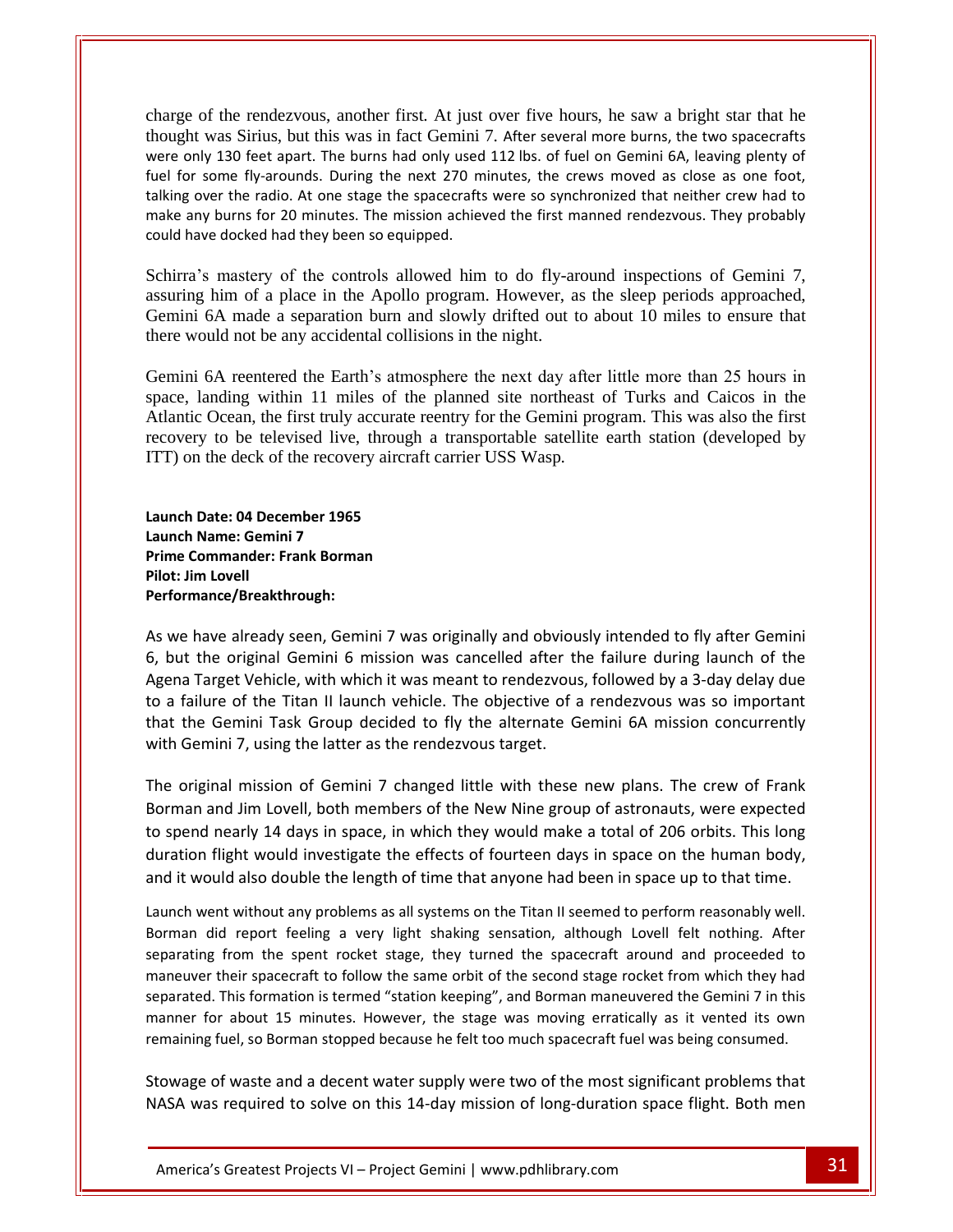charge of the rendezvous, another first. At just over five hours, he saw a bright star that he thange of the rendezvous, another first. At just over five hours, he saw a bright star that he<br>thought was Sirius, but this was in fact Gemini 7. After several more burns, the two spacecrafts only 130 feet apart. The burns had only used 112 lbs. of fuel on Gemini 6A, leaving plenty of the two spacecrafts only 130 feet apart. The burns had only used 112 lbs. of fuel on Gemini 6A, leaving plenty of charge of the rendezvous, another first. At just over five hours, he saw a bright star that he<br>thought was Sirius, but this was in fact Gemini 7. After several more burns, the two spacecrafts<br>were only 130 feet apart. The of the rendezvous, another first. At just over five hours, he saw a bright star that he<br>t was Sirius, but this was in fact Gemini 7. After several more burns, the two spacecrafts<br>nly 130 feet apart. The burns had only used e of the rendezvous, another first. At just over five hours, he saw a bright star that he<br>ht was Sirius, but this was in fact Gemini 7. After several more burns, the two spacecrafts<br>pnly 130 feet apart. The burns had only charge of the rendezvous, another first. At just<br>thought was Sirius, but this was in fact Gemini<br>were only 130 feet apart. The burns had only used<br>fuel for some fly-arounds. During the next 270 m<br>talking over the radio. At Schirra's mastery of the controls allowed him to do fly-around inspections of Gemini 7, controls allowed him to do fly-around inspections of Gemini 7,

assuring him of a place in the Apollo program. However, as the sleep periods approached, Gemini 6A made a separation burn and slowly drifted out to about 10 miles to ensure that there would not be any accidental collisions in the night.

Gemini 6A reentered the Earth's atmosphere the next day after little more than 25 hours in space, landing within 11 miles of the planned site northeast of Turks and Caicos in the Atlantic Ocean, the first truly accurate reentry for the Gemini program. This was also the first recovery to be televised live, through a transportable satellite earth station (developed by ITT) on the deck of the recovery aircraft carrier USS Wasp.<br> **Launch Date: 04 December 1965**<br> **Launch Name: Gemini 7**<br> **Prime Com** landing within 11 miles of the<br>c Ocean, the first truly accurate<br>y to be televised live, through<br>i the deck of the recovery aircra:<br>**Date:** 04 December 1965 Atlantic Ocean, the first truly a<br>recovery to be televised live,<br>ITT) on the deck of the recover<br>Launch Date: 04 December 1965<br>Launch Name: Gemini 7 **Performance/Breakthrough:**

ITT) on the deck of the recovery aircraft carrier USS Wasp.<br> **Launch Date: 04 December 1965<br>
<b>Launch Name: Gemini 7<br>
Prime Commander: Frank Borman<br>
Pilot: Jim Lovell** inch Date: 04 December 1965<br>inch Name: Gemini 7<br>me Commander: Frank Borman<br>formance/Breakthrough:<br>we have already seen. Gemini 7 was originally and obviously intended to fly after Gemini Launch Date: 04 December 1965<br>Launch Name: Gemini 7 Prime Commander: Frank Borman **Pilot: Jim Lovell** that<br>Dorf with the control of the control of the control of the control of the control of the control of the control of the control of the control of the control of the control of the control of the control of the control of the con

were die k

inch Date: 04 December 1965<br>
unch Name: Gemini 7<br>
me Commander: Frank Borman<br>
ot: Jim Lovell<br>
we have already seen, Gemini 7 was originally and obviously intended to fly after Gemini<br>
but the original Gemini 6 mission was Name: Gemini 7<br>
Commander: Frank Borman<br>
m Lovell<br>
have already seen, Gemini 7 was originally and obviously intended to fly after Gemini<br>
the original Gemini 6 mission was cancelled after the failure during launch of the<br> In the Commander. Frank Borman<br>
formance/Breakthrough:<br>
we have already seen, Gemini 7 was originally and obviously intended to fly after Gemini<br>
but the original Gemini 6 mission was cancelled after the failure during lau France/Breakthrough:<br>
e have already seen, Gemini 7 was originally and obviously intended to fly after Gemini<br>
it the original Gemini 6 mission was cancelled after the failure during launch of the<br>
a Target Vehicle, with w As we have already seen, Gemini 7 was originally and obviou<br>6, but the original Gemini 6 mission was cancelled after th<br>Agena Target Vehicle, with which it was meant to rendezvous<br>to a failure of the Titan II launch vehicl original mission of Gemini 7 changed little with these new plans. The crew of Frank<br>original mission was cancelled after the failure during launch of the<br>failure of the Titan II launch vehicle. The objective of a rendezvou Agena Target Vehicle, with which it was meant to rendezvous, followed by a 3-day delay due and Jim Lovell, both members of the New Nine group of astronauts, were expected<br>and Jim Lovell, both members of the New Nine group of assign concurrently<br>and Jim Lovell, both members of the New Nine group of astronauts, we to a failure of the Titan II launch vehicle. The objective of a rendezvous was so important a failure of the Titan II launch vehicle. The objective of a rendezvous was so important<br>at the Gemini Task Group decided to fly the alternate Gemini 6A mission concurrently<br>th Gemini 7, using the latter as the rendezvous that the Gemini Task Group decided to fly the alternate Gemini 6A mission concurrently

that the Gemini Task Group decided to fly the alternate Gemini 6A mission concurrently<br>with Gemini 7, using the latter as the rendezvous target.<br>The original mission of Gemini 7 changed little with these new plans. The cre with Gemini 7, using the latter as the rendezvous target.<br>The original mission of Gemini 7 changed little with these new plans. The crew of Frank<br>Borman and Jim Lovell, both members of the New Nine group of astronauts, wer The original mission of Gemini 7 changed little with these new plans. The crew of Frank<br>Borman and Jim Lovell, both members of the New Nine group of astronauts, were expected<br>to spend nearly 14 days in space, in which they and Jim Lovell, both members of the New Nine group of astronauts, were expected<br>I nearly 14 days in space, in which they would make a total of 206 orbits. This long<br>flight would investigate the effects of fourteen days in to spend nearly 14 days in space, in which they would make a total of 206 orbits. This long early 14 days in space, in which they would make a total of 206 orbits. This long<br>ight would investigate the effects of fourteen days in space on the human body,<br>id also double the length of time that anyone had been in sp and it would also double the length of time that anyone had been in space up to that time.

remaining fuel, so Borman stopped because he felt too much spacecraft fuel was being consumed. Greatest Projects VI – Project Gemini | www.pdhlibrary.com 31 duration flight would investigate the effects of fourteen days in space on the human body,<br>and it would also double the length of time that anyone had been in space up to that time.<br>Launch went without any problems as all Id also double the length of time that anyone had been in space up to that time.<br>
Intervitout any problems as all systems on the Titan II seemed to perform reasonably well.<br>
Interprot feeling a very light shaking sensation For about 15 minutes. However, the stage was moving erratically as it vented its own about 15 minutes. However, the stage was moving erratically as it vented its own for about 15 minutes. However, the stage was moving erra Launch went without any problems as all systems on the Titan II seemed to perform reasonably well. Launch went without any problems as all systems on the Titan II seemed to perform reasonably well.<br>Borman did report feeling a very light shaking sensation, although Lovell felt nothing. After<br>separating from the spent roc of waster and a decent water supply were two of the most significant problems that<br>of their spacecraft to follow the same orbit of the second stage rocket from which they had<br>This formation is termed "station keeping", and separating from the spent rocket stage, they turned the spacecraft around and proceeded to maneuver their spacecraft to follow the same orbit of the second stage rocket from which they had separated. This formation is termed "station keeping", and Borman maneuvered the Gemini 7 in this<br>manner for about 15 minutes. However, the stage was moving erratically as it vented its own<br>remaining fuel, so Borman stoppe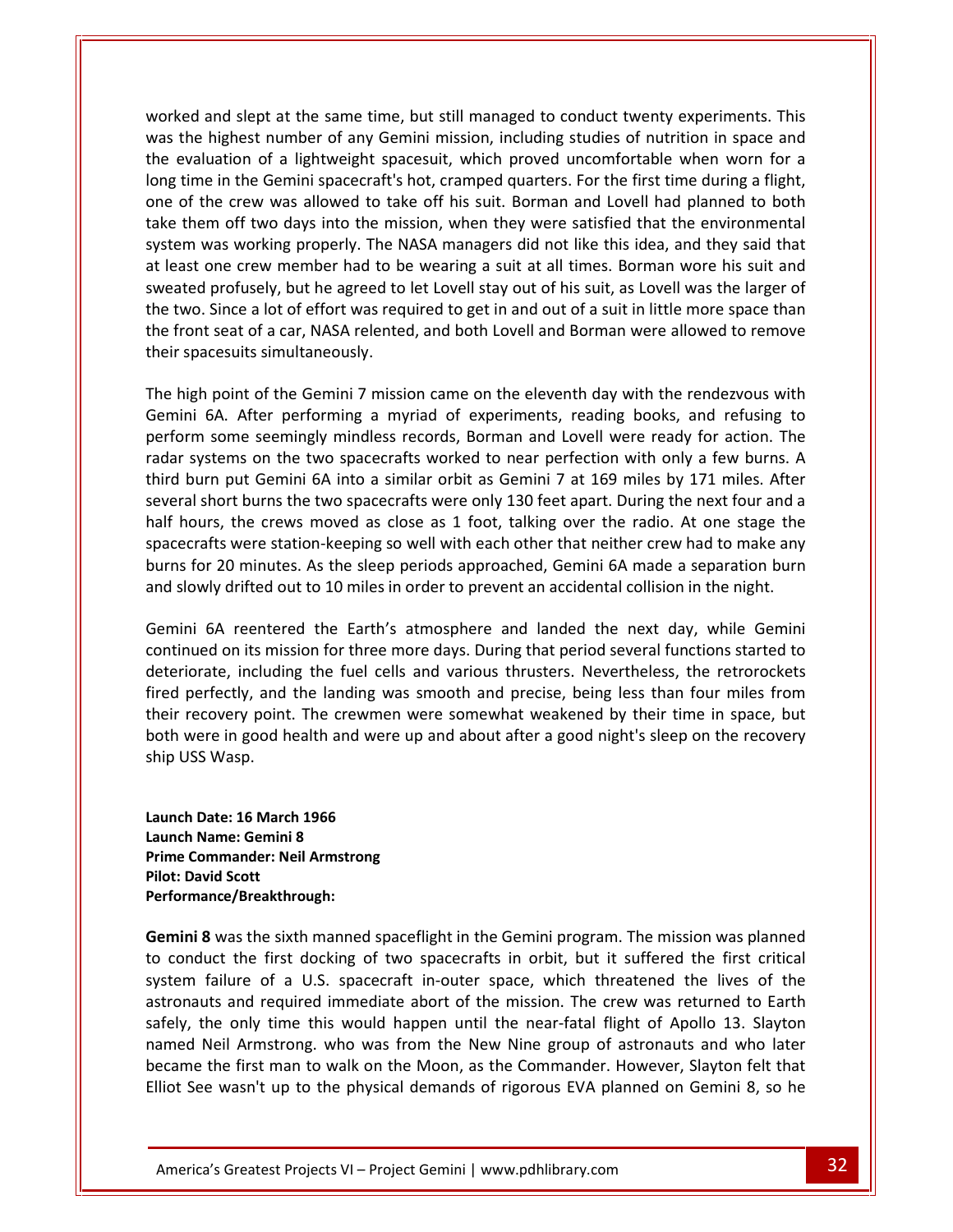and slept at the same time, but still managed to conduct twenty experiments. This The highest number of any Gemini mission, including studies of nutrition in space and and slept at the same time, but still managed to conduct twenty experiments. This the highest number of any Gemini mission, including st evaluation of a lightweight spacesuit, which proved uncomfortable when worn for a lightweight spacesuit, which proved uncomfortable when worn for a worked and slept at the same time, but still managed to conduct twenty experiments. This<br>was the highest number of any Gemini mission, including studies of nutrition in space and<br>the evaluation of a lightweight spacesuit, of the crew was allowed to take off his suit. Borman and Lovell had planned to both the crew was allowed to take off his suit. Borman and Lovell had planned to both ed and slept at the same time, but still managed to conduct twenty experiments. This<br>the highest number of any Gemini mission, including studies of nutrition in space and<br>evaluation of a lightweight spacesuit, which proved worked and slept at the same time, but still managed to conduct twenty experiments. This and slept at the same time, but still managed to conduct twenty experiments. This<br>
inighest number of any Gemini mission, including studies of nutrition in space and<br>
luation of a lightweight spacesuit, which proved uncomf was the highest number of any Gemini mission, including studies of nutrition in space and It is the highest number of any Gemini mission, including studies of nutrition in space and<br>
Least outation of a lightweight spacesuit, which proved uncomfortable when worn for a<br>
Ing time in the Gemini spacecraft's hot, c the evaluation of a lightweight spacesuit, which proved uncomfortable when worn for a in the agreed to let Lovell stay out of his suit. As Lovell was the larger of the stay the agree of the semini spacecraft's hot, cramped quarters. For the first time during a flight, he crew was allowed to take off his sui long time in the Gemini spacecraft's hot, cramped quarters. For the first time during a flight, Figure a lot of effort was required to get in and out of a suit in little more space than<br>two. Since a lot of effort was required to be wearing that the environmental<br>em was working properly. The NASA managers did not like one of the crew was allowed to take off his suit. Borman and Lovell had planned to both of the crew was allowed to take off his suit. Borman and Lovell had planned to both is them off two days into the mission, when they were satisfied that the environmental em was working properly. The NASA managers did not take them off two days into the mission, when they were satisfied that the environmental take them off two days into the missystem was working properly. The N<br>at least one crew member had to b<br>sweated profusely, but he agreed to<br>the two. Since a lot of effort was req<br>the front seat of a car, NASA relente<br>their high point of the Gemini 7 mission came on the eleventh day with the rendezvous with<br>high point of the Gemini 7 mission came on the eleventh day with the rendezvous with<br>high point of the Gemini 7 mission came on the eleve Sweated profusely, but he agreed to let Lovell stay out of his suit, as Lovell was the larger of<br>the two. Since a lot of effort was required to get in and out of a suit in little more space than<br>the front seat of a car, NA the two. Since a lot of effort was required to get in and out of a suit in little more space than Since a lot of effort was required to get in and out of a suit in little more space than<br>seat of a car, NASA relented, and both Lovell and Borman were allowed to remove<br>cesuits simultaneously.<br>point of the Gemini 7 mission the front seat of a car, NASA relented, and both Lovell and Borman were allowed to remove u.c.<br>thair several

shows a feel of the two spacecrafts and both Lovell and Borman were allowed to remove<br>pacesuits simultaneously.<br>gh point of the Gemini 7 mission came on the eleventh day with the rendezvous with<br>ii 6A. After performing a m burs care of a car, the contention, and doen doen doen doen the domain were enormed to centere<br>spacesuits simultaneously.<br>igh point of the Gemini 7 mission came on the eleventh day with the rendezvous with<br>ni 6A. After per short burns the Gemini 7 mission came on the eleventh day with the rendezvous with<br>6A. After performing a myriad of experiments, reading books, and refusing to<br>1 some seemingly mindless records, Borman and Lovell were read The high point of the Gemini 7 mission came on the eleventh day with the rendezvous with high point of the Gemini 7 mission came on the eleventh day with the rendezvous with<br>ini 6A. After performing a myriad of experiments, reading books, and refusing to<br>prm some seemingly mindless records, Borman and Lovell w Gemini 6A. After performing a myriad of experiments, reading books, and refusing to After performing a myriad of experiments, reading books, and refusing to<br>me seemingly mindless records, Borman and Lovell were ready for action. The<br>ms on the two spacecrafts worked to near perfection with only a few burns narfol m some seemingly mindless records, Borman and Lovell were ready for action. The<br>systems on the two spacecrafts worked to near perfection with only a few burns. A<br>burn put Gemini 6A into a similar orbit as Gemini 7 at 169 m radar systems on the two spacecrafts worked to near perfection with only a few burns. A radar systems on the two spacecrafts worked to near perfection with only a few burns. A third burn put Gemini 6A into a similar orbit as Gemini 7 at 169 miles by 171 miles. After several short burns the two spacecrafts wer For burns the two spacecrafts were only 130 feet apart. During the next four and a<br>trs, the crews moved as close as 1 foot, talking over the radio. At one stage the<br>fits were station-keeping so well with each other that ne half hours, the crews moved as close as 1 foot, talking over the radio. At one stage the<br>spacecrafts were station-keeping so well with each other that neither crew had to make any<br>burns for 20 minutes. As the sleep periods spacecrafts were station-keeping so well with each other that neither crew had to make any including the fuel cells and various thrusters. Nevertheless, the retrorockets<br>including the fuel cells and various through the retrorock and to make any<br>ifted out to 10 miles in order to prevent an accidental collision in burns for 20 minutes. As the sleep periods approached, Gemini 6A made a separation burn and. both

perfectly, and the landing was smooth and precise, being less than four miles from<br>the landing was smoothed and the landing was smoothed in the landing was smooth and precise. Nevertheless, the retrorockets<br>perfectly, and recovery diffed out to 10 miles in order to prevent an accidental collision in the night.<br>Ini 6A reentered the Earth's atmosphere and landed the next day, while Gemini<br>nued on its mission for three more days. During that p mission for three moves and landed the next day, while Gemini<br>nued on its mission for three more days. During that period several functions started to<br>iorate, including the fuel cells and various thrusters. Nevertheless, t Gemini 6A reentered the Earth's atmosphere and landed the next day, while Gemini ini 6A reenter<br>inued on its mis<br>riorate, includi<br>perfectly, and<br>recovery poin<br>were in good l<br>USS Wasp. fired perfectly, and the landing was smooth and precise, being less than four miles from erfectly, and the landing w<br>ecovery point. The crewmer<br>ere in good health and were<br>IS Wasp.<br>**Date: 16 March 1966** their recovery point. The crewmen were somewhat weakened by their time in space, but Provery point. The crevere in good health and<br>*S* Wasp.<br>Date: 16 March 1966<br>Name: Gemini 8 ship USS Wasp. **Performance/Breakthrough:**

**Proof Mandale Bridge Ship USS Wasp.<br><b>Prime** USS Wasp.<br>**Launch Date: 16 March 1966<br><b>Launch Name: Gemini 8**<br>Prime Commander: Neil Armstrong **Ship USS Wasp.<br>Launch Date: 16 March<br>Launch Name: Gemini 8<br>Prime Commander: Nei<br>Pilot: David Scott Pate: 16 March 1966<br>Name: Gemini 8<br>Dimmander: Neil Armstrong<br>Vid Scott<br><b>8** was the sixth manned spaceflight in the Gemini program. The mission was planned Launch Date: 16 March 1966 Launch Name: Gemini 8 Pilot: David Scott<br>Performance/Breakthrough: namen.<br>T

long

named Neil Armstrong. who was from the New Nine group of astronauts and who later and required immediate abort of the mission. The crew was returned to Earth<br>
only time this would happen until the near-fatal flight of Apollo 13. Slayton<br>
il Armstrong. who was from the New Nine group of astronauts and wh nch Date: 16 March 1966<br>nch Name: Gemini 8<br>ne Commander: Neil Armstrong<br>t: David Scott<br>formance/Breakthrough:<br>mini 8 was the sixth manned spaceflight in the Gemini program. The mission was planned<br>conduct the first docking iame: Gemini 8<br>Failure of Neil Armstrong<br>Ince/Breakthrough:<br>The Mass the sixth manned spaceflight in the Gemini program. The mission was planned<br>Luct the first docking of two spacecrafts in orbit, but it suffered the first Example: New Armstrong<br>
Scott<br>
as the sixth manned spaceflight in the Gemini program. The mission was planned<br>
the first docking of two spacecrafts in orbit, but it suffered the first critical<br>
ure of a U.S. spacecraft inthe scott<br> **S** was the sixth manned spaceflight in the Gemini program. The mission was planned<br>
duct the first docking of two spacecrafts in orbit, but it suffered the first critical<br>
failure of a U.S. spacecraft in-outer **8** was the sixth manned spaceflight in the Gemini program. The mission was planned<br>luct the first docking of two spacecrafts in orbit, but it suffered the first critical<br>failure of a U.S. spacecraft in-outer space, which Gemini 8 was the sixth manned spaceflight in the Gemini program. The mission was planned If was the sixth manned spaceflight in the Gemini program. The mission was planned<br>uct the first docking of two spacecrafts in orbit, but it suffered the first critical<br>failure of a U.S. spacecraft in-outer space, which th to conduct the first docking of two spacecrafts in orbit, but it suffered the first critical<br>system failure of a U.S. spacecraft in-outer space, which threatened the lives of the<br>astronauts and required immediate abort of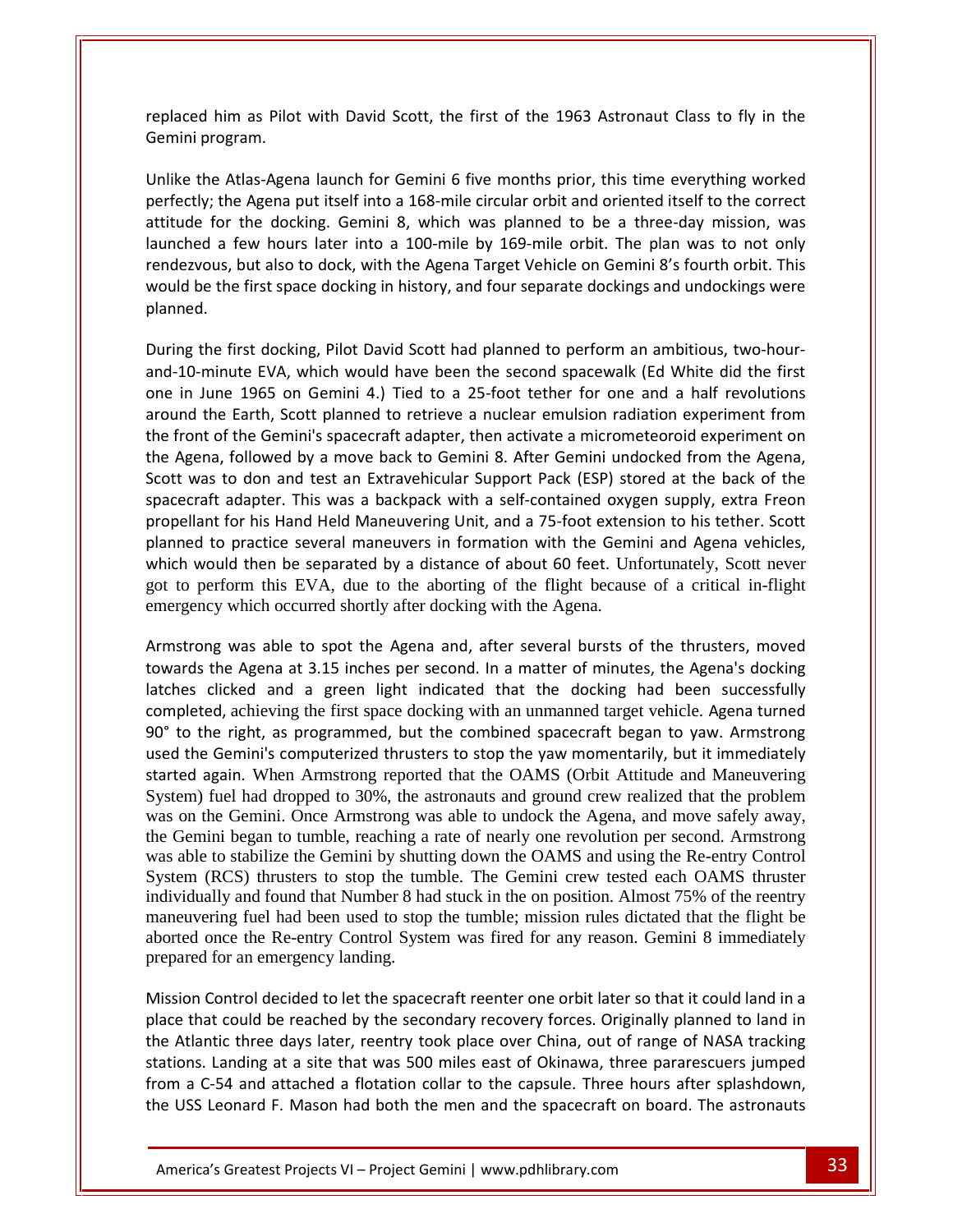him as Pilot with David Scott, the first of the 1963 Astronaut Class to fly in the <u>mando and the manuscriptor</u><br>Preplaced him as Pilot<br>Semini program. the Atlas-Agena launch for Gemini 6 five months prior, this time everything worked orthe Agena put itself into Agena put itself into a 168-mile circular orbit and oriented itself into a 168-mile circular orbit and oriented itself to the correct<br>the Agena put itself into a 168-mile circular orbit and orie launchedrepresse mi<br>Gomini prog would be a failure.

him as Pilot with David Scott, the first of the 1963 Astronaut Class to fly in the<br>rogram.<br>e Atlas-Agena launch for Gemini 6 five months prior, this time everything worked<br>; the Agena put itself into a 168-mile circular or im as Pilot with David Scott, the first of the 1963 Astronaut Class to fly in the<br>ogram.<br>
Atlas-Agena launch for Gemini 6 five months prior, this time everything worked<br>
the Agena put itself into a 168-mile circular orbit but also to dock, with the Agena Target Vehicle on Gemini 8's fourth orbit. This film<br>but also to docking. Gemini 8, which was planned to be a three-day mission, was<br>few hours later into a 100-mile by 169-mile orbit. The p the Atlas-Agena launch for Gemini 6 five months prior, this time everything worked<br>tly; the Agena put itself into a 168-mile circular orbit and oriented itself to the correct<br>e for the docking. Gemini 8, which was planned ا+ Inlika performant to the docking. Gemini 8, which was planned to be a three-day mission, was launched a few hours later into a 100-mile by 169-mile orbit. The plan was to not only rendezvous, but also to dock, with the Agena Targ EVA, which was planned to be a time and these to have been the second to dock, with the Agena Target Vehicle on Gemini 8's fourth orbit. This st space docking in history, and four separate dockings and undockings were dock one in June 1965 on Gemini 4.) Tied to a 25-foot tether for one and a half revolutions<br>one in June 1965 on Gemini 4.) Tied to a 25-foot tether for one and a half revolutions<br>one in June 1965 on Gemini 4.) Tied to a 25-foot would be the first space docking in history, and four separate dockings and undockings were planned. the

The Earth Space docking in history, and four separate dockings and undockings were<br>the first docking, Pilot David Scott had planned to perform an ambitious, two-hour-<br>minute EVA, which would have been the second spacewalk front of the Gemini's spacecraft adapter, then activate a micrometeoroid experiment on<br>front of the Gemini's spacecraft adapter, then activate a micrometeoroid experiment from<br>front of the Gemini's spacecraft adapter, then During the first docking, Pilot David Scott had planned to perform an ambitious, two-hour-<br>and-10-minute EVA, which would have been the second spacewalk (Ed White did the first<br>one in June 1965 on Gemini 4.) Tied to a 25-f g the first docking, Pilot David Scott had planned to perform an ambitious, two-hour-<br>0-minute EVA, which would have been the second spacewalk (Ed White did the first<br>1 June 1965 on Gemini 4.) Tied to a 25-foot tether for  $=$  and 10-mi inter EVA, which would have been the second spacewalk (Ed White did the first<br>e 1965 on Gemini 4.) Tied to a 25-foot tether for one and a half revolutions<br>Earth, Scott planned to retrieve a nuclear emulsion radiation exper one in June 1965 on Gemini 4.) Tied to a 25-foot tether for one and a half revolutions the front of the Gemini's spacecraft adapter, then activate a micrometeoroid experiment on<br>the Agena, followed by a move back to Gemini 8. After Gemini undocked from the Agena,<br>Scott was to don and test an Extravehicular S around the Earth, Scott planned to retrieve a nuclear emulsion radiation experiment from propellant for his Hand Held Maneuvering Unit, and a 75-foot extension to his tether. Scott Int of the Gemini's spacecraft adapter, then activate a micrometeoroid experiment on<br>ena, followed by a move back to Gemini 8. After Gemini undocked from the Agena,<br>was to don and test an Extravehicular Support Pack (ESP) which would then be separated by a distance of about to rect. Onlotantly, seem hever<br>got to perform this EVA, due to the aborting of the flight because of a critical in-flight emergency which occurred shortly after docking with the Gemini and Agena vehicles,<br>which would then be separated by a distance of about 60 feet. Unfortunately, Scott never<br>got to perform this EVA, due to the aborting of th planned to practice several maneuvers in formation with the Gemini and Agena vehicles, the Agena at 3.15 inches per second. In a matter of minutes, the Agena's docking<br>the he separated by a distance of about 60 feet. Unfortunately, Scott never<br>erform this EVA, due to the aborting of the flight because of a c planned to practice several maneavers in formation with the definition and Agend ventiles,<br>which would then be separated by a distance of about 60 feet. Unfortunately, Scott never<br>got to perform this EVA, due to the aborti  $\frac{80}{3}$ <sup>o</sup>

achieving the first space of a solution of the flight because of a critical in-flight<br>which occurred shortly after docking with the Agena.<br>was able to spot the Agena and, after several bursts of the thrusters, moved<br>expens to perform this EVT, due to the doolting of the right occulate of a critical in right<br>rgency which occurred shortly after docking with the Agena.<br>strong was able to spot the Agena and, after several bursts of the thrusters trong was able to spot the Agena and, after several bursts of the thrusters, moved<br>rds the Agena at 3.15 inches per second. In a matter of minutes, the Agena's docking<br>es clicked and a green light indicated that the dockin Armetre ng was able to spot the Agena and, after several bursts of the thrusters, moved<br>the Agena at 3.15 inches per second. In a matter of minutes, the Agena's docking<br>clicked and a green light indicated that the docking had been System) fuel had dropped to 30%, the astronauts and ground crew realized that the problem was on the Gemini. Once Armstrong was able to undock the Agena, and move safely away, the Gemini began to tumble, reaching a rate of nearly one revolution per second. Armstrong was able to stabilize the Gemini by shutting down the OAMS and using the Re-entry Control System (RCS) thrusters to stop the tumble. The Gemini crew tested each OAMS thruster individually and found that Number 8 had stuck in the on position. Almost 75% of the reentry maneuvering fuel had been used to stop the tumble; mission rules dictated that the flight be mancuvering fuer had been used to stop the tumble, mission futes dictated that the fight be<br>aborted once the Re-entry Control System was fired for any reason. Gemini 8 immediately was able to stabilize the Gemini by shutting down the OAMS and using the Ke-entry Control<br>System (RCS) thrusters to stop the tumble. The Gemini crew tested each OAMS thruster<br>individually and found that Number 8 had stuck In (RCS) infusters to stop the tumble. The Gemini crew tested each OAMS infuster<br>dually and found that Number 8 had stuck in the on position. Almost 75% of the reentry<br>vering fuel had been used to stop the tumble; mission theAtlantic three days later, reentry took place over China, out of range of NASA tracking<br>Atlantic three days later, reentry took place over China, and the mediately<br>ared for an emergency landing.<br>Sion Control decided to let prepared for an emergency landing.

the Atlantic three days later, reentry took place over China, out of range of NASA tracking ntrol decided to let the spacecraft reenter one orbit later so that it could land in a<br>could be reached by the secondary recovery forces. Originally planned to land in<br>c three days later, reentry took place over China, out The Re-entry Control System was fired for any reason. Gemini 8 immediately<br>for an emergency landing.<br>Control decided to let the spacecraft reenter one orbit later so that it could land in a<br>t could be reached by the second aborted once the Ke-chrig Contor Bystem was fried for any feason. Gemmi o miniculately<br>prepared for an emergency landing.<br>Mission Control decided to let the spacecraft reenter one orbit later so that it could land in a<br>pla Sion Control decided to let the spacecraft reenter one orbit later so that it could land in a<br>e that could be reached by the secondary recovery forces. Originally planned to land in<br>Atlantic three days later, reentry took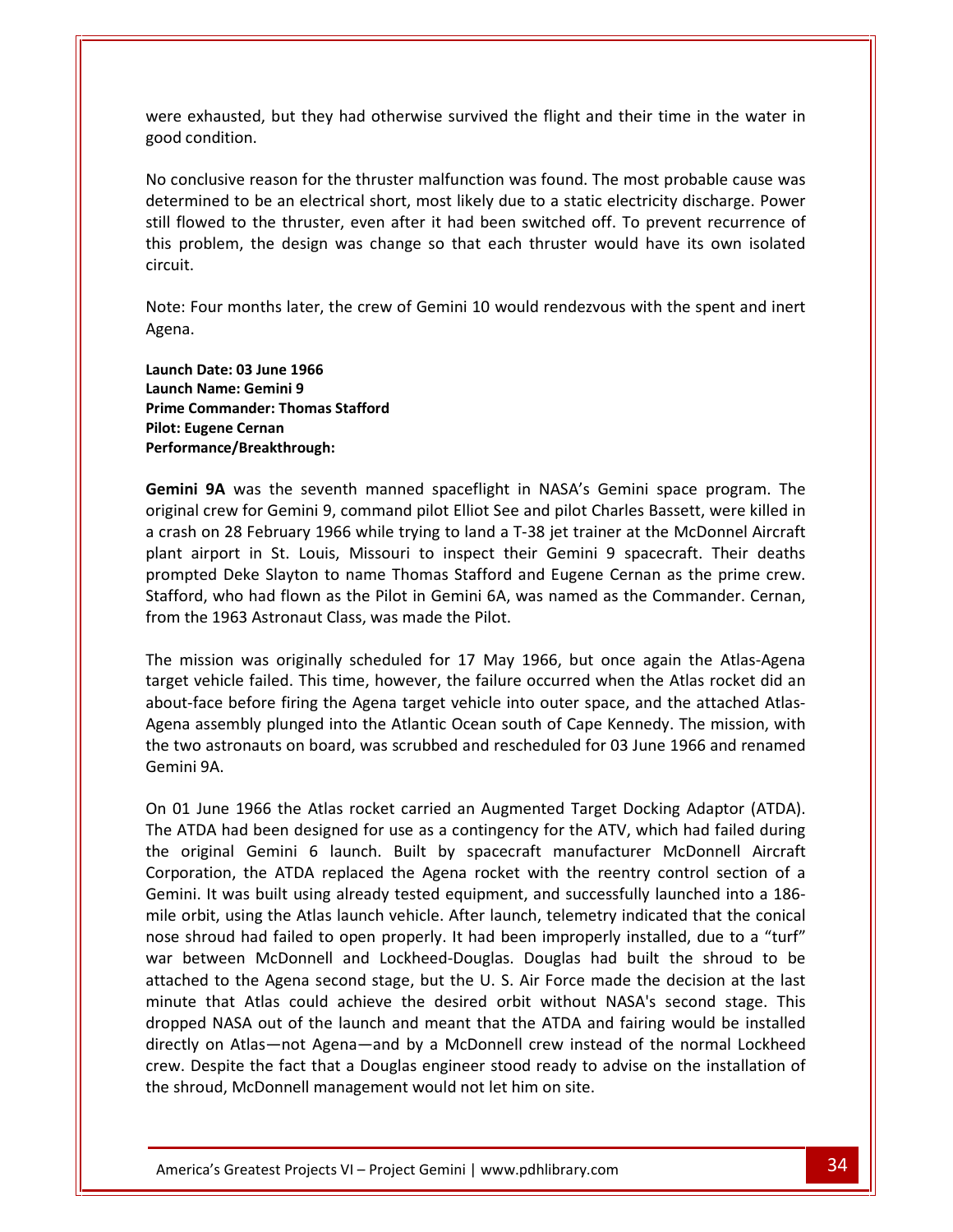exhausted, but they had otherwise survived the flight and their time in the water in and<br>
interants and the section of the section of the section of the second condition. conclusive reason for the thruster malfunction was found. The most probable cause was<br>conclusive reason for the thruster malfunction was found. The most probable cause was ted, but they had otherwise survived the flight and their time in the water in<br>on.<br>te reason for the thruster malfunction was found. The most probable cause was<br>to be an electrical short, most likely due to a static electr were exhausted, but they had otherwise survived the flight and their time in the water in good condition.

Flower exhausted, but they had otherwise survived the flight and their time in the water in<br>d condition.<br>conclusive reason for the thruster malfunction was found. The most probable cause was<br>rrmined to be an electrical sho problem, the design was change so that each thruster would have its own isolated and their time in the water in<br>
enclusive reason for the thruster malfunction was found. The most probable cause was<br>
primined to be an elect No conclusive reason for the thruster malfunction was found. The most probable cause was<br>determined to be an electrical short, most likely due to a static electricity discharge. Power<br>still flowed to the thruster, even aft No conclusive reason for the thruster malfunction was found. The most probable cause was determined to be an electrical short, most likely due to a static electricity discharge. Power circuit.

this problem, the design was ch<br>circuit.<br>Note: Four months later, the crev<br>Agena.<br>Launch Date: 03 June 1966 **Example 19 Solut months later, the compare: 03 June 1966**<br>**Name: Gemini 9** Four months later, the crew of Gemint<br> **Commander: 03 June 1966**<br> **Commander: Thomas Stafford** Agena.

**Note: Four months later, the**<br>Agena.<br>**Launch Date: 03 June 1966<br>Launch Name: Gemini 9<br>Prime Commander: Thomas St<br>Pilot: Eugene Cernan ate: 03 June 1966**<br>|ame: Gemini 9<br>|mmander: Thomas Stafford<br>|ene Cernan<br>|nce/Breakthrough:<br>|**9A** was the seventh manned spaceflight in NASA's Gemini space program. The Launch Date: 03 June 1966 Launch Name: Gemini 9 Prime Commander: Thomas Stafford<br>Pilot: Eugene Cernan Performance/Breakthrough:

Pate: 03 June 1966<br>
Iame: Gemini 9<br>
Immander: Thomas Stafford<br>
gene Cernan<br>
9A was the seventh manned spaceflight in NASA's Gemini space program. The<br>
crew for Gemini 9. command pilot Elliot See and pilot Charles Bassett, unch Name: Gemini 9<br>
ime Commander: Thomas Stafford<br>
lot: Eugene Cernan<br>
erformance/Breakthrough:<br>
emini 9A was the seventh manned spaceflight in NASA's Gemini space program. The<br>
riginal crew for Gemini 9, command pilot E in St. Louis, Missouri to inspect their Gemini space program. The<br>
airport of Gemini 9, command pilot Elliot See and pilot Charles Bassett, were killed in<br>
airport in St. Louis. Missouri to inspect their Gemini 9 spacecraf Performance/Breakthrough:<br>
Gemini 9A was the seventh manned spaceflight in NASA's Gemini space program. The<br>
original crew for Gemini 9, command pilot Elliot See and pilot Charles Bassett, were killed in<br>
a crash on 28 Feb Gemini 9A was the seventh manned spaceflight in NASA's Gemini space program. The<br>original crew for Gemini 9, command pilot Elliot See and pilot Charles Bassett, were killed in<br>a crash on 28 February 1966 while trying to la **Gemini 9A** was the seventh manned spaceflight in I<br>original crew for Gemini 9, command pilot Elliot See and<br>a crash on 28 February 1966 while trying to land a T-38<br>plant airport in St. Louis, Missouri to inspect their<br>pro man of 20 May 1966 while trying to land a T-38 jet trainer at the McDonnel Aircraft<br>sh on 28 February 1966 while trying to land a T-38 jet trainer at the McDonnel Aircraft<br>t airport in St. Louis, Missouri to inspect their a crash on 28 February 1966 while trying to land a T-38 jet trainer at the McDonnel Aircraft<br>plant airport in St. Louis, Missouri to inspect their Gemini 9 spacecraft. Their deaths vehicle failed. This time, however, the failure occurred when the Atlas rocket did an<br>vehicle failed. This time, however, the failure occurred when the Atlas-Agena<br>vehicle failed. This time, however, the failure occurred w prompted Deke Slayton to name Thomas Stafford and Eugene Cernan as the prime crew. prompted Deke Slayton to name Thomas Stafford and Eugene Cernan as the prime crew.<br>Stafford, who had flown as the Pilot in Gemini 6A, was named as the Commander. Cernan,<br>from the 1963 Astronaut Class, was made the Pilot.<br>T Stafford, who had flown as the Pilot in Gemini 6A, was named as the Commander. Cernan, from the 1963 Astronaut Class, was made the Pilot. Gemini

assembly plunced into the Atlantic Ocean south of Cape Kennedy. The mission was originally scheduled for 17 May 1966, but once again the Atlas-Agena vehicle failed. This time, however, the failure occurred when the Atlas r the 1963 Astronaut Class, was made the Pilot.<br>
mission was originally scheduled for 17 May 1966, but once again the Atlas-Agena<br>
et vehicle failed. This time, however, the failure occurred when the Atlas rocket did an<br>
ut-The mission was<br>target vehicle fabout-face before<br>Agena assembly<br>the two astrona<br>Gemini 9A. target vehicle failed. This time, however, the failure occurred when the Atlas rocket did an about-face before firing the Agena target vehicle into outer space, and the attached Atlas-Agena assembly plunged into the Atlant Entringthe finite that the Agena target vehicle into outer space, and the attached Atlas-<br>ha assembly plunged into the Atlantic Ocean south of Cape Kennedy. The mission, with<br>two astronauts on board, was scrubbed and resch about-face before firing the Agena target vehicle into outer space, and the attached Atlas-<br>Agena assembly plunged into the Atlantic Ocean south of Cape Kennedy. The mission, with The state of the Atlantic Scenario History (and the statement massembly plunged into the Atlantic Ocean south of Cape Kennedy. The mission, with wo astronauts on board, was scrubbed and rescheduled for 03 June 1966 and ren the two astronauts on board, was scrubbed and rescheduled for 03 June 1966 and renamed Gemini 9A.

directly on Atlas-not Agena-and by a McDonnell crew instead of the normal Lockheed at Atlas could achieve the desired orbit without NASA's second stage. This<br>ASA out of the launch and meant that the ATDA and fairing would be installed<br>Atlas—not Agena—and by a McDonnell crew instead of the normal Lockheed the ATDA replaced the Agena rocket with the reentry control section of a<br>the Atlas rocket carried an Augmented Target Docking Adaptor (ATDA).<br>I been designed for use as a contingency for the ATV, which had failed during<br>Ge It was built using already tested equipment and successfully launched into a 186-<br>
The ATDA had been designed for use as a contingency for the ATV, which had failed during<br>
the original Gemini 6 launch. Built by spacecraft I June 1966 the Atlas rocket carried an Augmented Target Docking Adaptor (ATDA).<br>
ATDA had been designed for use as a contingency for the ATV, which had failed during<br>
original Gemini 6 launch. Built by spacecraft manufact On 01 June 1966 the Atlas rocket carried an Augmented Target Docking Adaptor (ATDA). On 01 June 1966 the Atlas rocket carried an Augmented Target Docking Adaptor (ATDA).<br>The ATDA had been designed for use as a contingency for the ATV, which had failed during<br>the original Gemini 6 launch. Built by spacecraf ATDA had been designed for use as a contingency for the ATV, which had failed during<br>original Gemini 6 launch. Built by spacecraft manufacturer McDonnell Aircraft<br>pration, the ATDA replaced the Agena rocket with the reentr the original Gemini 6 launch. Built by spacecraft manufacturer McDonnell Aircraft<br>Corporation, the ATDA replaced the Agena rocket with the reentry control section of a<br>Gemini. It was built using already tested equipment, a Corporation, the ATDA replaced the Agena rocket with the reentry control section of a<br>Gemini. It was built using already tested equipment, and successfully launched into a 186-<br>mile orbit, using the Atlas launch vehicle. A Gemini. It was built using already tested equipment, and successfully launched into a 186-It was built using already tested equipment, and successfully launched into a 186-<br>
It, using the Atlas launch vehicle. After launch, telemetry indicated that the conical<br>
bud had failed to open properly. It had been impro mile orbit, using the Atlas launch vehicle. After launch, telemetry indicated that the conical it, using the Atlas launch vehicle. After launch, telemetry indicated that the conical<br>oud had failed to open properly. It had been improperly installed, due to a "turf"<br>ween McDonnell and Lockheed-Douglas. Douglas had bui nose shroud had failed to open properly. It had been improperly installed, due to a "turf" hroud had failed to open properly. It had been improperly installed, due to a "turf"<br>etween McDonnell and Lockheed-Douglas. Douglas had built the shroud to be<br>ed to the Agena second stage, but the U. S. Air Force made the war between McDonnell and Lockheed-Douglas. Douglas had bu<br>attached to the Agena second stage, but the U. S. Air Force made t<br>minute that Atlas could achieve the desired orbit without NASA<br>dropped NASA out of the launch an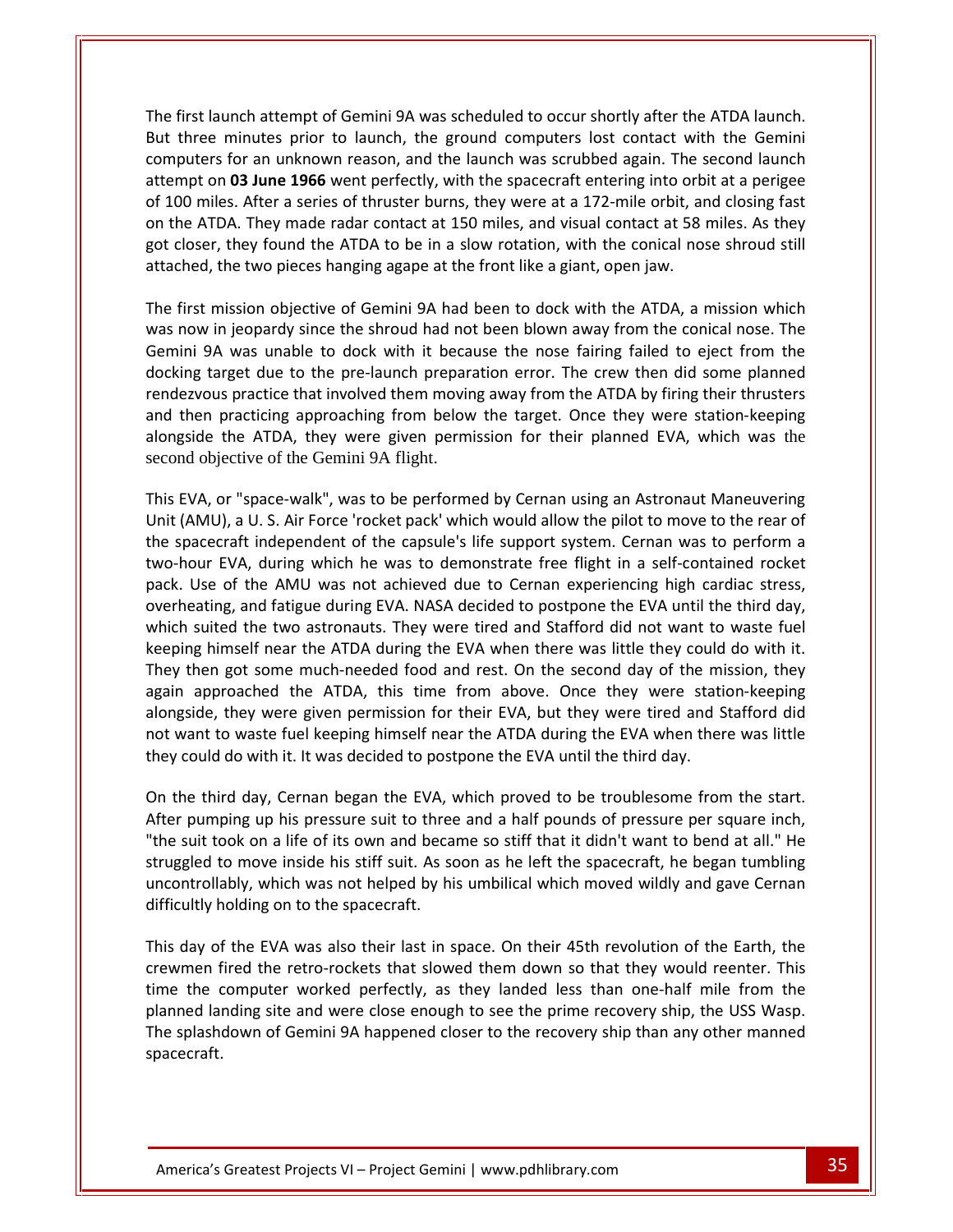First launch attempt of Gemini 9A was scheduled to occur shortly after the ATDA launch. The minutes prior to launch, the ground computers lost contact with the Gemini<br>three minutes prior to launch, the ground computers lost contact with the Gemini For an unknown reason, and the launch was scheduled to occur shortly after the ATDA launch.<br>The sprint was scheduled to occur shortly after the ATDA launch.<br>The second launch was scrubbed again. The second launch launch attempt of Gemini 9A was scheduled to occur shortly after the ATDA launch.<br>
e minutes prior to launch, the ground computers lost contact with the Gemini<br>
Instead on the spacecraft entering into orbit at a perigee<br>
o e first launch attempt of Gemini 9A was scheduled to occur shortly after the ATDA launch.<br>
It three minutes prior to launch, the ground computers lost contact with the Gemini<br>
mputers for an unknown reason, and the launch the ATDA launch attempt of Gemini 9A was scheduled to occur shortly after the ATDA launch.<br>
I three minutes prior to launch, the ground computers lost contact with the Gemini<br>
Inputers for an unknown reason, and the launch The first launch attempt of Gemini 9A was scheduled to occur shortly after the ATDA launch. first launch attempt of Gemini 9A was scheduled to occur shortly after the ATDA launch.<br>
three minutes prior to launch, the ground computers lost contact with the Gemini<br>
iputers for an unknown reason, and the launch was s But three minutes prior to launch, the ground computers lost contact with the Gemini But three minutes prior to launch, the ground computers lost contact with<br>computers for an unknown reason, and the launch was scrubbed again. The s<br>attempt on **03 June 1966** went perfectly, with the spacecraft entering int mpt on **03 June 1966** went perfectly, with the spacecraft entering into orbit at a perigee<br>00 miles. After a series of thruster burns, they were at a 172-mile orbit, and closing fast<br>he ATDA. They made radar contact at 150 attempt on 03 June 1966 went perfectly, with the spacecraft entering into orbit at a perigee of 100 miles. After a series of thruster burns, they were at a 172-mile orbit, and closing fast now in ies. After a series of thruster burns, they were at a 172-mile orbit, and closing fast<br>ne ATDA. They made radar contact at 150 miles, and visual contact at 58 miles. As they<br>closer, they found the ATDA to be in a sl  $\frac{1}{2}$  cn the MTDA. They made radar contact at 150 miles, and visual contact at 58 miles. As they<br>er, they found the ATDA to be in a slow rotation, with the conical nose shroud still<br>d, the two pieces hanging agape at the front like a g got closer, they found the ATDA to be in a slow rotation, with the conical nose shroud still o<sup>oooooo</sup>n'<br>attached th and

atten der Statistiker<br>Professor

The the pre-launch to the pre-launch preparation error. The crew then did some planned<br>in the two pieces hanging agape at the front like a giant, open jaw.<br>mission objective of Gemini 9A had been to dock with the ATDA, a m practice that involved them moving away from the ATDA, a mission which<br>isoion objective of Gemini 9A had been to dock with the ATDA, a mission which<br>jeopardy since the shroud had not been blown away from the conical nose. the the preset manging agape at the trem trem a grant, open jam.<br>
first mission objective of Gemini 9A had been to dock with the ATDA, a mission which<br>
now in jeopardy since the shroud had not been blown away from the coni ا<br>Tha firct ission objective of Gemini 9A had been to dock with the ATDA, a mission which<br>i jeopardy since the shroud had not been blown away from the conical nose. The<br>invasion which was unable to dock with it because the nose fairin Semmin 3A was analyze to dock what it because the nose raming rance to eject nom the<br>docking target due to the pre-launch preparation error. The crew then did some planned<br>rendezvous practice that involved them moving away Example the team in proper manner of the the rearch the section of the rearch when the some premises<br>
and then practicing approaching from below the target. Once they were station-keeping<br>
alongside the ATDA, they were giv and then practicing approaching from below the target. Once they were station-keeping spacecraft independent of the capsule's life support system. Cernan was to perform a<br>spacecraft independent of the capsule's life support system. Cernan was the capsuletive of the Gemini 9A flight.<br>EVA, or "space-walk", wa second objective of the Gemini 9A flight.

alongside the ATDA, they were given permission for their planned EVA, which was the<br>second objective of the Gemini 9A flight.<br>This EVA, or "space-walk", was to be performed by Cernan using an Astronaut Maneuvering<br>Unit (AM Examples the AMU, they were given permission for their planned EVM, which was the<br>second objective of the Gemini 9A flight.<br>This EVA, or "space-walk", was to be performed by Cernan using an Astronaut Maneuvering<br>Unit (AMU) This EVA, or "space-walk", was to be performed by Cernan using an Astronaut Maneuvering<br>Unit (AMU), a U. S. Air Force 'rocket pack' which would allow the pilot to move to the rear of<br>the spacecraft independent of the capsu VA, or "space-walk", was to be performed by Cernan using an Astronaut Maneuvering MU), a U. S. Air Force 'rocket pack' which would allow the pilot to move to the rear of accecraft independent of the capsule's life support Unit (AMU), a U. S. Air Force 'rocket pack' which would allow the pilot to move to the rear of Unit (AMU), a U. S. Air Force 'rocket pack' which would allow the pilot to move to the rear of<br>the spacecraft independent of the capsule's life support system. Cernan was to perform a<br>two-hour EVA, during which he was to d bacecraft independent of the capsule's life support system. Cernan was to perform a<br>lour EVA, during which he was to demonstrate free flight in a self-contained rocket<br>Use of the AMU was not achieved due to Cernan experien ا<br>alwo-k bur EVA, during which he was to demonstrate free flight in a self-contained rocket<br>Jse of the AMU was not achieved due to Cernan experiencing high cardiac stress,<br>ating, and fatigue during EVA. NASA decided to postpone the pack. Use of the AMU was not achieved due to Cernan experiencing high cardiac stress, They also a solution of the AMU was not achieved due to Cernan experiencing high cardiac stress,<br>g, and fatigue during EVA. NASA decided to postpone the EVA until the third day,<br>ed the two astronauts. They were tired and S overheating, and fatigue during EVA. NASA decided to postpone the EVA until the third day, The the ating, and fatigue during EVA. NASA decided to postpone the EVA until the third day, th suited the two astronauts. They were tired and Stafford did not want to waste fuel bing himself near the ATDA during the EVA w which suited the two astronauts. They were tired and Stafford did not want to waste fuel keeping himself near the ATDA during the EVA when there was little they could do with it.<br>They then got some much-needed food and rest. On the second day of the mission, they<br>again approached the ATDA, this time from above They then got some much-needed food and rest. On the second day of the mission, they again approached the ATDA, this time from above. Once they were station-keeping alongside, they were given permission for their EVA, but again approached the ATDA, this time from above. Once they were station-keeping<br>alongside, they were given permission for their EVA, but they were tired and Stafford did<br>not want to waste fuel keeping himself near the ATDA side, they were given permission for their EVA, but they were tired and Stafford did<br>vant to waste fuel keeping himself near the ATDA during the EVA when there was little<br>could do with it. It was decided to postpone the EV not want to waste fuel keeping himself near the ATDA during the EVA when there was little use train es tre  $\cdots$ ,  $\cdots$ 

to waste fuel keeping himself near the ATDA during the EVA when there was little<br>I do with it. It was decided to postpone the EVA until the third day.<br>Interval of day, Cernan began the EVA, which proved to be troublesome f We have the the theorem was not helped by his umbilical which moved wildly and gave Cernan began the EVA, which proved to be troublesome from the start.<br>
up his pressure suit to three and a half pounds of pressure per squa On the third day, Cernan began the EVA, which proved to be troublesome from the start.<br>After pumping up his pressure suit to three and a half pounds of pressure per square inch, day of the EVA was also their last in space. On their 45th revolution of the Earth, the EVA was also their last in space. On their 45th revolution of the Earth, the Earth, the EVA was also their last in space. On their 45t "the suit took on a life of its own and became so stiff that it didn't want to bend at all." He fired the retro-rockets that slowed them down so that they would reenter. This first the move inside his stiff suit. As soon as he left the spacecraft, he began tumbling ably, which was not helped by his umbilical which mo struggled to move inside his stiff suit. As soon as he left the spacecraft, he began tumbling The computer worked bis stiff suit. As soon as he left the spacecraft, he began tumbling<br>throllably, which was not helped by his umbilical which moved wildly and gave Cernan<br>ultly holding on to the spacecraft.<br>lay of the E uncontrollably, which was not helped by his umbilical which moved wildly and gave Cernan difficultly holding on to the spacecraft.

The splashdown of Gemini 9A happened closer to the recovery ship than any other manned<br>spacecraft. In the USS Wasp.<br>
In the USS Wasp.<br>
In the USS Wasp.<br>
In the Mary of Gemini 9A happened closer to the recovery ship than any other manned<br>
Greatest Projects VI – Project Gemini I www.pdhlibrary.com Landship, which was not helped by his umbilical which moved wildly and gave Cernan<br>difficultly holding on to the spacecraft.<br>This day of the EVA was also their last in space. On their 45th revolution of the Earth, the<br>crew splashdown of Gemini 9A happened closer to the recovery ship than any other manned<br>splashdown of Gemini 9A happened closer to the recovery ship, the USS Wasp.<br>splashdown of Gemini 9A happened closer to the recovery ship th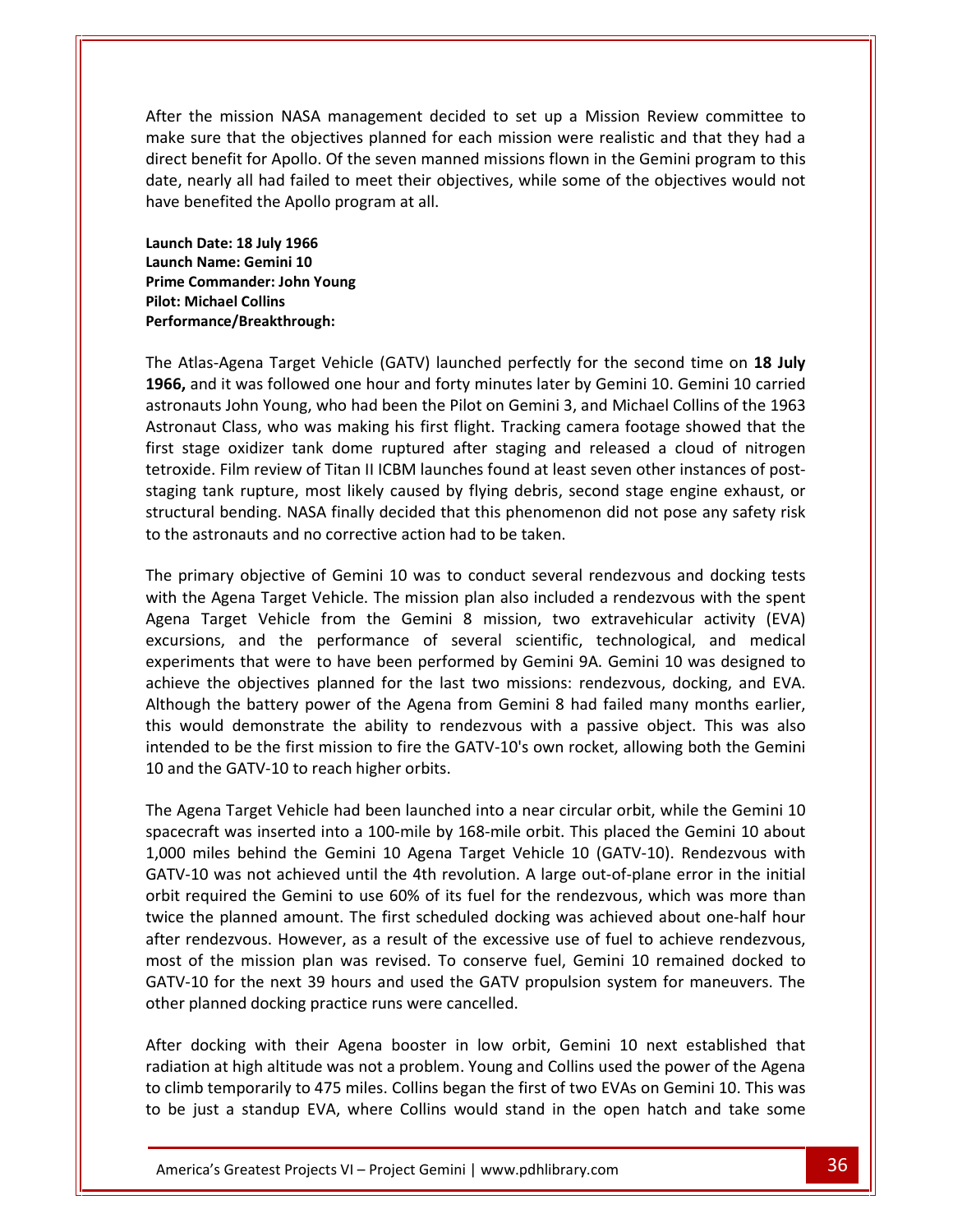the mission NASA management decided to set up <sup>a</sup> Mission Review committee to sure that the objectives planned for each mission were realistic and that they had a<br>sure that the objectives planned for each mission were realistic and that they had a benefit for Apollo. Of the seven manned missions flown in the Gemini program to this benefit for Apollo. Of the seven manned missions flown in the Gemini program to this the mission NASA management decided to set up a Mission Review committee to<br>sure that the objectives planned for each mission were realistic and that they had a<br>benefit for Apollo. Of the seven manned missions flown in the After the mission NASA management decided to set up a Mission Review committee to he mission NASA managure that the objectives p<br>benefit for Apollo. Of the searly all had failed to me<br>enefited the Apollo progra<br>**Date: 18 July 1966** make: ure that the objectives penefit for Apollo. Of the<br>early all had failed to me<br>enefited the Apollo progr<br>**Date: 18 July 1966**<br>Name: Gemini 10 direct benefit for Apollo. Of the seven manned missions flown in the Gemini program to this **Commander: Commander: Commander: Commander: Commander: Demonstrative Commander: John Young** have benefited the Apollo program at all.

date, nearly all had failed<br>have benefited the Apollo<br>Launch Date: 18 July 1966<br>Launch Name: Gemini 10<br>Prime Commander: John Yo<br>Pilot: Michael Collins ch Date: 18 July 1966<br>ch Name: Gemini 10<br>e Commander: John Young<br>: Michael Collins<br>Atlas-Agena Target Vehicle (GATV) launched perfectly for the second time on **18 July** Launch Date: 18 July 1966 Launch Name: Gemini 10<br>Prime Commander: John Young **Pilot: Michael Collins** i livi<br>Dorf tetroman<br>.

date,

and it was followed one hourself and the scond time on 18 July<br>1 Name: Gemini 10<br>2 Nichael Collins<br>2 Nichael Collins<br>2 Nichael Collins<br>2 Nichael Collins<br>2 Nichael Collins<br>2 Nichael Collins<br>2 Nichael Service (GATV) launched ie: Gemini 10<br>
anader: John Young<br>
e/Breakthrough:<br>
Sena Target Vehicle (GATV) launched perfectly for the second time on 18 July<br>
t was followed one hour and forty minutes later by Gemini 10. Gemini 10 carried<br>
John Young, manuer. John Young<br>
el Collins<br>
Agena Target Vehicle (GATV) launched perfectly for the second time on 18 July<br>
it was followed one hour and forty minutes later by Gemini 10. Gemini 10 carried<br>
John Young, who had been the France/Breakthrough:<br>
Atlas-Agena Target Vehicle (GATV) launched perfectly for the second time on 18 July<br>
, and it was followed one hour and forty minutes later by Gemini 10. Gemini 10 carried<br>
nauts John Young, who had b Film Atlas-Agena Target Vehicle (GATV) launched perfectly for the second time on 18 July 1966, and it was followed one hour and forty minutes later by Gemini 10. Gemini 10 carried astronauts John Young, who had been the Pi as-Agena Target Vehicle (GATV) launched perfectly for the second time on 18 July<br>hd it was followed one hour and forty minutes later by Gemini 10. Gemini 10 carried<br>uts John Young, who had been the Pilot on Gemini 3, and M  $\overline{1966}$  and it was followed one hour and forty minutes later by Gemini 10. Gemini 10 carried<br>
i John Young, who had been the Pilot on Gemini 3, and Michael Collins of the 1963<br>
Class, who was making his first flight. Tracking camera f astronauts John Young, who had been the Pilot on Gemini 3, and Michael Collins of the 1963 astronauts John Young, who had been the Pilot on Gemini 3, an<br>Astronaut Class, who was making his first flight. Tracking came<br>first stage oxidizer tank dome ruptured after staging and re<br>tetroxide. Film review of Titan II primary objective of Gemini 10 was to conduct several rendezvous and docking tests<br>primary objects it all ICBM launches found at least seven other instances of post-<br>ng tank rupture, most likely caused by flying debris, se with the Agena Target Vehicle. The mission plan also included a rendezvous with the spent<br>with the Agena Target Vehicle. The mission plan also included a rendezvous and docking tests<br>with the Agena Target Vehicle. The miss staging tank rupture, most likely caused by flying debris, second stage engine exhaust, or Tank rupture, most likely caused by flying debris, second stage engine exhaust, or<br>al bending. NASA finally decided that this phenomenon did not pose any safety risk<br>stronauts and no corrective action had to be taken.<br>mary structural bending. NASA finally decided that this phenomenon did not pose any safety risk to the astronauts and no corrective action had to be taken.  $\ddot{\phantom{0}}$ 

raptal by model and the performance of several scientific, technological, and medical<br>and the performance of several scientific, technological, and the performance of several scientific, technological, and medical<br>and the That were that were the performance that were performance to the performance of Gemini 10 was to conduct several rendezvous and docking tests<br>na Target Vehicle. The mission plan also included a rendezvous with the spent<br>t The primary objective of Gemini 10 was to conduct several rendezvous and docking tests<br>with the Agena Target Vehicle. The mission plan also included a rendezvous with the spent<br>Agena Target Vehicle from the Gemini 8 missio The primary objective of Gemini 10 was to conduct several rendezvous and docking tests<br>with the Agena Target Vehicle. The mission plan also included a rendezvous with the spent<br>Agena Target Vehicle from the Gemini 8 missio where Agena Target Vehicle. The mission plan also included a rendezvous with the spent<br>
in Target Vehicle from the Gemini 8 mission, two extravehicular activity (EVA)<br>
rsions, and the performance of several scientific, tec with the Agena Target Vehicle. The mission plan also included a rendezvous with the spent Agena Target Vehicle from the Gemini 8 mission, two extravehicular activity (EVA) The Vehicle from the Gemini 8 mission, two extravehicular activity (EVA)<br>s, and the performance of several scientific, technological, and medical<br>nts that were to have been performed by Gemini 9A. Gemini 10 was designed to excursions, and the performance of seve<br>experiments that were to have been performe<br>achieve the objectives planned for the last tv<br>Although the battery power of the Agena fror<br>this would demonstrate the ability to rende:<br>i Agena Target Vehicle had been launched into a near circular orbit, while the Gemini 10<br>Agena Target Vehicle had been launched into a near circular orbit, while the Gemini<br>Agena Target Vehicle had been launched into a near achieve the objectives planned for the last two missions: rendezvous, docking, and EVA.<br>Although the battery power of the Agena from Gemini 8 had failed many months earlier, We battery power of the Agena from Gemini 8 had failed many months earlier,<br>demonstrate the ability to rendezvous with a passive object. This was also<br>b be the first mission to fire the GATV-10's own rocket, allowing both this would demonstrate the ability to rendezvous with a passive object. This was also miles behind the Gemini 10 Agena Target Vehicle 10 (GATV-10). Rendezvous with<br>miles behind the GATV-10 to reach higher orbits.<br>It he GATV-10 to reach higher orbits.<br>It he GATV-10 to reach higher orbits.<br>It was inserted int intended to be the first mission to fire the GATV-10's own rocket, allowing both the Gemini ......<br>10 or  $\ddotsc$ 

was not her first mission to fire the GATV-10's own rocket, allowing both the Gemini<br>e GATV-10 to reach higher orbits.<br>a Target Vehicle had been launched into a near circular orbit, while the Gemini 10<br>t was inserted into required the Gemini to use 60% of its fuel for the rendezvous, which was more than<br>the GATV-10 to reach higher orbits.<br>gena Target Vehicle had been launched into a near circular orbit, while the Gemini 10<br>craft was inserte The planned amount. The first scheduled docking was achieved about one-half hours<br>the Gemini 10 about miles behind the Gemini 10 Agena Target Vehicle 10 (GATV-10). Rendezvous with<br>10 was not achieved until the 4th revoluti  $\frac{1}{2}$ The Agena Target Vehicle had been launched into a near circular orbit, while the Gemini 10 spacecraft was inserted into a 100-mile by 168-mile orbit. This placed the Gemini 10 about 1,000 miles behind the Gemini 10 Agena T of the mission plan was revised. To conserve fuel. Gemini 10 remained docked to the mission plan was revised. To conserve fuel, Gemini 10 remained docked to the mission plan was revised. To conserve fuel, Gemini 10 remaine spacecraft was inserted into a 100-mile by 168-mile orbit. This placed the Gemini 10 about<br>1,000 miles behind the Gemini 10 Agena Target Vehicle 10 (GATV-10). Rendezvous with es behind the Gemini 10 Agena Target Vehicle 10 (GATV-10). Rendezvous with<br>was not achieved until the 4th revolution. A large out-of-plane error in the initial<br>uired the Gemini to use 60% of its fuel for the rendezvous, wh GATV-10 was not achieved until the 4th revolution. A large out-of-plane error in the initial GATV-10 was not achieved until the 4th revolution. A la<br>orbit required the Gemini to use 60% of its fuel for the<br>twice the planned amount. The first scheduled docking<br>after rendezvous. However, as a result of the excessive docking with their Agena booster in low orbit, Gemini 10 next established that<br>docking with their Agena booster in low orbit, Gemini 10 remained docked to<br>10 for the next 39 hours and used the GATV propulsion system for ma twice the planned amount. The first scheduled docking was achieved about one-half hour after rendezvous. However, as a result of the excessive use of fuel to achieve rendezvous, Frances However, as a result of the excessive use of fuel to achieve rendezvous,<br>the mission plan was revised. To conserve fuel, Gemini 10 remained docked to<br>for the next 39 hours and used the GATV propulsion system for ma most of the mission plan was revised. To conserve fuel, Gemini 10 remained docked to climb temporarily to 475 miles. Collins began the first of two EVAs on Gemini 10. This was<br>climb temporarily to 475 miles. Collins began the first of two EVAs or Gemini 10. This was<br>climb temporarily to 475 miles. Collins GATV-10 for the next 39 hours and used the GATV propulsion system for maneuvers. The

After docking with their Agena booster in low orbit, Gemini 10 next established that ned docking practice runs were cancelled.<br>
ing with their Agena booster in low orbit, Gemini 10 next established that<br>
thigh altitude was not a problem. Young and Collins used the power of the Agena<br>
mporarily to 475 miles be intermiested plant that conteact the content of the y commining the content of TV-10 for the next 39 hours and used the GATV propulsion system for maneuvers. The ler planned docking practice runs were cancelled.<br>
er doc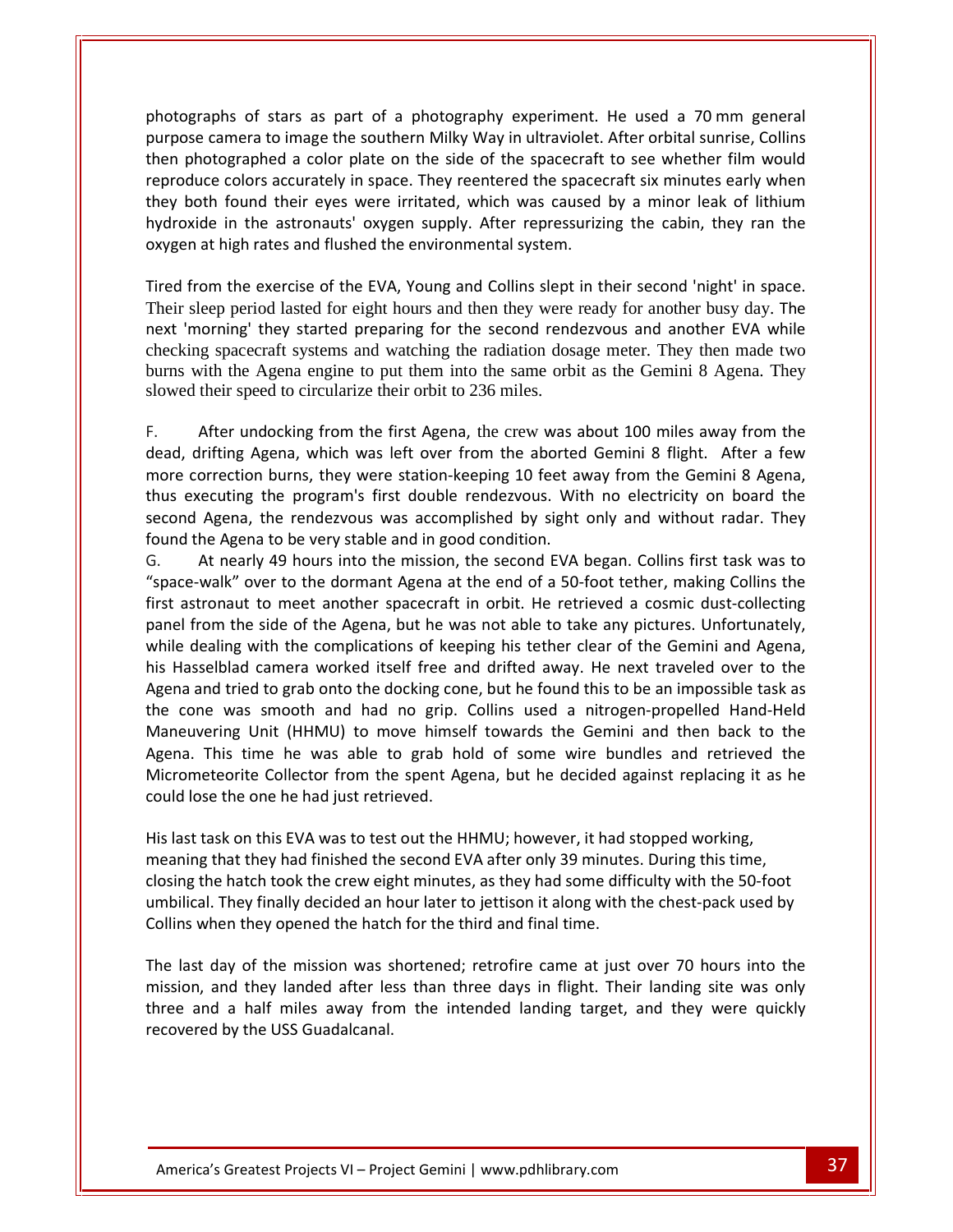of stars as part of <sup>a</sup> photography experiment. He used <sup>a</sup> <sup>70</sup> mm general camera to image the southern Milky Way in ultraviolet. After orbital sunrise, Collins<br>
Suppose the southern Milky Way in ultraviolet. After orbital sunrise, Collins peraphs of stars as part of a photography experiment. He used a 70 mm general<br>bise camera to image the southern Milky Way in ultraviolet. After orbital sunrise, Collins<br>photographed a color plate on the side of the spacecr ns of stars as part of a photography experiment. He used a 70 mm general<br>mera to image the southern Milky Way in ultraviolet. After orbital sunrise, Collins<br>graphed a color plate on the side of the spacecraft to see whethe by paraphs of stars as part of a photography experiment. He used a 70 mm general<br>bse camera to image the southern Milky Way in ultraviolet. After orbital sunrise, Collins<br>photographed a color plate on the side of the space in the astronauts' oxygen supply and the view the astronaution of stars as part of a photography experiment. He used a 70 mm general<br>
mera to image the southern Milky Way in ultraviolet. After orbital sunrise, Collins<br>
gra photographs of stars as part of a photography experiment. He used a 70 mm general photographs of stars as part of a photography experiment.<br>purpose camera to image the southern Milky Way in ultraviolet.<br>then photographed a color plate on the side of the spacecraft<br>reproduce colors accurately in space. T From the exercise of the EVA. Young and Collins slept in their second 'night' in space.<br>
from the exercise of the exercise of the spacecraft six minutes early when<br>
both found their eyes were irritated, which was caused by Their prices accurately in space. They reentered the spacecraft six minutes early when<br>they both found their eyes were irritated, which was caused by a minor leak of lithium<br>hydroxide in the astronauts' oxygen supply. Afte reproduce colors accurately in space. They reentered the spacecraft six minutes early when<br>they both found their eyes were irritated, which was caused by a minor leak of lithium about their eyes were irritated, which was caused by a minor leak of lithium<br>wide in the astronauts' oxygen supply. After repressurizing the cabin, they ran the<br>en at high rates and flushed the environmental system.<br>from t

reproduced a state of the state of the state of the state of the state of the state of the state of the state o<br>The state of the state of the state of the state of the state of the state of the state of the state of the st

rext morning they started preparing for the second remdezvous and another EVA while<br>checking spacecraft systems and watching the radiation dosage meter. They then made two<br>burns with the Agena engine to put them into the s burns with the Agena engine to put them into the same orbit as the Gemini 8 Agena. They Slowed their slowed the total article of the EVA, it could also slope the their second ingit in space.<br>Their sleep period lasted for eight hours and then they were ready for another busy day. The<br>next 'morning' they starte The sicep period rasted for eight hours and then they were ready for ahouter busy day. The<br>next 'morning' they started preparing for the second rendezvous and another EVA while<br>checking spacecraft systems and watching the oums<br>slowed  $\frac{1}{2}$ 

ing spaceciant systems and watching the radiation dosage incter. They then made two<br>with the Agena engine to put them into the same orbit as the Gemini 8 Agena. They<br>d their speed to circularize their orbit to 236 miles.<br>A Their speed to circularize their orbit to 236 miles.<br>After undocking from the first Agena, the crew was about 100 miles away from the<br>rifting Agena, which was left over from the aborted Gemini 8 flight. After a few<br>prrecti F. After undocking from the first Agena, the crew was a<br>dead, drifting Agena, which was left over from the aborted<br>more correction burns, they were station-keeping 10 feet as<br>thus executing the program's first double rende After undocking from the first Agena, the crew was about 100 miles away from the drifting Agena, which was left over from the aborted Gemini 8 flight. After a few correction burns, they were station-keeping 10 feet away fr is<br>dead drifting Agena, which was left over from the aborted Gemini 8 flight. After a few<br>on burns, they were station-keeping 10 feet away from the Gemini 8 Agena,<br>g the program's first double rendezvous. With no electricity on board the<br>a more correction burns, they were station-keeping 10 feet away from the Gemini 8 Agena, be correction burns, they were station-keeping 10 feet away from the Gemini 8 Agena, executing the program's first double rendezvous. With no electricity on board the nd Agena, the rendezvous was accomplished by sight only thus executing the program's first double rendezvous. With no electricity on board the found the Agena to be very stable and in good condition.<br>G. At nearly 49 hours into the mission, the second I

from the secuting the program's first double rendezvous. With no electricity on board the<br>second Agena, the rendezvous was accomplished by sight only and without radar. They<br>found the Agena to be very stable and in good co second Agena, the rendezvous was accomplished by sight only and without radar. They<br>found the Agena to be very stable and in good condition.<br>G. At nearly 49 hours into the mission, the second EVA began. Collins first task In the Agena to be very stable and in good condition.<br>
At nearly 49 hours into the mission, the second EVA began. Collins first task was to<br>
ace-walk" over to the dormant Agena at the end of a 50-foot tether, making Collin At nearly 49 hours into the mission, the second EVA began. Collins first task was to -walk" over to the dormant Agena at the end of a 50-foot tether, making Collins the triend to meet another spacecraft in orbit. He retrie "space-walk" over to the dormant Agena at the end of a 50-foot tether, making Collins the<br>first astronaut to meet another spacecraft in orbit. He retrieved a cosmic dust-collecting<br>panel from the side of the Agena, but he first astronaut to meet another spacecraft in orbit. He retrieved a cosmic dust-collecting It to meet another spacecraft in orbit. He retrieved a cosmic dust-collecting<br>
a side of the Agena, but he was not able to take any pictures. Unfortunately,<br>
with the complications of keeping his tether clear of the Gemini panel from the side of the Agena, but he was not able to take any pictures. Unfortunately, om the side of the Agena, but he was not able to take any pictures. Unfortunately, ealing with the complications of keeping his tether clear of the Gemini and Agena, elblad camera worked itself free and drifted away. He ne while dealing with the complications of keeping his tether clear of the Gemini and Agena, The the complications of keeping his tether clear of the Gemini and Agena,<br>amera worked itself free and drifted away. He next traveled over to the<br>to grab onto the docking cone, but he found this to be an impossible task a his Hasselblad camera worked itself free an<br>Agena and tried to grab onto the docking cor<br>the cone was smooth and had no grip.<br>Maneuvering Unit (HHMU) to move himse<br>Agena. This time he was able to grab ho<br>Micrometeorite Col Agena and tried to grab onto the docking cone, but he found this to be an impossible task as the cone was smooth and had no grip. Collins used a nitrogen-propelled Hand-Held Maneuvering Unit (HHMU) to move himself towards This time he was able to grab hold of some wire bundles and retrieved the eteorite Collector from the spent Agena, but he decided against replacing it as he see the one he had just retrieved.<br>
task on this EVA was to test Micrometeorite Collector from the spent Agena, but he decided against replacing it as he could lose the one he had just retrieved.

His last task on this EVA was to test out the HHMU; however, it had stopped working, They finally decided an hour later to jettison it along with the chest-pack used by<br>the one he had just retrieved.<br>Sk on this EVA was to test out the HHMU; however, it had stopped working,<br>hat they had finished the second when they consider them the opened they had not the theorem.<br>
This last task on this EVA was to test out the HHMU; however, it had s<br>
meaning that they had finished the second EVA after only 39 minute<br>
closing the hatch to ast task on this EVA was to test out the HHMU; however, it had stopped working,<br>ning that they had finished the second EVA after only 39 minutes. During this time,<br>ng the hatch took the crew eight minutes, as they had some meaning that they had finished the second EVA after only 39 minutes. During this time,<br>closing the hatch took the crew eight minutes, as they had some difficulty with the 50-foot<br>umbilical. They finally decided an hour lat closing the hatch took the crew eight minutes, as they had some difficulty with the 50-foot umbilical. They finally decided an hour later to jettison it along with the chest-pack used by

a half miles away from the intended landing target, and they were quickly<br>by the USS Guadalcanal.<br>Greatest Projects VI – Project Gemini | www.pdhlibrary.com 37 The last day of the mission was shortened; retrofire came at just over 70 hours into the mission, and they landed after less than three days in flight. Their landing site was only three and a half miles away from the inten Collins when they opened the hatch for the third and final time.<br>The last day of the mission was shortened; retrofire came at<br>mission, and they landed after less than three days in flight.<br>three and a half miles away from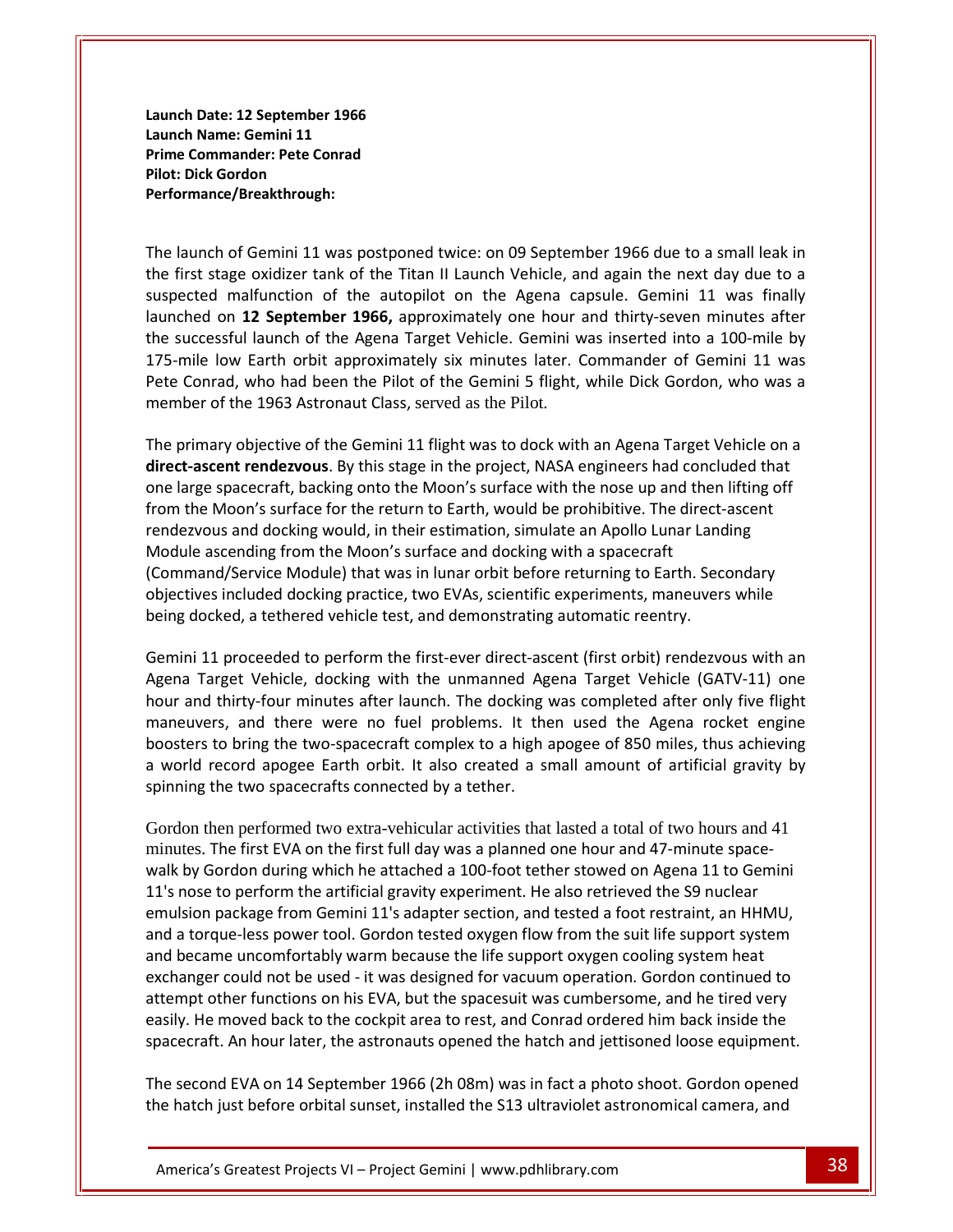**Date: <sup>12</sup> September <sup>1966</sup> Market Commerce 1966**<br> **Name: 12 September 1966**<br> **Name: Gemini 11 Commander: 12 September 1966<br>1 Name: Gemini 11<br>Commander: Pete Conrad Launch Date: 12 September<br>Launch Name: Gemini 11<br>Prime Commander: Pete Co<br>Pilot: Dick Gordon** Lauı ch Date: 12 September 1966<br>
ch Name: Gemini 11<br>
e Commander: Pete Conrad<br>
: Dick Gordon<br>
prmance/Breakthrough:<br>
launch of Gemini 11 was postponed twice: on 09 September 1966 due to a small leak in Launch Name: Gemini 11 Pilot: Dick Gordon Performance/Breakthrough:

**Prime**

ich Name: Gemini 11<br>ie Commander: Pete Conrad<br>:: Dick Gordon<br>ormance/Breakthrough:<br>launch of Gemini 11 was postponed twice: on 09 September 1966 due to a small leak in<br>first stage oxidizer tank of the Titan II Launch Vehic nander: Pete Conrad<br>ordon<br>e/Breakthrough:<br>of Gemini 11 was postponed twice: on 09 September 1966 due to a small leak in<br>ge oxidizer tank of the Titan II Launch Vehicle, and again the next day due to a<br>malfunction of the au on **12** September 1966, approach twice: one of September 1966 due to a small leak in tage oxidizer tank of the Titan II Launch Vehicle, and again the next day due to a malfunction of the autopilot on the Agena capsule. Gem sumante, breakthrough.<br>
launch of Gemini 11 was postponed twice: on 09 September 1966 due to a small leak in<br>
first stage oxidizer tank of the Titan II Launch Vehicle, and again the next day due to a<br>
sected malfunction of h of Gemini 11 was postponed twice: on 09 September 1966 due to a small leak in<br>tage oxidizer tank of the Titan II Launch Vehicle, and again the next day due to a<br>I malfunction of the autopilot on the Agena capsule. Gemini The launch of Gemini 11 was postponed twice: on 09 September 1966 due to a small leak in aunch of Gemini 11 was postponed twice: on 09 September 1966 due to a small leak in<br>rst stage oxidizer tank of the Titan II Launch Vehicle, and again the next day due to a<br>ected malfunction of the autopilot on the Agena ca the first stage oxidizer tank of the Titan II Launch Vehicle, a<br>suspected malfunction of the autopilot on the Agena ca<br>launched on 12 September 1966, approximately one hour<br>the successful launch of the Agena Target Vehicle ched on 12 September 1966, approximately one hour and thirty-seven minutes after successful launch of the Agena Target Vehicle. Gemini was inserted into a 100-mile by mile low Earth orbit approximately six minutes later. C launched on 12 September 1966, approximately one hour and thirty-seven minutes after the successful launch of the Agena Target Vehicle. Gemini was inserted into a 100-mile by **renders of the Agena Target Vehicle.** Gemini was inserted into a 100-mile by Earth orbit approximately six minutes later. Commander of Gemini 11 was who had been the Pilot of the Gemini 5 flight, while Dick Gordon, who wa one large spacecraft, backing onto the Moon's surface with the nose up and then lifting of<br>the Conrad, who had been the Pilot of the Gemini 5 flight, while Dick Gordon, who was a<br>member of the 1963 Astronaut Class, served Pete Conrad, who had been the Pilot of the Gemini 5 flight, while Dick Gordon, who was a rece eense<br>mombor of  $\cdots$ 

The Moonis surface for the Pilot of the Gemini 5 flight, while Dick Gordon, who was a<br>ber of the 1963 Astronaut Class, served as the Pilot.<br>rimary objective of the Gemini 11 flight was to dock with an Agena Target Vehicle me has a served as the Pilot.<br>
and 1963 Astronaut Class, served as the Pilot.<br>
objective of the Gemini 11 flight was to dock with an Agena Target Vehicle on a<br> **at rendezvous**. By this stage in the project, NASA engineers as any objective of the Gemini 11 flight was to dock with an Agena Target<br>scent rendezvous. By this stage in the project, NASA engineers had conce<br>spacecraft, backing onto the Moon's surface with the nose up and the<br>P. Moo The primary objective of the Gemini 11 flight was to dock with an Agena Target Vehicle on a<br>direct-ascent rendezvous. By this stage in the project, NASA engineers had concluded that<br>one large spacecraft, backing onto the M direct-ascent rendezvous. By this stage in the project, NASA engineers had concluded that int **rendezvous**. By this stage in the project, NASA engineers had concluded that pacecraft, backing onto the Moon's surface with the nose up and then lifting off noon's surface for the return to Earth, would be prohibitiv on de<br>de la and a term of a term of a term of a term of a term of a term of an above term of an area of the more term from the Moon's surface for the return to Earth, would be prohibitive. The direct-<br>rendezvous and docking would, in First-exercise of the first-event to task, in their estimation, simulate an Apollo Lunar Landing<br>
ascending from the Moon's surface and docking with a spacecraft<br>
and/Service Module) that was in lunar orbit before returnin Module ascending from the Moon's surface and docking with a spacecraft The sacending from the Moon's surface and docking with a spacecraft<br>and/Service Module) that was in lunar orbit before returning to Earth. Secondary<br>ves included docking practice, two EVAs, scientific experiments, maneuver (Command/Service Module) that was in lunar orbit before returning to Earth. Secondary mand/Service Module) that was in lunar orbit before returning to Earth. Secondary<br>tives included docking practice, two EVAs, scientific experiments, maneuvers while<br>docked, a tethered vehicle test, and demonstrating automa objectives included docking practice, two EVAs, scientific experiments, maneuvers while boing do a

and docking practice, two EVAs, scientific experiments, maneuvers while<br>i, a tethered vehicle test, and demonstrating automatic reentry.<br>oceeded to perform the first-ever direct-ascent (first orbit) rendezvous with an<br>t Ve the two-spacecraft complex to a high apogee of 850 miles. Thus achieving to bring the two-spaceded to perform the first-ever direct-ascent (first orbit) rendezvous with an arget Vehicle, docking with the unmanned Agena Tar why a centered remote testy and demonstrating additional recitions, the mini 11 proceeded to perform the first-ever direct-ascent (first orbit) rendezvous with an gena Target Vehicle, docking with the unmanned Agena Target Gemini 11 proceeded to perform the first-ever direct-as<br>Agena Target Vehicle, docking with the unmanned Ag<br>hour and thirty-four minutes after launch. The docking<br>maneuvers, and there were no fuel problems. It th<br>boosters t maneuvers, and there were no fuel problems. It then used the Agena rocket engine<br>boosters to bring the two-spacecraft complex to a high apogee of 850 miles, thus achieving<br>a world record apogee Earth orbit. It also created by Gordon during which he attached a 100-foot tether stowed on Agena 11 to Gemini<br>by Gordon during which the attached a 100-foot tether.<br>The first EVA on the first full day was a planned one hour and 47-minute space-<br>by Go a world record apogee Earth orbit. It also created a small amount of artificial gravity by a wonan<br>coinning:

spacecraft. An hour later, the astronauts opened the hatch and jettisoned loose equipment. ner runctions on his EVA, but the spacesuit was cumbersome, and he tired very<br>noved back to the cockpit area to rest, and Conrad ordered him back inside the<br>An hour later, the astronauts opened the hatch and jettisoned loo Gordon then performed two extra-vehicular activities that lasted a total of two hours and 41 sss<br>a w<br>spin<br>Gor<br>min<br>wall paraming the two spacecrafts connected by a tether.<br>
Gordon then performed two extra-vehicular activities that lasted a total of two hours and 41<br>
minutes. The first EVA on the first full day was a planned one hour and 47a torque-less power tool. Gordon tested oxygen flow from the suit life support system and the sum and the sum of the sum of the sum of the sum of the sum of the sum of the sum of the sum of the sum of the sum of the sum of don then performed two extra-vehicular activities that lasted a total of two hours and 41<br>ties. The first EVA on the first full day was a planned one hour and 47-minute space-<br>t by Gordon during which he attached a 100-foo minutes. The first EVA on the first full day was a planned one hour and 47-minute space-The first EVA on the first full day was a planned one hour and 47-minute space-<br>rdon during which he attached a 100-foot tether stowed on Agena 11 to Gemini<br>o perform the artificial gravity experiment. He also retrieved th walk by Gordon during which he attached a 100-foot tether stowed on Agena 11 to Gemini Gordon during which he attached a 100-foot tether stowed on Agena 11 to Gemini<br>
and the operform the artificial gravity experiment. He also retrieved the S9 nuclear<br>
and package from Gemini 11's adapter section, and tested 11's nose to perform the artificial gravity experiment. He also retrieved the S9 nuclear So to perform the artificial gravity experiment. He also retrieved the S9 nuclear<br>on package from Gemini 11's adapter section, and tested a foot restraint, an HHMU,<br>orque-less power tool. Gordon tested oxygen flow from the emulsion package from Gemini 11's adapter section, and tested a foot restraint, an HHMU, emulsion package from Gemini 11's adapter section, and tested a foot restraint, an HHMU,<br>and a torque-less power tool. Gordon tested oxygen flow from the suit life support system<br>and became uncomfortably warm because the l became uncomfortably warm because the life support oxygen cooling system heat<br>anager could not be used - it was designed for vacuum operation. Gordon continued to<br>mpt other functions on his EVA, but the spacesuit was cumbe and became uncomfortably warm because the life support oxygen cooling system heat<br>exchanger could not be used - it was designed for vacuum operation. Gordon continued to hanger could not be used - it was designed for vacuum operation. Gordon continued to mpt other functions on his EVA, but the spacesuit was cumbersome, and he tired very ly. He moved back to the cockpit area to rest, and Co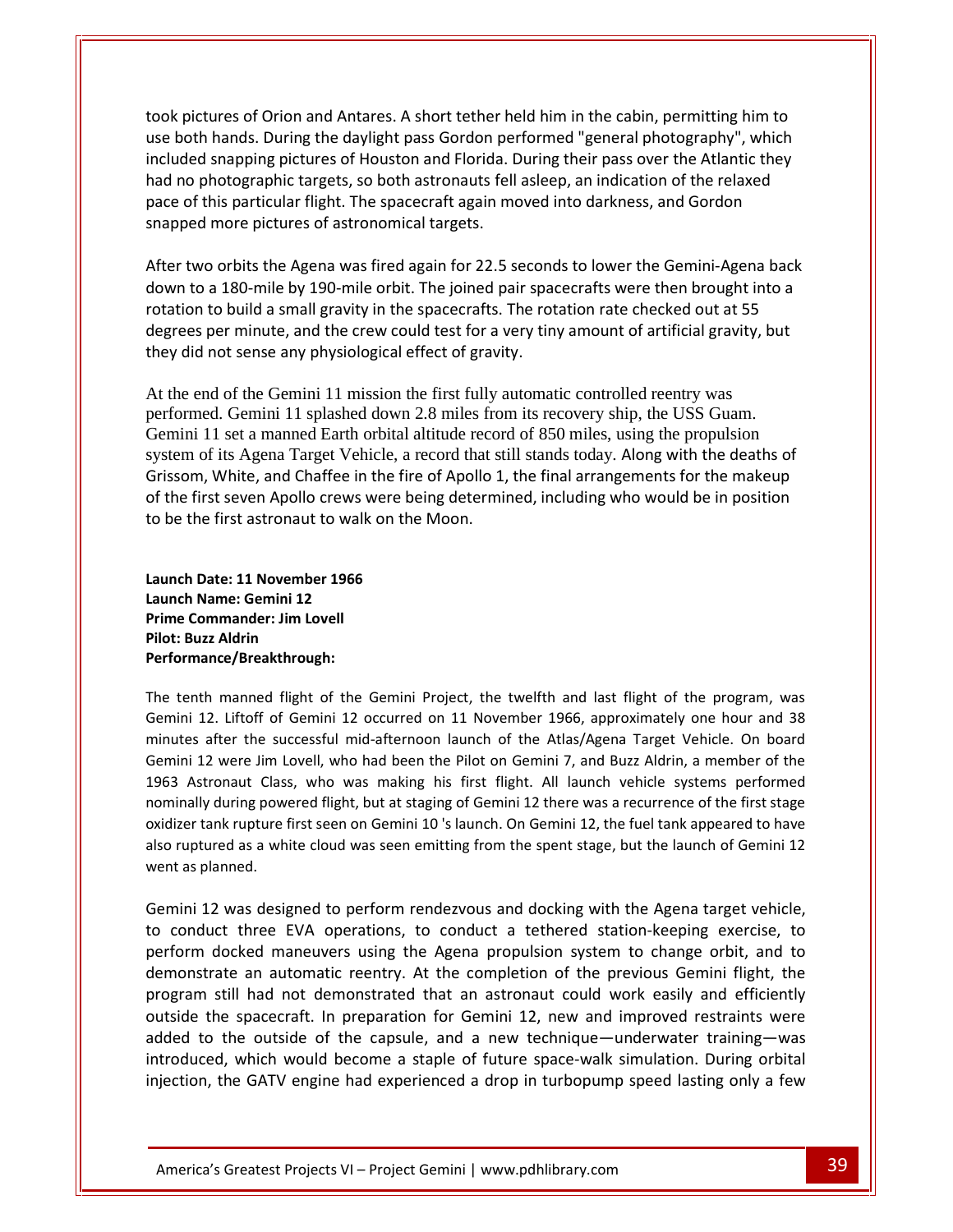pictures of Orion and Antares. A short tether held him in the cabin, permitting him to both hands. During the daylight pass Gordon performed "general photography", which<br>both hands. During the daylight pass Gordon performed "general photography", which snapping pictures of Orion and Antares. A short tether held him in the cabin, permitting him to<br>hands. During the daylight pass Gordon performed "general photography", which<br>snapping pictures of Houston and Florida. During no pictures of Orion and Antares. A short tether held him in the cabin, permitting him to<br>both hands. During the daylight pass Gordon performed "general photography", which<br>ided snapping pictures of Houston and Florida. Du pictures of Orion and Antares. A short tether held him in the cabin, permitting him to<br>oth hands. During the daylight pass Gordon performed "general photography", which<br>ded snapping pictures of Houston and Florida. During took pictures of Orion and Antares. A short tether house both hands. During the daylight pass Gordon pe<br>included snapping pictures of Houston and Florida. I<br>had no photographic targets, so both astronauts fell<br>pace of this orbit hands. During the daylight pass Gordon performed "general photography", which<br>led snapping pictures of Houston and Florida. During their pass over the Atlantic they<br>o photographic targets, so both astronauts fell asl use both hands. During the daylight pass Gordon performed "general photography", which<br>included snapping pictures of Houston and Florida. During their pass over the Atlantic they ed snapping pictures of Houston and Florida. During their pass over the Atlantic they<br>a photographic targets, so both astronauts fell asleep, an indication of the relaxed<br>of this particular flight. The spacecraft again mov had no photographic targets, so both astronauts fell asleep, an indication of the relaxed Interpary processes a so both astronauts fell asleep, an indication of the relaxed<br>his particular flight. The spacecraft again moved into darkness, and Gordon<br>more pictures of astronomical targets.<br>Do orbits the Agena was pace of this particular flight. The spacecraft again moved into darkness, and Gordon snapped more pictures of astronomical targets.

per minute, and Gordon<br>in this particular flight. The spacecraft again moved into darkness, and Gordon<br>more pictures of astronomical targets.<br>o orbits the Agena was fired again for 22.5 seconds to lower the Gemini-Agena ba and the pictures of astronomical targets.<br>
two orbits the Agena was fired again for 22.5 second<br>
to a 180-mile by 190-mile orbit. The joined pair space<br>
tion to build a small gravity in the spacecrafts. The rot<br>
did not se ucgicco<br>... they did not sense any physiological effect of gravity.

At the end of the Gemini 11 mission the first fully automatic controlled reentry was performed. Gemini 11 splashed down 2.8 miles from its recovery ship, the USS Guam. Gemini 11 set a manned Earth orbital altitude record o performed. Gemini 11 splashed down 2.8 miles from its recovery ship, the USS Guam. Gemini 11 set a manned Earth orbital altitude record of 850 miles, using the propulsion Folation to bund a small gravity in the spacecratis. The rotation rate checked out at 33 degrees per minute, and the crew could test for a very tiny amount of artificial gravity, but they did not sense any physiological ef Frankline, and the crew could test for a very thry amount of arthiclar gravity, but<br>not sense any physiological effect of gravity.<br>d of the Gemini 11 mission the first fully automatic controlled reentry was<br>d. Gemini 11 sp Ey did not sense any physiological enect of gravity.<br>
the end of the Gemini 11 mission the first fully automatic controlled reentry was<br>
rformed. Gemini 11 splashed down 2.8 miles from its recovery ship, the USS Guam.<br>
smi system of its Agena Target Vehicle, a record that still stands today. Along with the deaths of of its Agena Target Vehicle, a represent that the first seven Apollo crews were been first astronaut to walk on the Date: **11 November 1966** Grissom, White, and Chaffee in<br>of the first seven Apollo crews v<br>to be the first astronaut to walk<br>Launch Date: 11 November 1966<br>Launch Name: Gemini 12

of the first seven Apollo crews were<br>to be the first astronaut to walk on<br>Launch Date: 11 November 1966<br>Launch Name: Gemini 12<br>Prime Commander: Jim Lovell **Phonome State State 11 November**<br>**Launch Date: 11 November<br><b>Launch Name: Gemini 12**<br>Prime Commander: Jim Lopilot: Buzz Aldrin Launch Date: 11 November 1966 th Date: 11 November 1966<br>
ch Name: Gemini 12<br>
e Commander: Jim Lovell<br>
: Buzz Aldrin<br>
promance/Breakthrough:<br>
tenth manned flight of the Gemini Project, the twelfth and last flight of the program, was Launch Name: Gemini 12 Prime Commander: Jim Lovell Pilot: Buzz Aldrin Performance/Breakthrough:

had

Name: Gemini 12<br>
122 Aldrin<br>
122 Aldrin<br>
12. Liftoff of Gemini 12 occurred on 11 November 1966, approximately one hour and 38 mmander: Jim Lovell<br>Iz Aldrin<br>h manned flight of the Gemini Project, the twelfth and last flight of the program, was<br>2. Liftoff of Gemini 12 occurred on 11 November 1966, approximately one hour and 38<br>after the successful Aldrin<br>12 annee/Breakthrough:<br>12. Liftoff of Gemini 12 occurred on 11 November 1966, approximately one hour and 38<br>12. Liftoff of Gemini 12 occurred on 11 November 1966, approximately one hour and 38<br>12 were Jim Lovell, wh mance/Breakthrough:<br>
enth manned flight of the Gemini Project, the twelfth and last flight of the program, was<br>
ii 12. Liftoff of Gemini 12 occurred on 11 November 1966, approximately one hour and 38<br>
es after the successf manned flight of the Gemini Project, the twelfth and last flight of the program, was<br>
. Liftoff of Gemini 12 occurred on 11 November 1966, approximately one hour and 38<br>
fter the successful mid-afternoon launch of the Atla The tenth manned flight of the Gemini Project, the twelfth and last flight of the program, was th manned flight of the Gemini Project, the twelfth and last flight of the program, was<br>12. Liftoff of Gemini 12 occurred on 11 November 1966, approximately one hour and 38<br>after the successful mid-afternoon launch of the Gemini 12. Liftoff of Gemini 12 occurred on 11 November 1966, approximately one hour and 38 ini 12. Liftoff of Gemini 12 occurred on 11 November 1966, approximately one hour and 38<br>ttes after the successful mid-afternoon launch of the Atlas/Agena Target Vehicle. On board<br>ini 12 were Jim Lovell, who had been the P minutes after the successful mid-afternoon launch of the Atlas/Agena Target Vehicle. On board minutes after the su<br>Gemini 12 were Jim I<br>1963 Astronaut Clas<br>nominally during pow<br>oxidizer tank rupture<br>also ruptured as a wh<br>went as planned. 1963 Astronaut Class, who was making his first flight. All launch vehicle systems performed<br>nominally during powered flight, but at staging of Gemini 12 there was a recurrence of the first stage<br>oxidizer tank rupture first inally during powered flight, but at staging of Gemini 12 there was a recurrence of the first stage<br>lizer tank rupture first seen on Gemini 10 's launch. On Gemini 12, the fuel tank appeared to have<br>ruptured as a white clo oxidizer tank rupture first seen on Gemini 10 's launch. On Gemini 12, the fuel tank appeared to have docked maneuvers using the Agena propulsion system to change orbit, and to<br>docked maneuvers using the Agena propulsion system to change orbit, and to<br>docked maneuvers using the Agena propulsion system to change orbit, and also ruptured as a white cloud was seen emitting from the spent stage, but the launch of Gemini 12 went as planned.

added to the outside of the capsule, and a new technique—underwater training—was introduced, which would become a staple of future space-walk simulation. During orbital Greatest Projects VI – Project Gemini 1 www.pdhlibrary.com an automatic reentry. At the completion of the previous Gemini 12<br>a.<br>a. s designed to perform rendezvous and docking with the Agena target vehicle,<br>three EVA operations, to conduct a tethered station-keeping exercise, to<br>e standard and the Agena target vehicle,<br>and the Agena target vehicle,<br>to three EVA operations, to conduct a tethered station-keeping exercise, to<br>docked maneuvers using the Agena propulsion system to change orbit, and to<br>at 12 was designed to perform rendezvous and docking with the Agena target vehicle,<br>uct three EVA operations, to conduct a tethered station-keeping exercise, to<br>docked maneuvers using the Agena propulsion system to change orb Gemini 12 was designed to perform rendezvous and docking with the Agena target vehicle, 12 was designed to perform rendezvous and docking with the Agena target vehicle,<br>duct three EVA operations, to conduct a tethered station-keeping exercise, to<br>n docked maneuvers using the Agena propulsion system to change to conduct three EVA operations, to conduct a tethered station-keeping exercise, to three EVA operations, to conduct a tethered station-keeping exercise, to<br>the maneuvers using the Agena propulsion system to change orbit, and to<br>an automatic reentry. At the completion of the previous Gemini flight, the<br>I perform docked maneuvers using the Agena propulsion system to change orbit, and to docked maneuvers using the Agena propulsion system to change orbit, and to<br>ate an automatic reentry. At the completion of the previous Gemini flight, the<br>still had not demonstrated that an astronaut could work easily and e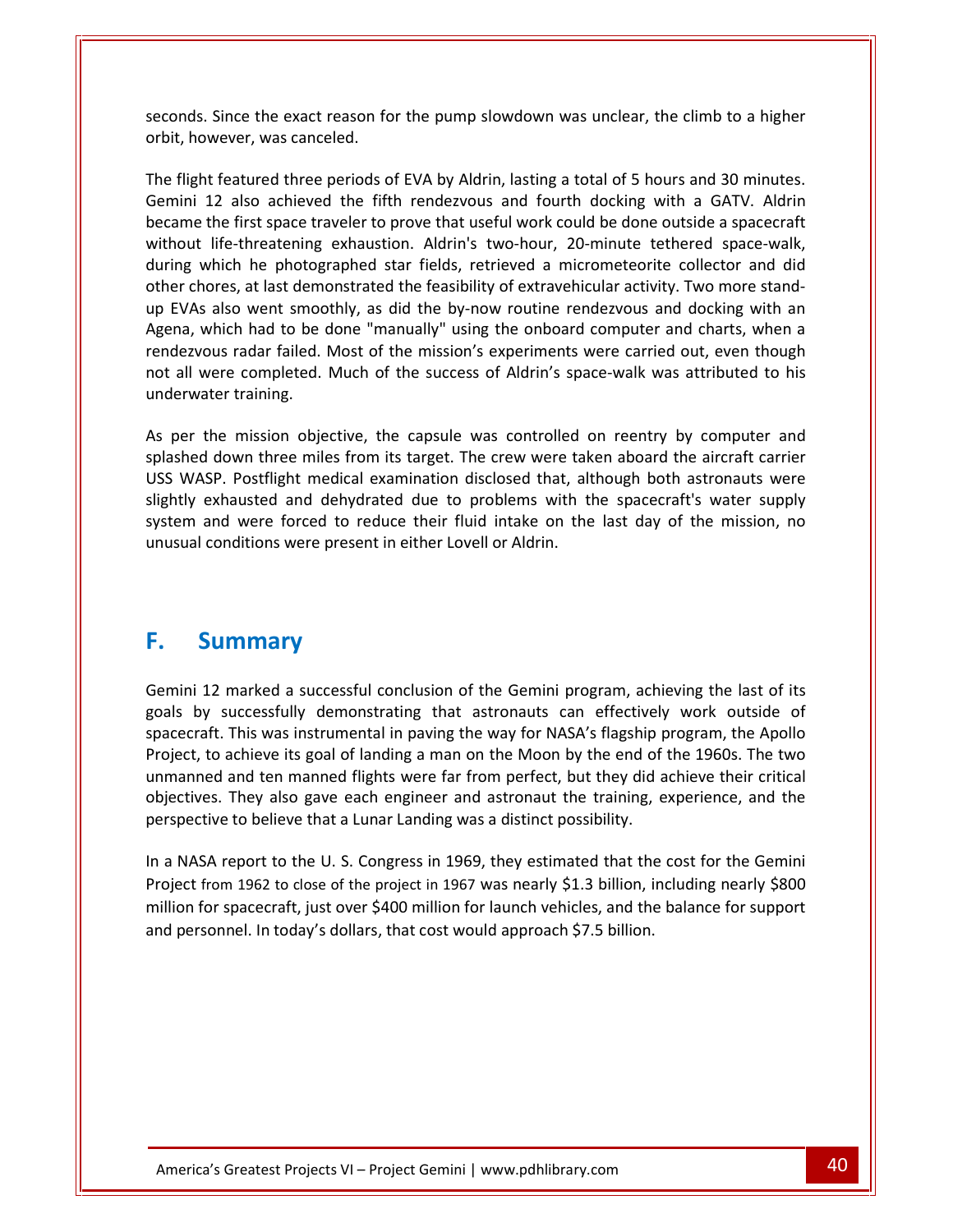Since the exact reason for the pump slowdown was unclear, the climb to <sup>a</sup> higher **however, was canceled.**<br>Seconds. Since the exact reason for<br>orbit. however. was canceled. for seconds. Since the exact reason for the pump slowdown was unclear, the climb to a higher orbit, however, was canceled.<br>The flight featured three periods of EVA by Aldrin, lasting a total of 5 hours and 30 minutes. 12 also achieved the fifth rendezvous and fourth docking with a GATV.<br>
12 also achieved the fifth rendezvous and fourth docking with a GATV. Aldrin<br>
12 also achieved the fifth rendezvous and fourth docking with a GATV. Ald seconds orbit, however, was canceled.

The flight featured three periods of EVA by Aldrin, lasting a total of 5 hours and 30 minutes. seconds. Since the exact reason for the pump slowdown was unclear, the climb to a higher<br>orbit, however, was canceled.<br>The flight featured three periods of EVA by Aldrin, lasting a total of 5 hours and 30 minutes.<br>Gemini 1 which the photographed star fields, retrieved a micrometeorite collector and didentified the photographed star fields, retrieved a micrometeorite collector and didentified the photographed star fields, retrieved a micromet The flight featured three periods of EVA by Aldrin, lasting a total of 5 hours and 30 minutes.<br>Gemini 12 also achieved the fifth rendezvous and fourth docking with a GATV. Aldrin<br>became the first space traveler to prove th EVAS also went smoothly, as did the by-now routine rendezvous and SO minutes.<br>
Fight featured the effith rendezvous and fourth docking with a GATV. Aldrin<br>
ame the first space traveler to prove that useful work could be do Gemini 12 also achieved the fifth rendezvous and fourth docking with a GATV. Aldrin 12 also achieved the fifth rendezvous and fourth docking with a GATV. Aldrin<br>the first space traveler to prove that useful work could be done outside a spacecraft<br>if e-threatening exhaustion. Aldrin's two-hour, 20-minute t rendezvou.<br>Nacama the first space traveler to prove that useful work could be done outside a spacecraft<br>
-threatening exhaustion. Aldrin's two-hour, 20-minute tethered space-walk,<br>
h he photographed star fields, retrieved a micrometeorite colle without life-threatening exhaustion. Aldrin's two-hour, 20-minute tethered space-walk, out life-threatening exhaustion. Aldrin's two-hour, 20-minute tethered space-walk, ang which he photographed star fields, retrieved a micrometeorite collector and did er chores, at last demonstrated the feasibility of extr during which he photog<br>other chores, at last dem<br>up EVAs also went smoc<br>Agena, which had to be<br>rendezvous radar failed.<br>not all were completed.<br>underwater training. per the mission objective, the capsule was controlled on reentry by computer and serves and docking with an dezvous radar failed. Most of the mission's experiments were carried out, even though all were completed. Much of splashed down three miles from its target. The crew were taken aboard the aircraft carrier and charts when a rendezvous radar failed. Most of the mission's experiments were carried out, even though not all were completed. rendezvous radar failed. Most of the mission's experiments were carried out, even though Explores radar failed. Most of the mission's experiments were carried out, even though<br>all were completed. Much of the success of Aldrin's space-walk was attributed to his<br>erwater training.<br>Figure the mission objective, th not all were completed. Much of the success of Aldrin's space-walk was attributed to his se sur<br>underw unusum<br>...

exe completed. Much of the success of Aldrin's space-walk was attributed to his<br>ater training.<br>the mission objective, the capsule was controlled on reentry by computer and<br>down three miles from its target. The crew were ta and were forced to reduce their fluid intake on the last day of the mission objective, the capsule was controlled on reentry by computer and down three miles from its target. The crew were taken aboard the aircraft carrier resent analysis.<br>
I down three miles from its target. The crew were tak<br>
SP. Postflight medical examination disclosed that, all<br>
exhausted and dehydrated due to problems with t<br>
and were forced to reduce their fluid intake As the mission objective, the<br>d down three miles from it<br>ASP. Postflight medical exa<br>exhausted and dehydrate<br>and were forced to reduce<br>conditions were present in<br>**Summary** unusual conditions were present in either Lovell or Aldrin.

#### **F.** Summary

12 marked a successful conclusion of the Gemini program, achieving the last of its **Summary**<br>i 12 marked a successful conclusion of the Gemini program, achieving the last of its<br>by successfully demonstrating that astronauts can effectively work outside of mart and the Gemini program, achieving the last of its<br>This was instrumental in paving the way for NASA's flagship program, the Apollo **Example 12**<br>to marked a successful conclusion of the Gemini program, achieving the last of its<br>to successfully demonstrating that astronauts can effectively work outside of<br>the This was instrumental in paving the way for **MMATY**<br>marked a successful conclusion of the Gemini program, achieving the last of its<br>uccessfully demonstrating that astronauts can effectively work outside of<br>This was instrumental in paving the way for NASA's flagship marked a successful conclusion of the Gemini program, achieving the last of its<br>uccessfully demonstrating that astronauts can effectively work outside of<br>This was instrumental in paving the way for NASA's flagship program, Gemini 12 marked a successful conclusion of the Gemini program, achi<br>goals by successfully demonstrating that astronauts can effectively<br>spacecraft. This was instrumental in paving the way for NASA's flagship p<br>Project, to goals by successfully demonstrating that astronauts can effectively work outside of spacecraft. This was instrumental in paving the way for NASA's flagship program, the Apollo acecraft. This was instrumental in paving the way for NASA's flagship program, the Apollo<br>pject, to achieve its goal of landing a man on the Moon by the end of the 1960s. The two<br>manned and ten manned flights were far from Project, to achieve its goal of landing a man on the Moon by the end of the 1960s. The two to achieve its goal of landing a man on the Moon by the end of the 1960s. The two<br>ned and ten manned flights were far from perfect, but they did achieve their critical<br>res. They also gave each engineer and astronaut the tr unmanned and ten manned flights were far from perfect, but they did achieve their critical for spacecraft, in the spacecraft, in the spacecraft, in the spacecraft, in the spacecraft, in the balance for spacecraft, in the U.S. Congress in 1969, they estimated that the cost for the Gemini from 1962 to close of the objectives. They also gave each engineer and astronaut the training, experience, and the

perspective to believe that a Lunar Landing was a distinct possibility.<br>
In a NASA report to the U.S. Congress in 1969, they estimated that the cost for the Gemini<br>
Project from 1962 to close of the project in 1967 was nea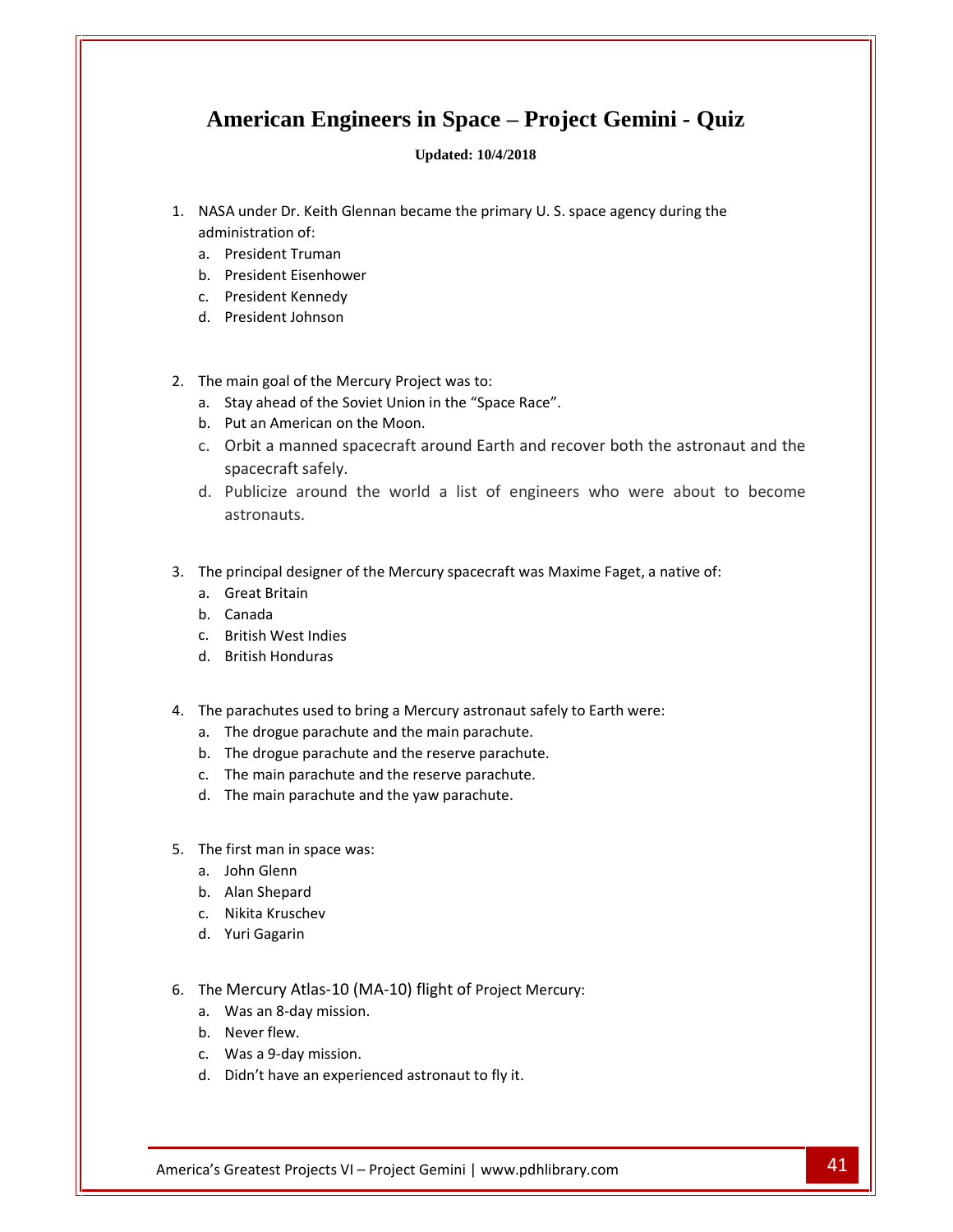## **American Engineers in Space <sup>ñ</sup> Project Gemini - Quiz** American Engineers in Space – Project Gemini - Quiz<br>Updated: 10/4/2018<br>NASA under Dr. Keith Glennan became the primary U. S. space agency during the a.

#### **Updated: 10/4/2018**

- **American Engi**<br>NASA under Dr. Keith Gl<br>administration of: **INCTICAN ENGINCENTS**<br>A under Dr. Keith Glennan I<br>inistration of:<br>President Truman A under Dr. Keith Glennan b<br>President Truman<br>President Eisenhower A under Dr. Keith Glennan<br>iinistration of:<br>President Truman<br>President Eisenhower<br>President Kennedy A under Dr. Keith Glennan b<br>inistration of:<br>President Truman<br>President Eisenhower<br>President Kennedy<br>President Johnson
	-
	- a.<br>b.<br>c.<br>The b. President Eisenhower
	- c. President Kennedy<br>d. President Johnson
	- Pre<br>Pre<br>ma<br>Sta
- President Truman<br>President Eisenhower<br>President Kennedy<br>President Johnson<br>main goal of the Mercury Proiect was to: b. President Eisenhower<br>c. President Kennedy<br>d. President Johnson<br>The main goal of the Mercury Project was to:<br>a. Stav ahead of the Soviet Union in the "Space Race". c. President Kennedy<br>d. President Johnson<br>The main goal of the Mercury Project w<br>a. Stay ahead of the Soviet Union in th<br>b. Put an American on the Moon. 2. The main goal of the Mercury Project was to:
	-
	-
	- President Johnson<br>
	main goal of the Mercury Project was to:<br>
	Stay ahead of the Soviet Union in the "Space Race".<br>
	Put an American on the Moon.<br>
	Orbit a manned spacecraft around Earth and recover both the astronaut and the The main goal of the Mercui<br>a. Stay ahead of the Soviet<br>b. Put an American on the<br>c. Orbit a manned space<br>spacecraft safely. main goal of the Mercury Project was to:<br>
	Stay ahead of the Soviet Union in the "Space Race".<br>
	Put an American on the Moon.<br>
	Orbit a manned spacecraft around Earth and recover both the astronaut and the<br>
	spacecraft safely.
	- c. Orbit a manned spacecraft around Earth and recover both the astronaut a<br>spacecraft safely.<br>d. Publicize around the world a list of engineers who were about to b<br>astronauts.<br>The principal designer of the Mercury spacecra spacecraft safely.<br>Publicize around th<br>astronauts.<br>principal designer of tl<br>Great Britain d. Publici:<br>astrona<br>The principa<br>a. Great B<br>b. Canada astronauts.<br>principal designer of the I<br>Great Britain<br>Canada<br>British West Indies
- principal designer of the<br>Great Britain<br>Canada<br>British West Indies<br>British Honduras
	- a.<br>b.<br>c.<br>The
	- b. Canada
	- Brit<br>Brit<br>par<br>The<br>The
	- Brit<br>par<br>The<br>The
- Sreat Britain<br>Canada<br>British West Indies<br>British Honduras<br>parachutes used to bring a Mercury astronaut safely to Earth were: b. Canada<br>
c. British West Indies<br>
d. British Honduras<br>
The parachutes used to bring a Mercury astronaut safely<br>
a. The drogue parachute and the main parachute. c. British West Indies<br>
d. British Honduras<br>
The parachutes used to bring a Mercury astronaut safely to<br>
a. The drogue parachute and the reserve parachute.<br>
b. The drogue parachute and the reserve parachute. d. British Honduras<br>The parachutes used to bring a Mercury astronaut safely<br>a. The drogue parachute and the main parachute.<br>b. The drogue parachute and the reserve parachute.<br>c. The main parachute and the reserve parachute par<br>The<br>The<br>The echutes used to bring a Mercury astronaut sa<br>drogue parachute and the main parachute.<br>drogue parachute and the reserve parachute<br>main parachute and the vaw parachute.<br>main parachute and the vaw parachute.
	- The drogue parachute and t<br>The drogue parachute and t<br>The main parachute and the<br>The main parachute and the<br>first man in space was:
	-
	- c. The main parachute and the reserve parachute. The main parachute an<br>The main parachute an<br>first man in space was:<br>John Glenn<br>Alan Shepard
	- a.<br>b.<br>c.<br>The b. The drogue parachut<br>c. The main parachute<br>d. The main parachute<br>The first man in space wa d. The main parachute and<br>The first man in space was:<br>a. John Glenn<br>b. Alan Shepard<br>c. Nikita Kruschev
- 5. The first man in space was:<br>
a. John Glenn<br>
b. Alan Shepard<br>
c. Nikita Kruschev<br>
d. Yuri Gagarin
- first<br>Johr<br>Alar<br>Niki<br>Yuri a.<br>b.<br>c.<br>The
	- b. Alan Shepard
	- c. Nikita Kruschev<br>d. Yuri Gagarin<br>The Mercury Atlas-<br>a. Was an 8-day m<br>b. Never flew.
	-
- first man in space was:<br>John Glenn<br>Alan Shepard<br>Nikita Kruschev<br>Yuri Gagarin<br>Mercury Atlas-10 (MA-10) flight of Project Mercury: b. Alan Shepard<br>c. Nikita Kruschev<br>d. Yuri Gagarin<br>The Mercury Atlas-10 (MA-1<sup>1</sup>)<br>a. Was an 8-dav mission. d. Yuri Gagarin<br>The Mercury Atlas-10 (MA-1<br>a. Was an 8-day mission.<br>b. Never flew.<br>c. Was a 9-day mission. Mercury Atlas-10 (MA-10) flight of Project Merc<br>Was an 8-day mission.<br>Never flew.<br>Was a 9-day mission.<br>Didn't have an experienced astronaut to fly it.
	-
	-
	- b. Never flew.<br>c. Was a 9-day mission.
	- Was an 8-day mission.<br>
	Never flew.<br>
	Was a 9-day mission.<br>
	Didn't have an experienced astronaut to fly it.<br>
	Greatest Projects VI Project Gemini | www.pdhlibrary.com 41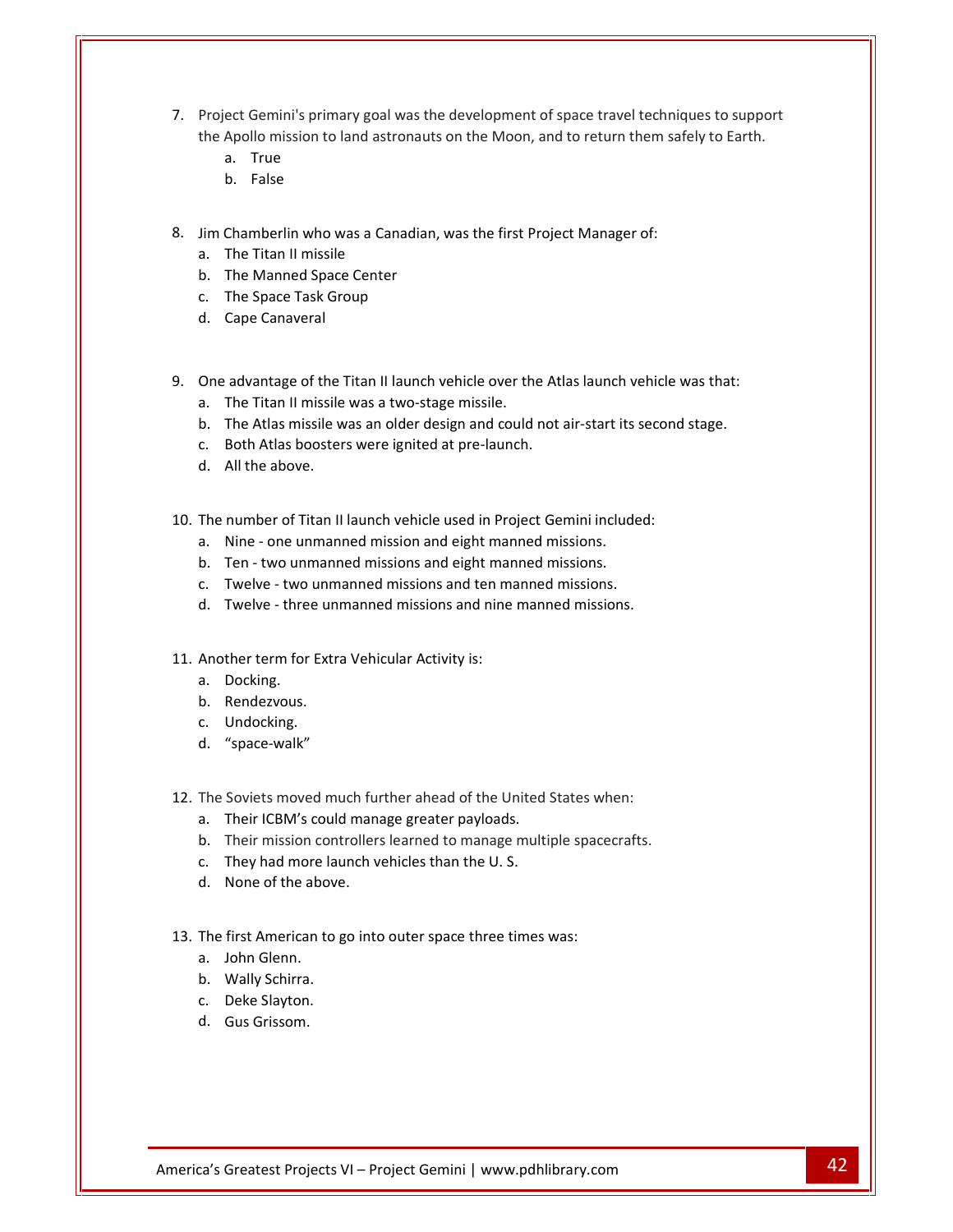- Project Gemini's primary goal was the development of space travel techniques to support ect Gemini's primary goal was the development of space travel techniques to support<br>Apollo mission to land astronauts on the Moon, and to return them safely to Earth. True Gemi<br>Ilo mi<br>True<br>False 7 Pro<br>the<br>Jim ect Gemini's primary goal was the development of space travel techniq<br>Apollo mission to land astronauts on the Moon, and to return them safe<br>a. True<br>b. False<br>Chamberlin who was a Canadian, was the first Project Manager of: the Apollo mission to land astro<br>
a. True<br>
b. False<br>
Jim Chamberlin who was a Cana<br>
a. The Titan II missile
	-
	-
- True<br>False<br>mberlin who was a Canadian<br>Titan II missile<br>Manned Space Center False<br>nberlin who was a Canadia<br>Titan II missile<br>Manned Space Center<br>Space Task Group
- a.<br>b.<br>Cha<br>The b.<br>Cha<br>The<br>The
	- Chamberlin who wa<br>The Titan II missile<br>The Manned Space<br>The Space Task Gro<br>Cape Canaveral a.<br>b.<br>c.<br>One b. The Manned Space Center
	-
	- The<br>Cap<br>The<br>The
- The Titan II missile<br>The Manned Space Center<br>The Space Task Group<br>Cape Canaveral<br>advantage of the Titan II launch vehicle over the Atlas launch vehicle was that: d. Cape Canaveral<br>
9. One advantage of the Titan II launch vehicle over the Atlas launch vehicle was that:<br>
a. The Titan II missile was a two-stage missile. c. The Space Task Group<br>d. Cape Canaveral<br>One advantage of the Titan II launch vehicle over the Atlas launch vehicle was that:<br>a. The Titan II missile was a two-stage missile.<br>b. The Atlas missile was an older design and c d. Cape Canaveral<br>One advantage of the Titan II launch vehicle over the At<br>a. The Titan II missile was a two-stage missile.<br>b. The Atlas missile was an older design and could not<br>c. Both Atlas boosters were ignited at preac<br>Th<br>Th<br>Bo<br>All
	- a.<br>b.<br>c.<br>The
	- The Titan II missile was a two-stage missile.<br>The Atlas missile was an older design and could not air-start its second<br>Both Atlas boosters were ignited at pre-launch.<br>All the above.<br>number of Titan II launch vehicle used i b. The Atlas missile was an older design and could not air-start its<br>c. Both Atlas boosters were ignited at pre-launch.<br>d. All the above.<br>The number of Titan II launch vehicle used in Project Gemini include<br>a. Nine - one u
	- c. Both Atlas boosters were ignited at pre-launch.<br>d. All the above.
	-
- 10. The number of Titan II launch vehicle used in Project Gemini included:<br>a. Nine one unmanned mission and eight manned missions. d. All the above.<br>The number of Titan II launch vehicle used in Project Gemini included<br>a. Nine - one unmanned mission and eight manned missions.<br>b. Ten - two unmanned missions and ten manned missions.<br>c. Twelve - two unma number of Titan II launch vehicle used in Project Gemini included:<br>Nine - one unmanned mission and eight manned missions.<br>Ten - two unmanned missions and eight manned missions.<br>Twelve - three unmanned missions and nine man
	-
	- a. Nine one unmanned mission and eight man<br>b. Ten two unmanned missions and eight man<br>c. Twelve two unmanned missions and ten ma<br>d. Twelve three unmanned missions and nine<br>Another term for Extra Vehicular Activity b. Ten - two<br>c. Twelve -<br>d. Twelve -<br>Another tern<br>a. Docking.
	- c. Twelve two<br>d. Twelve thre<br>Another term for<br>a. Docking.<br>b. Rendezvous.
	- d. Twelve three un<br>Another term for Extr<br>a. Docking.<br>b. Rendezvous.<br>c. Undocking.<br>d. "space-walk"
- - a.<br>b.<br>c.<br>The
	- b. Rendezvous.
	-
	- d. "space-walk"
- Docking.<br>Rendezvous.<br>Undocking.<br>"space-walk"<br>Soviets moved much further ahead of the United States when: c. Undocking.<br>d. "space-walk"<br>12. The Soviets moved much further ahead of the United States when: c. Undocking.<br>d. "space-walk"<br>The Soviets moved much further ahead of the United States when:<br>a. Their ICBM's could manage greater payloads.<br>b. Their mission controllers learned to manage multiple spacecrafts. d. "space-walk"<br>The Soviets moved much further ahead of the United<br>a. Their ICBM's could manage greater payloads.<br>b. Their mission controllers learned to manage multic. They had more launch vehicles than the U.S.
	- Soviets moved much fu<br>Their ICBM's could man<br>Their mission controller<br>They had more launch v<br>None of the above. a.<br>b.<br>c.<br>The
	- Their ICBM's could manage greater payloads.<br>Their mission controllers learned to manage multiple space<br>They had more launch vehicles than the U. S.<br>None of the above.<br>first American to go into outer space three times was:
	- b. Their mission co<br>
	c. They had more I<br>
	d. None of the abo<br>
	The first American to<br>
	a. John Glenn. c. They had more laud.<br>
	Mone of the above<br>
	The first American to g<br>
	a. John Glenn.<br>
	b. Wally Schirra.
	- d. None of the above<br>The first American to g<br>a. John Glenn.<br>b. Wally Schirra.<br>c. Deke Slavton.
- 
- first<br>Johi<br>Wal<br>Dek<br>Gus
- America<br>Glenn.<br>y Schirra<br>e Slayton<br>Grissom.
	-
	-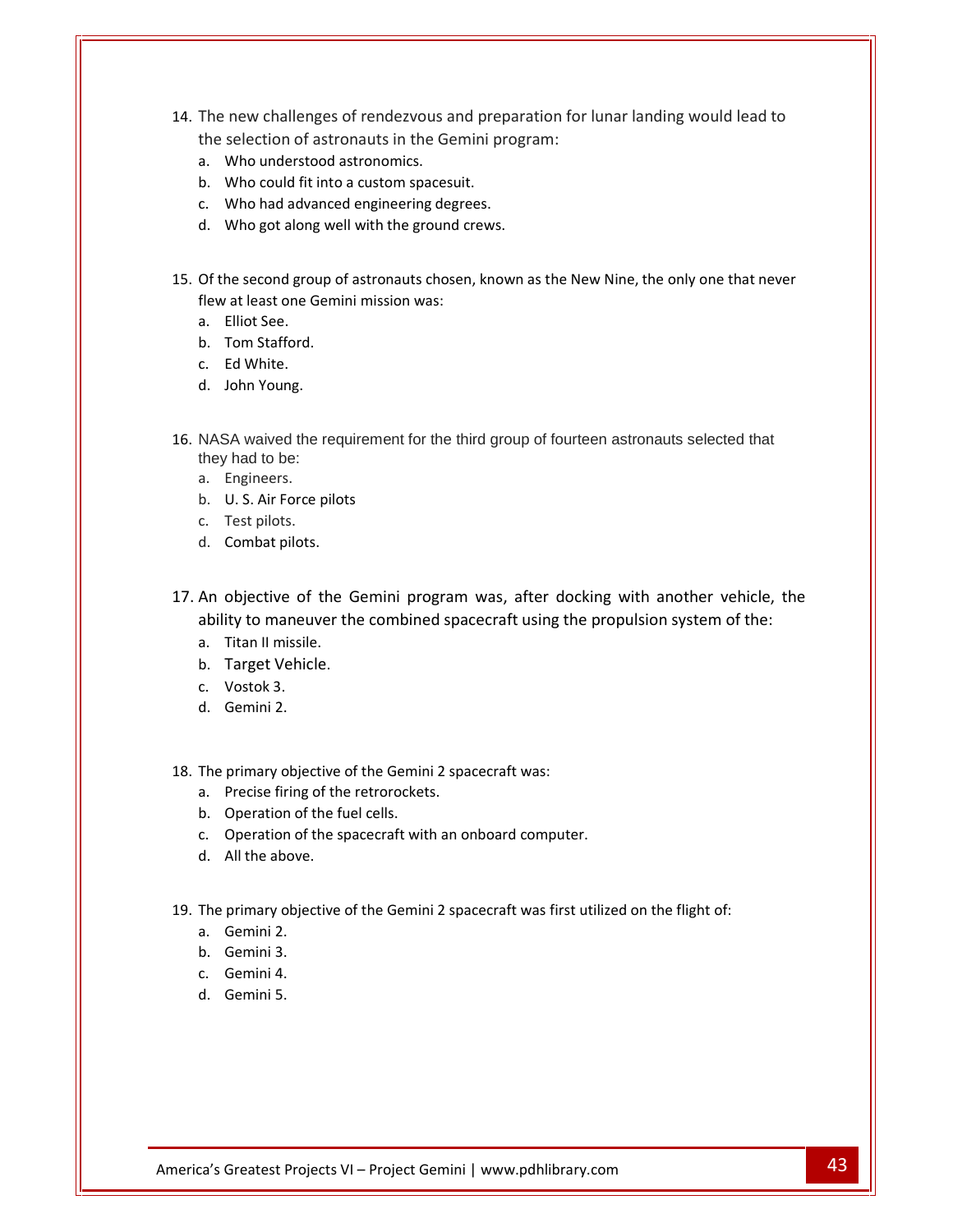- The new challenges of rendezvous and preparation for lunar landing would lead to selection of astronauts in the Gemini program:<br>Selection of astronauts in the Gemini program: The new challenges of rendezvous at<br>the selection of astronauts in the Ge<br>a. Who understood astronomics. The new challenges of rendezvous and prequest the selection of astronauts in the Gemini proposent all who understood astronomics.<br>A. Who could fit into a custom spacesuit. new<br>sele<br>Who<br>Who<br>Who The new challenges of rendezvous and preparties the selection of astronauts in the Gemini propose.<br>a. Who understood astronomics.<br>b. Who could fit into a custom spacesuit.<br>c. Who had advanced engineering degrees. new<br>sele<br>Who<br>Who<br>Who challenges of rendezvous and preparation of astronauts in the Gemini programderstood astronomics.<br>could fit into a custom spacesuit.<br>had advanced engineering degrees.<br>got along well with the ground crews.
	- a.<br>b.<br>c.<br>Of t
	-
	-
	-
- Who understood astronomics.<br>
Who could fit into a custom spacesuit.<br>
Who had advanced engineering degrees.<br>
Who got along well with the ground crews.<br>
the second group of astronauts chosen, known as the New Nine, the only b. Who could fit into a custom spacesuit.<br>
c. Who had advanced engineering degree<br>
d. Who got along well with the ground cr<br>
Of the second group of astronauts chosen,<br>
flew at least one Gemini mission was: c. Who had adva<br>d. Who got along<br>Of the second grou<br>flew at least one G<br>a. Elliot See. d. Who got along wel<br>Of the second group of<br>flew at least one Gemin<br>a. Elliot See.<br>b. Tom Stafford. he<br>, at<br>Ell<br>To<br>Ed Of the second grou<br>flew at least one G<br>a. Elliot See.<br>b. Tom Stafford.<br>c. Ed White. he second group<br>Pat least one Gerefiliot See.<br>Tom Stafford.<br>Ed White.<br>John Young.
	-

a.

- 
- c. Ed White.
- c.
- NASA waived the requirement for the third group of fourteen astronauts selected that they had to be: Formolaire<br>Ed White.<br>John Youn<br>SA waived<br>had to be d. John Young.<br>
NASA waived the requirement<br>
they had to be:<br>
a. Engineers.<br>
b. U. S. Air Force pilots La<br>Jol<br>SA<br>I.<br>En<br>U. 35...<br>SA w<br>/ had<br>Engi<br>U. S. SA waiv<br>Thad to<br>Enginee<br>U. S. Air<br>Test pilc<br>Combat 16. NASA waived the requestion of the vertex the requestion of the U.S. Air Force pilot<br>16. U.S. Air Force pilot<br>16. Test pilots.<br>16. Combat pilots. they had to be:<br>a. Engineers.<br>b. U. S. Air Force pilots<br>c. Test pilots.<br>d. Combat pilots.<br>An objective of the Gemini program was, after docking with another vehicle, the
	- a. En
	- b. U.S. Air Force pilots
	- c. Test pilots.
	-
- <sub>I</sub>meers.<br>
S. Air Force pilots<br>
t pilots.<br>
iective of the Gemini program was, after docking with another vehicle, the<br>
to maneuver the combined spacecraft using the propulsion system of the: c. Test pilots.<br>d. Combat pilots.<br>An objective of the G<br>ability to maneuver the<br>a. Titan II missile.<br>b. Target Vehicle. An objective of t<br>ability to maneuv<br>a. Titan II missile.<br>b. Target Vehicle<br>c. Vostok 3. objective of<br>ity to maneuv<br>Titan II missile<br>Target Vehicl<br>Vostok 3.<br>Gemini 2.
	-
	- a.<br>b.<br>c.<br>The b. Target Vehicle.
	-
	-
- I Itan II missile.<br>Target Vehicle.<br>Vostok 3.<br>Gemini 2.<br>primary objective of the Gemini 2 spacecraft was: c. Vostok 3.<br>
d. Gemini 2.<br>
The primary objective of the Gemini 2<br>
a. Precise firing of the retrorockets. b. Iarget Vehicle.<br>c. Vostok 3.<br>d. Gemini 2.<br>The primary objective of the Gemini 2 spa<br>a. Precise firing of the retrorockets. c. Vostok 3.<br>d. Gemini 2.<br>The primary objective of the Gemin<br>a. Precise firing of the retrorocket<br>b. Operation of the fuel cells. Gemini 2.<br>primary ol<br>Precise firi<br>Operation<br>Operation d. Gemini 2.<br>The primary objective of the Gemini 2 spacecraft was:<br>a. Precise firing of the retrorockets.<br>b. Operation of the spacecraft with an onboard computer. primary objective<br>Precise firing of the<br>Operation of the s<br>All the above.
	- a.<br>b.<br>c.<br>The
	- b. Operation of t<br>c. Operation of t<br>d. All the above.<br>The primary objec<br>a. Gemini 2.
	- c. Operation of t<br>d. All the above.<br>The primary objec<br>a. Gemini 2.<br>b. Gemini 3.
	-
- Precise firing of the retrorockets.<br>Operation of the fuel cells.<br>Operation of the spacecraft with an onboard computer.<br>All the above.<br>primary objective of the Gemini 2 spacecraft was first utilized on the flight of: d. All the above.<br>The primary objec<br>a. Gemini 2.<br>b. Gemini 3.<br>c. Gemini 4. dob<br>2.<br>3.<br>4.<br>5.
	-
	- primar<br>Gemini<br>Gemini<br>Gemini
	-
	-